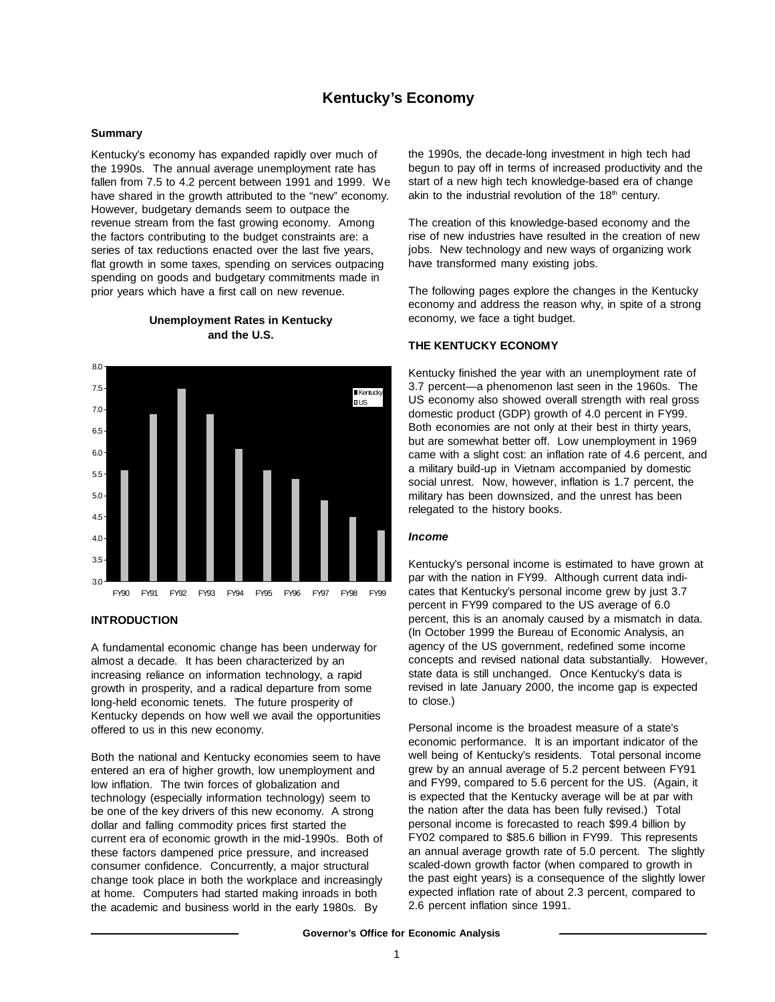# **Kentucky's Economy**

### **Summary**

Kentucky's economy has expanded rapidly over much of the 1990s. The annual average unemployment rate has fallen from 7.5 to 4.2 percent between 1991 and 1999. We have shared in the growth attributed to the "new" economy. However, budgetary demands seem to outpace the revenue stream from the fast growing economy. Among the factors contributing to the budget constraints are: a series of tax reductions enacted over the last five years, flat growth in some taxes, spending on services outpacing spending on goods and budgetary commitments made in prior years which have a first call on new revenue.





# **INTRODUCTION**

A fundamental economic change has been underway for almost a decade. It has been characterized by an increasing reliance on information technology, a rapid growth in prosperity, and a radical departure from some long-held economic tenets. The future prosperity of Kentucky depends on how well we avail the opportunities offered to us in this new economy.

Both the national and Kentucky economies seem to have entered an era of higher growth, low unemployment and low inflation. The twin forces of globalization and technology (especially information technology) seem to be one of the key drivers of this new economy. A strong dollar and falling commodity prices first started the current era of economic growth in the mid-1990s. Both of these factors dampened price pressure, and increased consumer confidence. Concurrently, a major structural change took place in both the workplace and increasingly at home. Computers had started making inroads in both the academic and business world in the early 1980s. By

the 1990s, the decade-long investment in high tech had begun to pay off in terms of increased productivity and the start of a new high tech knowledge-based era of change akin to the industrial revolution of the  $18<sup>th</sup>$  century.

The creation of this knowledge-based economy and the rise of new industries have resulted in the creation of new jobs. New technology and new ways of organizing work have transformed many existing jobs.

The following pages explore the changes in the Kentucky economy and address the reason why, in spite of a strong economy, we face a tight budget.

### **THE KENTUCKY ECONOMY**

Kentucky finished the year with an unemployment rate of 3.7 percent—a phenomenon last seen in the 1960s. The US economy also showed overall strength with real gross domestic product (GDP) growth of 4.0 percent in FY99. Both economies are not only at their best in thirty years, but are somewhat better off. Low unemployment in 1969 came with a slight cost: an inflation rate of 4.6 percent, and a military build-up in Vietnam accompanied by domestic social unrest. Now, however, inflation is 1.7 percent, the military has been downsized, and the unrest has been relegated to the history books.

### *Income*

Kentucky's personal income is estimated to have grown at par with the nation in FY99. Although current data indicates that Kentucky's personal income grew by just 3.7 percent in FY99 compared to the US average of 6.0 percent, this is an anomaly caused by a mismatch in data. (In October 1999 the Bureau of Economic Analysis, an agency of the US government, redefined some income concepts and revised national data substantially. However, state data is still unchanged. Once Kentucky's data is revised in late January 2000, the income gap is expected to close.)

Personal income is the broadest measure of a state's economic performance. It is an important indicator of the well being of Kentucky's residents. Total personal income grew by an annual average of 5.2 percent between FY91 and FY99, compared to 5.6 percent for the US. (Again, it is expected that the Kentucky average will be at par with the nation after the data has been fully revised.) Total personal income is forecasted to reach \$99.4 billion by FY02 compared to \$85.6 billion in FY99. This represents an annual average growth rate of 5.0 percent. The slightly scaled-down growth factor (when compared to growth in the past eight years) is a consequence of the slightly lower expected inflation rate of about 2.3 percent, compared to 2.6 percent inflation since 1991.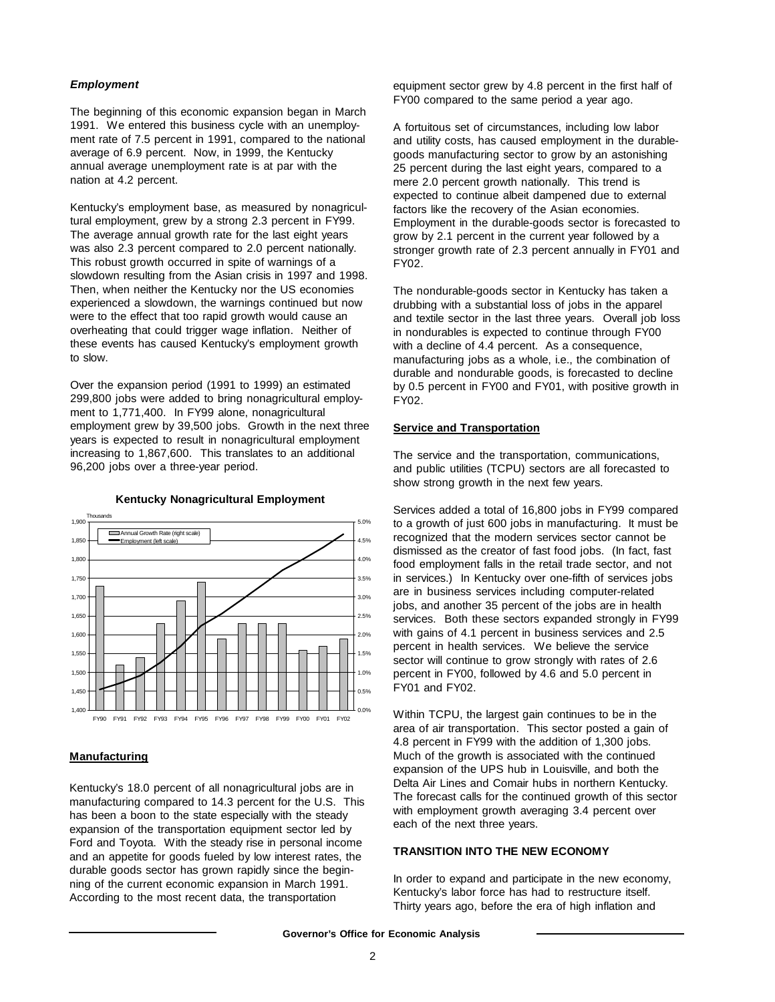### *Employment*

The beginning of this economic expansion began in March 1991. We entered this business cycle with an unemployment rate of 7.5 percent in 1991, compared to the national average of 6.9 percent. Now, in 1999, the Kentucky annual average unemployment rate is at par with the nation at 4.2 percent.

Kentucky's employment base, as measured by nonagricultural employment, grew by a strong 2.3 percent in FY99. The average annual growth rate for the last eight years was also 2.3 percent compared to 2.0 percent nationally. This robust growth occurred in spite of warnings of a slowdown resulting from the Asian crisis in 1997 and 1998. Then, when neither the Kentucky nor the US economies experienced a slowdown, the warnings continued but now were to the effect that too rapid growth would cause an overheating that could trigger wage inflation. Neither of these events has caused Kentucky's employment growth to slow.

Over the expansion period (1991 to 1999) an estimated 299,800 jobs were added to bring nonagricultural employment to 1,771,400. In FY99 alone, nonagricultural employment grew by 39,500 jobs. Growth in the next three years is expected to result in nonagricultural employment increasing to 1,867,600. This translates to an additional 96,200 jobs over a three-year period.



**Kentucky Nonagricultural Employment**

# **Manufacturing**

Kentucky's 18.0 percent of all nonagricultural jobs are in manufacturing compared to 14.3 percent for the U.S. This has been a boon to the state especially with the steady expansion of the transportation equipment sector led by Ford and Toyota. With the steady rise in personal income and an appetite for goods fueled by low interest rates, the durable goods sector has grown rapidly since the beginning of the current economic expansion in March 1991. According to the most recent data, the transportation

equipment sector grew by 4.8 percent in the first half of FY00 compared to the same period a year ago.

A fortuitous set of circumstances, including low labor and utility costs, has caused employment in the durablegoods manufacturing sector to grow by an astonishing 25 percent during the last eight years, compared to a mere 2.0 percent growth nationally. This trend is expected to continue albeit dampened due to external factors like the recovery of the Asian economies. Employment in the durable-goods sector is forecasted to grow by 2.1 percent in the current year followed by a stronger growth rate of 2.3 percent annually in FY01 and FY02.

The nondurable-goods sector in Kentucky has taken a drubbing with a substantial loss of jobs in the apparel and textile sector in the last three years. Overall job loss in nondurables is expected to continue through FY00 with a decline of 4.4 percent. As a consequence, manufacturing jobs as a whole, i.e., the combination of durable and nondurable goods, is forecasted to decline by 0.5 percent in FY00 and FY01, with positive growth in FY02.

### **Service and Transportation**

The service and the transportation, communications, and public utilities (TCPU) sectors are all forecasted to show strong growth in the next few years.

Services added a total of 16,800 jobs in FY99 compared to a growth of just 600 jobs in manufacturing. It must be recognized that the modern services sector cannot be dismissed as the creator of fast food jobs. (In fact, fast food employment falls in the retail trade sector, and not in services.) In Kentucky over one-fifth of services jobs are in business services including computer-related jobs, and another 35 percent of the jobs are in health services. Both these sectors expanded strongly in FY99 with gains of 4.1 percent in business services and 2.5 percent in health services. We believe the service sector will continue to grow strongly with rates of 2.6 percent in FY00, followed by 4.6 and 5.0 percent in FY01 and FY02.

Within TCPU, the largest gain continues to be in the area of air transportation. This sector posted a gain of 4.8 percent in FY99 with the addition of 1,300 jobs. Much of the growth is associated with the continued expansion of the UPS hub in Louisville, and both the Delta Air Lines and Comair hubs in northern Kentucky. The forecast calls for the continued growth of this sector with employment growth averaging 3.4 percent over each of the next three years.

# **TRANSITION INTO THE NEW ECONOMY**

In order to expand and participate in the new economy, Kentucky's labor force has had to restructure itself. Thirty years ago, before the era of high inflation and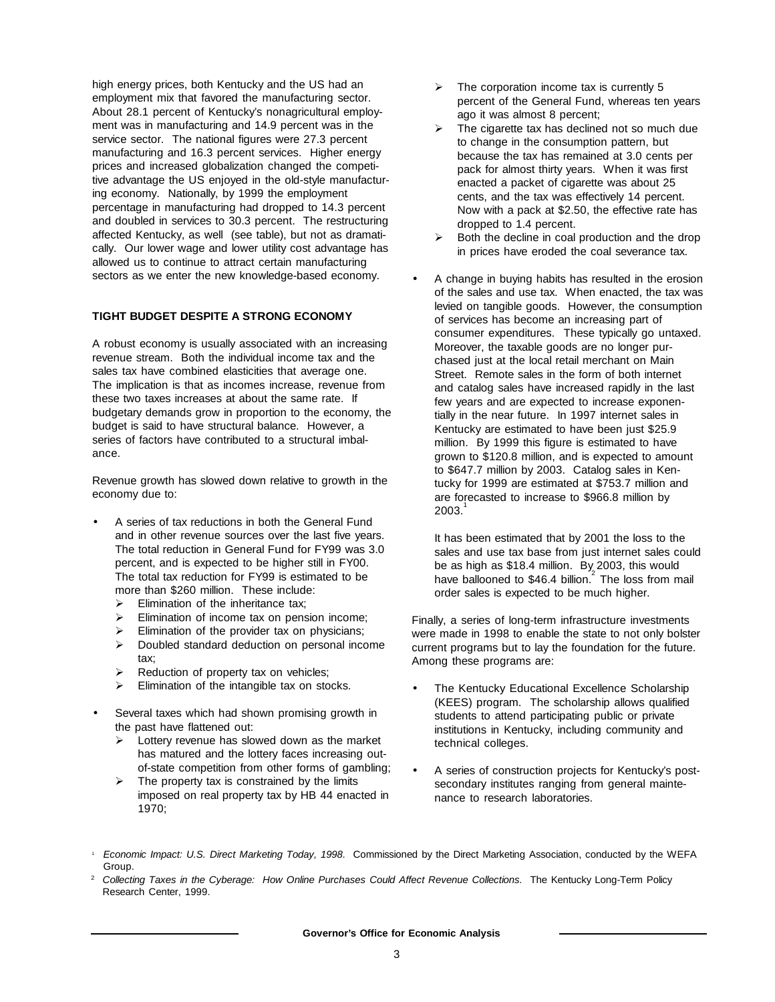high energy prices, both Kentucky and the US had an employment mix that favored the manufacturing sector. About 28.1 percent of Kentucky's nonagricultural employment was in manufacturing and 14.9 percent was in the service sector. The national figures were 27.3 percent manufacturing and 16.3 percent services. Higher energy prices and increased globalization changed the competitive advantage the US enjoyed in the old-style manufacturing economy. Nationally, by 1999 the employment percentage in manufacturing had dropped to 14.3 percent and doubled in services to 30.3 percent. The restructuring affected Kentucky, as well (see table), but not as dramatically. Our lower wage and lower utility cost advantage has allowed us to continue to attract certain manufacturing sectors as we enter the new knowledge-based economy.

# **TIGHT BUDGET DESPITE A STRONG ECONOMY**

A robust economy is usually associated with an increasing revenue stream. Both the individual income tax and the sales tax have combined elasticities that average one. The implication is that as incomes increase, revenue from these two taxes increases at about the same rate. If budgetary demands grow in proportion to the economy, the budget is said to have structural balance. However, a series of factors have contributed to a structural imbalance.

Revenue growth has slowed down relative to growth in the economy due to:

- A series of tax reductions in both the General Fund and in other revenue sources over the last five years. The total reduction in General Fund for FY99 was 3.0 percent, and is expected to be higher still in FY00. The total tax reduction for FY99 is estimated to be more than \$260 million. These include:
	- $\triangleright$  Elimination of the inheritance tax;
	- $\triangleright$  Elimination of income tax on pension income;
	- $\triangleright$  Elimination of the provider tax on physicians;
	- $\triangleright$  Doubled standard deduction on personal income tax;
	- $\triangleright$  Reduction of property tax on vehicles;
	- $\triangleright$  Elimination of the intangible tax on stocks.
- Several taxes which had shown promising growth in the past have flattened out:
	- $\triangleright$  Lottery revenue has slowed down as the market has matured and the lottery faces increasing outof-state competition from other forms of gambling;
	- $\triangleright$  The property tax is constrained by the limits imposed on real property tax by HB 44 enacted in 1970;
- $\geq$  The corporation income tax is currently 5 percent of the General Fund, whereas ten years ago it was almost 8 percent;
- $\triangleright$  The cigarette tax has declined not so much due to change in the consumption pattern, but because the tax has remained at 3.0 cents per pack for almost thirty years. When it was first enacted a packet of cigarette was about 25 cents, and the tax was effectively 14 percent. Now with a pack at \$2.50, the effective rate has dropped to 1.4 percent.
- Both the decline in coal production and the drop in prices have eroded the coal severance tax.
- A change in buying habits has resulted in the erosion of the sales and use tax. When enacted, the tax was levied on tangible goods. However, the consumption of services has become an increasing part of consumer expenditures. These typically go untaxed. Moreover, the taxable goods are no longer purchased just at the local retail merchant on Main Street. Remote sales in the form of both internet and catalog sales have increased rapidly in the last few years and are expected to increase exponentially in the near future. In 1997 internet sales in Kentucky are estimated to have been just \$25.9 million. By 1999 this figure is estimated to have grown to \$120.8 million, and is expected to amount to \$647.7 million by 2003. Catalog sales in Kentucky for 1999 are estimated at \$753.7 million and are forecasted to increase to \$966.8 million by  $2003.$

It has been estimated that by 2001 the loss to the sales and use tax base from just internet sales could be as high as \$18.4 million. By 2003, this would have ballooned to  $$46.4$  billion.<sup>2</sup> The loss from mail order sales is expected to be much higher.

Finally, a series of long-term infrastructure investments were made in 1998 to enable the state to not only bolster current programs but to lay the foundation for the future. Among these programs are:

- The Kentucky Educational Excellence Scholarship (KEES) program. The scholarship allows qualified students to attend participating public or private institutions in Kentucky, including community and technical colleges.
- A series of construction projects for Kentucky's postsecondary institutes ranging from general maintenance to research laboratories.

<sup>2</sup> *Collecting Taxes in the Cyberage: How Online Purchases Could Affect Revenue Collections.* The Kentucky Long-Term Policy Research Center, 1999.

<sup>1</sup> *Economic Impact: U.S. Direct Marketing Today, 1998*. Commissioned by the Direct Marketing Association, conducted by the WEFA Group.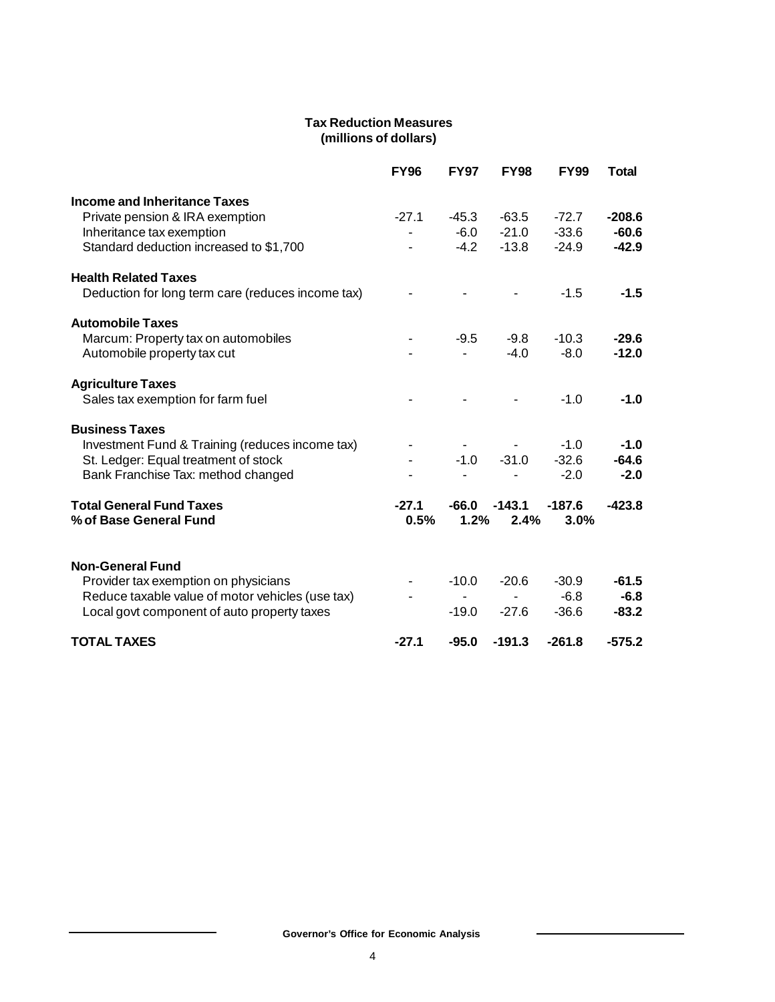# **Tax Reduction Measures (millions of dollars)**

|                                                   | <b>FY96</b> | <b>FY97</b> | <b>FY98</b> | <b>FY99</b> | <b>Total</b> |
|---------------------------------------------------|-------------|-------------|-------------|-------------|--------------|
| <b>Income and Inheritance Taxes</b>               |             |             |             |             |              |
| Private pension & IRA exemption                   | $-27.1$     | $-45.3$     | $-63.5$     | $-72.7$     | $-208.6$     |
| Inheritance tax exemption                         | -           | $-6.0$      | $-21.0$     | $-33.6$     | $-60.6$      |
| Standard deduction increased to \$1,700           |             | $-4.2$      | $-13.8$     | $-24.9$     | $-42.9$      |
| <b>Health Related Taxes</b>                       |             |             |             |             |              |
| Deduction for long term care (reduces income tax) |             |             |             | $-1.5$      | $-1.5$       |
| <b>Automobile Taxes</b>                           |             |             |             |             |              |
| Marcum: Property tax on automobiles               |             | $-9.5$      | $-9.8$      | $-10.3$     | $-29.6$      |
| Automobile property tax cut                       |             |             | $-4.0$      | $-8.0$      | $-12.0$      |
| <b>Agriculture Taxes</b>                          |             |             |             |             |              |
| Sales tax exemption for farm fuel                 |             |             |             | $-1.0$      | $-1.0$       |
| <b>Business Taxes</b>                             |             |             |             |             |              |
| Investment Fund & Training (reduces income tax)   |             |             |             | $-1.0$      | $-1.0$       |
| St. Ledger: Equal treatment of stock              |             | $-1.0$      | $-31.0$     | $-32.6$     | $-64.6$      |
| Bank Franchise Tax: method changed                |             |             |             | $-2.0$      | $-2.0$       |
| <b>Total General Fund Taxes</b>                   | $-27.1$     | -66.0       | $-143.1$    | $-187.6$    | $-423.8$     |
| % of Base General Fund                            | 0.5%        | 1.2%        | 2.4%        | 3.0%        |              |
|                                                   |             |             |             |             |              |
| <b>Non-General Fund</b>                           |             |             |             |             |              |
| Provider tax exemption on physicians              |             | $-10.0$     | $-20.6$     | $-30.9$     | $-61.5$      |
| Reduce taxable value of motor vehicles (use tax)  |             |             |             | $-6.8$      | $-6.8$       |
| Local govt component of auto property taxes       |             | $-19.0$     | $-27.6$     | $-36.6$     | $-83.2$      |
| <b>TOTAL TAXES</b>                                | $-27.1$     | $-95.0$     | $-191.3$    | $-261.8$    | $-575.2$     |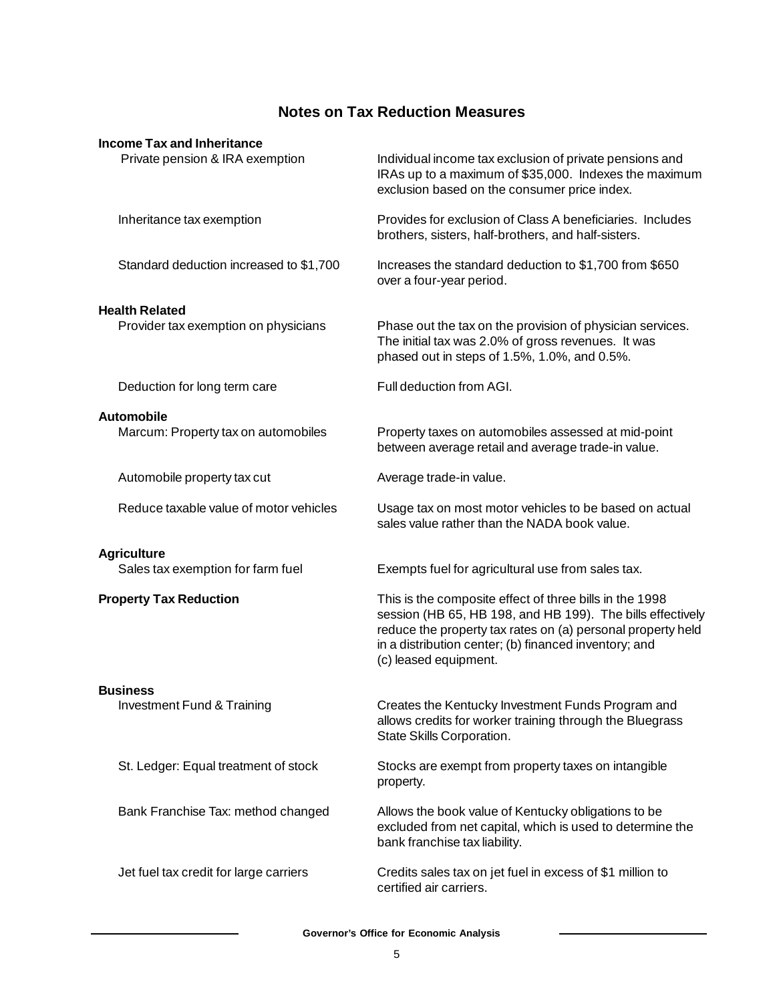# **Notes on Tax Reduction Measures**

| <b>Income Tax and Inheritance</b>                             |                                                                                                                                                                                                                                                                        |
|---------------------------------------------------------------|------------------------------------------------------------------------------------------------------------------------------------------------------------------------------------------------------------------------------------------------------------------------|
| Private pension & IRA exemption                               | Individual income tax exclusion of private pensions and<br>IRAs up to a maximum of \$35,000. Indexes the maximum<br>exclusion based on the consumer price index.                                                                                                       |
| Inheritance tax exemption                                     | Provides for exclusion of Class A beneficiaries. Includes<br>brothers, sisters, half-brothers, and half-sisters.                                                                                                                                                       |
| Standard deduction increased to \$1,700                       | Increases the standard deduction to \$1,700 from \$650<br>over a four-year period.                                                                                                                                                                                     |
|                                                               |                                                                                                                                                                                                                                                                        |
| <b>Health Related</b><br>Provider tax exemption on physicians | Phase out the tax on the provision of physician services.<br>The initial tax was 2.0% of gross revenues. It was<br>phased out in steps of 1.5%, 1.0%, and 0.5%.                                                                                                        |
| Deduction for long term care                                  | Full deduction from AGI.                                                                                                                                                                                                                                               |
| Automobile                                                    |                                                                                                                                                                                                                                                                        |
| Marcum: Property tax on automobiles                           | Property taxes on automobiles assessed at mid-point<br>between average retail and average trade-in value.                                                                                                                                                              |
| Automobile property tax cut                                   | Average trade-in value.                                                                                                                                                                                                                                                |
| Reduce taxable value of motor vehicles                        | Usage tax on most motor vehicles to be based on actual<br>sales value rather than the NADA book value.                                                                                                                                                                 |
| <b>Agriculture</b>                                            |                                                                                                                                                                                                                                                                        |
| Sales tax exemption for farm fuel                             | Exempts fuel for agricultural use from sales tax.                                                                                                                                                                                                                      |
| <b>Property Tax Reduction</b>                                 | This is the composite effect of three bills in the 1998<br>session (HB 65, HB 198, and HB 199). The bills effectively<br>reduce the property tax rates on (a) personal property held<br>in a distribution center; (b) financed inventory; and<br>(c) leased equipment. |
| <b>Business</b>                                               |                                                                                                                                                                                                                                                                        |
| Investment Fund & Training                                    | Creates the Kentucky Investment Funds Program and<br>allows credits for worker training through the Bluegrass<br>State Skills Corporation.                                                                                                                             |
| St. Ledger: Equal treatment of stock                          | Stocks are exempt from property taxes on intangible<br>property.                                                                                                                                                                                                       |
| Bank Franchise Tax: method changed                            | Allows the book value of Kentucky obligations to be<br>excluded from net capital, which is used to determine the<br>bank franchise tax liability.                                                                                                                      |
| Jet fuel tax credit for large carriers                        | Credits sales tax on jet fuel in excess of \$1 million to<br>certified air carriers.                                                                                                                                                                                   |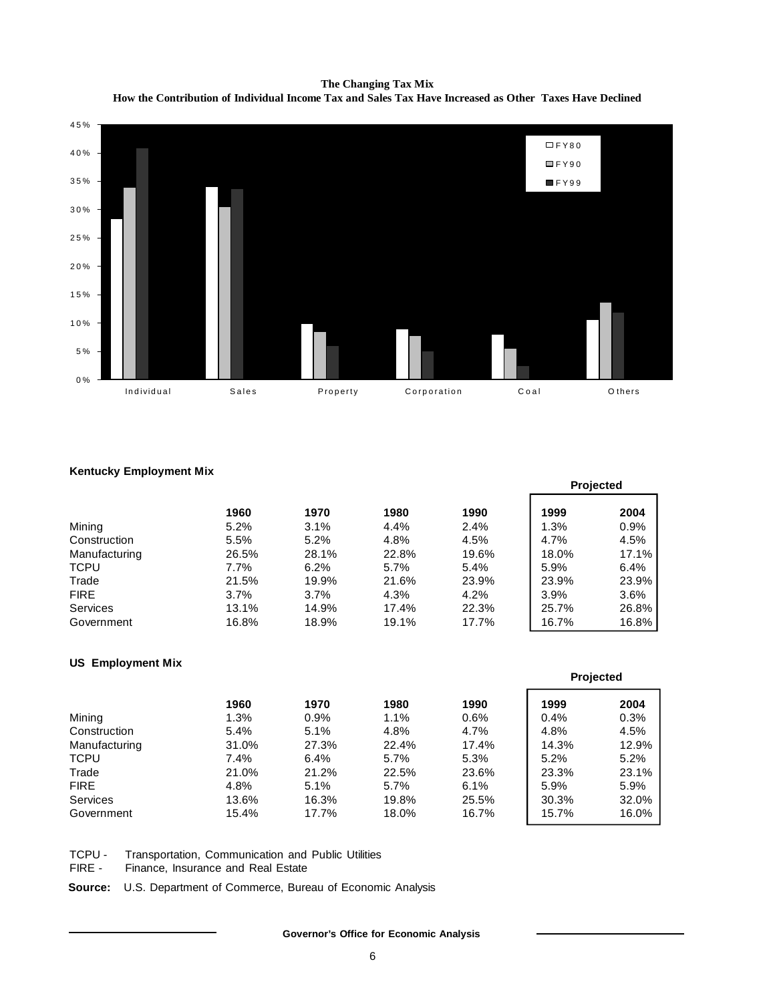**The Changing Tax Mix How the Contribution of Individual Income Tax and Sales Tax Have Increased as Other Taxes Have Declined**



### **Kentucky Employment Mix**

| . .             |         |         |       |       | <b>Projected</b> |       |
|-----------------|---------|---------|-------|-------|------------------|-------|
|                 | 1960    | 1970    | 1980  | 1990  | 1999             | 2004  |
| Mining          | 5.2%    | 3.1%    | 4.4%  | 2.4%  | 1.3%             | 0.9%  |
| Construction    | 5.5%    | 5.2%    | 4.8%  | 4.5%  | 4.7%             | 4.5%  |
| Manufacturing   | 26.5%   | 28.1%   | 22.8% | 19.6% | 18.0%            | 17.1% |
| <b>TCPU</b>     | $7.7\%$ | 6.2%    | 5.7%  | 5.4%  | 5.9%             | 6.4%  |
| Trade           | 21.5%   | 19.9%   | 21.6% | 23.9% | 23.9%            | 23.9% |
| <b>FIRE</b>     | 3.7%    | $3.7\%$ | 4.3%  | 4.2%  | 3.9%             | 3.6%  |
| <b>Services</b> | 13.1%   | 14.9%   | 17.4% | 22.3% | 25.7%            | 26.8% |
| Government      | 16.8%   | 18.9%   | 19.1% | 17.7% | 16.7%            | 16.8% |

# **US Employment Mix**

|               | 1960  | 1970    | 1980    | 1990  | 1999  | 2004  |
|---------------|-------|---------|---------|-------|-------|-------|
| Mining        | 1.3%  | $0.9\%$ | 1.1%    | 0.6%  | 0.4%  | 0.3%  |
| Construction  | 5.4%  | 5.1%    | 4.8%    | 4.7%  | 4.8%  | 4.5%  |
| Manufacturing | 31.0% | 27.3%   | 22.4%   | 17.4% | 14.3% | 12.9% |
| <b>TCPU</b>   | 7.4%  | $6.4\%$ | $5.7\%$ | 5.3%  | 5.2%  | 5.2%  |
| Trade         | 21.0% | 21.2%   | 22.5%   | 23.6% | 23.3% | 23.1% |
| <b>FIRE</b>   | 4.8%  | 5.1%    | 5.7%    | 6.1%  | 5.9%  | 5.9%  |
| Services      | 13.6% | 16.3%   | 19.8%   | 25.5% | 30.3% | 32.0% |
| Government    | 15.4% | 17.7%   | 18.0%   | 16.7% | 15.7% | 16.0% |

**Projected**

TCPU - Transportation, Communication and Public Utilities

FIRE - Finance, Insurance and Real Estate

**Source:** U.S. Department of Commerce, Bureau of Economic Analysis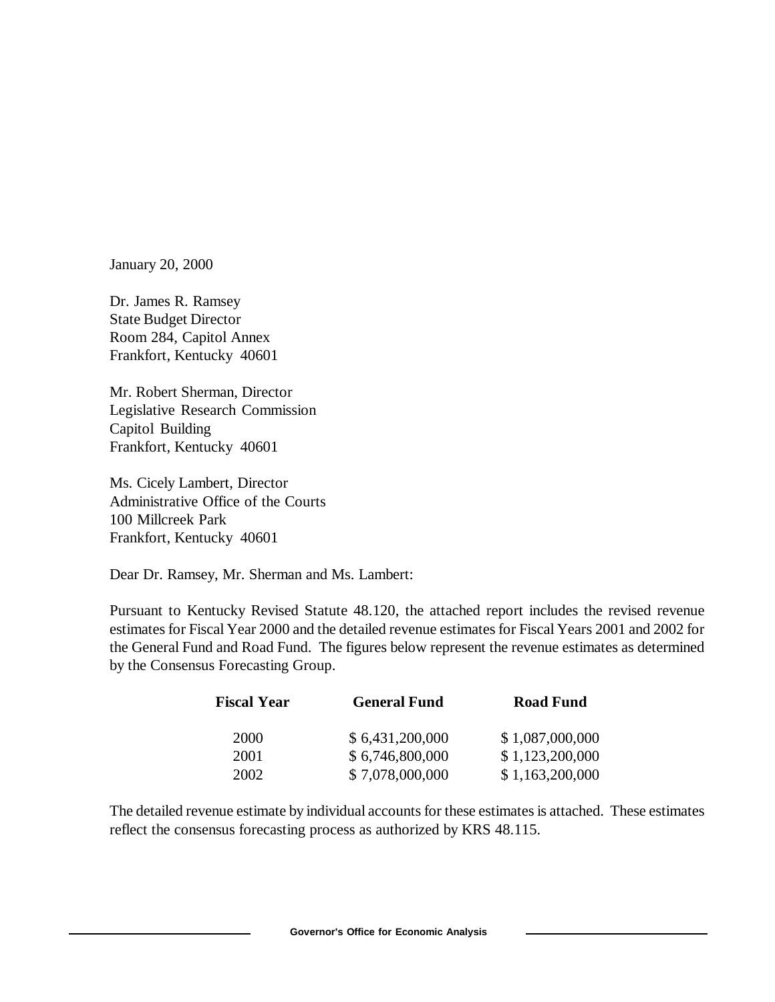January 20, 2000

Dr. James R. Ramsey State Budget Director Room 284, Capitol Annex Frankfort, Kentucky 40601

Mr. Robert Sherman, Director Legislative Research Commission Capitol Building Frankfort, Kentucky 40601

Ms. Cicely Lambert, Director Administrative Office of the Courts 100 Millcreek Park Frankfort, Kentucky 40601

Dear Dr. Ramsey, Mr. Sherman and Ms. Lambert:

Pursuant to Kentucky Revised Statute 48.120, the attached report includes the revised revenue estimates for Fiscal Year 2000 and the detailed revenue estimates for Fiscal Years 2001 and 2002 for the General Fund and Road Fund. The figures below represent the revenue estimates as determined by the Consensus Forecasting Group.

| <b>Fiscal Year</b> | <b>General Fund</b> | <b>Road Fund</b> |  |  |  |
|--------------------|---------------------|------------------|--|--|--|
| 2000               | \$6,431,200,000     | \$1,087,000,000  |  |  |  |
| 2001               | \$6,746,800,000     | \$1,123,200,000  |  |  |  |
| 2002               | \$7,078,000,000     | \$1,163,200,000  |  |  |  |

The detailed revenue estimate by individual accounts for these estimates is attached. These estimates reflect the consensus forecasting process as authorized by KRS 48.115.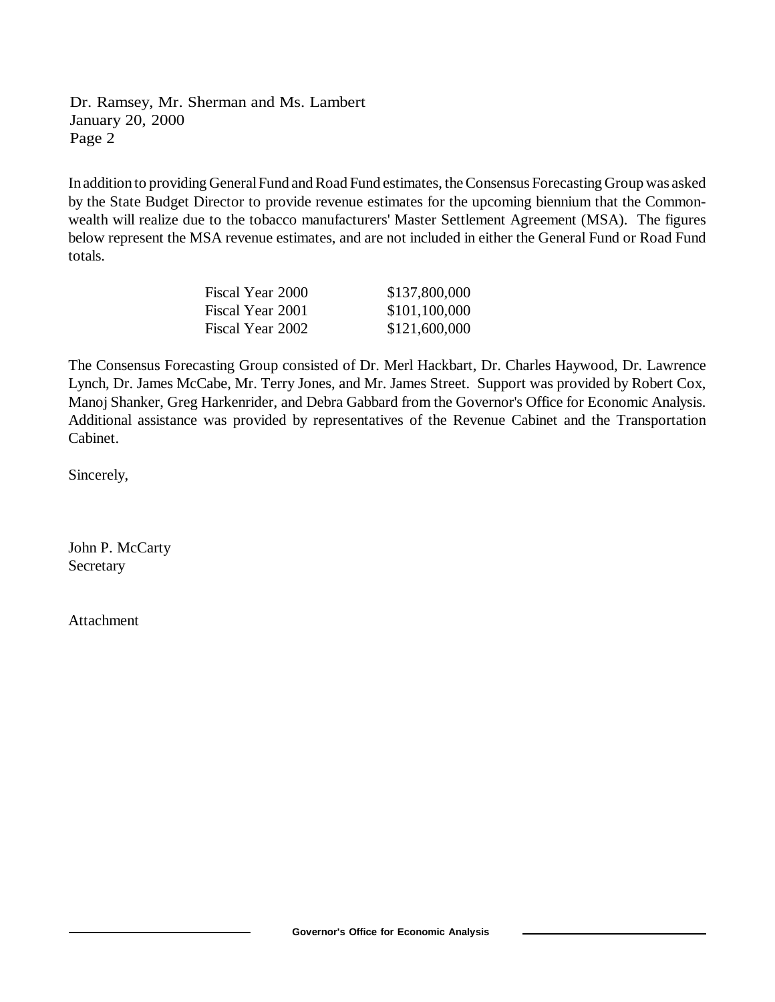Dr. Ramsey, Mr. Sherman and Ms. Lambert January 20, 2000 Page 2

In addition to providing General Fund and Road Fund estimates, the Consensus Forecasting Group was asked by the State Budget Director to provide revenue estimates for the upcoming biennium that the Commonwealth will realize due to the tobacco manufacturers' Master Settlement Agreement (MSA). The figures below represent the MSA revenue estimates, and are not included in either the General Fund or Road Fund totals.

| Fiscal Year 2000 | \$137,800,000 |
|------------------|---------------|
| Fiscal Year 2001 | \$101,100,000 |
| Fiscal Year 2002 | \$121,600,000 |

The Consensus Forecasting Group consisted of Dr. Merl Hackbart, Dr. Charles Haywood, Dr. Lawrence Lynch, Dr. James McCabe, Mr. Terry Jones, and Mr. James Street. Support was provided by Robert Cox, Manoj Shanker, Greg Harkenrider, and Debra Gabbard from the Governor's Office for Economic Analysis. Additional assistance was provided by representatives of the Revenue Cabinet and the Transportation Cabinet.

Sincerely,

John P. McCarty Secretary

Attachment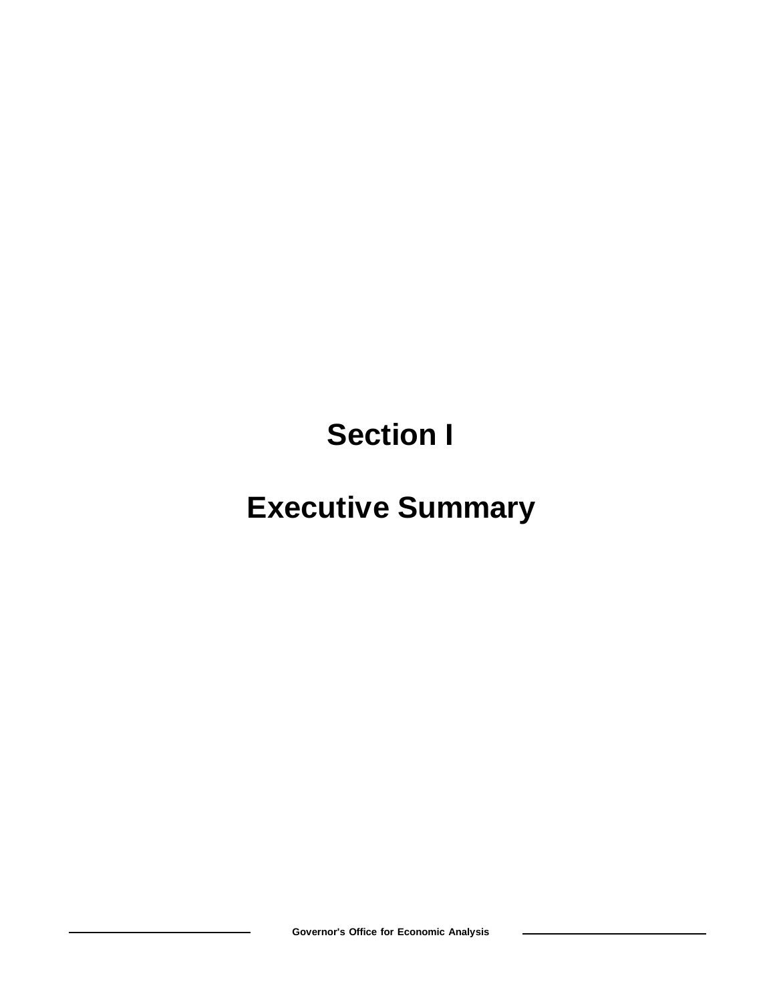**Section I**

# **Executive Summary**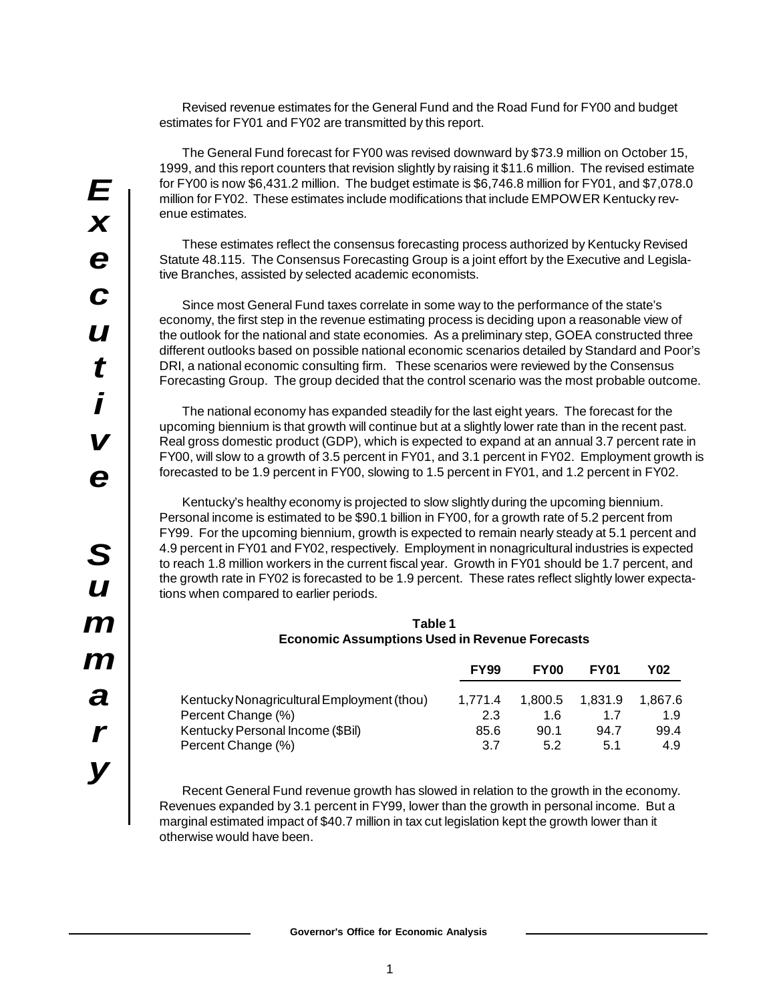Revised revenue estimates for the General Fund and the Road Fund for FY00 and budget estimates for FY01 and FY02 are transmitted by this report.

The General Fund forecast for FY00 was revised downward by \$73.9 million on October 15, 1999, and this report counters that revision slightly by raising it \$11.6 million. The revised estimate for FY00 is now \$6,431.2 million. The budget estimate is \$6,746.8 million for FY01, and \$7,078.0 million for FY02. These estimates include modifications that include EMPOWER Kentucky revenue estimates.

These estimates reflect the consensus forecasting process authorized by Kentucky Revised Statute 48.115. The Consensus Forecasting Group is a joint effort by the Executive and Legislative Branches, assisted by selected academic economists.

Since most General Fund taxes correlate in some way to the performance of the state's economy, the first step in the revenue estimating process is deciding upon a reasonable view of the outlook for the national and state economies. As a preliminary step, GOEA constructed three different outlooks based on possible national economic scenarios detailed by Standard and Poor's DRI, a national economic consulting firm. These scenarios were reviewed by the Consensus Forecasting Group. The group decided that the control scenario was the most probable outcome.

The national economy has expanded steadily for the last eight years. The forecast for the upcoming biennium is that growth will continue but at a slightly lower rate than in the recent past. Real gross domestic product (GDP), which is expected to expand at an annual 3.7 percent rate in FY00, will slow to a growth of 3.5 percent in FY01, and 3.1 percent in FY02. Employment growth is forecasted to be 1.9 percent in FY00, slowing to 1.5 percent in FY01, and 1.2 percent in FY02.

Kentucky's healthy economy is projected to slow slightly during the upcoming biennium. Personal income is estimated to be \$90.1 billion in FY00, for a growth rate of 5.2 percent from FY99. For the upcoming biennium, growth is expected to remain nearly steady at 5.1 percent and 4.9 percent in FY01 and FY02, respectively. Employment in nonagricultural industries is expected to reach 1.8 million workers in the current fiscal year. Growth in FY01 should be 1.7 percent, and the growth rate in FY02 is forecasted to be 1.9 percent. These rates reflect slightly lower expectations when compared to earlier periods.

| Table 1                                               |
|-------------------------------------------------------|
| <b>Economic Assumptions Used in Revenue Forecasts</b> |

|                                            | <b>FY99</b> | <b>FY00</b> | <b>FY01</b> | Y02     |
|--------------------------------------------|-------------|-------------|-------------|---------|
| Kentucky Nonagricultural Employment (thou) | 1.771.4     | 1.800.5     | 1.831.9     | 1.867.6 |
| Percent Change (%)                         | 2.3         | 1 6         | 17          | 1.9     |
| Kentucky Personal Income (\$Bil)           | 85.6        | 90.1        | 94.7        | 99.4    |
| Percent Change (%)                         | 3.7         | 5.2         | 5.1         | 4.9     |

Recent General Fund revenue growth has slowed in relation to the growth in the economy. Revenues expanded by 3.1 percent in FY99, lower than the growth in personal income. But a marginal estimated impact of \$40.7 million in tax cut legislation kept the growth lower than it otherwise would have been.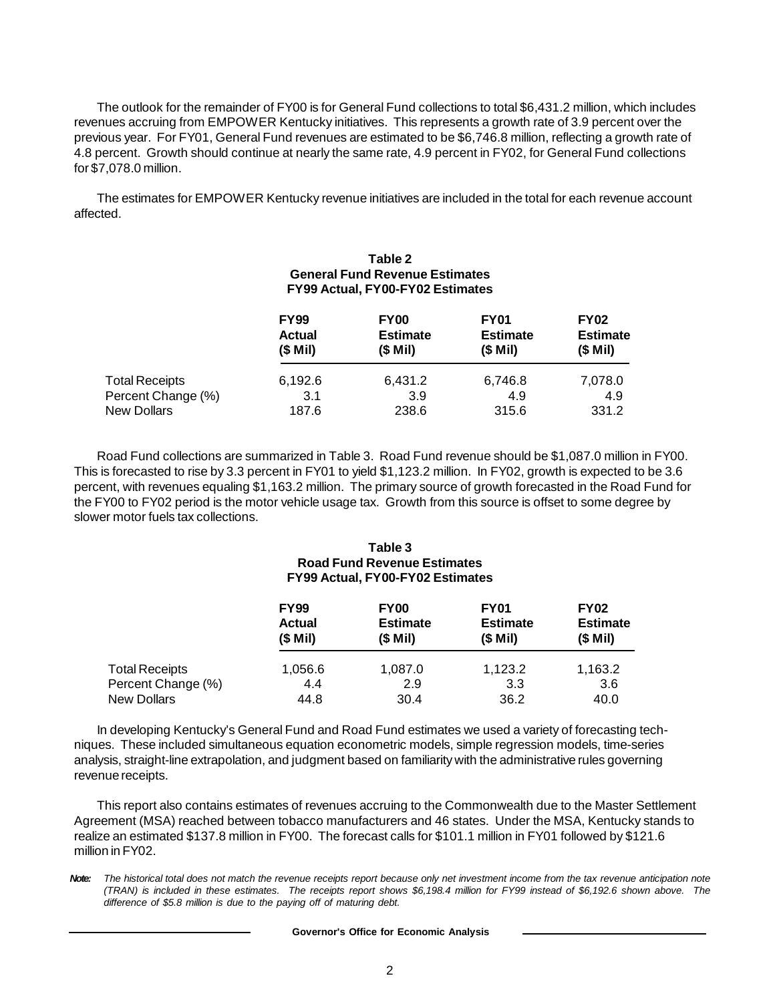The outlook for the remainder of FY00 is for General Fund collections to total \$6,431.2 million, which includes revenues accruing from EMPOWER Kentucky initiatives. This represents a growth rate of 3.9 percent over the previous year. For FY01, General Fund revenues are estimated to be \$6,746.8 million, reflecting a growth rate of 4.8 percent. Growth should continue at nearly the same rate, 4.9 percent in FY02, for General Fund collections for \$7,078.0 million.

The estimates for EMPOWER Kentucky revenue initiatives are included in the total for each revenue account affected.

# **Table 2 General Fund Revenue Estimates FY99 Actual, FY00-FY02 Estimates**

|                       | <b>FY99</b><br><b>Actual</b><br>$(S$ Mil) | <b>FY00</b><br><b>Estimate</b><br>$(S$ Mil) | <b>FY01</b><br><b>Estimate</b><br>$(S$ Mil) | <b>FY02</b><br><b>Estimate</b><br>$(S$ Mil) |
|-----------------------|-------------------------------------------|---------------------------------------------|---------------------------------------------|---------------------------------------------|
| <b>Total Receipts</b> | 6,192.6                                   | 6,431.2                                     | 6,746.8                                     | 7,078.0                                     |
| Percent Change (%)    | 3.1                                       | 3.9                                         | 4.9                                         | 4.9                                         |
| New Dollars           | 187.6                                     | 238.6                                       | 315.6                                       | 331.2                                       |

Road Fund collections are summarized in Table 3. Road Fund revenue should be \$1,087.0 million in FY00. This is forecasted to rise by 3.3 percent in FY01 to yield \$1,123.2 million. In FY02, growth is expected to be 3.6 percent, with revenues equaling \$1,163.2 million. The primary source of growth forecasted in the Road Fund for the FY00 to FY02 period is the motor vehicle usage tax. Growth from this source is offset to some degree by slower motor fuels tax collections.

# **Table 3 Road Fund Revenue Estimates FY99 Actual, FY00-FY02 Estimates**

|                       | <b>FY99</b>   | <b>FY00</b>     | <b>FY01</b>     | <b>FY02</b>     |
|-----------------------|---------------|-----------------|-----------------|-----------------|
|                       | <b>Actual</b> | <b>Estimate</b> | <b>Estimate</b> | <b>Estimate</b> |
|                       | $(S$ Mil)     | $(S$ Mil)       | $(S$ Mil)       | $(S$ Mil)       |
| <b>Total Receipts</b> | 1,056.6       | 1,087.0         | 1,123.2         | 1,163.2         |
| Percent Change (%)    | 4.4           | 2.9             | 3.3             | 3.6             |
| New Dollars           | 44.8          | 30.4            | 36.2            | 40.0            |

In developing Kentucky's General Fund and Road Fund estimates we used a variety of forecasting techniques. These included simultaneous equation econometric models, simple regression models, time-series analysis, straight-line extrapolation, and judgment based on familiarity with the administrative rules governing revenue receipts.

This report also contains estimates of revenues accruing to the Commonwealth due to the Master Settlement Agreement (MSA) reached between tobacco manufacturers and 46 states. Under the MSA, Kentucky stands to realize an estimated \$137.8 million in FY00. The forecast calls for \$101.1 million in FY01 followed by \$121.6 million in FY02.

*Note: The historical total does not match the revenue receipts report because only net investment income from the tax revenue anticipation note (TRAN) is included in these estimates. The receipts report shows \$6,198.4 million for FY99 instead of \$6,192.6 shown above. The difference of \$5.8 million is due to the paying off of maturing debt.*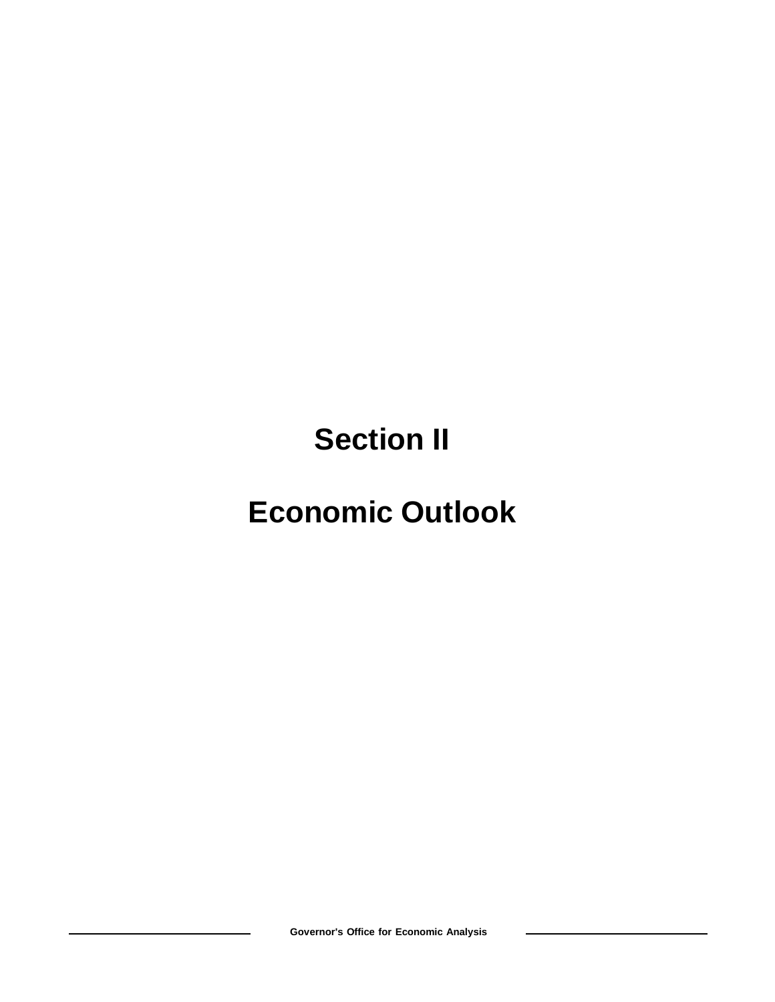**Section II**

# **Economic Outlook**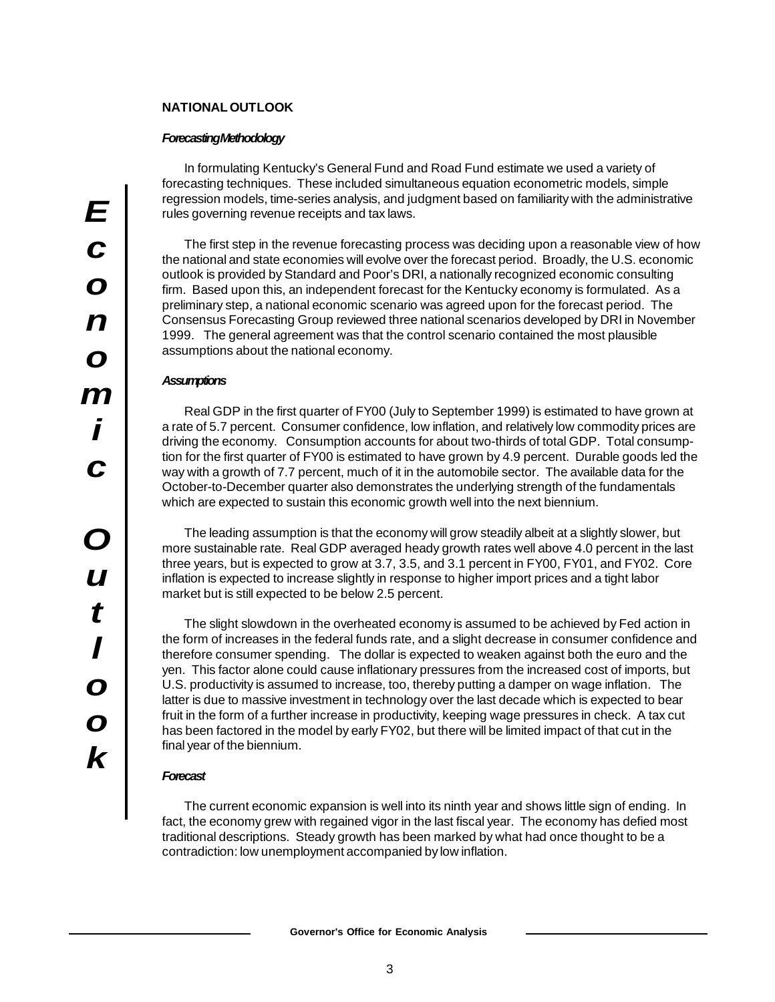# **NATIONAL OUTLOOK**

# *Forecasting Methodology*

In formulating Kentucky's General Fund and Road Fund estimate we used a variety of forecasting techniques. These included simultaneous equation econometric models, simple regression models, time-series analysis, and judgment based on familiarity with the administrative rules governing revenue receipts and tax laws.

The first step in the revenue forecasting process was deciding upon a reasonable view of how the national and state economies will evolve over the forecast period. Broadly, the U.S. economic outlook is provided by Standard and Poor's DRI, a nationally recognized economic consulting firm. Based upon this, an independent forecast for the Kentucky economy is formulated. As a preliminary step, a national economic scenario was agreed upon for the forecast period. The Consensus Forecasting Group reviewed three national scenarios developed by DRI in November 1999. The general agreement was that the control scenario contained the most plausible assumptions about the national economy.

# *Assumptions*

Real GDP in the first quarter of FY00 (July to September 1999) is estimated to have grown at a rate of 5.7 percent. Consumer confidence, low inflation, and relatively low commodity prices are driving the economy. Consumption accounts for about two-thirds of total GDP. Total consumption for the first quarter of FY00 is estimated to have grown by 4.9 percent. Durable goods led the way with a growth of 7.7 percent, much of it in the automobile sector. The available data for the October-to-December quarter also demonstrates the underlying strength of the fundamentals which are expected to sustain this economic growth well into the next biennium.

The leading assumption is that the economy will grow steadily albeit at a slightly slower, but more sustainable rate. Real GDP averaged heady growth rates well above 4.0 percent in the last three years, but is expected to grow at 3.7, 3.5, and 3.1 percent in FY00, FY01, and FY02. Core inflation is expected to increase slightly in response to higher import prices and a tight labor market but is still expected to be below 2.5 percent.

The slight slowdown in the overheated economy is assumed to be achieved by Fed action in the form of increases in the federal funds rate, and a slight decrease in consumer confidence and therefore consumer spending. The dollar is expected to weaken against both the euro and the yen. This factor alone could cause inflationary pressures from the increased cost of imports, but U.S. productivity is assumed to increase, too, thereby putting a damper on wage inflation. The latter is due to massive investment in technology over the last decade which is expected to bear fruit in the form of a further increase in productivity, keeping wage pressures in check. A tax cut has been factored in the model by early FY02, but there will be limited impact of that cut in the final year of the biennium.

# *Forecast*

The current economic expansion is well into its ninth year and shows little sign of ending. In fact, the economy grew with regained vigor in the last fiscal year. The economy has defied most traditional descriptions. Steady growth has been marked by what had once thought to be a contradiction: low unemployment accompanied by low inflation.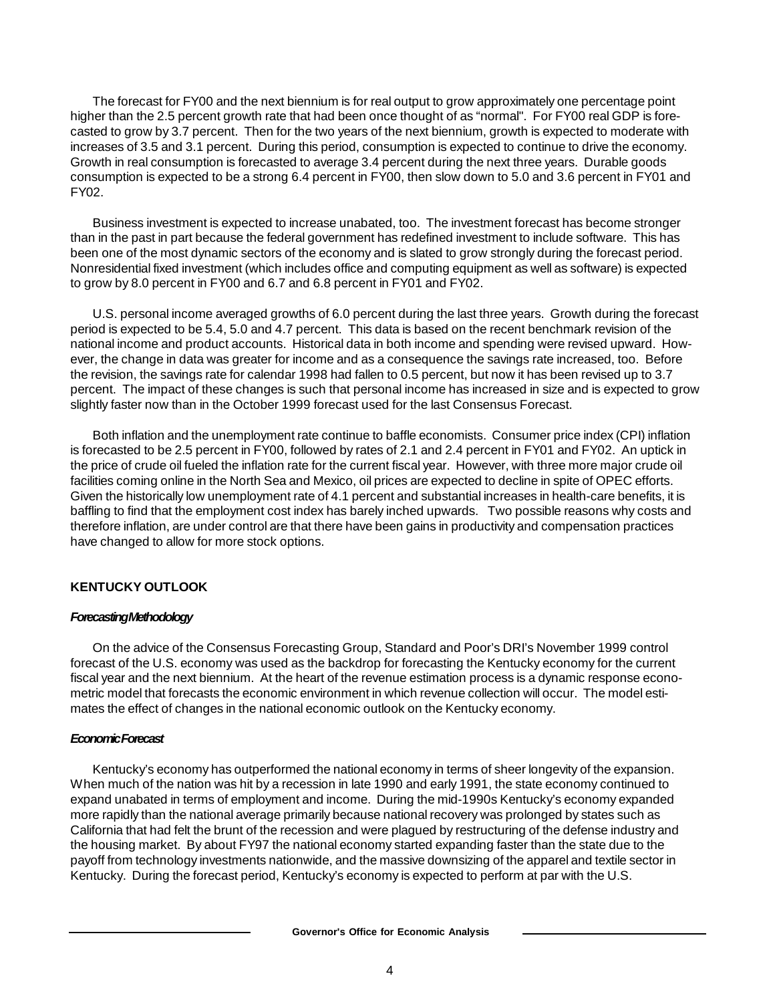The forecast for FY00 and the next biennium is for real output to grow approximately one percentage point higher than the 2.5 percent growth rate that had been once thought of as "normal". For FY00 real GDP is forecasted to grow by 3.7 percent. Then for the two years of the next biennium, growth is expected to moderate with increases of 3.5 and 3.1 percent. During this period, consumption is expected to continue to drive the economy. Growth in real consumption is forecasted to average 3.4 percent during the next three years. Durable goods consumption is expected to be a strong 6.4 percent in FY00, then slow down to 5.0 and 3.6 percent in FY01 and FY02.

Business investment is expected to increase unabated, too. The investment forecast has become stronger than in the past in part because the federal government has redefined investment to include software. This has been one of the most dynamic sectors of the economy and is slated to grow strongly during the forecast period. Nonresidential fixed investment (which includes office and computing equipment as well as software) is expected to grow by 8.0 percent in FY00 and 6.7 and 6.8 percent in FY01 and FY02.

U.S. personal income averaged growths of 6.0 percent during the last three years. Growth during the forecast period is expected to be 5.4, 5.0 and 4.7 percent. This data is based on the recent benchmark revision of the national income and product accounts. Historical data in both income and spending were revised upward. However, the change in data was greater for income and as a consequence the savings rate increased, too. Before the revision, the savings rate for calendar 1998 had fallen to 0.5 percent, but now it has been revised up to 3.7 percent. The impact of these changes is such that personal income has increased in size and is expected to grow slightly faster now than in the October 1999 forecast used for the last Consensus Forecast.

Both inflation and the unemployment rate continue to baffle economists. Consumer price index (CPI) inflation is forecasted to be 2.5 percent in FY00, followed by rates of 2.1 and 2.4 percent in FY01 and FY02. An uptick in the price of crude oil fueled the inflation rate for the current fiscal year. However, with three more major crude oil facilities coming online in the North Sea and Mexico, oil prices are expected to decline in spite of OPEC efforts. Given the historically low unemployment rate of 4.1 percent and substantial increases in health-care benefits, it is baffling to find that the employment cost index has barely inched upwards. Two possible reasons why costs and therefore inflation, are under control are that there have been gains in productivity and compensation practices have changed to allow for more stock options.

# **KENTUCKY OUTLOOK**

# *Forecasting Methodology*

On the advice of the Consensus Forecasting Group, Standard and Poor's DRI's November 1999 control forecast of the U.S. economy was used as the backdrop for forecasting the Kentucky economy for the current fiscal year and the next biennium. At the heart of the revenue estimation process is a dynamic response econometric model that forecasts the economic environment in which revenue collection will occur. The model estimates the effect of changes in the national economic outlook on the Kentucky economy.

# *Economic Forecast*

Kentucky's economy has outperformed the national economy in terms of sheer longevity of the expansion. When much of the nation was hit by a recession in late 1990 and early 1991, the state economy continued to expand unabated in terms of employment and income. During the mid-1990s Kentucky's economy expanded more rapidly than the national average primarily because national recovery was prolonged by states such as California that had felt the brunt of the recession and were plagued by restructuring of the defense industry and the housing market. By about FY97 the national economy started expanding faster than the state due to the payoff from technology investments nationwide, and the massive downsizing of the apparel and textile sector in Kentucky. During the forecast period, Kentucky's economy is expected to perform at par with the U.S.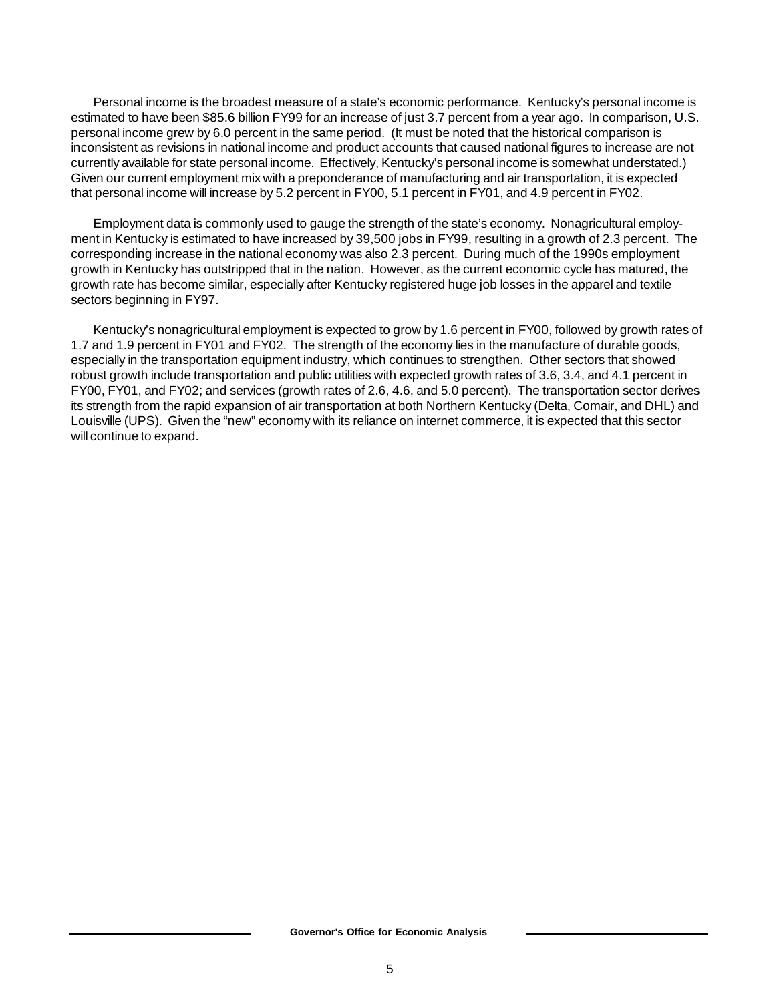Personal income is the broadest measure of a state's economic performance. Kentucky's personal income is estimated to have been \$85.6 billion FY99 for an increase of just 3.7 percent from a year ago. In comparison, U.S. personal income grew by 6.0 percent in the same period. (It must be noted that the historical comparison is inconsistent as revisions in national income and product accounts that caused national figures to increase are not currently available for state personal income. Effectively, Kentucky's personal income is somewhat understated.) Given our current employment mix with a preponderance of manufacturing and air transportation, it is expected that personal income will increase by 5.2 percent in FY00, 5.1 percent in FY01, and 4.9 percent in FY02.

Employment data is commonly used to gauge the strength of the state's economy. Nonagricultural employment in Kentucky is estimated to have increased by 39,500 jobs in FY99, resulting in a growth of 2.3 percent. The corresponding increase in the national economy was also 2.3 percent. During much of the 1990s employment growth in Kentucky has outstripped that in the nation. However, as the current economic cycle has matured, the growth rate has become similar, especially after Kentucky registered huge job losses in the apparel and textile sectors beginning in FY97.

Kentucky's nonagricultural employment is expected to grow by 1.6 percent in FY00, followed by growth rates of 1.7 and 1.9 percent in FY01 and FY02. The strength of the economy lies in the manufacture of durable goods, especially in the transportation equipment industry, which continues to strengthen. Other sectors that showed robust growth include transportation and public utilities with expected growth rates of 3.6, 3.4, and 4.1 percent in FY00, FY01, and FY02; and services (growth rates of 2.6, 4.6, and 5.0 percent). The transportation sector derives its strength from the rapid expansion of air transportation at both Northern Kentucky (Delta, Comair, and DHL) and Louisville (UPS). Given the "new" economy with its reliance on internet commerce, it is expected that this sector will continue to expand.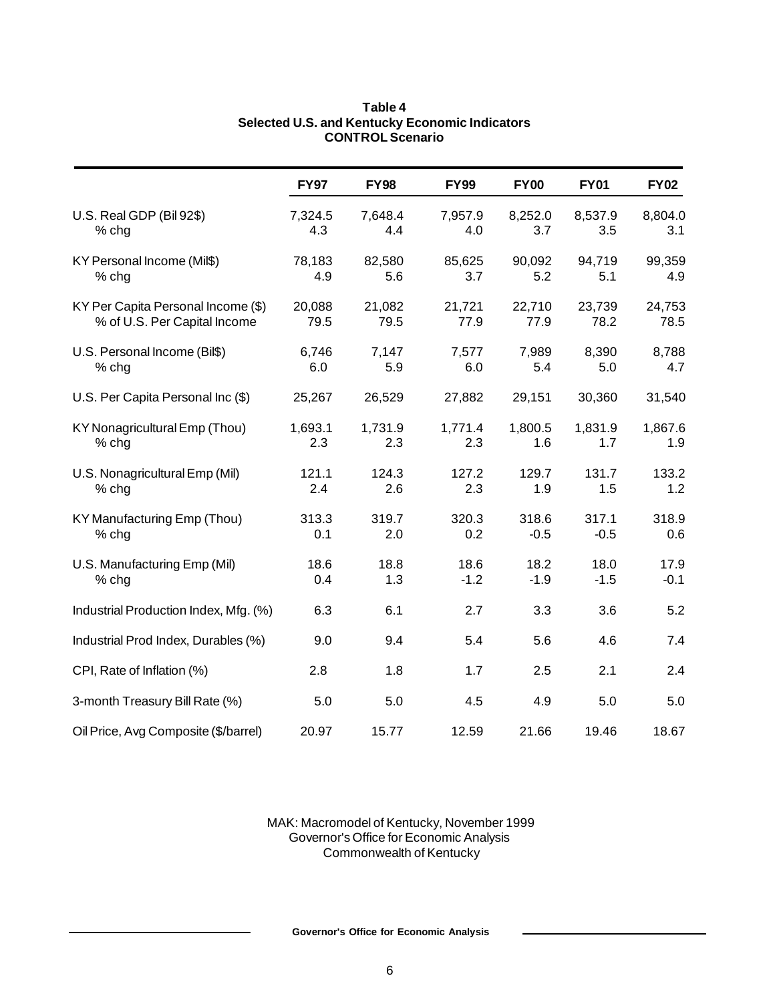|                                       | <b>FY97</b> | <b>FY98</b> | <b>FY99</b> | <b>FY00</b> | <b>FY01</b> | <b>FY02</b> |
|---------------------------------------|-------------|-------------|-------------|-------------|-------------|-------------|
| U.S. Real GDP (Bil 92\$)              | 7,324.5     | 7,648.4     | 7,957.9     | 8,252.0     | 8,537.9     | 8,804.0     |
| % chg                                 | 4.3         | 4.4         | 4.0         | 3.7         | 3.5         | 3.1         |
| KY Personal Income (Mil\$)            | 78,183      | 82,580      | 85,625      | 90,092      | 94,719      | 99,359      |
| % chg                                 | 4.9         | 5.6         | 3.7         | 5.2         | 5.1         | 4.9         |
| KY Per Capita Personal Income (\$)    | 20,088      | 21,082      | 21,721      | 22,710      | 23,739      | 24,753      |
| % of U.S. Per Capital Income          | 79.5        | 79.5        | 77.9        | 77.9        | 78.2        | 78.5        |
| U.S. Personal Income (Bil\$)          | 6,746       | 7,147       | 7,577       | 7,989       | 8,390       | 8,788       |
| % chg                                 | 6.0         | 5.9         | 6.0         | 5.4         | 5.0         | 4.7         |
| U.S. Per Capita Personal Inc (\$)     | 25,267      | 26,529      | 27,882      | 29,151      | 30,360      | 31,540      |
| KY Nonagricultural Emp (Thou)         | 1,693.1     | 1,731.9     | 1,771.4     | 1,800.5     | 1,831.9     | 1,867.6     |
| % chg                                 | 2.3         | 2.3         | 2.3         | 1.6         | 1.7         | 1.9         |
| U.S. Nonagricultural Emp (Mil)        | 121.1       | 124.3       | 127.2       | 129.7       | 131.7       | 133.2       |
| $%$ chg                               | 2.4         | 2.6         | 2.3         | 1.9         | 1.5         | 1.2         |
| KY Manufacturing Emp (Thou)           | 313.3       | 319.7       | 320.3       | 318.6       | 317.1       | 318.9       |
| % chg                                 | 0.1         | 2.0         | 0.2         | $-0.5$      | $-0.5$      | 0.6         |
| U.S. Manufacturing Emp (Mil)          | 18.6        | 18.8        | 18.6        | 18.2        | 18.0        | 17.9        |
| % chg                                 | 0.4         | 1.3         | $-1.2$      | $-1.9$      | $-1.5$      | $-0.1$      |
| Industrial Production Index, Mfg. (%) | 6.3         | 6.1         | 2.7         | 3.3         | 3.6         | 5.2         |
| Industrial Prod Index, Durables (%)   | 9.0         | 9.4         | 5.4         | 5.6         | 4.6         | 7.4         |
| CPI, Rate of Inflation (%)            | 2.8         | 1.8         | 1.7         | 2.5         | 2.1         | 2.4         |
| 3-month Treasury Bill Rate (%)        | 5.0         | 5.0         | 4.5         | 4.9         | 5.0         | 5.0         |
| Oil Price, Avg Composite (\$/barrel)  | 20.97       | 15.77       | 12.59       | 21.66       | 19.46       | 18.67       |

# **Table 4 Selected U.S. and Kentucky Economic Indicators CONTROL Scenario**

MAK: Macromodel of Kentucky, November 1999 Governor's Office for Economic Analysis Commonwealth of Kentucky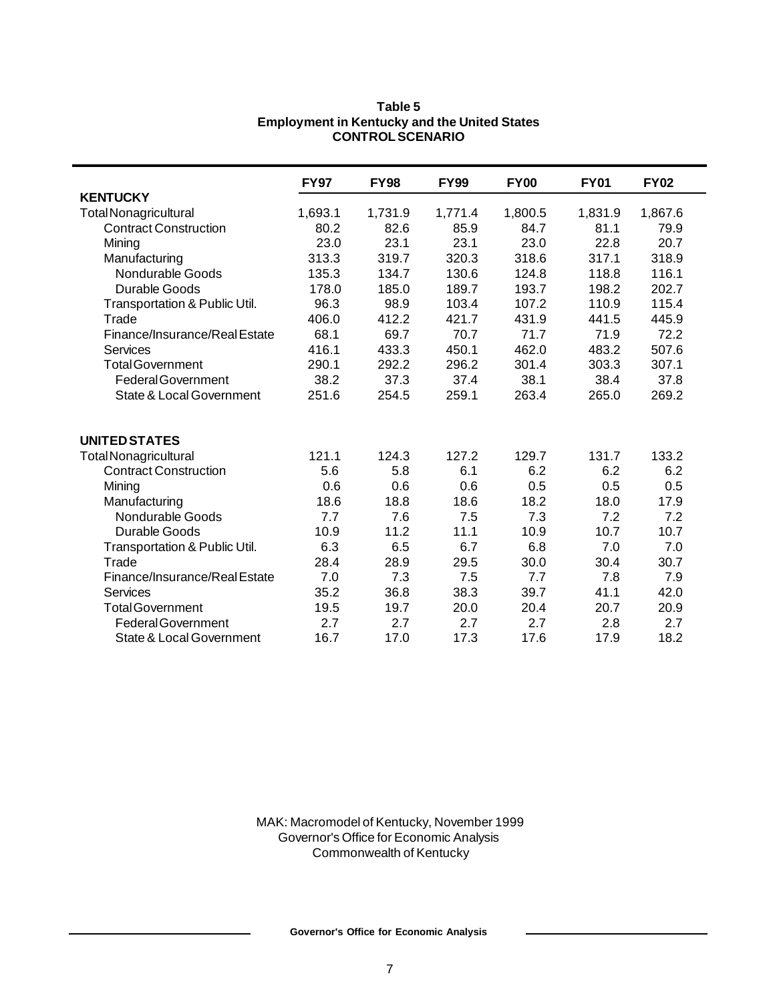|                                     | <b>FY97</b> | <b>FY98</b> | <b>FY99</b> | <b>FY00</b> | <b>FY01</b> | <b>FY02</b> |
|-------------------------------------|-------------|-------------|-------------|-------------|-------------|-------------|
| <b>KENTUCKY</b>                     |             |             |             |             |             |             |
| <b>Total Nonagricultural</b>        | 1,693.1     | 1,731.9     | 1,771.4     | 1,800.5     | 1,831.9     | 1,867.6     |
| <b>Contract Construction</b>        | 80.2        | 82.6        | 85.9        | 84.7        | 81.1        | 79.9        |
| Mining                              | 23.0        | 23.1        | 23.1        | 23.0        | 22.8        | 20.7        |
| Manufacturing                       | 313.3       | 319.7       | 320.3       | 318.6       | 317.1       | 318.9       |
| Nondurable Goods                    | 135.3       | 134.7       | 130.6       | 124.8       | 118.8       | 116.1       |
| Durable Goods                       | 178.0       | 185.0       | 189.7       | 193.7       | 198.2       | 202.7       |
| Transportation & Public Util.       | 96.3        | 98.9        | 103.4       | 107.2       | 110.9       | 115.4       |
| Trade                               | 406.0       | 412.2       | 421.7       | 431.9       | 441.5       | 445.9       |
| Finance/Insurance/Real Estate       | 68.1        | 69.7        | 70.7        | 71.7        | 71.9        | 72.2        |
| Services                            | 416.1       | 433.3       | 450.1       | 462.0       | 483.2       | 507.6       |
| <b>Total Government</b>             | 290.1       | 292.2       | 296.2       | 301.4       | 303.3       | 307.1       |
| <b>Federal Government</b>           | 38.2        | 37.3        | 37.4        | 38.1        | 38.4        | 37.8        |
| <b>State &amp; Local Government</b> | 251.6       | 254.5       | 259.1       | 263.4       | 265.0       | 269.2       |
|                                     |             |             |             |             |             |             |
| <b>UNITED STATES</b>                |             |             |             |             |             |             |
| <b>Total Nonagricultural</b>        | 121.1       | 124.3       | 127.2       | 129.7       | 131.7       | 133.2       |
| <b>Contract Construction</b>        | 5.6         | 5.8         | 6.1         | 6.2         | 6.2         | 6.2         |
| Mining                              | 0.6         | 0.6         | 0.6         | 0.5         | 0.5         | 0.5         |
| Manufacturing                       | 18.6        | 18.8        | 18.6        | 18.2        | 18.0        | 17.9        |
| Nondurable Goods                    | 7.7         | 7.6         | 7.5         | 7.3         | 7.2         | 7.2         |
| Durable Goods                       | 10.9        | 11.2        | 11.1        | 10.9        | 10.7        | 10.7        |
| Transportation & Public Util.       | 6.3         | 6.5         | 6.7         | 6.8         | 7.0         | 7.0         |
| Trade                               | 28.4        | 28.9        | 29.5        | 30.0        | 30.4        | 30.7        |
| Finance/Insurance/Real Estate       | 7.0         | 7.3         | 7.5         | 7.7         | 7.8         | 7.9         |
| <b>Services</b>                     | 35.2        | 36.8        | 38.3        | 39.7        | 41.1        | 42.0        |
| <b>Total Government</b>             | 19.5        | 19.7        | 20.0        | 20.4        | 20.7        | 20.9        |
| <b>Federal Government</b>           | 2.7         | 2.7         | 2.7         | 2.7         | 2.8         | 2.7         |
| <b>State &amp; Local Government</b> | 16.7        | 17.0        | 17.3        | 17.6        | 17.9        | 18.2        |

# **Table 5 Employment in Kentucky and the United States CONTROL SCENARIO**

MAK: Macromodel of Kentucky, November 1999 Governor's Office for Economic Analysis Commonwealth of Kentucky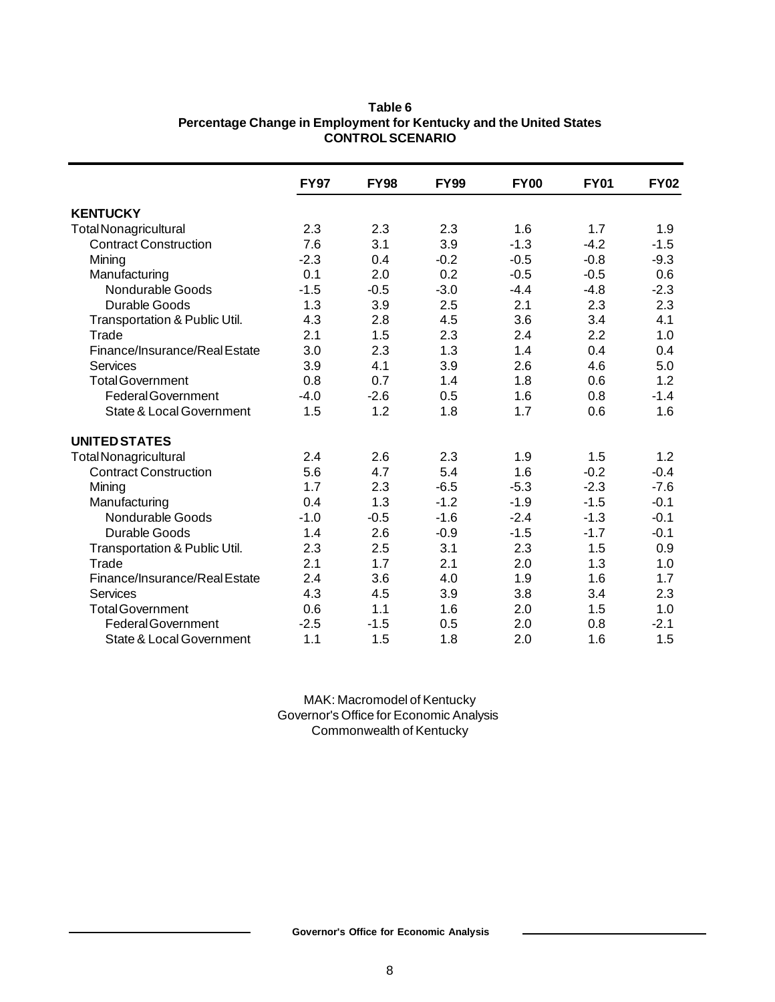|                                     | <b>FY97</b> | <b>FY98</b> | <b>FY99</b> | <b>FY00</b> | <b>FY01</b> | <b>FY02</b> |
|-------------------------------------|-------------|-------------|-------------|-------------|-------------|-------------|
| <b>KENTUCKY</b>                     |             |             |             |             |             |             |
| <b>Total Nonagricultural</b>        | 2.3         | 2.3         | 2.3         | 1.6         | 1.7         | 1.9         |
| <b>Contract Construction</b>        | 7.6         | 3.1         | 3.9         | $-1.3$      | $-4.2$      | $-1.5$      |
| Mining                              | $-2.3$      | 0.4         | $-0.2$      | $-0.5$      | $-0.8$      | $-9.3$      |
| Manufacturing                       | 0.1         | 2.0         | 0.2         | $-0.5$      | $-0.5$      | 0.6         |
| Nondurable Goods                    | $-1.5$      | $-0.5$      | $-3.0$      | $-4.4$      | $-4.8$      | $-2.3$      |
| Durable Goods                       | 1.3         | 3.9         | 2.5         | 2.1         | 2.3         | 2.3         |
| Transportation & Public Util.       | 4.3         | 2.8         | 4.5         | 3.6         | 3.4         | 4.1         |
| Trade                               | 2.1         | 1.5         | 2.3         | 2.4         | 2.2         | 1.0         |
| Finance/Insurance/Real Estate       | 3.0         | 2.3         | 1.3         | 1.4         | 0.4         | 0.4         |
| Services                            | 3.9         | 4.1         | 3.9         | 2.6         | 4.6         | 5.0         |
| <b>Total Government</b>             | 0.8         | 0.7         | 1.4         | 1.8         | 0.6         | 1.2         |
| <b>Federal Government</b>           | $-4.0$      | $-2.6$      | 0.5         | 1.6         | 0.8         | $-1.4$      |
| <b>State &amp; Local Government</b> | 1.5         | 1.2         | 1.8         | 1.7         | 0.6         | 1.6         |
| <b>UNITED STATES</b>                |             |             |             |             |             |             |
| <b>Total Nonagricultural</b>        | 2.4         | 2.6         | 2.3         | 1.9         | 1.5         | 1.2         |
| <b>Contract Construction</b>        | 5.6         | 4.7         | 5.4         | 1.6         | $-0.2$      | $-0.4$      |
| Mining                              | 1.7         | 2.3         | $-6.5$      | $-5.3$      | $-2.3$      | $-7.6$      |
| Manufacturing                       | 0.4         | 1.3         | $-1.2$      | $-1.9$      | $-1.5$      | $-0.1$      |
| Nondurable Goods                    | $-1.0$      | $-0.5$      | $-1.6$      | $-2.4$      | $-1.3$      | $-0.1$      |
| Durable Goods                       | 1.4         | 2.6         | $-0.9$      | $-1.5$      | $-1.7$      | $-0.1$      |
| Transportation & Public Util.       | 2.3         | 2.5         | 3.1         | 2.3         | 1.5         | 0.9         |
| Trade                               | 2.1         | 1.7         | 2.1         | 2.0         | 1.3         | 1.0         |
| Finance/Insurance/Real Estate       | 2.4         | 3.6         | 4.0         | 1.9         | 1.6         | 1.7         |
| Services                            | 4.3         | 4.5         | 3.9         | 3.8         | 3.4         | 2.3         |
| <b>Total Government</b>             | 0.6         | 1.1         | 1.6         | 2.0         | 1.5         | 1.0         |
| <b>Federal Government</b>           | $-2.5$      | $-1.5$      | 0.5         | 2.0         | 0.8         | $-2.1$      |
| <b>State &amp; Local Government</b> | 1.1         | 1.5         | 1.8         | 2.0         | 1.6         | 1.5         |

# **Table 6 Percentage Change in Employment for Kentucky and the United States CONTROL SCENARIO**

MAK: Macromodel of Kentucky Governor's Office for Economic Analysis Commonwealth of Kentucky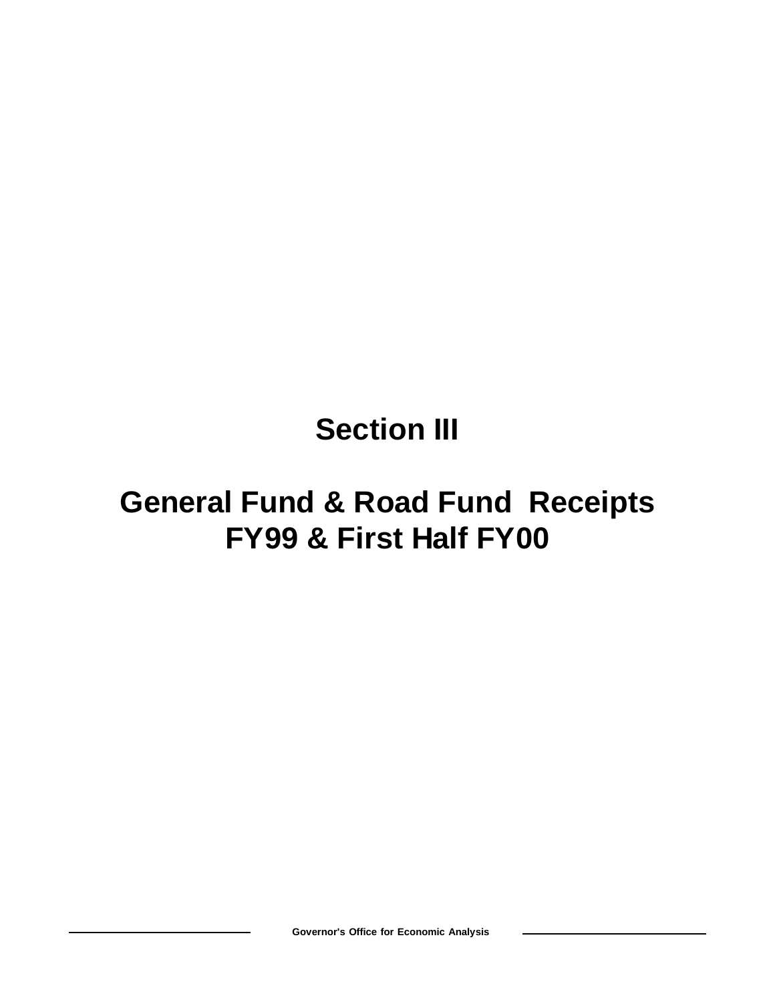# **Section III**

# **General Fund & Road Fund Receipts FY99 & First Half FY00**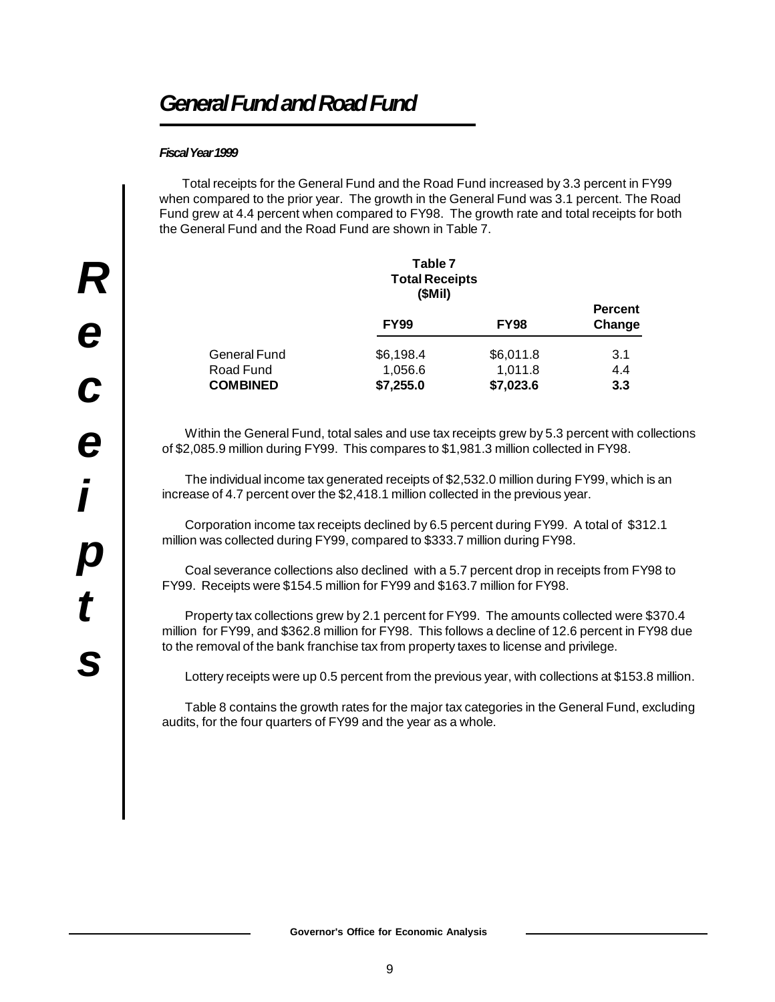# *General Fund and Road Fund*

# *Fiscal Year 1999*

Total receipts for the General Fund and the Road Fund increased by 3.3 percent in FY99 when compared to the prior year. The growth in the General Fund was 3.1 percent. The Road Fund grew at 4.4 percent when compared to FY98. The growth rate and total receipts for both the General Fund and the Road Fund are shown in Table 7.

|                     | Table 7<br><b>Total Receipts</b><br>(SMil) |             |                          |
|---------------------|--------------------------------------------|-------------|--------------------------|
|                     | <b>FY99</b>                                | <b>FY98</b> | <b>Percent</b><br>Change |
| <b>General Fund</b> | \$6,198.4                                  | \$6,011.8   | 3.1                      |
| Road Fund           | 1,056.6                                    | 1,011.8     | 4.4                      |
| <b>COMBINED</b>     | \$7,255.0                                  | \$7,023.6   | 3.3                      |

Within the General Fund, total sales and use tax receipts grew by 5.3 percent with collections of \$2,085.9 million during FY99. This compares to \$1,981.3 million collected in FY98.

The individual income tax generated receipts of \$2,532.0 million during FY99, which is an increase of 4.7 percent over the \$2,418.1 million collected in the previous year.

Corporation income tax receipts declined by 6.5 percent during FY99. A total of \$312.1 million was collected during FY99, compared to \$333.7 million during FY98.

Coal severance collections also declined with a 5.7 percent drop in receipts from FY98 to FY99. Receipts were \$154.5 million for FY99 and \$163.7 million for FY98.

Property tax collections grew by 2.1 percent for FY99. The amounts collected were \$370.4 million for FY99, and \$362.8 million for FY98. This follows a decline of 12.6 percent in FY98 due to the removal of the bank franchise tax from property taxes to license and privilege.

Lottery receipts were up 0.5 percent from the previous year, with collections at \$153.8 million.

Table 8 contains the growth rates for the major tax categories in the General Fund, excluding audits, for the four quarters of FY99 and the year as a whole.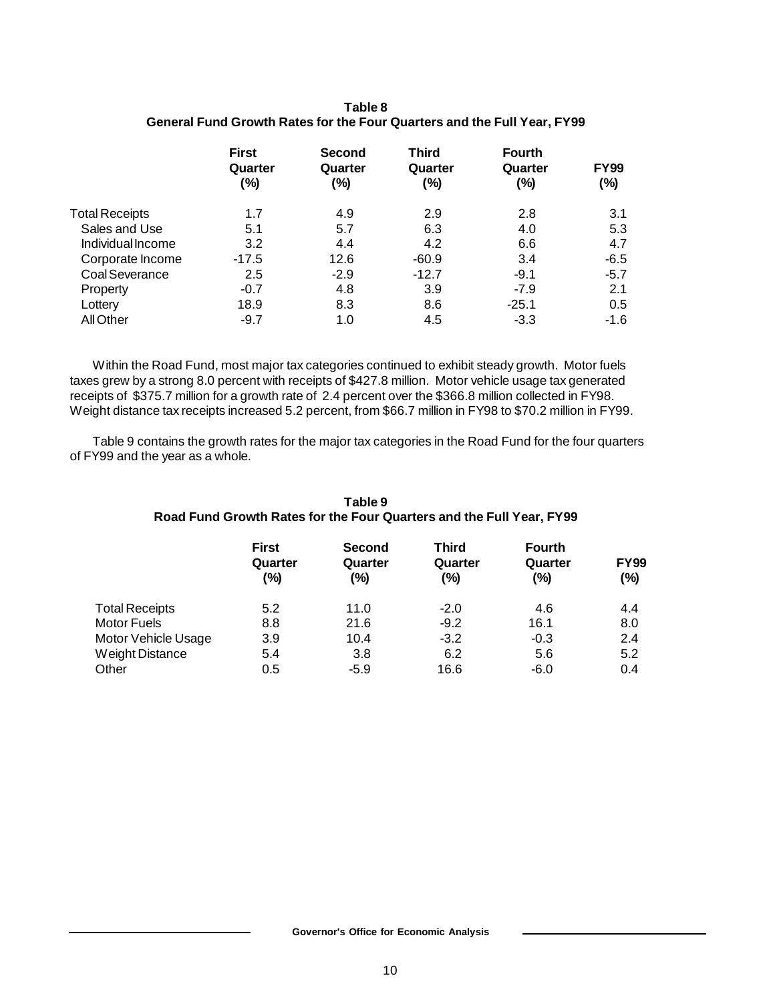| Table 8                                                                        |  |
|--------------------------------------------------------------------------------|--|
| <b>General Fund Growth Rates for the Four Quarters and the Full Year, FY99</b> |  |

|                       | <b>First</b><br>Quarter<br>(%) | <b>Second</b><br>Quarter<br>(%) | <b>Third</b><br>Quarter<br>(%) | <b>Fourth</b><br>Quarter<br>$(\% )$ | <b>FY99</b><br>(%) |
|-----------------------|--------------------------------|---------------------------------|--------------------------------|-------------------------------------|--------------------|
| <b>Total Receipts</b> | 1.7                            | 4.9                             | 2.9                            | 2.8                                 | 3.1                |
| Sales and Use         | 5.1                            | 5.7                             | 6.3                            | 4.0                                 | 5.3                |
| Individual Income     | 3.2                            | 4.4                             | 4.2                            | 6.6                                 | 4.7                |
| Corporate Income      | $-17.5$                        | 12.6                            | $-60.9$                        | 3.4                                 | $-6.5$             |
| Coal Severance        | 2.5                            | $-2.9$                          | $-12.7$                        | $-9.1$                              | $-5.7$             |
| Property              | $-0.7$                         | 4.8                             | 3.9                            | $-7.9$                              | 2.1                |
| Lottery               | 18.9                           | 8.3                             | 8.6                            | $-25.1$                             | 0.5                |
| All Other             | $-9.7$                         | 1.0                             | 4.5                            | $-3.3$                              | $-1.6$             |

Within the Road Fund, most major tax categories continued to exhibit steady growth. Motor fuels taxes grew by a strong 8.0 percent with receipts of \$427.8 million. Motor vehicle usage tax generated receipts of \$375.7 million for a growth rate of 2.4 percent over the \$366.8 million collected in FY98. Weight distance tax receipts increased 5.2 percent, from \$66.7 million in FY98 to \$70.2 million in FY99.

Table 9 contains the growth rates for the major tax categories in the Road Fund for the four quarters of FY99 and the year as a whole.

|                       |                                   | Table 9<br>Road Fund Growth Rates for the Four Quarters and the Full Year, FY99 |                         |                                 |                        |
|-----------------------|-----------------------------------|---------------------------------------------------------------------------------|-------------------------|---------------------------------|------------------------|
|                       | <b>First</b><br>Quarter<br>$(\%)$ | <b>Second</b><br>Quarter<br>(%)                                                 | Third<br>Quarter<br>(%) | <b>Fourth</b><br>Quarter<br>(%) | <b>FY99</b><br>$(\% )$ |
| <b>Total Receipts</b> | 5.2                               | 11.0                                                                            | $-2.0$                  | 4.6                             | 4.4                    |
| <b>Motor Fuels</b>    | 8.8                               | 21.6                                                                            | $-9.2$                  | 16.1                            | 8.0                    |
| Motor Vehicle Usage   | 3.9                               | 10.4                                                                            | $-3.2$                  | $-0.3$                          | 2.4                    |
| Weight Distance       | 5.4                               | 3.8                                                                             | 6.2                     | 5.6                             | 5.2                    |
| Other                 | 0.5                               | $-5.9$                                                                          | 16.6                    | $-6.0$                          | 0.4                    |

# **Table 9**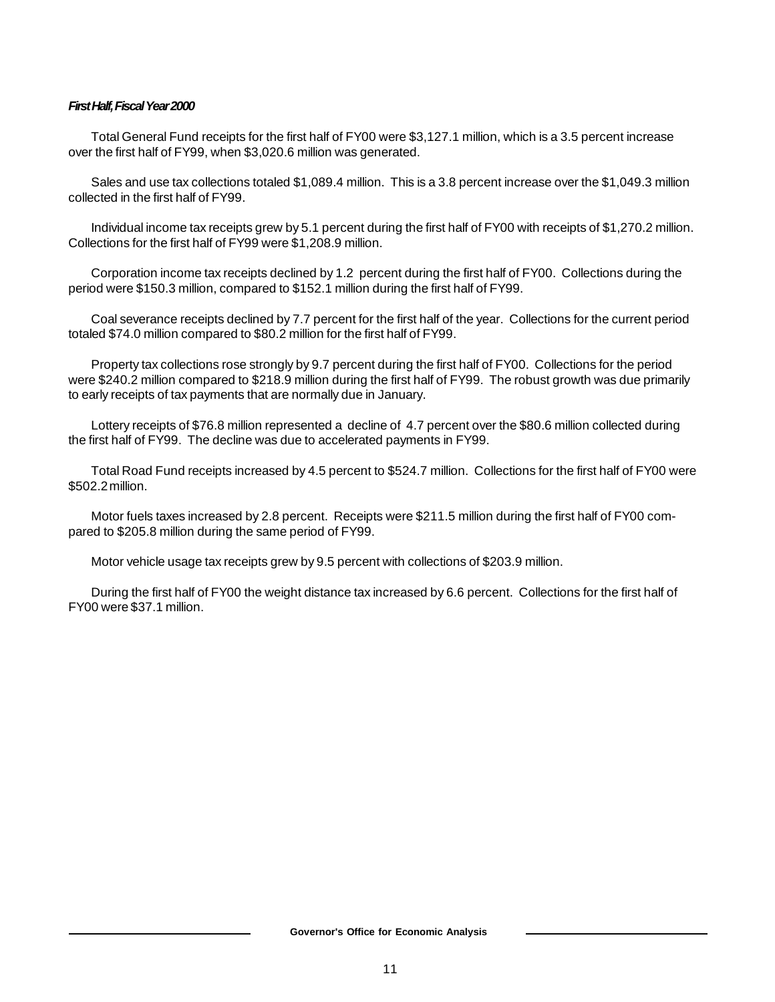# *First Half, Fiscal Year 2000*

Total General Fund receipts for the first half of FY00 were \$3,127.1 million, which is a 3.5 percent increase over the first half of FY99, when \$3,020.6 million was generated.

Sales and use tax collections totaled \$1,089.4 million. This is a 3.8 percent increase over the \$1,049.3 million collected in the first half of FY99.

Individual income tax receipts grew by 5.1 percent during the first half of FY00 with receipts of \$1,270.2 million. Collections for the first half of FY99 were \$1,208.9 million.

Corporation income tax receipts declined by 1.2 percent during the first half of FY00. Collections during the period were \$150.3 million, compared to \$152.1 million during the first half of FY99.

Coal severance receipts declined by 7.7 percent for the first half of the year. Collections for the current period totaled \$74.0 million compared to \$80.2 million for the first half of FY99.

Property tax collections rose strongly by 9.7 percent during the first half of FY00. Collections for the period were \$240.2 million compared to \$218.9 million during the first half of FY99. The robust growth was due primarily to early receipts of tax payments that are normally due in January.

Lottery receipts of \$76.8 million represented a decline of 4.7 percent over the \$80.6 million collected during the first half of FY99. The decline was due to accelerated payments in FY99.

Total Road Fund receipts increased by 4.5 percent to \$524.7 million. Collections for the first half of FY00 were \$502.2 million.

Motor fuels taxes increased by 2.8 percent. Receipts were \$211.5 million during the first half of FY00 compared to \$205.8 million during the same period of FY99.

Motor vehicle usage tax receipts grew by 9.5 percent with collections of \$203.9 million.

During the first half of FY00 the weight distance tax increased by 6.6 percent. Collections for the first half of FY00 were \$37.1 million.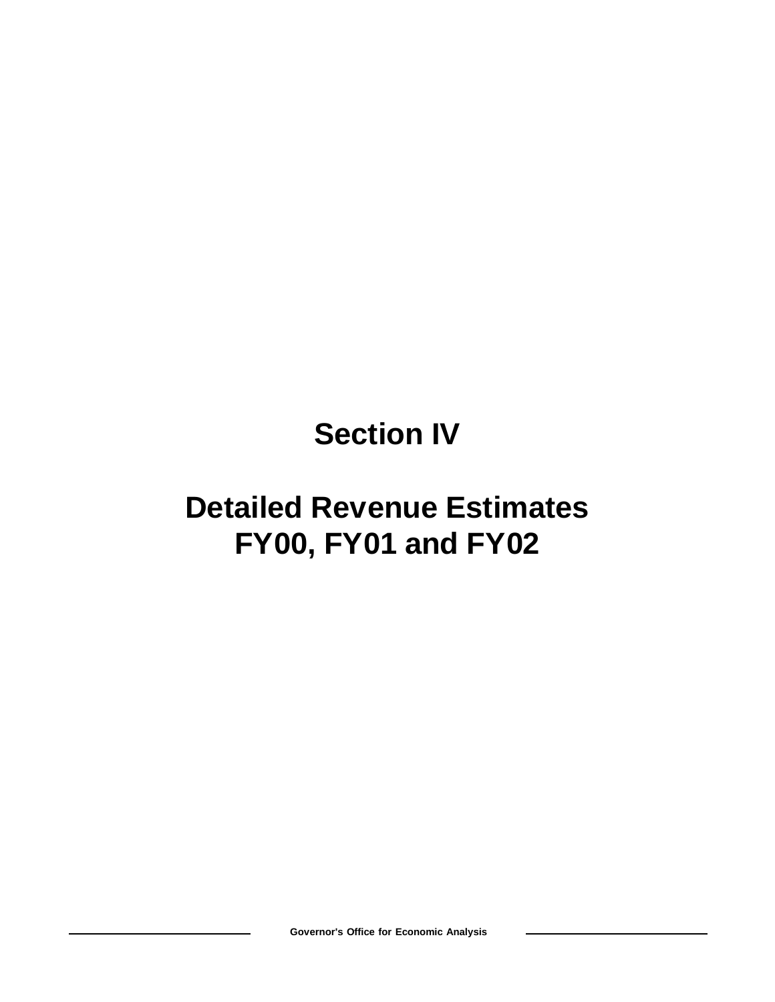# **Section IV**

# **Detailed Revenue Estimates FY00, FY01 and FY02**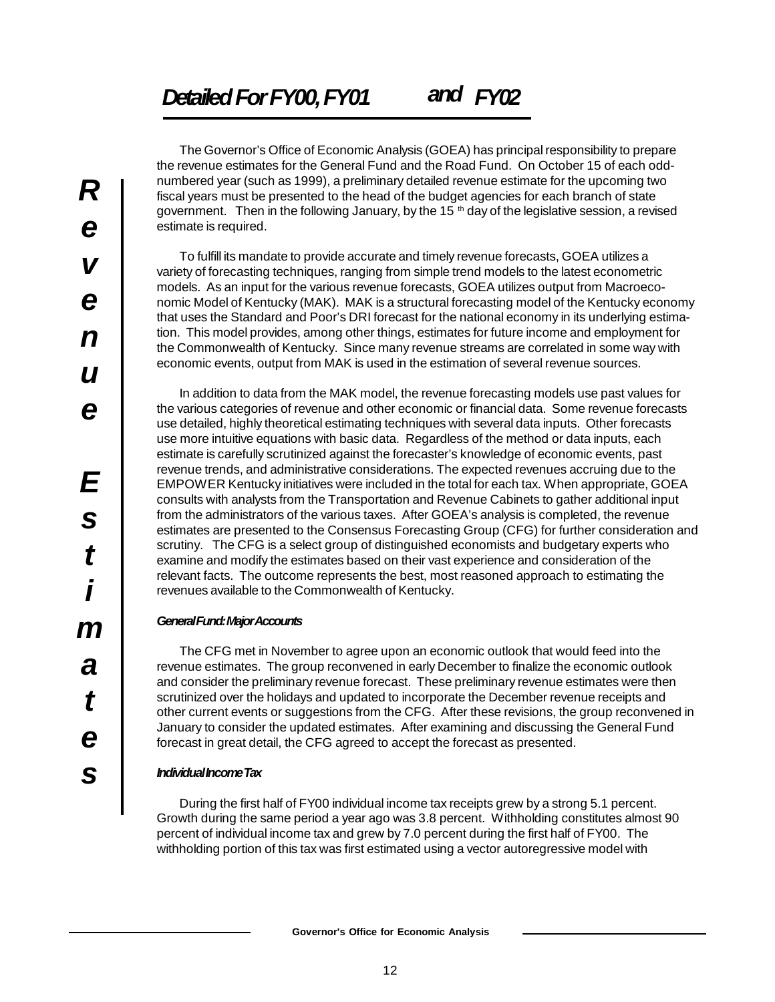The Governor's Office of Economic Analysis (GOEA) has principal responsibility to prepare the revenue estimates for the General Fund and the Road Fund. On October 15 of each oddnumbered year (such as 1999), a preliminary detailed revenue estimate for the upcoming two fiscal years must be presented to the head of the budget agencies for each branch of state government. Then in the following January, by the 15  $<sup>th</sup>$  day of the legislative session, a revised</sup> estimate is required.

To fulfill its mandate to provide accurate and timely revenue forecasts, GOEA utilizes a variety of forecasting techniques, ranging from simple trend models to the latest econometric models. As an input for the various revenue forecasts, GOEA utilizes output from Macroeconomic Model of Kentucky (MAK). MAK is a structural forecasting model of the Kentucky economy that uses the Standard and Poor's DRI forecast for the national economy in its underlying estimation. This model provides, among other things, estimates for future income and employment for the Commonwealth of Kentucky. Since many revenue streams are correlated in some way with economic events, output from MAK is used in the estimation of several revenue sources.

In addition to data from the MAK model, the revenue forecasting models use past values for the various categories of revenue and other economic or financial data. Some revenue forecasts use detailed, highly theoretical estimating techniques with several data inputs. Other forecasts use more intuitive equations with basic data. Regardless of the method or data inputs, each estimate is carefully scrutinized against the forecaster's knowledge of economic events, past revenue trends, and administrative considerations. The expected revenues accruing due to the EMPOWER Kentucky initiatives were included in the total for each tax. When appropriate, GOEA consults with analysts from the Transportation and Revenue Cabinets to gather additional input from the administrators of the various taxes. After GOEA's analysis is completed, the revenue estimates are presented to the Consensus Forecasting Group (CFG) for further consideration and scrutiny. The CFG is a select group of distinguished economists and budgetary experts who examine and modify the estimates based on their vast experience and consideration of the relevant facts. The outcome represents the best, most reasoned approach to estimating the revenues available to the Commonwealth of Kentucky.

# *General Fund: Major Accounts*

The CFG met in November to agree upon an economic outlook that would feed into the revenue estimates. The group reconvened in early December to finalize the economic outlook and consider the preliminary revenue forecast. These preliminary revenue estimates were then scrutinized over the holidays and updated to incorporate the December revenue receipts and other current events or suggestions from the CFG. After these revisions, the group reconvened in January to consider the updated estimates. After examining and discussing the General Fund forecast in great detail, the CFG agreed to accept the forecast as presented.

# *Individual Income Tax*

During the first half of FY00 individual income tax receipts grew by a strong 5.1 percent. Growth during the same period a year ago was 3.8 percent. Withholding constitutes almost 90 percent of individual income tax and grew by 7.0 percent during the first half of FY00. The withholding portion of this tax was first estimated using a vector autoregressive model with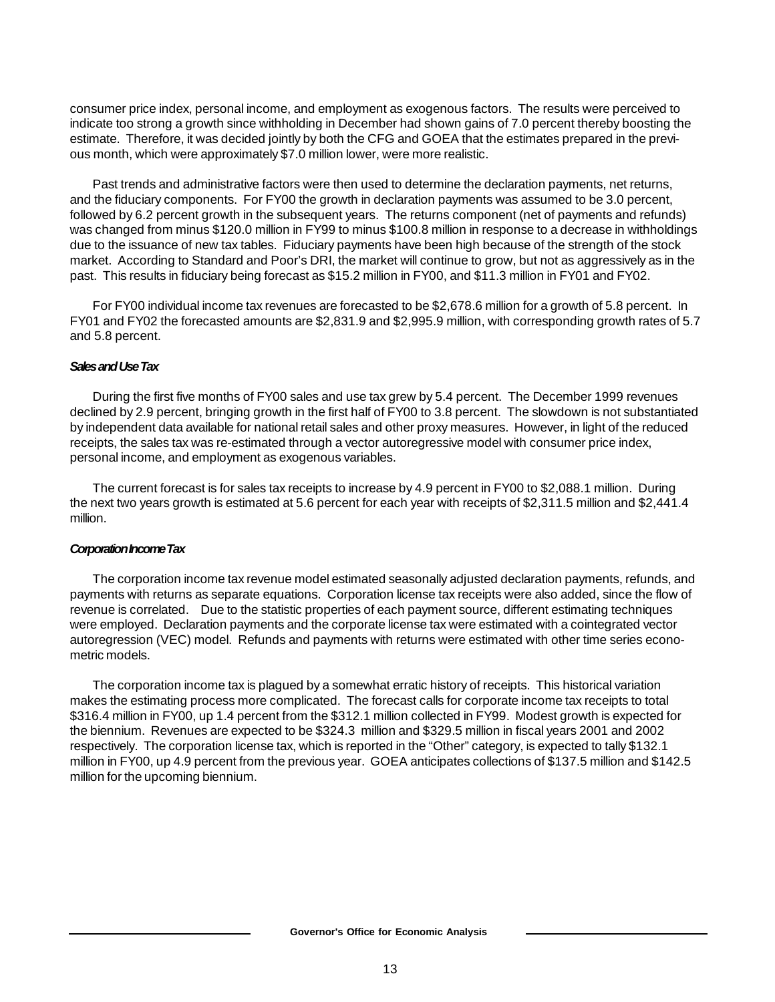consumer price index, personal income, and employment as exogenous factors. The results were perceived to indicate too strong a growth since withholding in December had shown gains of 7.0 percent thereby boosting the estimate. Therefore, it was decided jointly by both the CFG and GOEA that the estimates prepared in the previous month, which were approximately \$7.0 million lower, were more realistic.

Past trends and administrative factors were then used to determine the declaration payments, net returns, and the fiduciary components. For FY00 the growth in declaration payments was assumed to be 3.0 percent, followed by 6.2 percent growth in the subsequent years. The returns component (net of payments and refunds) was changed from minus \$120.0 million in FY99 to minus \$100.8 million in response to a decrease in withholdings due to the issuance of new tax tables. Fiduciary payments have been high because of the strength of the stock market. According to Standard and Poor's DRI, the market will continue to grow, but not as aggressively as in the past. This results in fiduciary being forecast as \$15.2 million in FY00, and \$11.3 million in FY01 and FY02.

For FY00 individual income tax revenues are forecasted to be \$2,678.6 million for a growth of 5.8 percent. In FY01 and FY02 the forecasted amounts are \$2,831.9 and \$2,995.9 million, with corresponding growth rates of 5.7 and 5.8 percent.

# *Sales and Use Tax*

During the first five months of FY00 sales and use tax grew by 5.4 percent. The December 1999 revenues declined by 2.9 percent, bringing growth in the first half of FY00 to 3.8 percent. The slowdown is not substantiated by independent data available for national retail sales and other proxy measures. However, in light of the reduced receipts, the sales tax was re-estimated through a vector autoregressive model with consumer price index, personal income, and employment as exogenous variables.

The current forecast is for sales tax receipts to increase by 4.9 percent in FY00 to \$2,088.1 million. During the next two years growth is estimated at 5.6 percent for each year with receipts of \$2,311.5 million and \$2,441.4 million.

# *Corporation Income Tax*

The corporation income tax revenue model estimated seasonally adjusted declaration payments, refunds, and payments with returns as separate equations. Corporation license tax receipts were also added, since the flow of revenue is correlated. Due to the statistic properties of each payment source, different estimating techniques were employed. Declaration payments and the corporate license tax were estimated with a cointegrated vector autoregression (VEC) model. Refunds and payments with returns were estimated with other time series econometric models.

The corporation income tax is plagued by a somewhat erratic history of receipts. This historical variation makes the estimating process more complicated. The forecast calls for corporate income tax receipts to total \$316.4 million in FY00, up 1.4 percent from the \$312.1 million collected in FY99. Modest growth is expected for the biennium. Revenues are expected to be \$324.3 million and \$329.5 million in fiscal years 2001 and 2002 respectively. The corporation license tax, which is reported in the "Other" category, is expected to tally \$132.1 million in FY00, up 4.9 percent from the previous year. GOEA anticipates collections of \$137.5 million and \$142.5 million for the upcoming biennium.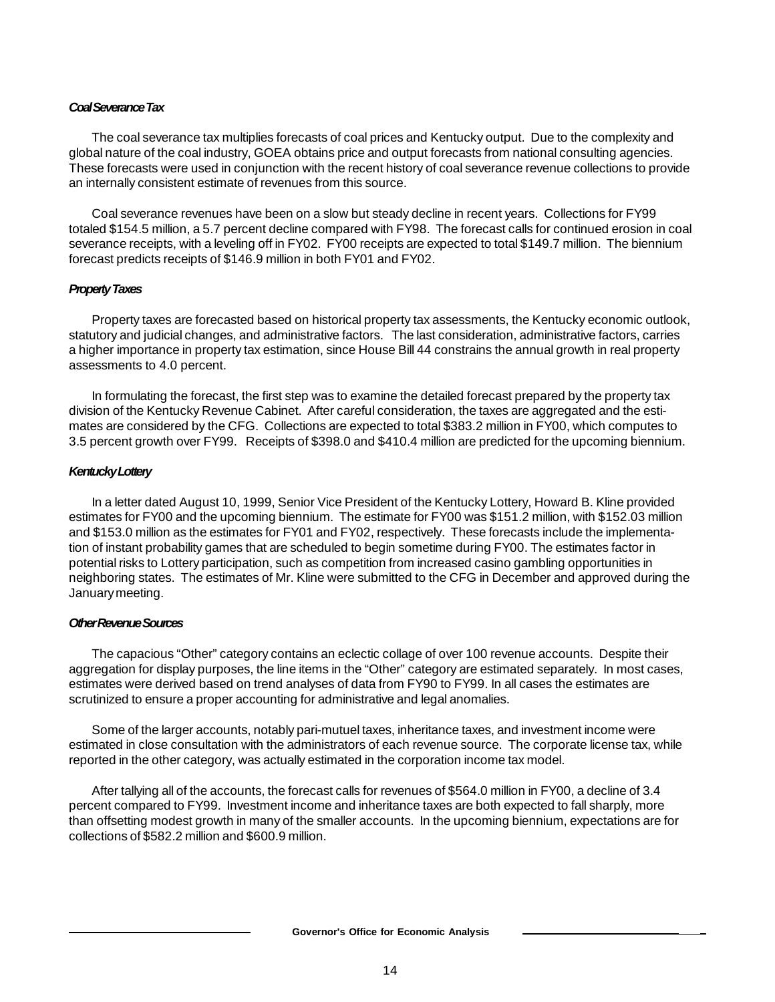# *Coal Severance Tax*

The coal severance tax multiplies forecasts of coal prices and Kentucky output. Due to the complexity and global nature of the coal industry, GOEA obtains price and output forecasts from national consulting agencies. These forecasts were used in conjunction with the recent history of coal severance revenue collections to provide an internally consistent estimate of revenues from this source.

Coal severance revenues have been on a slow but steady decline in recent years. Collections for FY99 totaled \$154.5 million, a 5.7 percent decline compared with FY98. The forecast calls for continued erosion in coal severance receipts, with a leveling off in FY02. FY00 receipts are expected to total \$149.7 million. The biennium forecast predicts receipts of \$146.9 million in both FY01 and FY02.

# *Property Taxes*

Property taxes are forecasted based on historical property tax assessments, the Kentucky economic outlook, statutory and judicial changes, and administrative factors. The last consideration, administrative factors, carries a higher importance in property tax estimation, since House Bill 44 constrains the annual growth in real property assessments to 4.0 percent.

In formulating the forecast, the first step was to examine the detailed forecast prepared by the property tax division of the Kentucky Revenue Cabinet. After careful consideration, the taxes are aggregated and the estimates are considered by the CFG. Collections are expected to total \$383.2 million in FY00, which computes to 3.5 percent growth over FY99. Receipts of \$398.0 and \$410.4 million are predicted for the upcoming biennium.

# *Kentucky Lottery*

In a letter dated August 10, 1999, Senior Vice President of the Kentucky Lottery, Howard B. Kline provided estimates for FY00 and the upcoming biennium. The estimate for FY00 was \$151.2 million, with \$152.03 million and \$153.0 million as the estimates for FY01 and FY02, respectively. These forecasts include the implementation of instant probability games that are scheduled to begin sometime during FY00. The estimates factor in potential risks to Lottery participation, such as competition from increased casino gambling opportunities in neighboring states. The estimates of Mr. Kline were submitted to the CFG in December and approved during the January meeting.

# *Other Revenue Sources*

The capacious "Other" category contains an eclectic collage of over 100 revenue accounts. Despite their aggregation for display purposes, the line items in the "Other" category are estimated separately. In most cases, estimates were derived based on trend analyses of data from FY90 to FY99. In all cases the estimates are scrutinized to ensure a proper accounting for administrative and legal anomalies.

Some of the larger accounts, notably pari-mutuel taxes, inheritance taxes, and investment income were estimated in close consultation with the administrators of each revenue source. The corporate license tax, while reported in the other category, was actually estimated in the corporation income tax model.

After tallying all of the accounts, the forecast calls for revenues of \$564.0 million in FY00, a decline of 3.4 percent compared to FY99. Investment income and inheritance taxes are both expected to fall sharply, more than offsetting modest growth in many of the smaller accounts. In the upcoming biennium, expectations are for collections of \$582.2 million and \$600.9 million.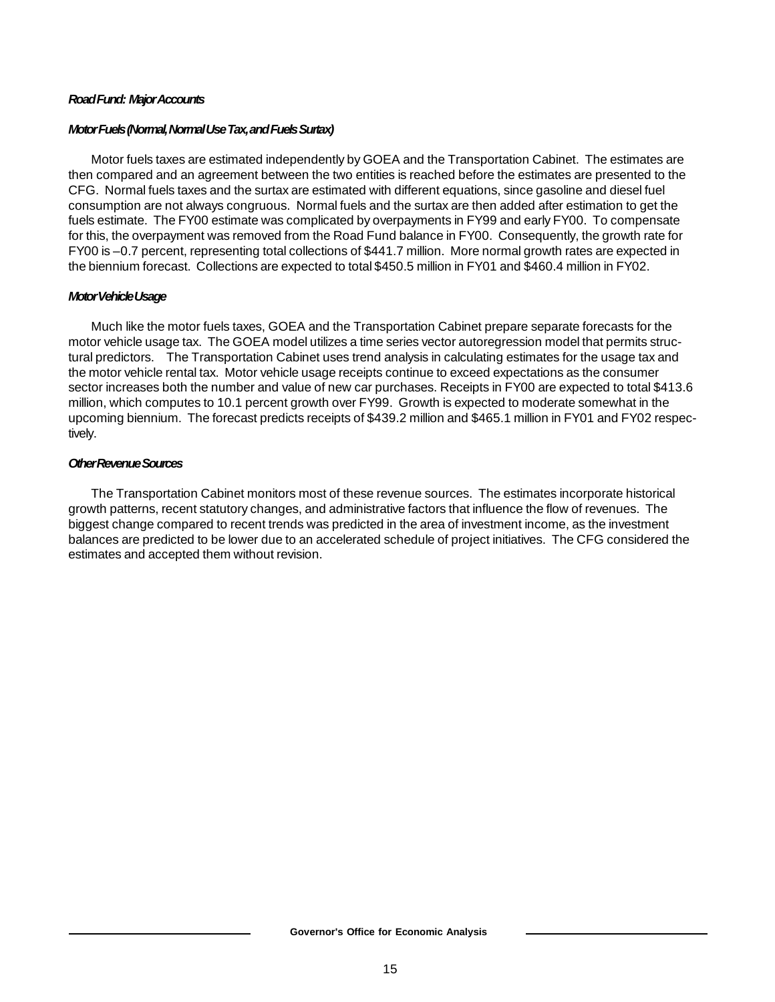# *Road Fund: Major Accounts*

# *Motor Fuels (Normal, Normal Use Tax, and Fuels Surtax)*

Motor fuels taxes are estimated independently by GOEA and the Transportation Cabinet. The estimates are then compared and an agreement between the two entities is reached before the estimates are presented to the CFG. Normal fuels taxes and the surtax are estimated with different equations, since gasoline and diesel fuel consumption are not always congruous. Normal fuels and the surtax are then added after estimation to get the fuels estimate. The FY00 estimate was complicated by overpayments in FY99 and early FY00. To compensate for this, the overpayment was removed from the Road Fund balance in FY00. Consequently, the growth rate for FY00 is –0.7 percent, representing total collections of \$441.7 million. More normal growth rates are expected in the biennium forecast. Collections are expected to total \$450.5 million in FY01 and \$460.4 million in FY02.

# *Motor Vehicle Usage*

Much like the motor fuels taxes, GOEA and the Transportation Cabinet prepare separate forecasts for the motor vehicle usage tax. The GOEA model utilizes a time series vector autoregression model that permits structural predictors. The Transportation Cabinet uses trend analysis in calculating estimates for the usage tax and the motor vehicle rental tax. Motor vehicle usage receipts continue to exceed expectations as the consumer sector increases both the number and value of new car purchases. Receipts in FY00 are expected to total \$413.6 million, which computes to 10.1 percent growth over FY99. Growth is expected to moderate somewhat in the upcoming biennium. The forecast predicts receipts of \$439.2 million and \$465.1 million in FY01 and FY02 respectively.

# *Other Revenue Sources*

The Transportation Cabinet monitors most of these revenue sources. The estimates incorporate historical growth patterns, recent statutory changes, and administrative factors that influence the flow of revenues. The biggest change compared to recent trends was predicted in the area of investment income, as the investment balances are predicted to be lower due to an accelerated schedule of project initiatives. The CFG considered the estimates and accepted them without revision.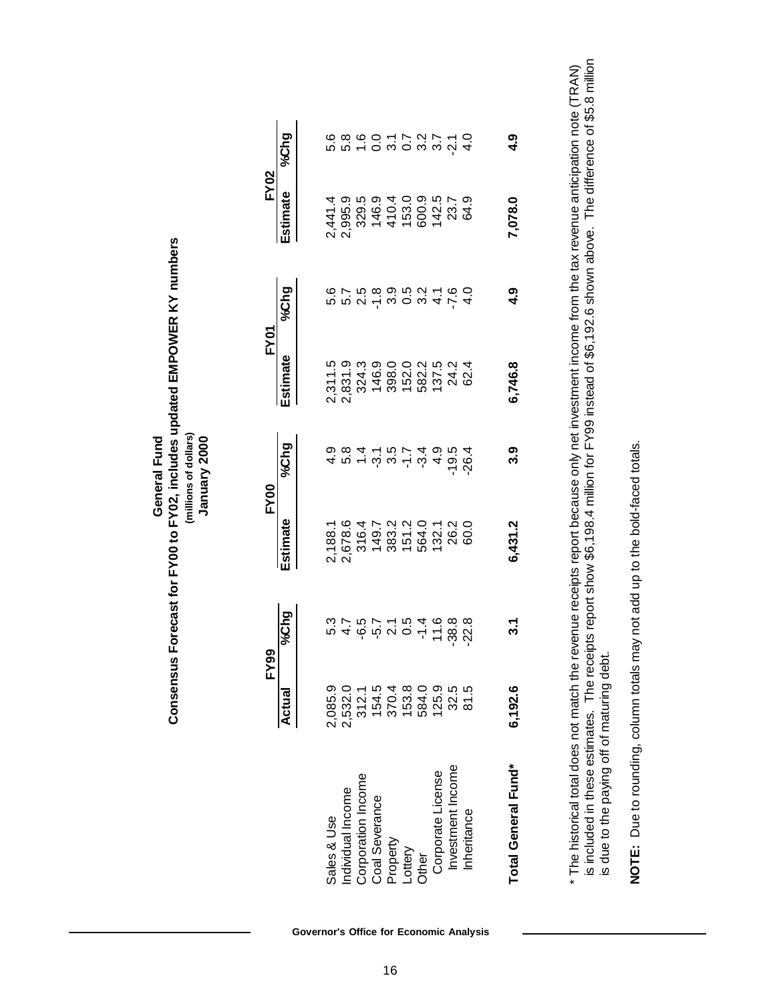| Consensus Forecast for FY00 to FY02, includes updated EMPOWER KY numbe<br>'millions of dollars)<br><b>General Fund</b> |
|------------------------------------------------------------------------------------------------------------------------|
|------------------------------------------------------------------------------------------------------------------------|

| (millions of dollars) | January 2000 |
|-----------------------|--------------|
|-----------------------|--------------|

|                                      | FY99                       |             | FY00     |          | <b>FY01</b> |                                                       | EY02    |        |  |
|--------------------------------------|----------------------------|-------------|----------|----------|-------------|-------------------------------------------------------|---------|--------|--|
|                                      | Actual                     | <b>642%</b> | Estimate | $9/6$ hg | stimate     | $\frac{54}{26}$                                       | stimate | %Chg   |  |
|                                      |                            |             |          |          |             |                                                       |         |        |  |
| Sales & Use                          | 2,085.9                    |             |          |          |             |                                                       |         |        |  |
| Individual Income                    | 2,532.0                    |             |          |          |             | corrosonia - co<br>corrosonia - co<br>corrosonia - co |         |        |  |
|                                      |                            |             |          |          |             |                                                       |         |        |  |
| Corporation Income<br>Coal Severance | 3155656<br>215054<br>21504 |             |          |          |             |                                                       |         |        |  |
|                                      |                            |             |          |          |             |                                                       |         |        |  |
|                                      |                            |             |          |          |             |                                                       |         |        |  |
| Property<br>Lottery<br>Other         |                            |             |          |          |             |                                                       |         |        |  |
| Corporate License                    | 125.9                      |             |          |          |             |                                                       |         |        |  |
| Investment Income                    | 32.5                       |             |          |          |             |                                                       |         |        |  |
| Inheritance                          | 81.5                       |             |          |          |             |                                                       |         |        |  |
| Total General Fund*                  | 6,192.6                    | ್ಲ          | 6,431.2  | ೧        | 6,746.8     | თ<br>4                                                | 7,078.0 | თ<br>4 |  |
|                                      |                            |             |          |          |             |                                                       |         |        |  |

is included in these estimates. The receipts report show \$6,198.4 million for FY99 instead of \$6,192.6 shown above. The difference of \$5.8 million<br>is due to the paying off of maturing debt. is included in these estimates. The receipts report show \$6,198.4 million for FY99 instead of \$6,192.6 shown above. The difference of \$5.8 million \* The historical total does not match the revenue receipts report because only net investment income from the tax revenue anticipation note (TRAN) The historical total does not match the revenue receipts report because only net investment income from the tax revenue anticipation note (TRAN) is due to the paying off of maturing debt.

NOTE: Due to rounding, column totals may not add up to the bold-faced totals. **NOTE:** Due to rounding, column totals may not add up to the bold-faced totals.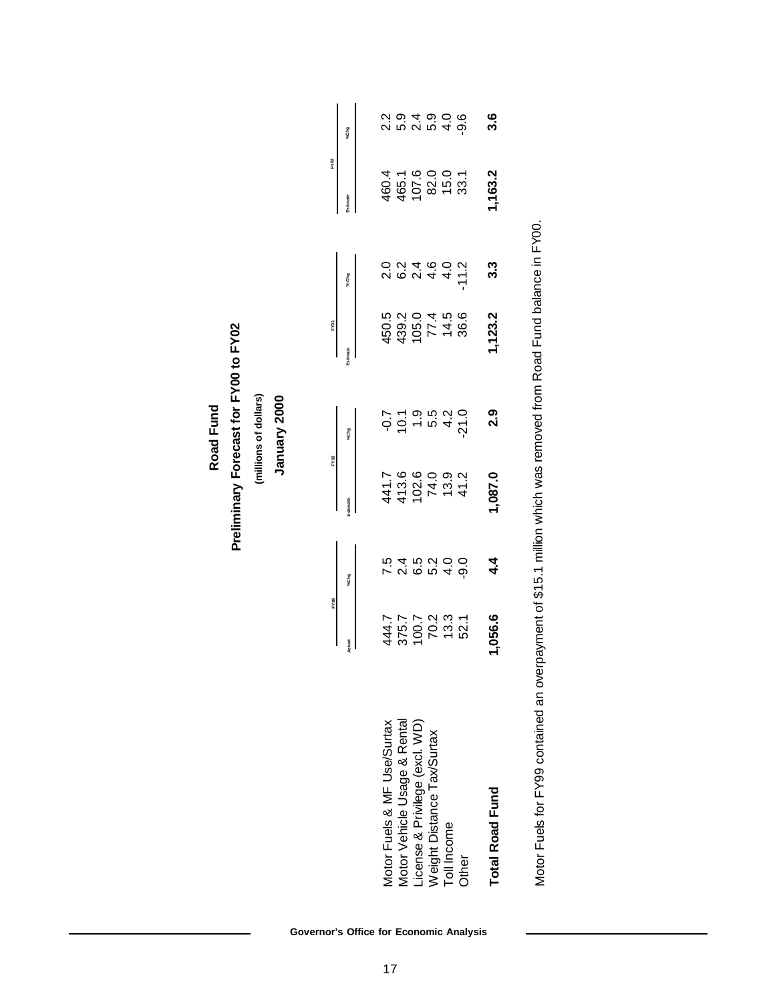**Road Fund**<br>Preliminary Forecast for FY00 to FY02 **Preliminary Forecast for FY00 to FY02**

(millions of dollars) **(millions of dollars)**

January 2000  **January 2000**

|                                                                 |                                 |                 |                                                   |        |                                                     |                                               | FY02                                     |                                              |
|-----------------------------------------------------------------|---------------------------------|-----------------|---------------------------------------------------|--------|-----------------------------------------------------|-----------------------------------------------|------------------------------------------|----------------------------------------------|
|                                                                 |                                 | %Chg            |                                                   |        |                                                     | % Chg                                         |                                          | %Chg                                         |
|                                                                 |                                 |                 |                                                   |        |                                                     |                                               |                                          |                                              |
| Motor Fuels & MF Use/Surtax                                     |                                 |                 |                                                   |        |                                                     |                                               |                                          |                                              |
|                                                                 |                                 |                 |                                                   |        |                                                     |                                               |                                          |                                              |
| Vlotor Vehicle Usage & Rental<br>License & Privilege (excl. WD) |                                 |                 |                                                   |        |                                                     |                                               |                                          |                                              |
| <b>Neight Distance Tax/Surtax</b>                               |                                 |                 |                                                   |        |                                                     |                                               |                                          |                                              |
| <b>Toll Income</b>                                              | 4447<br>3757<br>3767<br>47673.3 | てんこうしんしん しんこうしん | 441.7<br>413.0 0 0 0 1<br>413.0 0 0 0 12<br>441.7 |        | 450.3<br>439.01 4.4.9<br>430.7 4.4.9<br>430.7 4.9.9 | 0 0 1 4 6 0 1<br>0 0 1 4 6 0 1<br>0 1 4 6 0 1 | 460.4<br>465.1<br>467.00.00<br>4 9 00.00 | ci ci ci ci ci ci ci ci<br>ci ci ci ci ci ci |
| <b>Other</b>                                                    |                                 |                 |                                                   |        |                                                     |                                               |                                          |                                              |
| Total Road Fund                                                 | ,056.6                          |                 | ,087.0                                            | ი<br>ა | ,123.2                                              | ვ<br>ა                                        | ,163.2                                   |                                              |

Motor Fuels for FY99 contained an overpayment of \$15.1 million which was removed from Road Fund balance in FY00. Motor Fuels for FY99 contained an overpayment of \$15.1 million which was removed from Road Fund balance in FY00.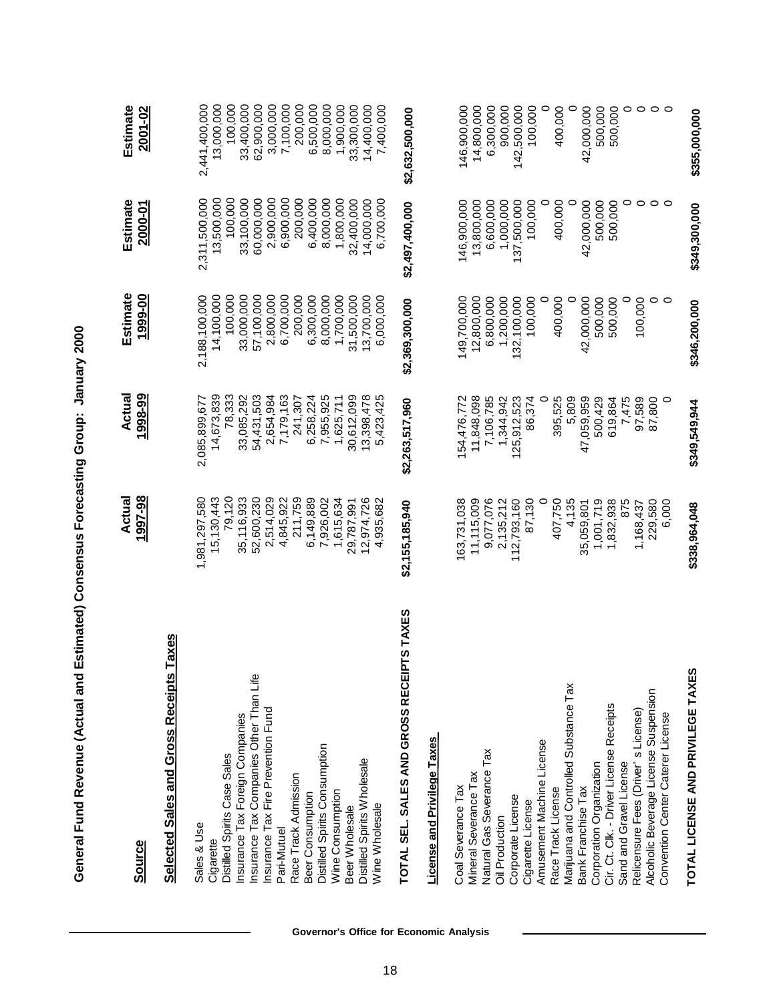| <b>Source</b>                                  | 1997-98<br>Actual | Actual<br>1998-99 | Estimate<br>1999-00 | Estimate<br>2000-01 | Estimate<br>2001-02 |
|------------------------------------------------|-------------------|-------------------|---------------------|---------------------|---------------------|
| <b>Selected Sales and Gross Receipts Taxes</b> |                   |                   |                     |                     |                     |
|                                                |                   |                   |                     |                     |                     |
| Sales & Use                                    | 1,981,297,580     | 2,085,899,677     | 2,188,100,000       | 2,311,500,000       | 2,441,400,000       |
| Cigarette                                      | 15,130,443        | 14,673,839        | 14,100,000          | 13,500,000          | 13,000,000          |
| Distilled Spirits Case Sales                   | 79,120            | 78,333            | 100,000             | 100,000             | 100,000             |
| Insurance Tax Foreign Companies                | 35,116,933        | 33,085,292        | 33,000,000          | 33,100,000          | 33,400,000          |
| Insurance Tax Companies Other Than Life        | 52,600,230        | 54,431,503        | 57,100,000          | 60,000,000          | 62,900,000          |
| Insurance Tax Fire Prevention Fund             | 2,514,029         | 2,654,984         | 2,800,000           | 2,900,000           | 3,000,000           |
| Pari-Mutuel                                    | 4,845,922         | 7,179,163         | 6,700,000           | 6,900,000           | 7,100,000           |
| Race Track Admission                           | 211,759           | 241,307           | 200,000             | 200,000             | 200,000             |
| Beer Consumption                               | 6,149,889         | 6,258,224         | 6,300,000           | 6,400,000           | 6,500,000           |
| Distilled Spirits Consumption                  | 7,926,002         | 7,955,925         | 8,000,000           | 8,000,000           | 8,000,000           |
| Wine Consumption                               | 1,615,634         | 1,625,711         | 1,700,000           | 1,800,000           | 1,900,000           |
| Beer Wholesale                                 | 29,787,991        | 30,612,099        | 31,500,000          | 32,400,000          | 33,300,000          |
| Distilled Spirits Wholesale                    | 12,974,726        | 13,398,478        | 13,700,000          | 14,000,000          | 14,400,000          |
| Wine Wholesale                                 | 4,935,682         | 5,423,425         | 6,000,000           | 6,700,000           | 7,400,000           |
|                                                |                   |                   |                     |                     |                     |
| STAXES<br>TOTAL SEL. SALES AND GROSS RECEIPT   | \$2,155,185,940   | \$2,263,517,960   | \$2,369,300,000     | \$2,497,400,000     | \$2,632,500,000     |
| <b>License and Privilege Taxes</b>             |                   |                   |                     |                     |                     |
| Coal Severance Tax                             | 163,731,038       | 154,476,772       | 149,700,000         | 146,900,000         | 146,900,000         |
| Mineral Severance Tax                          | 11,115,009        | 11,848,098        | 12,800,000          | 13,800,000          | 14,800,000          |
| Natural Gas Severance Tax                      | 9,077,076         | 7,106,785         | 6,800,000           | 6,600,000           | 6,300,000           |
| <b>Oil Production</b>                          | 2,135,212         | 1,344,942         | 1,200,000           | 1,000,000           | 900,000             |
| Corporate License                              | 112,793,160       | 125,912,523       | 132,100,000         | 137,500,000         | 142,500,000         |
| Cigarette License                              | 87,130            | 86,374            | 100,000             | 100,000             | 100,000             |
| Amusement Machine License                      | 0                 |                   |                     |                     | 0                   |
| Race Track License                             | 407,750           | 395,525           | 400,000             | 400,000             | 400,000             |
| Marijuana and Controlled Substance Tax         | 4,135             | 5,809             |                     | $\circ$             | $\circ$             |
| Bank Franchise Tax                             | 35,059,801        | 47,059,959        | 42,000,000          | 42,000,000          | 42,000,000          |
| Corporation Organization                       | 1,001,719         | 500,429           | 500,000             | 500,000             | 500,000             |
| Cir. Ct. Clk. - Driver License Receipts        | 1,832,938         | 619,864           | 500,000             | 500,000             | 500,000             |
| Sand and Gravel License                        | 875               | 7,475             | 0                   | 0                   | $\circ$             |
| Relicensure Fees (Driver' s License)           | 1,168,437         | 97,589            | 100,000             | $\circ$             | $\circ$             |
| Alcoholic Beverage License Suspension          | 229,580           | 87,800            | $\circ$             | $\circ$             | $\circ$             |
| Convention Center Caterer License              | 6,000             | $\circ$           | $\circ$             | $\circ$             |                     |
| TOTAL LICENSE AND PRIVILEGE TAXES              | \$338,964,048     | \$349,549,944     | \$346,200,000       | \$349,300,000       | \$355,000,000       |

General Fund Revenue (Actual and Estimated) Consensus Forecasting Group: January 2000 **General Fund Revenue (Actual and Estimated) Consensus Forecasting Group: January 2000**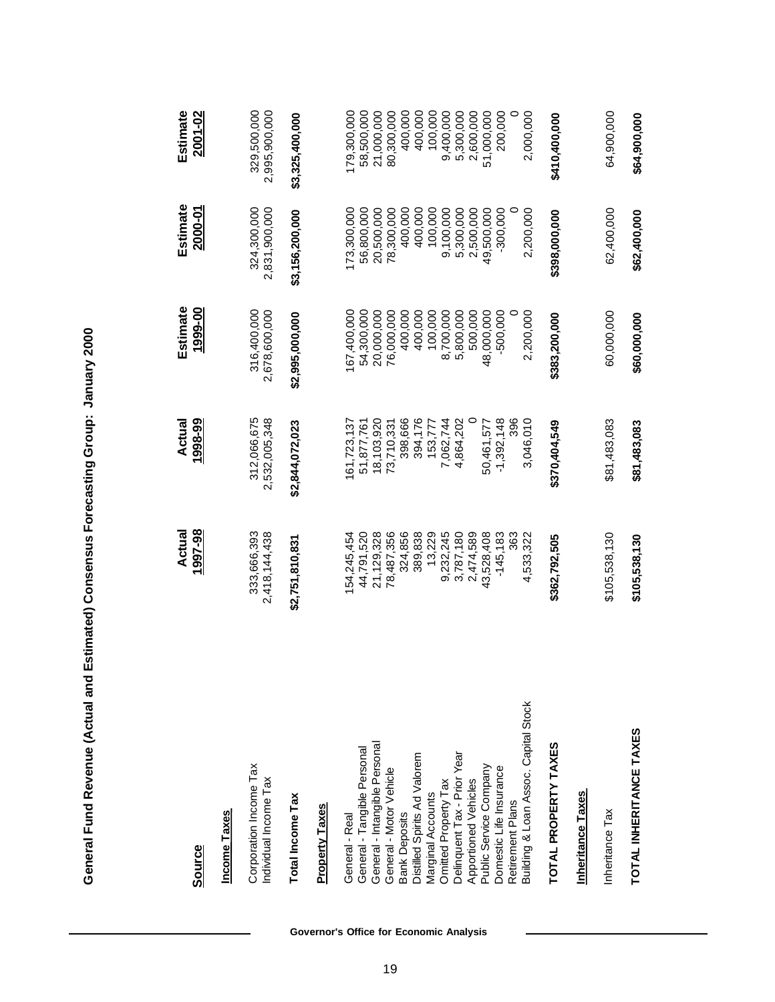| Source                                          | 1997-98<br>Actual            | 1998-99<br>Actual            | Estimate<br>1999-00          | Estimate<br>2000-01          | Estimate<br>2001-02          |
|-------------------------------------------------|------------------------------|------------------------------|------------------------------|------------------------------|------------------------------|
|                                                 |                              |                              |                              |                              |                              |
| Income Taxes                                    |                              |                              |                              |                              |                              |
| Corporation Income Tax<br>Individual Income Tax | 333,666,393<br>2,418,144,438 | 312,066,675<br>2,532,005,348 | 316,400,000<br>2,678,600,000 | 324,300,000<br>2,831,900,000 | 329,500,000<br>2,995,900,000 |
| <b>Total Income Tax</b>                         | \$2,751,810,831              | \$2,844,072,023              | \$2,995,000,000              | \$3,156,200,000              | \$3,325,400,000              |
| <b>Property Taxes</b>                           |                              |                              |                              |                              |                              |
| General - Real                                  | 54,245,454                   | 61,723,137                   | 67,400,000                   | 173,300,000                  | 179,300,000                  |
| General - Tangible Personal                     | 44,791,520                   | 51,877,761                   | 54,300,000                   | 56,800,000                   | 58,500,000                   |
| General - Intangible Personal                   | 21,129,328                   | 18,103,920                   | 20,000,000                   | 20,500,000                   | 21,000,000                   |
| General - Motor Vehicle                         | 78,487,356                   | 73,710,331                   | 76,000,000                   | 78,300,000                   | 80,300,000                   |
| <b>Bank Deposits</b>                            | 324,856                      | 398,666                      | 400,000                      | 400,000                      | 400,000                      |
| Distilled Spirits Ad Valorem                    | 389,838                      | 394,176                      | 400,000                      | 400,000                      | 400,000                      |
| Marginal Accounts                               | 13,229                       | 153,777                      | 100,000                      | 100,000                      | 100,000                      |
| Omitted Property Tax                            | 9,232,245                    | 7,062,744                    | 8,700,000                    | 9,100,000                    | 9,400,000                    |
| Delinquent Tax - Prior Year                     | 3,787,180                    | 4,864,202                    | 5,800,000                    | 5,300,000                    | 5,300,000                    |
| Apportioned Vehicles                            | 2,474,589                    |                              | 500,000                      | 2,500,000                    | 2,600,000                    |
| Public Service Company                          | 43,528,408                   | 50,461,577                   | 48,000,000                   | 49,500,000                   | 51,000,000                   |
| Domestic Life Insurance                         | $-145,183$                   | $-1,392,148$                 | $-500,000$                   | $-300,000$                   | 200,000                      |
| Retirement Plans                                | 363                          | 396                          |                              |                              |                              |
| Building & Loan Assoc. Capital Stock            | 4,533,322                    | 3,046,010                    | 2,200,000                    | 2,200,000                    | 2,000,000                    |
| TOTAL PROPERTY TAXES                            | \$362,792,505                | \$370,404,549                | \$383,200,000                | \$398,000,000                | \$410,400,000                |
| <b>Inheritance Taxes</b>                        |                              |                              |                              |                              |                              |
| Inheritance Tax                                 | \$105,538,130                | \$81,483,083                 | 60,000,000                   | 62,400,000                   | 64,900,000                   |
| TOTAL INHERITANCE TAXES                         | \$105,538,130                | \$81,483,083                 | \$60,000,000                 | \$62,400,000                 | \$64,900,000                 |

General Fund Revenue (Actual and Estimated) Consensus Forecasting Group: January 2000 **General Fund Revenue (Actual and Estimated) Consensus Forecasting Group: January 2000**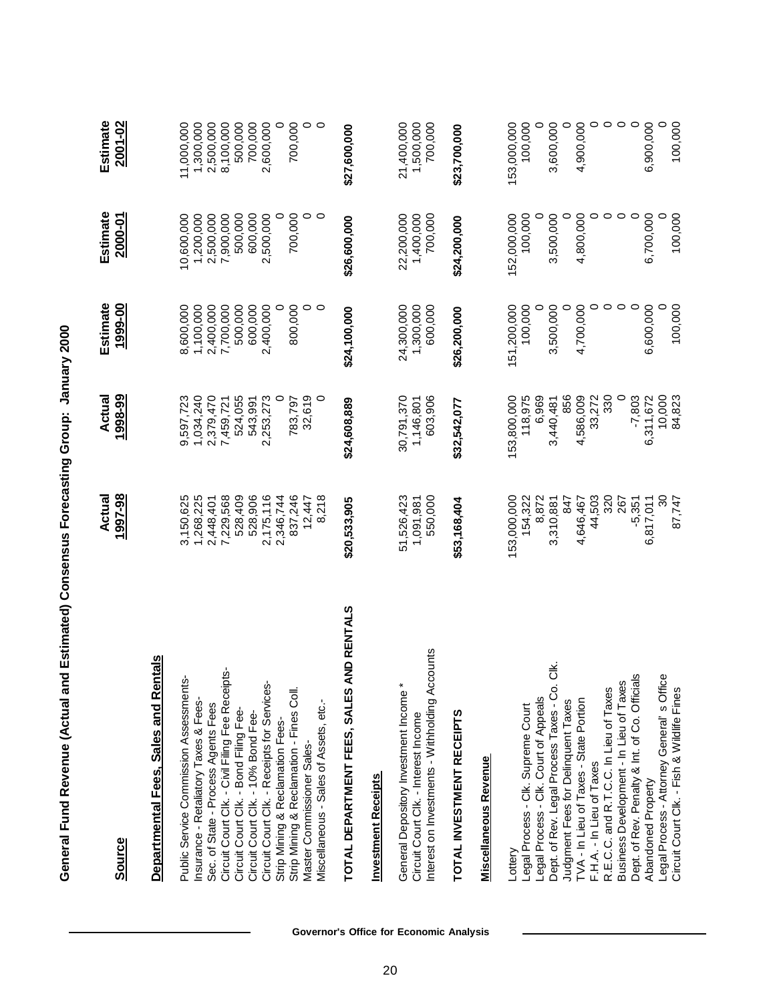| <b>Source</b>                                                                                                                  | 1997-98<br>Actual                  | Actual<br>1998-99                  | Estimate<br>1999-00                | Estimate<br>2000-01                | Estimate<br>2001-02                |
|--------------------------------------------------------------------------------------------------------------------------------|------------------------------------|------------------------------------|------------------------------------|------------------------------------|------------------------------------|
| Departmental Fees, Sales and Rentals                                                                                           |                                    |                                    |                                    |                                    |                                    |
|                                                                                                                                |                                    |                                    |                                    |                                    |                                    |
| ģ,<br>Public Service Commission Assessment                                                                                     | 3,150,625                          | 9,597,723                          | 8,600,000                          | 10,600,000                         | 11,000,000                         |
| nsurance - Retaliatory Taxes & Fees-                                                                                           | 1,268,225                          | 1,034,240                          | 1,100,000                          | 1,200,000                          | 1,300,000                          |
| Sec. of State - Process Agents Fees                                                                                            | 2,448,401                          | 2,379,470                          | 2,400,000                          | 2,500,000                          | 2,500,000                          |
| Circuit Court Clk. - Civil Filing Fee Receipts-                                                                                | 7,229,568                          | 7,459,721                          | 7,700,000                          | 7,900,000                          | 8,100,000                          |
| Circuit Court Clk. - Bond Filing Fee-                                                                                          | 528,409                            | 524,055                            | 500,000                            | 500,000                            | 500,000                            |
| Circuit Court Clk. - 10% Bond Fee-                                                                                             | 528,906                            | 543,991                            | 600,000                            | 600,000                            | 700,000                            |
| Circuit Court Clk. - Receipts for Services-                                                                                    | 2,175,116                          | 2,253,273                          | 2,400,000                          | 2,500,000                          | 2,600,000                          |
| Strip Mining & Reclamation Fees-                                                                                               | 2,346,744                          |                                    |                                    |                                    | $\circ$                            |
| Strip Mining & Reclamation - Fines Coll.                                                                                       | 837,246                            | 783,797                            | 800,000                            | 700,000                            | 700,000                            |
| Master Commissioner Sales-                                                                                                     | 12,447                             | 32,619                             | 0                                  | 0                                  |                                    |
| Miscellaneous - Sales of Assets, etc.-                                                                                         | 8,218                              |                                    | $\circ$                            | $\circ$                            | $\circ$                            |
| <b>AND RENTALS</b><br>TOTAL DEPARTMENT FEES, SALES                                                                             | \$20,533,905                       | \$24,608,889                       | \$24,100,000                       | \$26,600,000                       | \$27,600,000                       |
| <b>Investment Receipts</b>                                                                                                     |                                    |                                    |                                    |                                    |                                    |
| Interest on Investments - Withholding Accounts<br>General Depository Investment Income<br>Circuit Court Clk. - Interest Income | 51,526,423<br>550,000<br>1,091,981 | 603,906<br>30,791,370<br>1,146,801 | 1,300,000<br>600,000<br>24,300,000 | 700,000<br>22,200,000<br>1,400,000 | 1,500,000<br>700,000<br>21,400,000 |
| TOTAL INVESTMENT RECEIPTS                                                                                                      | \$53,168,404                       | \$32,542,077                       | \$26,200,000                       | \$24,200,000                       | \$23,700,000                       |
| Miscellaneous Revenue                                                                                                          |                                    |                                    |                                    |                                    |                                    |
|                                                                                                                                |                                    |                                    |                                    |                                    |                                    |
| Lottery                                                                                                                        | 153,000,000                        | 153,800,000                        | 151,200,000                        | 152,000,000                        | 153,000,000                        |
| Legal Process - Clk. Supreme Court                                                                                             | 154,322                            | 118,975                            | 100,000                            | 100,000                            | 100,000                            |
| Legal Process - Clk. Court of Appeals                                                                                          | 8,872                              | 6,969                              |                                    |                                    | $\circ$                            |
| ð.<br>Dept. of Rev. Legal Process Taxes - Co                                                                                   | 3,310,881                          | 3,440,481                          | 3,500,000                          | 3,500,000                          | 3,600,000                          |
| Judgment Fees for Delinquent Taxes                                                                                             | 847                                | 856                                |                                    |                                    | $\circ$                            |
| TVA - In Lieu of Taxes - State Portion                                                                                         | 4,646,467                          | 4,586,009                          | 4,700,000                          | 4,800,000                          | 4,900,000                          |
| F.H.A. - In Lieu of Taxes                                                                                                      | 44,503                             | 33,272                             |                                    |                                    | $\circ$ $\circ$                    |
| R.E.C.C. and R.T.C.C. In Lieu of Taxes                                                                                         | 320                                | 330                                | $\circ$                            | $\circ$                            |                                    |
| Business Development - In Lieu of Taxes<br>Dept. of Rev. Penalty & Int. of Co. Officials                                       | 267<br>$-5,351$                    | $\circ$<br>$-7,803$                | $\circ$<br>$\circ$                 | $\circ$<br>$\circ$                 | $\circ$<br>$\circ$                 |
| Abandoned Property                                                                                                             | 6,817,011                          | 6,311,672                          | 6,600,000                          | 6,700,000                          | 6,900,000                          |
| Legal Process - Attorney General's Office                                                                                      | 30                                 | 10,000                             |                                    |                                    |                                    |
| Circuit Court Clk. - Fish & Wildlife Fines                                                                                     | 87,747                             | 84,823                             | 100,000                            | 100,000                            | 100,000                            |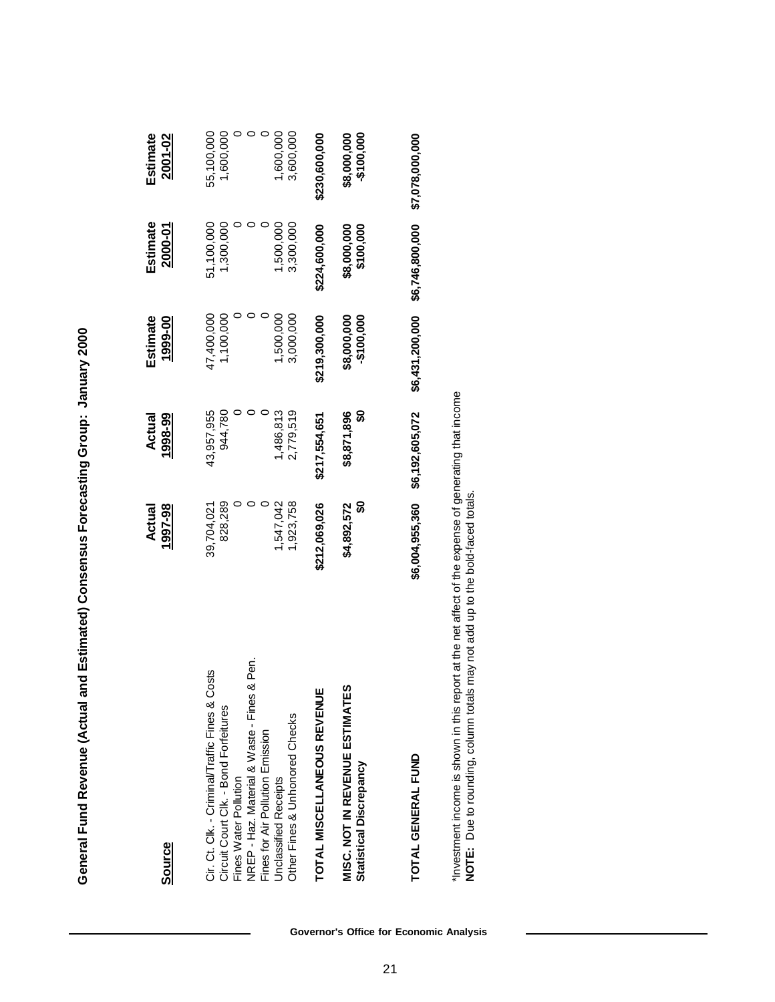| ١<br>Ĺ<br>I |
|-------------|
|             |
| i           |
|             |
|             |
|             |
| I           |

| <b>Source</b>                                                                                                                                                                                                                                                                                                                                                                       | 1997-98<br>Actual                                                                    | 1998-99<br>Actual                                                                      | Estimate<br>1999-00                                                                           | Estimate<br>2000-01                                                                            | Estimate<br>2001-02                                                                             |
|-------------------------------------------------------------------------------------------------------------------------------------------------------------------------------------------------------------------------------------------------------------------------------------------------------------------------------------------------------------------------------------|--------------------------------------------------------------------------------------|----------------------------------------------------------------------------------------|-----------------------------------------------------------------------------------------------|------------------------------------------------------------------------------------------------|-------------------------------------------------------------------------------------------------|
| & Pen.<br>Cir. Ct. Clk. - Criminal/Traffic Fines & Costs<br>ທ<br>ш<br>NREP - Haz. Material & Waste - Fines<br>TOTAL MISCELLANEOUS REVENU<br><b>MISC. NOT IN REVENUE ESTIMATE</b><br>Circuit Court Clk. - Bond Forfeitures<br>Other Fines & Unhonored Checks<br>Fines for Air Pollution Emission<br><b>Statistical Discrepancy</b><br>Fines Water Pollution<br>Unclassified Receipts | 828,289<br>,547,042<br>န္တ<br>,923,758<br>\$4,892,572<br>\$212,069,026<br>39,704,021 | 944,780<br>2,779,519<br>န္တ<br>43,957,955<br>1,486,813<br>\$8,871,896<br>\$217,554,651 | 1,100,000<br>3,000,000<br>47,400,000<br>500,000<br>\$219,300,000<br>-\$100,000<br>\$8,000,000 | 1,300,000<br>51,100,000<br>1,500,000<br>3,300,000<br>\$224,600,000<br>\$100,000<br>\$8,000,000 | 1,600,000<br>1,600,000<br>55,100,000<br>3,600,000<br>\$230,600,000<br>-\$100,000<br>\$8,000,000 |
| TOTAL GENERAL FUND                                                                                                                                                                                                                                                                                                                                                                  | \$6,004,955,360                                                                      | \$6,192,605,072                                                                        | \$6,431,200,000                                                                               | \$6,746,800,000                                                                                | \$7,078,000,000                                                                                 |

\*Investment income is shown in this report at the net affect of the expense of generating that income<br>NOTE: Due to rounding, column totals may not add up to the bold-faced totals. \*Investment income is shown in this report at the net affect of the expense of generating that income **NOTE:** Due to rounding, column totals may not add up to the bold-faced totals.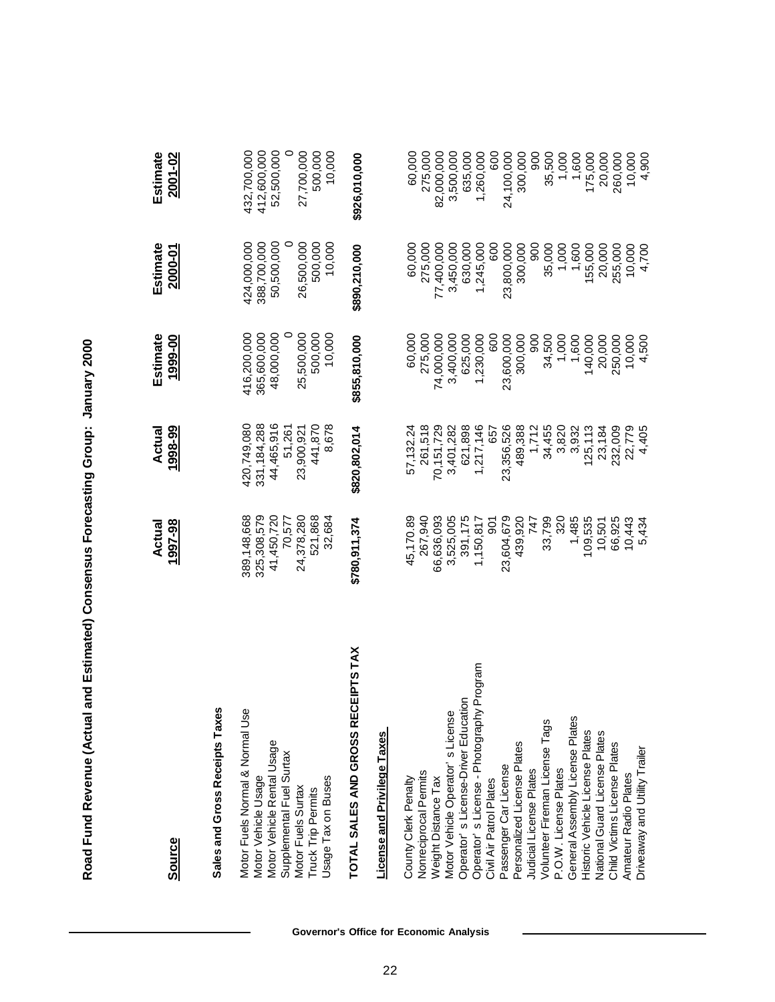| <b>Source</b>                                                                                                                                                                             | 1997-98<br>Actual                                                                     | 1998-99<br>Actual                                                                      | Estimate<br>1999-00                                                         | Estimate<br>2000-01                                                         | Estimate<br>2001-02                                                              |
|-------------------------------------------------------------------------------------------------------------------------------------------------------------------------------------------|---------------------------------------------------------------------------------------|----------------------------------------------------------------------------------------|-----------------------------------------------------------------------------|-----------------------------------------------------------------------------|----------------------------------------------------------------------------------|
| Sales and Gross Receipts Taxes                                                                                                                                                            |                                                                                       |                                                                                        |                                                                             |                                                                             |                                                                                  |
| Motor Fuels Normal & Normal Use<br>Motor Vehicle Rental Usage<br>Supplemental Fuel Surtax<br>Motor Vehicle Usage<br>Usage Tax on Buses<br>Motor Fuels Surtax<br><b>Truck Trip Permits</b> | 325,308,579<br>41,450,720<br>389,148,668<br>24,378,280<br>521,868<br>70,577<br>32,684 | 420,749,080<br>331, 184, 288<br>44,465,916<br>441,870<br>8,678<br>51,261<br>23,900,921 | 48,000,000<br>416,200,000<br>365,600,000<br>25,500,000<br>500,000<br>10,000 | 424,000,000<br>388,700,000<br>50,500,000<br>26,500,000<br>500,000<br>10,000 | 412,600,000<br>52,500,000<br>0<br>27,700,000<br>10,000<br>432,700,000<br>500,000 |
| CEIPTS TAX<br>TOTAL SALES AND GROSS RE                                                                                                                                                    | \$780,911,374                                                                         | \$820,802,014                                                                          | \$855,810,000                                                               | \$890,210,000                                                               | \$926,010,000                                                                    |
| License and Privilege Taxes                                                                                                                                                               |                                                                                       |                                                                                        |                                                                             |                                                                             |                                                                                  |
|                                                                                                                                                                                           |                                                                                       |                                                                                        |                                                                             |                                                                             |                                                                                  |
| County Clerk Penalty                                                                                                                                                                      | 45,170.89                                                                             | 57,132.24                                                                              | 60,000                                                                      | 60,000                                                                      | 60,000                                                                           |
| Nonreciprocal Permits                                                                                                                                                                     | 267,940                                                                               | 261,518                                                                                | 275,000                                                                     | 275,000                                                                     | 275,000                                                                          |
| Weight Distance Tax                                                                                                                                                                       | 66,636,093                                                                            | 70,151,729                                                                             | 74,000,000                                                                  | 77,400,000                                                                  | 82,000,000                                                                       |
| Motor Vehicle Operator's License                                                                                                                                                          | 3,525,005                                                                             | 3,401,282                                                                              | 3,400,000                                                                   | 3,450,000                                                                   | 3,500,000                                                                        |
| Operator' s License-Driver Education                                                                                                                                                      | 391,175                                                                               | 621,898                                                                                | 625,000                                                                     | 630,000                                                                     | 635,000                                                                          |
| Operator' s License - Photography Program                                                                                                                                                 | 1,150,817                                                                             | 1,217,146                                                                              | 1,230,000                                                                   | 1,245,000                                                                   | 1,260,000                                                                        |
| Civil Air Patrol Plates                                                                                                                                                                   | $\overline{5}$                                                                        | 657                                                                                    | 600                                                                         | 600                                                                         | 600                                                                              |
| Passenger Car License                                                                                                                                                                     | 23,604,679                                                                            | 23,356,526                                                                             | 23,600,000                                                                  | 23,800,000                                                                  | 24,100,000                                                                       |
| Personalized License Plates                                                                                                                                                               | 439,920                                                                               | 489,388                                                                                | 300,000                                                                     | 300,000                                                                     | 300,000                                                                          |
| Judicial License Plates                                                                                                                                                                   | 747                                                                                   | 1,712                                                                                  | 900                                                                         | 800                                                                         | 900                                                                              |
| Volunteer Fireman License Tags                                                                                                                                                            | 33,799                                                                                | 34,455                                                                                 | 34,500                                                                      | 35,000                                                                      | 35,500                                                                           |
| P.O.W. License Plates                                                                                                                                                                     | 320                                                                                   | 3,820                                                                                  | 1,000                                                                       | 1,000                                                                       | 1,000                                                                            |
| General Assembly License Plates                                                                                                                                                           | 1,485                                                                                 | 3,932                                                                                  | 1,600                                                                       | 1,600                                                                       | 1,600                                                                            |
| Historic Vehicle License Plates                                                                                                                                                           | 109,535                                                                               | 125, 113                                                                               | 140,000                                                                     | 155,000                                                                     | 175,000                                                                          |
| National Guard License Plates                                                                                                                                                             | 10,501                                                                                | 23,184                                                                                 | 20,000                                                                      | 20,000                                                                      | 20,000                                                                           |
| Child Victims License Plates                                                                                                                                                              | 66,925                                                                                | 232,009                                                                                | 250,000                                                                     | 255,000                                                                     | 260,000                                                                          |
| Amateur Radio Plates                                                                                                                                                                      | 10,443                                                                                | 22,779                                                                                 | 10,000                                                                      | 10,000                                                                      | 10,000                                                                           |
| Driveaway and Utility Trailer                                                                                                                                                             | 5,434                                                                                 | 4,405                                                                                  | 4,500                                                                       | 4,700                                                                       | 4,900                                                                            |

# Road Fund Revenue (Actual and Estimated) Consensus Forecasting Group: January 2000 **Road Fund Revenue (Actual and Estimated) Consensus Forecasting Group: January 2000**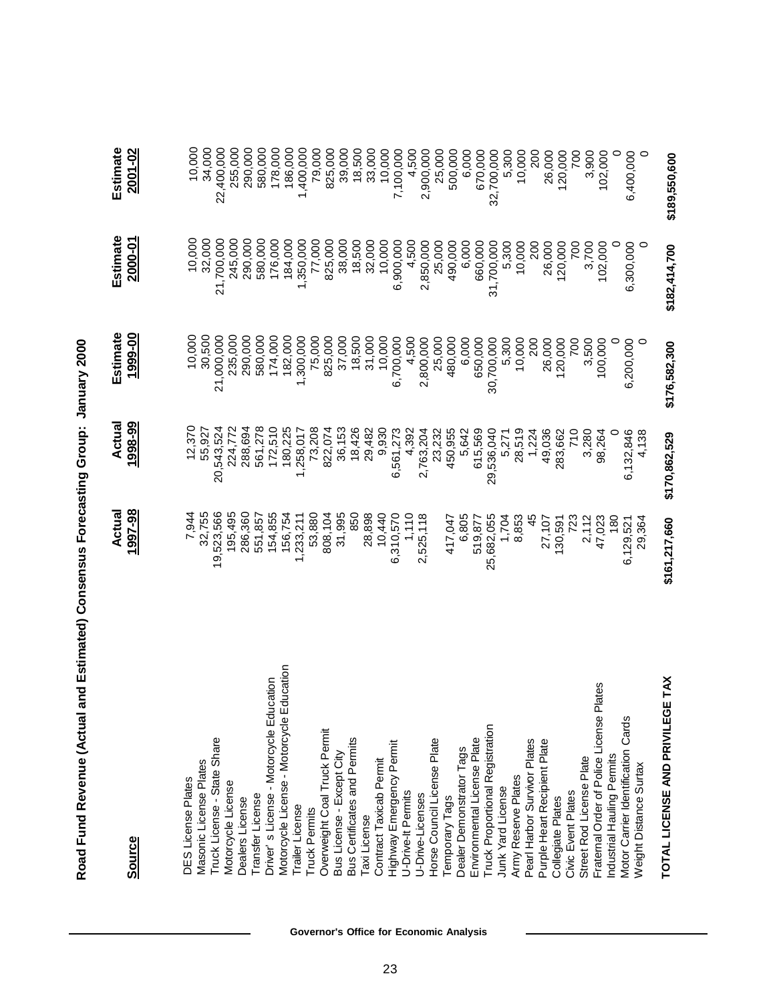| <b>Source</b>                                                                                                                                                                                                                                                                                                                                                                                                                                                                                                                                                                                                                                                                                                                                                                                                                                                                                                                                                                          | 1997-98<br>Actual                                                                                                                                                                                                                                                                                                                                | 1998-99<br>Actual                                                                                                                                                                                                                                                                                                                                         | Estimate<br>1999-00                                                                                                                                                                                                                                                                                                                              | Estimate<br>2000-01                                                                                                                                                                                                                                                                                                                                          | Estimate<br>2001-02                                                                                                                                                                                                                                                                                                                                                |
|----------------------------------------------------------------------------------------------------------------------------------------------------------------------------------------------------------------------------------------------------------------------------------------------------------------------------------------------------------------------------------------------------------------------------------------------------------------------------------------------------------------------------------------------------------------------------------------------------------------------------------------------------------------------------------------------------------------------------------------------------------------------------------------------------------------------------------------------------------------------------------------------------------------------------------------------------------------------------------------|--------------------------------------------------------------------------------------------------------------------------------------------------------------------------------------------------------------------------------------------------------------------------------------------------------------------------------------------------|-----------------------------------------------------------------------------------------------------------------------------------------------------------------------------------------------------------------------------------------------------------------------------------------------------------------------------------------------------------|--------------------------------------------------------------------------------------------------------------------------------------------------------------------------------------------------------------------------------------------------------------------------------------------------------------------------------------------------|--------------------------------------------------------------------------------------------------------------------------------------------------------------------------------------------------------------------------------------------------------------------------------------------------------------------------------------------------------------|--------------------------------------------------------------------------------------------------------------------------------------------------------------------------------------------------------------------------------------------------------------------------------------------------------------------------------------------------------------------|
| Motorcycle License - Motorcycle Education<br>Driver's License - Motorcycle Education<br>Fraternal Order of Police License Plates<br>Cards<br>Truck Proportional Registration<br>Overweight Coal Truck Permit<br><b>Bus Certificates and Permits</b><br>Environmental License Plate<br>Truck License - State Share<br>Horse Council License Plate<br>Pearl Harbor Survivor Plates<br>Purple Heart Recipient Plate<br>Highway Emergency Permit<br>Dealer Demonstrator Tags<br>Motor Carrier Identification<br>Bus License - Except City<br>Industrial Hauling Permits<br>Street Rod License Plate<br>Contract Taxicab Permit<br>Masonic License Plates<br>Weight Distance Surtax<br>Army Reserve Plates<br>DES License Plates<br>Motorcycle License<br>Junk Yard License<br><b>Civic Event Plates</b><br>U-Drive-It Permits<br>Transfer License<br>U-Drive-Licenses<br>Temporary Tags<br>Collegiate Plates<br>Dealers License<br>Trailer License<br>Truck Permits<br><b>Taxi License</b> | 19,523,566<br>195,495<br>286,360<br>7,944<br>32,755<br>154,855<br>156,754<br>31,995<br>850<br>28,898<br>10,440<br>551,857<br>53,880<br>808,104<br>6,310,570<br>1,110<br>2,525,118<br>1,233,211<br>6,805<br>25,682,055<br>45<br>1,704<br>8,853<br>47,023<br>417,047<br>519,877<br>723<br>2,112<br>180<br>27,107<br>130,591<br>29,364<br>6,129,521 | 12,370<br>561,278<br>20,543,524<br>224,772<br>288,694<br>180,225<br>73,208<br>172,510<br>822,074<br>36,153<br>18,426<br>1,258,017<br>29,482<br>9,930<br>55,927<br>6,561,273<br>450,955<br>615,569<br>2,763,204<br>23,232<br>5,642<br>28,519<br>49,036<br>4,392<br>29,536,040<br>283,662<br>710<br>3,280<br>1,224<br>98,264<br>6,132,846<br>4,138<br>5,271 | 10,000<br>30,500<br>235,000<br>290,000<br>21,000,000<br>580,000<br>174,000<br>182,000<br>1,300,000<br>75,000<br>825,000<br>37,000<br>18,500<br>31,000<br>10,000<br>6,700,000<br>4,500<br>25,000<br>480,000<br>650,000<br>2,800,000<br>6,000<br>200<br>30,700,000<br>5,300<br>10,000<br>26,000<br>120,000<br>3,500<br>700<br>100,000<br>6,200,000 | 10,000<br>32,000<br>21,700,000<br>245,000<br>290,000<br>580,000<br>184,000<br>176,000<br>1,350,000<br>77,000<br>32,000<br>825,000<br>38,000<br>18,500<br>10,000<br>4,500<br>6,900,000<br>2,850,000<br>25,000<br>490,000<br>6,000<br>660,000<br>31,700,000<br>5,300<br>10,000<br>200<br>6,300,000<br>26,000<br>102,000<br>120,000<br>$\overline{20}$<br>3,700 | 10,000<br>34,000<br>22,400,000<br>255,000<br>580,000<br>178,000<br>290,000<br>186,000<br>1,400,000<br>79,000<br>825,000<br>39,000<br>18,500<br>33,000<br>10,000<br>7,100,000<br>4,500<br>2,900,000<br>25,000<br>500,000<br>670,000<br>6,400,000<br>6,000<br>32,700,000<br>5,300<br>200<br>102,000<br>$\circ$<br>10,000<br>26,000<br>120,000<br>3,900<br><b>POZ</b> |
| <b>IETAX</b><br>TOTAL LICENSE AND PRIVILEG                                                                                                                                                                                                                                                                                                                                                                                                                                                                                                                                                                                                                                                                                                                                                                                                                                                                                                                                             | \$161,217,660                                                                                                                                                                                                                                                                                                                                    | \$170,862,529                                                                                                                                                                                                                                                                                                                                             | \$176,582,300                                                                                                                                                                                                                                                                                                                                    | \$182,414,700                                                                                                                                                                                                                                                                                                                                                | \$189,550,600                                                                                                                                                                                                                                                                                                                                                      |

Road Fund Revenue (Actual and Estimated) Consensus Forecasting Group: January 2000 **Road Fund Revenue (Actual and Estimated) Consensus Forecasting Group: January 2000**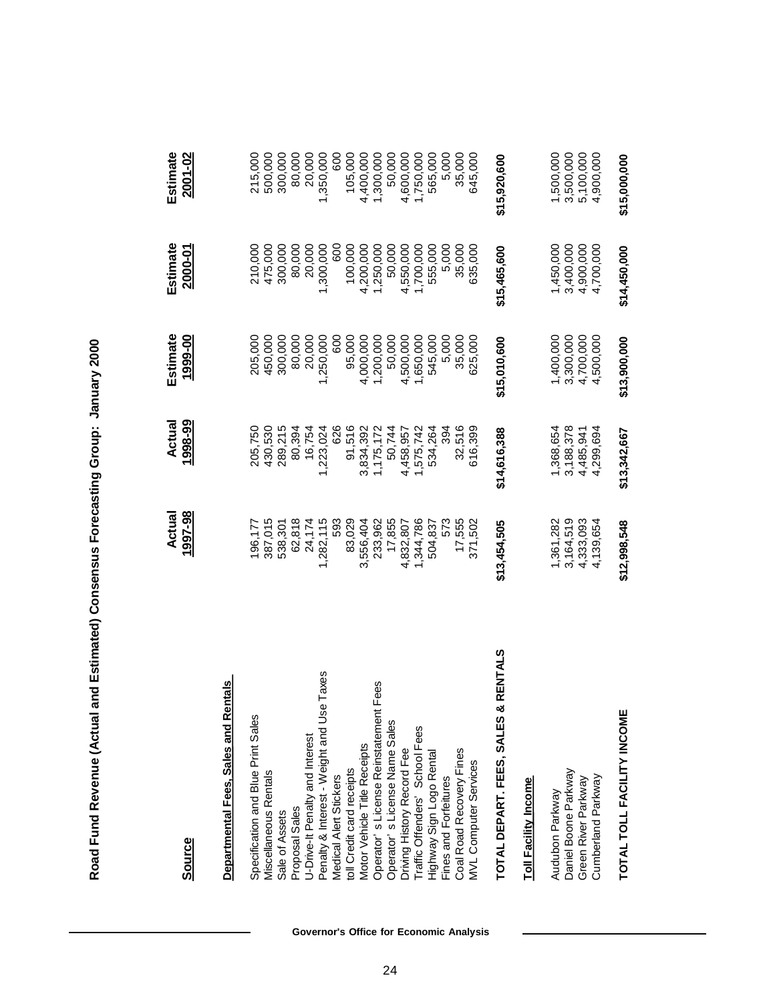| <b>Source</b>                               | 1997-98<br>Actual | 1998-99<br>Actual | Estimate<br>1999-00 | Estimate<br>2000-01 | Estimate<br>2001-02 |
|---------------------------------------------|-------------------|-------------------|---------------------|---------------------|---------------------|
| <b>Departmental Fees, Sales and Rentals</b> |                   |                   |                     |                     |                     |
| Specification and Blue Print Sales          | 196,177           | 205,750           | 205,000             | 210,000             | 215,000             |
| Miscellaneous Rentals                       | 387,015           | 430,530           | 450,000             | 475,000             | 500,000             |
| Sale of Assets                              | 538,301           | 289,215           | 300,000             | 300,000             | 300,000             |
| Proposal Sales                              | 62,818            | 80,394            | 80,000              | 80,000              | 80,000              |
| U-Drive-It Penalty and Interest             | 24,174            | 16,754            | 20,000              | 20,000              | 20,000              |
| Penalty & Interest - Weight and Use Taxes   | 1,282,115         | 1,223,024         | 1,250,000           | 1,300,000           | 1,350,000           |
| Medical Alert Stickers                      | 593               | 626               | 600                 | 600                 | 600                 |
| toll Credit card receipts                   | 83,029            | 91,516            | 95,000              | 100,000             | 105,000             |
| Motor Vehicle Title Receipts                | 3,556,404         | 3,834,392         | 4,000,000           | 4,200,000           | 4,400,000           |
| Fees<br>Operator's License Reinstatement    | 233,962           | 1,175,172         | 1,200,000           | 1,250,000           | 1,300,000           |
| Operator's License Name Sales               | 17,855            | 50,744            | 50,000              | 50,000              | 50,000              |
| Driving History Record Fee                  | 4,832,807         | 4,458,957         | 4,500,000           | 4,550,000           | 4,600,000           |
| Traffic Offenders' School Fees              | 1,344,786         | 1,575,742         | 1,650,000           | 1,700,000           | 1,750,000           |
| Highway Sign Logo Rental                    | 504,837           | 534,264           | 545,000             | 555,000             | 565,000             |
| Fines and Forfeitures                       | 573               | 394               | 5,000               | 5,000               | 5,000               |
| Coal Road Recovery Fines                    | 17,555            | 32,516            | 35,000              | 35,000              | 35,000              |
| <b>MVL Computer Services</b>                | 371,502           | 616,399           | 625,000             | 635,000             | 645,000             |
| & RENTALS<br>TOTAL DEPART. FEES, SALES      | \$13,454,505      | \$14,616,388      | \$15,010,600        | \$15,465,600        | \$15,920,600        |
| <b>Toll Facility Income</b>                 |                   |                   |                     |                     |                     |
| Audubon Parkway                             | 1,361,282         | 1,368,654         | 1,400,000           | 1,450,000           | 1,500,000           |
| Daniel Boone Parkway                        | 3,164,519         | 3,188,378         | 3,300,000           | 3,400,000           | 3,500,000           |
| Green River Parkway                         | 4,333,093         | 4,485,941         | 4,700,000           | 4,900,000           | 5,100,000           |
| Cumberland Parkway                          | 4,139,654         | 4,299,694         | 4,500,000           | 4,700,000           | 4,900,000           |
| TOTAL TOLL FACILITY INCOME                  | \$12,998,548      | \$13,342,667      | \$13,900,000        | \$14,450,000        | \$15,000,000        |

Road Fund Revenue (Actual and Estimated) Consensus Forecasting Group: January 2000 **Road Fund Revenue (Actual and Estimated) Consensus Forecasting Group: January 2000**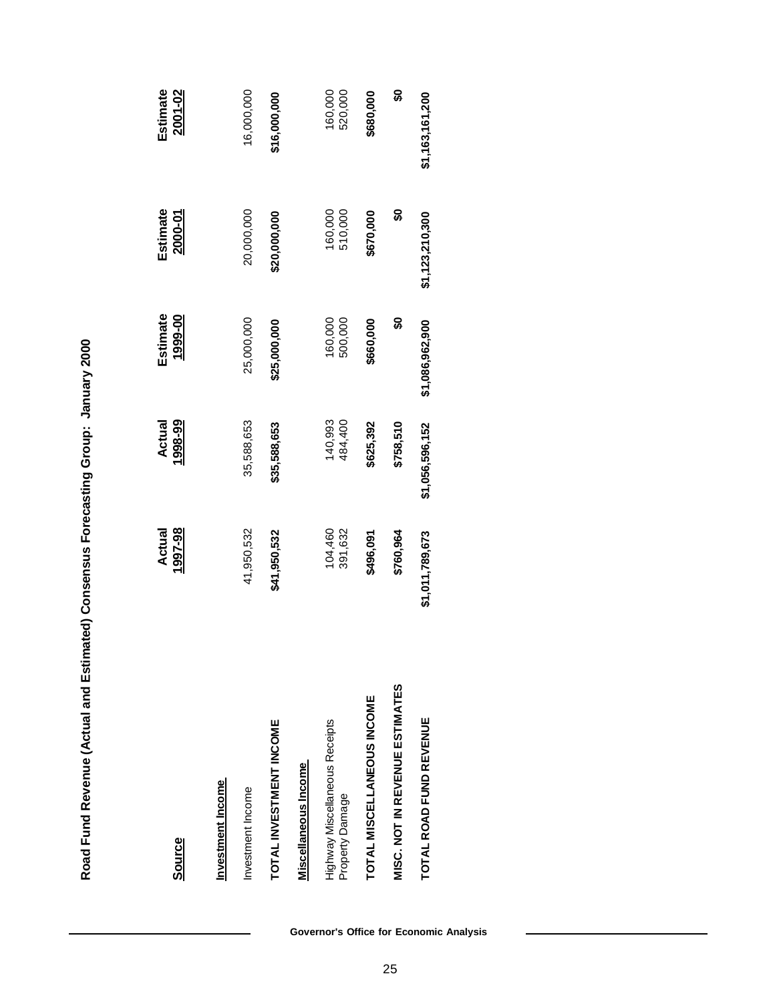| Source                                            | 1997-98<br>Actual  | Actual<br>1998-99  | Estimate<br>1999-00 | Estimate<br>2000-01 | Estimate<br>2001-02 |
|---------------------------------------------------|--------------------|--------------------|---------------------|---------------------|---------------------|
| Investment Income                                 |                    |                    |                     |                     |                     |
| Investment Income                                 | 41,950,532         | 35,588,653         | 25,000,000          | 20,000,000          | 16,000,000          |
| TOTAL INVESTMENT INCOME                           | \$41,950,532       | \$35,588,653       | \$25,000,000        | \$20,000,000        | \$16,000,000        |
| Miscellaneous Income                              |                    |                    |                     |                     |                     |
| Highway Miscellaneous Receipts<br>Property Damage | 104,460<br>391,632 | 140,993<br>484,400 | 160,000<br>500,000  | 160,000<br>510,000  | 160,000<br>520,000  |
| TOTAL MISCELLANEOUS INCOME                        | \$496,091          | \$625,392          | \$660,000           | \$670,000           | \$680,000           |
| <b>MISC. NOT IN REVENUE ESTIMATES</b>             | \$760,964          | \$758,510          | S                   | င္တ                 | န္တ                 |
| TOTAL ROAD FUND REVENUE                           | \$1,011,789,673    | \$1,056,596,152    | \$1,086,962,900     | \$1,123,210,300     | \$1,163,161,200     |

Road Fund Revenue (Actual and Estimated) Consensus Forecasting Group: January 2000 **Road Fund Revenue (Actual and Estimated) Consensus Forecasting Group: January 2000**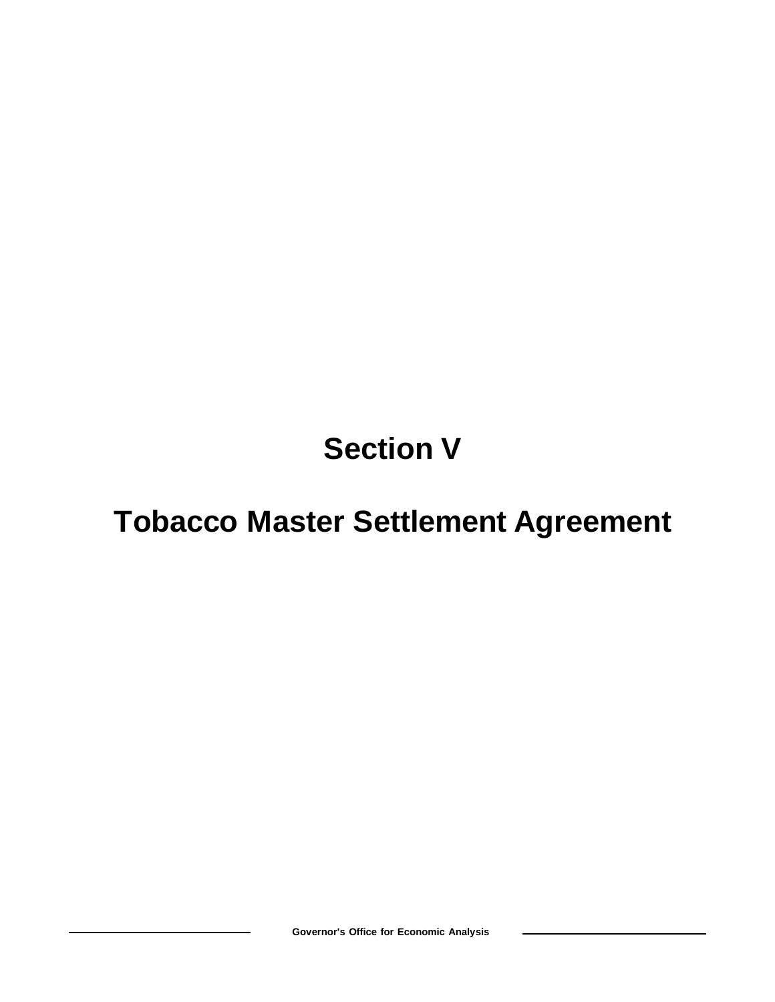## **Section V**

### **Tobacco Master Settlement Agreement**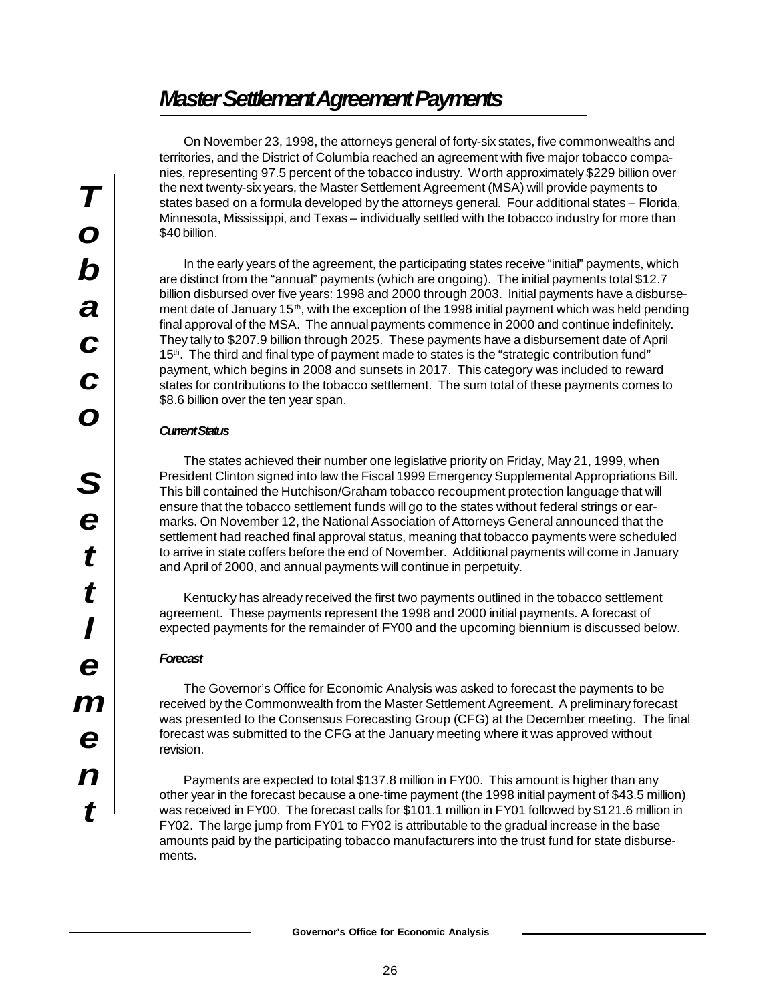### *Master Settlement Agreement Payments*

On November 23, 1998, the attorneys general of forty-six states, five commonwealths and territories, and the District of Columbia reached an agreement with five major tobacco companies, representing 97.5 percent of the tobacco industry. Worth approximately \$229 billion over the next twenty-six years, the Master Settlement Agreement (MSA) will provide payments to states based on a formula developed by the attorneys general. Four additional states – Florida, Minnesota, Mississippi, and Texas – individually settled with the tobacco industry for more than \$40 billion.

In the early years of the agreement, the participating states receive "initial" payments, which are distinct from the "annual" payments (which are ongoing). The initial payments total \$12.7 billion disbursed over five years: 1998 and 2000 through 2003. Initial payments have a disbursement date of January 15<sup>th</sup>, with the exception of the 1998 initial payment which was held pending final approval of the MSA. The annual payments commence in 2000 and continue indefinitely. They tally to \$207.9 billion through 2025. These payments have a disbursement date of April 15<sup>th</sup>. The third and final type of payment made to states is the "strategic contribution fund" payment, which begins in 2008 and sunsets in 2017. This category was included to reward states for contributions to the tobacco settlement. The sum total of these payments comes to \$8.6 billion over the ten year span.

#### *Current Status*

The states achieved their number one legislative priority on Friday, May 21, 1999, when President Clinton signed into law the Fiscal 1999 Emergency Supplemental Appropriations Bill. This bill contained the Hutchison/Graham tobacco recoupment protection language that will ensure that the tobacco settlement funds will go to the states without federal strings or earmarks. On November 12, the National Association of Attorneys General announced that the settlement had reached final approval status, meaning that tobacco payments were scheduled to arrive in state coffers before the end of November. Additional payments will come in January and April of 2000, and annual payments will continue in perpetuity.

Kentucky has already received the first two payments outlined in the tobacco settlement agreement. These payments represent the 1998 and 2000 initial payments. A forecast of expected payments for the remainder of FY00 and the upcoming biennium is discussed below.

#### *Forecast*

The Governor's Office for Economic Analysis was asked to forecast the payments to be received by the Commonwealth from the Master Settlement Agreement. A preliminary forecast was presented to the Consensus Forecasting Group (CFG) at the December meeting. The final forecast was submitted to the CFG at the January meeting where it was approved without revision.

Payments are expected to total \$137.8 million in FY00. This amount is higher than any other year in the forecast because a one-time payment (the 1998 initial payment of \$43.5 million) was received in FY00. The forecast calls for \$101.1 million in FY01 followed by \$121.6 million in FY02. The large jump from FY01 to FY02 is attributable to the gradual increase in the base amounts paid by the participating tobacco manufacturers into the trust fund for state disbursements.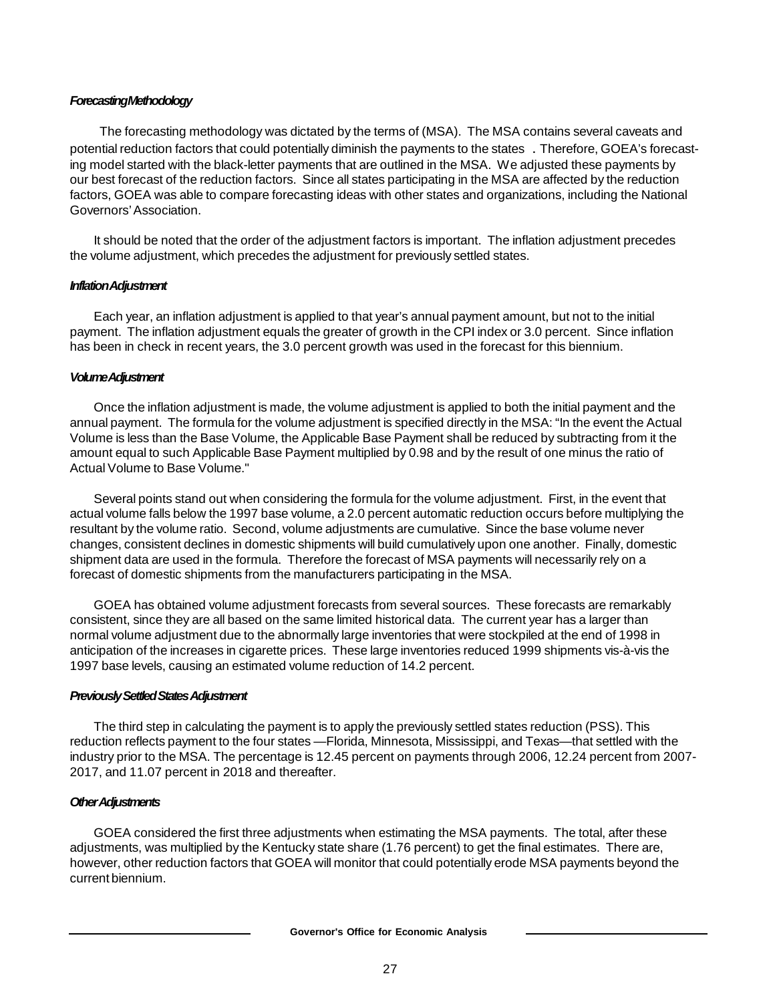#### *Forecasting Methodology*

 The forecasting methodology was dictated by the terms of (MSA). The MSA contains several caveats and potential reduction factors that could potentially diminish the payments to the states . Therefore, GOEA's forecasting model started with the black-letter payments that are outlined in the MSA. We adjusted these payments by our best forecast of the reduction factors. Since all states participating in the MSA are affected by the reduction factors, GOEA was able to compare forecasting ideas with other states and organizations, including the National Governors' Association.

It should be noted that the order of the adjustment factors is important. The inflation adjustment precedes the volume adjustment, which precedes the adjustment for previously settled states.

#### *Inflation Adjustment*

Each year, an inflation adjustment is applied to that year's annual payment amount, but not to the initial payment. The inflation adjustment equals the greater of growth in the CPI index or 3.0 percent. Since inflation has been in check in recent years, the 3.0 percent growth was used in the forecast for this biennium.

#### *Volume Adjustment*

Once the inflation adjustment is made, the volume adjustment is applied to both the initial payment and the annual payment. The formula for the volume adjustment is specified directly in the MSA: "In the event the Actual Volume is less than the Base Volume, the Applicable Base Payment shall be reduced by subtracting from it the amount equal to such Applicable Base Payment multiplied by 0.98 and by the result of one minus the ratio of Actual Volume to Base Volume."

Several points stand out when considering the formula for the volume adjustment. First, in the event that actual volume falls below the 1997 base volume, a 2.0 percent automatic reduction occurs before multiplying the resultant by the volume ratio. Second, volume adjustments are cumulative. Since the base volume never changes, consistent declines in domestic shipments will build cumulatively upon one another. Finally, domestic shipment data are used in the formula. Therefore the forecast of MSA payments will necessarily rely on a forecast of domestic shipments from the manufacturers participating in the MSA.

GOEA has obtained volume adjustment forecasts from several sources. These forecasts are remarkably consistent, since they are all based on the same limited historical data. The current year has a larger than normal volume adjustment due to the abnormally large inventories that were stockpiled at the end of 1998 in anticipation of the increases in cigarette prices. These large inventories reduced 1999 shipments vis-à-vis the 1997 base levels, causing an estimated volume reduction of 14.2 percent.

#### *Previously Settled States Adjustment*

The third step in calculating the payment is to apply the previously settled states reduction (PSS). This reduction reflects payment to the four states — Florida, Minnesota, Mississippi, and Texas— that settled with the industry prior to the MSA. The percentage is 12.45 percent on payments through 2006, 12.24 percent from 2007- 2017, and 11.07 percent in 2018 and thereafter.

#### *Other Adjustments*

GOEA considered the first three adjustments when estimating the MSA payments. The total, after these adjustments, was multiplied by the Kentucky state share (1.76 percent) to get the final estimates. There are, however, other reduction factors that GOEA will monitor that could potentially erode MSA payments beyond the current biennium.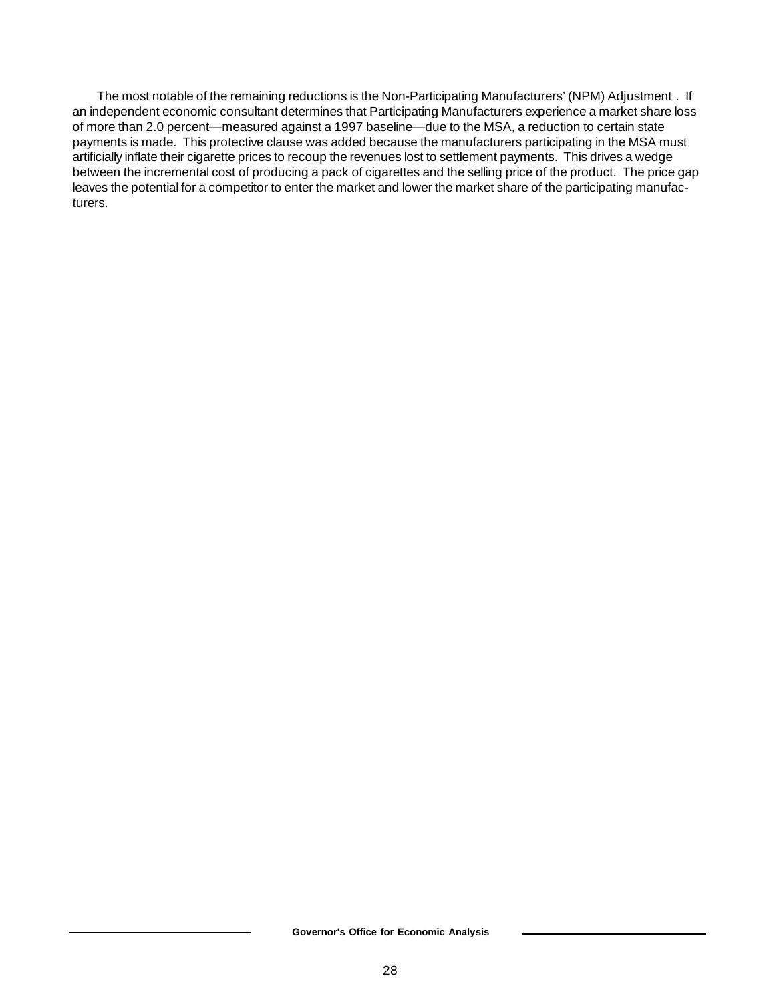The most notable of the remaining reductions is the Non-Participating Manufacturers' (NPM) Adjustment *.* If an independent economic consultant determines that Participating Manufacturers experience a market share loss of more than 2.0 percent— measured against a 1997 baseline— due to the MSA, a reduction to certain state payments is made. This protective clause was added because the manufacturers participating in the MSA must artificially inflate their cigarette prices to recoup the revenues lost to settlement payments. This drives a wedge between the incremental cost of producing a pack of cigarettes and the selling price of the product. The price gap leaves the potential for a competitor to enter the market and lower the market share of the participating manufacturers.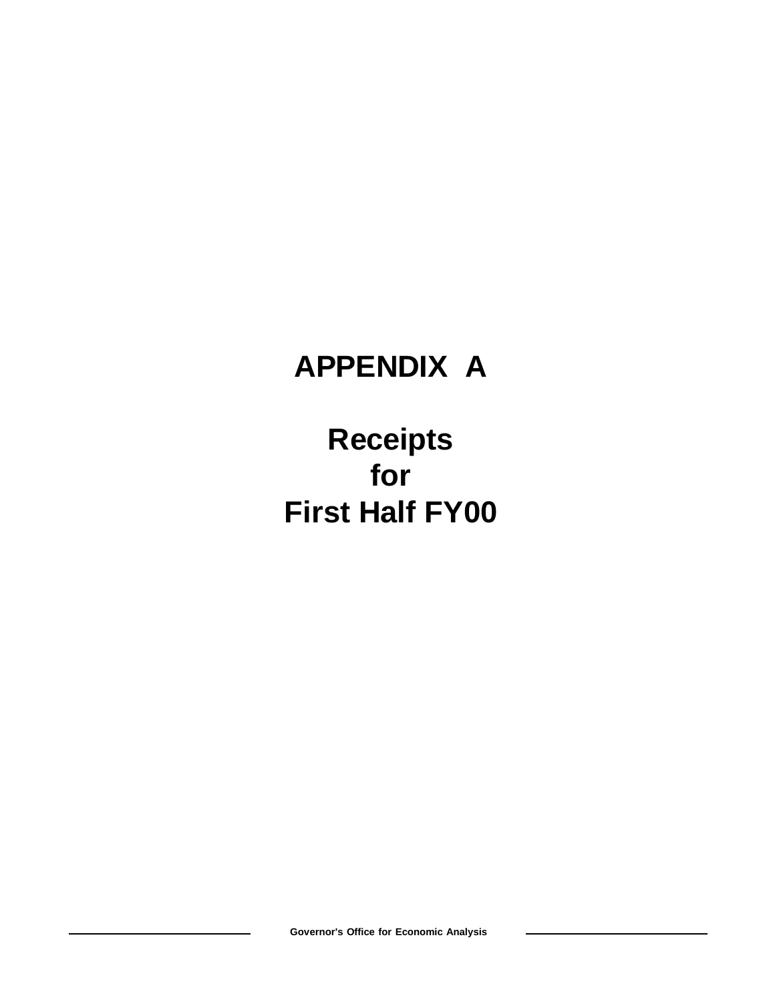## **APPENDIX A**

## **Receipts for First Half FY00**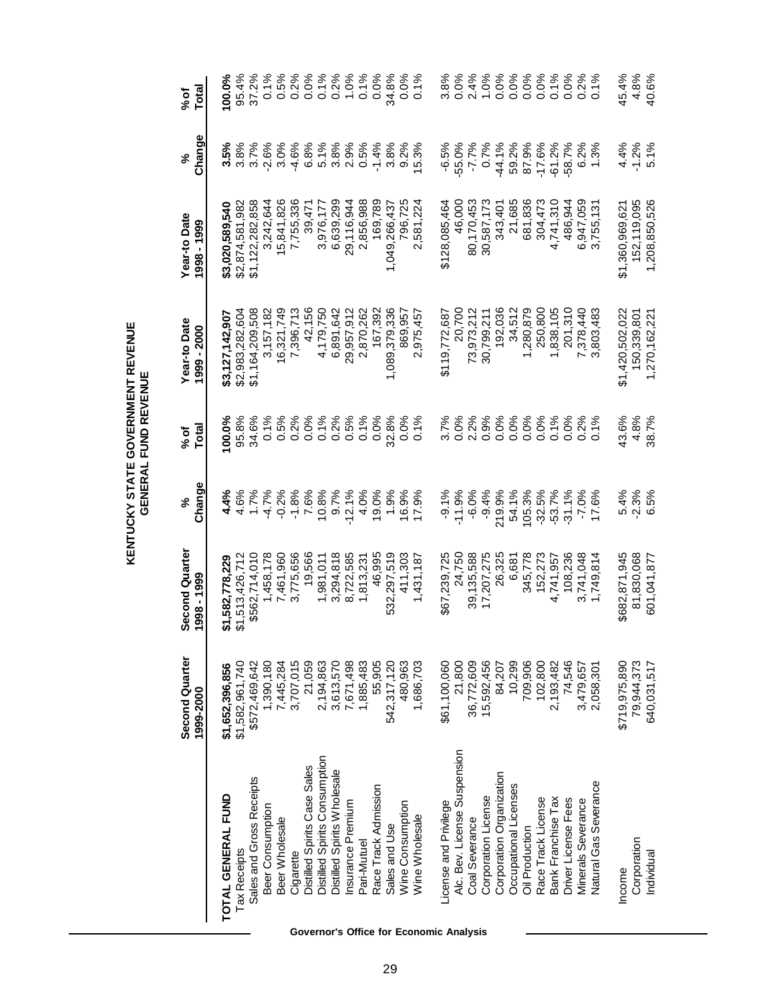| <b>STATE GOVERNMENT REVENU</b><br><b>UND REVENU</b><br><b>GENERAL F</b><br><b>KENTUCKY</b> |
|--------------------------------------------------------------------------------------------|
|--------------------------------------------------------------------------------------------|

|                               | Second Quarter<br>1999-2000 | Second Quarter<br>1998 - 1999 | Change   | Total<br>% of | Year-to Date<br>1999 - 2000         | Year-to Date<br>1998 - 1999  | Change                         | Total<br>% of |
|-------------------------------|-----------------------------|-------------------------------|----------|---------------|-------------------------------------|------------------------------|--------------------------------|---------------|
| TOTAL GENERAL FUND            | \$1,652,396,856             | \$1,582,778,229               | 4.4%     | 100.0%        | \$3,127,142,907                     | \$3,020,589,540              | 3.5%                           | $100.0\%$     |
| <b>Tax Receipts</b>           | \$1,582,961,740             | \$1,513,426,712               | 4.6%     | 95.8%         | \$2,983,282,604                     | \$2,874,581,982              | 3.8%                           | 95.4%         |
| Sales and Gross Receipts      | \$572,469,642               | \$562,714,010                 | 1.7%     | 34.6%         | \$1,164,209,508                     | \$1,122,282,858              | 3.7%                           | 37.2%         |
| Beer Consumption              | 1,390,180                   | 1,458,178                     | $-4.7%$  | 0.1%          | 3,157,182                           | 3,242,644                    | $-2.6%$                        | 0.1%          |
| Beer Wholesale                | 7,445,284                   | 7,461,960                     | $-0.2%$  | 0.5%          | 16,321,749                          | 15,841,826                   | 3.0%                           | 0.5%          |
| Cigarette                     | 3,707,015                   | 3,775,656                     | $-1.8%$  | 0.2%          | 7,396,713                           | 7,755,336                    | $-4.6%$                        | 0.2%          |
| Distilled Spirits Case Sales  | 21,059                      | 19,566                        | 7.6%     | 0.0%          | 42,156                              | 39,471                       | 6.8%                           | 0.0%          |
| Distilled Spirits Consumption | 2,194,863                   | 1,981,011                     | 10.8%    | 0.1%          | 4,179,750                           | 3,976,177                    | 5.1%                           | 0.1%          |
| Distilled Spirits Wholesale   | 3,613,570                   | 3,294,818                     | 9.7%     | $0.2\%$       | 6,891,642                           | 6,639,299                    |                                | $0.2\%$       |
| Insurance Premium             | 7,671,498                   | 8,722,585                     | $-12.1%$ | 0.5%          | 29,957,912                          | 29,116,944                   | 3.8%<br>2.9%                   | 1.0%          |
| Pari-Mutuel                   | 1,885,483                   | 1,813,231                     | 4.0%     | 0.1%          | 870,262<br>$\overline{\mathcal{N}}$ | 2,856,988                    | 0.5%                           | 0.1%          |
| Race Track Admission          | 55,905                      | 46,995                        | 19.0%    | 0.0%          | 167,392                             | 169,789                      | $-1.4%$                        | 0.0%          |
| Sales and Use                 | 542,317,120                 | 532,297,519                   | 1.9%     | 32.8%         | 1,089,379,336                       | 9,266,437<br>$\frac{4}{3}$   | 3.8%                           | 34.8%         |
| Wine Consumption              | 480,963                     | 411,303                       | 16.9%    | 0.0%          | 869,957                             | 796,725                      | 9.2%                           | 0.0%          |
| Wine Wholesale                | 1,686,703                   | 1,431,187                     | 17.9%    | 0.1%          | 975,457<br>Ñ                        | 581,224<br>$\mathbf{\Omega}$ | 5.3%                           | 0.1%          |
| License and Privilege         | \$61,100,060                | \$67,239,725                  | $-9.1\%$ | 3.7%          | \$119,772,687                       | \$128,085,464                | $-6.5%$                        | 3.8%          |
| Alc. Bev. License Suspension  | 21,800                      | 24,750                        | $-11.9%$ |               | 20,700                              | 46,000                       | $-55.0%$                       | 0.0%          |
| Coal Severance                | 36,772,609                  | 39,135,588                    | $-6.0%$  | 0.0%<br>2.2%  | 73,973,212                          | 80,170,453                   | $-7.7%$                        | 2.4%          |
| Corporation License           | 15,592,456                  | 17,207,275                    | $-9.4%$  | 0.9%          | 30,799,211                          | 30,587,173                   | 0.7%                           | 1.0%          |
| Corporation Organization      | 84,207                      | 26,325                        | 219.9%   | 0.0%          | 192,036                             | 343,401                      | $-44.1%$                       | 0.0%          |
| Occupational Licenses         | 10,299                      | 6,681                         | 54.1%    | 0.0%          | 34,512                              | 21,685                       | 59.2%                          | 0.0%          |
| Oil Production                | 709,906                     | 345,778                       | 105.3%   | 0.0%          | 1,280,879                           | 681,836                      | 87.9%                          | 0.0%          |
| Race Track License            | 102,800                     | 152,273                       | $-32.5%$ | 0.0%          | 250,800                             | 304,473                      | $-17.6%$                       | 0.0%          |
| Bank Franchise Tax            | 2,193,482                   | 4,741,957                     | $-53.7%$ | 0.1%          | 1,838,105                           | 4,741,310                    | $-61.2%$                       | 0.1%          |
| Driver License Fees           | 74,546                      | 108,236                       | $-31.1%$ | 0.0%          | 201,310                             | 486,944                      | $-58.7%$                       | 0.0%          |
| Minerals Severance            | 3,479,657                   | 3,741,048                     | $-7.0%$  | 0.2%          | 7,378,440                           | 6,947,059                    | 6.2%                           | 0.2%          |
| Natural Gas Severance         | 2,058,301                   | 1,749,814                     | 17.6%    | 1%            | 803,483<br>ო                        | 3,755,131                    | 3%<br>$\overline{\phantom{0}}$ | 0.1%          |
| Income                        | \$719,975,890               | \$682,871,945                 | 5.4%     | 43.6%         | \$1,420,502,022                     | \$1,360,969,621              |                                | 45.4%         |
| Corporation                   | 79,944,373                  | 81,830,068                    | $-2.3%$  | 4.8%          | 150,339,801                         | 152,119,095                  | 4.4%<br>-1.2%                  | 4.8%          |
| Individual                    | 640,031,517                 | 601,041,877                   | 5%<br>ဖ  | 38.7%         | 1,270,162,221                       | 1,208,850,526                | 5.1%                           | 40.6%         |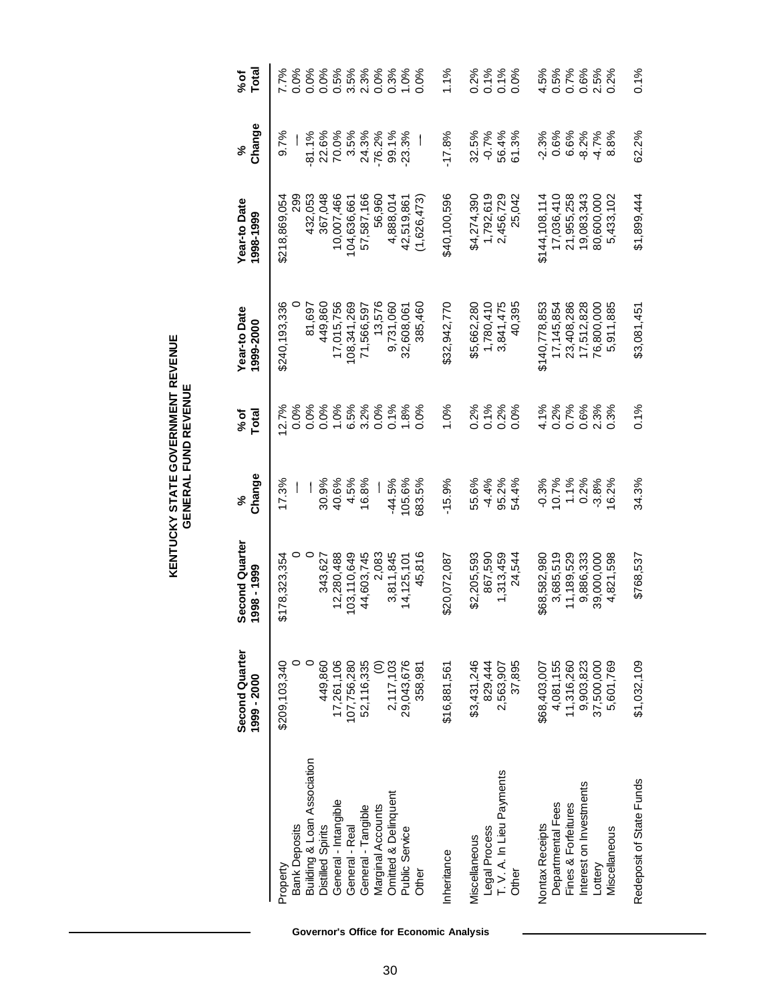| <b>KENTUCKY STATE GOVERNMENT REVENUL</b><br>GENERAL FUND REVENUE |
|------------------------------------------------------------------|
|------------------------------------------------------------------|

|                                            | Second Quarter<br>1999 - 2000 | <b>Second Quarter</b><br>1998 - 1999 | Change<br>వి   | Total<br>%of | Year-to Date<br>1999-2000 | Year-to Date<br>1998-1999 | Change<br>వ్   | Total<br>%of |
|--------------------------------------------|-------------------------------|--------------------------------------|----------------|--------------|---------------------------|---------------------------|----------------|--------------|
| <b>Bank Deposits</b><br>Property           | \$209,103,340                 | \$178,323,354                        | 17.3%          | 0.0%<br>2.7% | \$240,193,336             | တ္လ<br>\$218,869,054      | 9.7%           | 7.7%<br>0.0% |
| Building & Loan Association                |                               | $\circ$                              |                | 0.0%         | 81,697                    | 432,053                   | $-81.1%$       | 0.0%         |
| General - Intangible<br>Distilled Spirits  | 449,860<br>17,261,106         | 12,280,488<br>343.627                | 30.9%<br>40.6% | 0.0%<br>1.0% | 17,015,756<br>449,860     | 367.048<br>10,007,466     | 22.6%<br>70.0% | 0.0%<br>0.5% |
| General - Real                             | 107,756,280                   | 103,110,649                          | 4.5%           | 6.5%         | 108,341,269               | 104,636,661               | 3.5%           | 3.5%         |
| General - Tangible                         | 52,116,335                    | 44,603,745                           | 16.8%          | 3.2%         | 71,566,597                | 57,587,166                | 24.3%          | 2.3%         |
| Marginal Accounts                          | $\widehat{\circ}$             | 2,083                                |                | 0.0%         | 13,576                    | 56,960                    | $-76.2%$       | 0.0%         |
| Omitted & Delinquent                       | 2,117,103                     | 3,811,845                            | $-44.5%$       | 0.1%         | 9,731,060                 | 4,888,014                 | 99.1%          | 0.3%         |
| Public Service                             | 29,043,676                    | 14,125,101                           | 105.6%         | 1.8%         | 32,608,061                | 42,519,861                | 23.3%          | 1.0%         |
| Other                                      | 358,981                       | 45.816                               | 683.5%         | 0.0%         | 385.460                   | (1,626,473)               |                | 0.0%         |
| Inheritance                                | \$16,881,561                  | \$20,072,087                         | $-15.9%$       | 1.0%         | \$32,942,770              | \$40,100,596              | $-17.8%$       | 1.1%         |
| Miscellaneous                              | \$3,431,246                   | \$2,205,593                          | 55.6%          | 0.2%         | \$5,662,280               | \$4,274,390               | 32.5%          | 0.2%         |
| Legal Process<br>T. V. A. In Lieu Payments | 829,444                       | 867,590                              | $-4.4%$        | 0.1%         | 1,780,410                 | 1,792,619                 | $-0.7%$        | 0.1%         |
|                                            | 2,563,907                     | 1,313,459                            | 95.2%          | 0.2%         | 3,841,475                 | 2,456,729                 | 56.4%          | 0.1%         |
| Other                                      | 37,895                        | 24.544                               | 54.4%          | $0.0\%$      | 40.395                    | 25,042                    | 61.3%          | 0.0%         |
| Nontax Receipts                            | \$68,403,007                  | \$68,582,980                         | $-0.3%$        | 4.1%         | \$140,778,853             | \$144,108,114             | $-2.3%$        | 4.5%         |
| Departmental Fees                          | 4,081,155                     | 3,685,519                            | 10.7%          | 0.2%         | 17, 145, 854              | 17,036,410                | 0.6%           | 0.5%         |
| Fines & Forfeitures                        | 11,316,260                    | 11,189,529                           | 1.1%           | 0.7%         | 23,408,286                | 21,955,258                | 6.6%           | 0.7%         |
| Interest on Investments                    | 9,903,823<br>37,500,000       | 9,886,333                            | 0.2%           | 0.6%         | 17,512,828                | 19,083,343                | $-8.2%$        | 0.6%         |
| Lottery                                    |                               | 39,000,000                           | $-3.8%$        | 2.3%         | 76,800,000                | 80,600,000                | $-4.7%$        | 2.5%         |
| Miscellaneous                              | 5,601,769                     | 4,821,598                            | 6.2%           | 0.3%         | 5,911,885                 | 5,433,102                 | 8.8%           | 0.2%         |
| Redeposit of State Funds                   | \$1,032,109                   | \$768.537                            | 34.3%          | 0.1%         | \$3,081,451               | \$1,899,444               | 62.2%          | 0.1%         |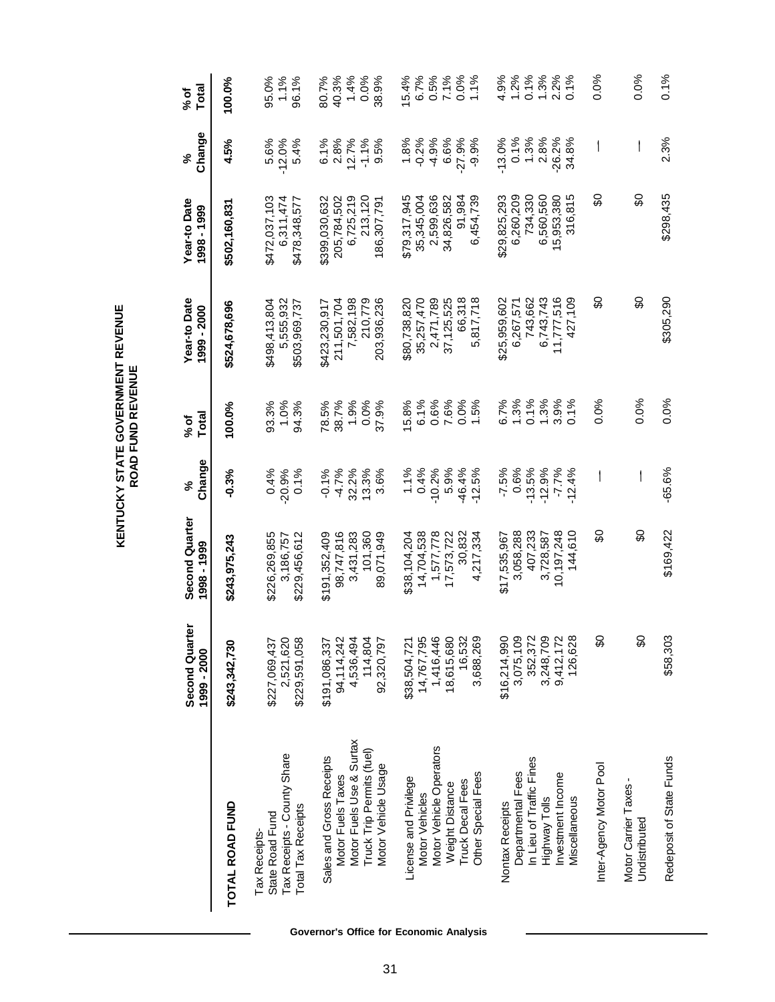|                                                                                                                                        | ē<br>Second Quart<br>1999 - 2000                                             | Second Quarter<br>1998 - 1999                                                | Change<br>వ్                                                   | <b>Total</b><br>% of                          | Year-to Date<br>1999 - 2000                                                  | Year-to Date<br>1998 - 1999                                                  | Change<br>ళ                                               | Total<br>% of                                   |
|----------------------------------------------------------------------------------------------------------------------------------------|------------------------------------------------------------------------------|------------------------------------------------------------------------------|----------------------------------------------------------------|-----------------------------------------------|------------------------------------------------------------------------------|------------------------------------------------------------------------------|-----------------------------------------------------------|-------------------------------------------------|
| TOTAL ROAD FUND                                                                                                                        | \$243,342,730                                                                | \$243,975,243                                                                | $-0.3%$                                                        | 100.0%                                        | \$524,678,696                                                                | \$502,160,831                                                                | 4.5%                                                      | 100.0%                                          |
| Tax Receipts - County Share<br><b>Total Tax Receipts</b><br>State Road Fund<br>Tax Receipts-                                           | \$227,069,437<br>2,521,620<br>\$229,591,058                                  | \$226,269,855<br>3,186,757<br>\$229,456,612                                  | 0.4%<br>$-20.9%$<br>0.1%                                       | 93.3%<br>1.0%<br>94.3%                        | \$498,413,804<br>5,555,932<br>\$503,969,737                                  | \$472,037,103<br>6,311,474<br>\$478,348,577                                  | $-12.0%$<br>5.4%<br>5.6%                                  | 95.0%<br>1.1%<br>96.1%                          |
| Motor Fuels Use & Surtax<br>Truck Trip Permits (fuel)<br>Sales and Gross Receipts<br>Motor Vehicle Usage<br>Motor Fuels Taxes          | \$191,086,337<br>94,114,242<br>4,536,494<br>114,804<br>92,320,797            | 101,360<br>98,747,816<br>3,431,283<br>89,071,949<br>\$191,352,409            | $-4.7%$<br>$-0.1%$<br>32.2%<br>13.3%<br>3.6%                   | 78.5%<br>38.7%<br>1.9%<br>37.9%<br>0.0%       | 211,501,704<br>7,582,198<br>210,779<br>203,936,236<br>\$423,230,917          | 213,120<br>205,784,502<br>6,725,219<br>\$399,030,632<br>186,307,791          | 2.8%<br>6.1%<br>12.7%<br>$-1.1%$<br>9.5%                  | 40.3%<br>1.4%<br>0.0%<br>38.9%<br>80.7%         |
| Motor Vehicle Operators<br>Other Special Fees<br>License and Privilege<br><b>Truck Decal Fees</b><br>Weight Distance<br>Motor Vehicles | 14,767,795<br>1,416,446<br>18,615,680<br>16,532<br>3,688,269<br>\$38,504,721 | 30,832<br>14,704,538<br>1,577,778<br>17,573,722<br>4,217,334<br>\$38,104,204 | 0.4%<br>5.9%<br>$-10.2%$<br>-46.4%<br>$-12.5%$<br>1.1%         | 6.1%<br>0.6%<br>7.6%<br>0.0%<br>1.5%<br>15.8% | 66,318<br>5,817,718<br>2,471,789<br>37,125,525<br>\$80,738,820<br>35,257,470 | \$79,317,945<br>35,345,004<br>2,599,636<br>34,826,582<br>6,454,739<br>91,984 | 1.8%<br>$-0.2%$<br>6.6%<br>$-27.9%$<br>$-4.9%$<br>$-9.9%$ | 0.0%<br>6.7%<br>0.5%<br>7.1%<br>15.4%<br>1.1%   |
| In Lieu of Traffic Fines<br>Investment Income<br>Departmental Fees<br>Miscellaneous<br>Highway Tolls<br>Nontax Receipts                | \$16,214,990<br>3,075,109<br>352,372<br>3,248,709<br>9,412,172<br>126,628    | 407,233<br>10,197,248<br>144,610<br>3,058,288<br>3,728,587<br>\$17,535,967   | 0.6%<br>$-13.5%$<br>$-12.9%$<br>$-7.7%$<br>$-7.5%$<br>$-12.4%$ | 6.7%<br>1.3%<br>0.1%<br>1.3%<br>3.9%<br>0.1%  | 427,109<br>743,662<br>6,743,743<br>11,777,516<br>\$25,959,602<br>6,267,571   | 734,330<br>316,815<br>\$29,825,293<br>6,260,209<br>6,560,560<br>15,953,380   | 0.1%<br>1.3%<br>2.8%<br>$-26.2%$<br>$-13.0%$<br>34.8%     | 1.2%<br>$1.3\%$<br>4.9%<br>0.1%<br>2.2%<br>0.1% |
| Inter-Agency Motor Pool<br>Motor Carrier Taxes -<br>Undistributed                                                                      | င္တ<br>င္တ                                                                   | င္တ<br>င္တ                                                                   |                                                                | 0.0%<br>0.0%                                  | င္တ<br>င္တ                                                                   | င္တ<br>င္တ                                                                   |                                                           | 0.0%<br>0.0%                                    |
| Redeposit of State Funds                                                                                                               | \$58,303                                                                     | \$169,422                                                                    | $-65.6%$                                                       | 0.0%                                          | \$305,290                                                                    | \$298,435                                                                    | 2.3%                                                      | 0.1%                                            |

**KENTUCKY STATE GOVERNMENT REVENUE<br>ROAD FUND REVENUE KENTUCKY STATE GOVERNMENT REVENUE ROAD FUND REVENUE**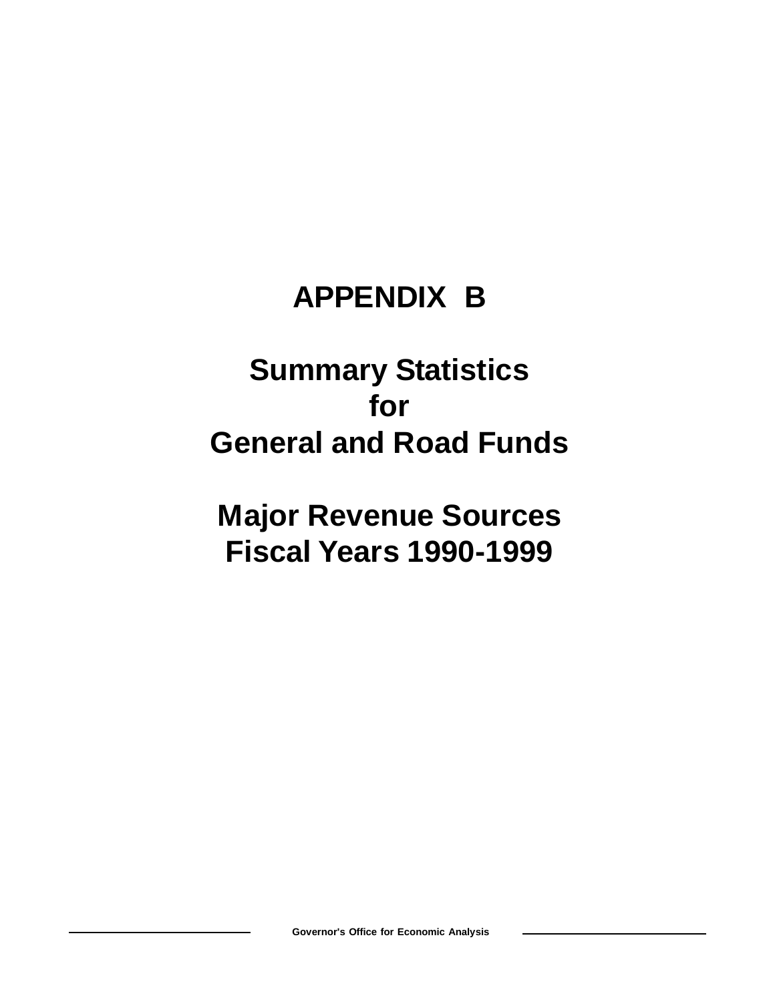### **APPENDIX B**

### **Summary Statistics for General and Road Funds**

**Major Revenue Sources Fiscal Years 1990-1999**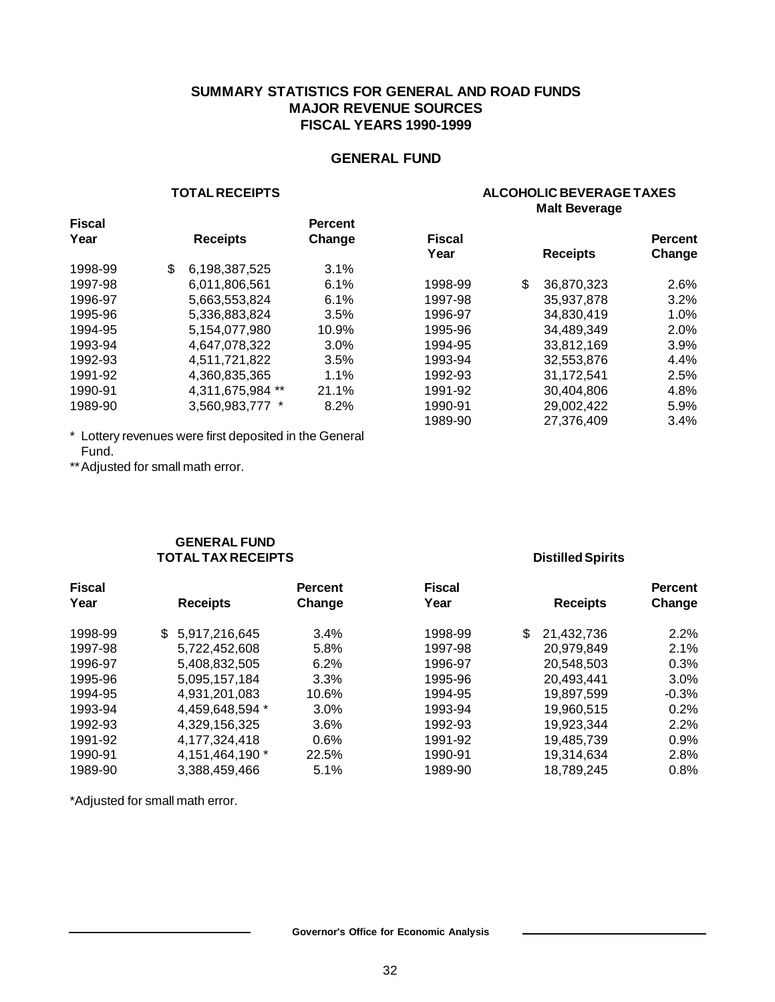#### **SUMMARY STATISTICS FOR GENERAL AND ROAD FUNDS MAJOR REVENUE SOURCES FISCAL YEARS 1990-1999**

#### **GENERAL FUND**

#### **TOTAL RECEIPTS**

#### **ALCOHOLIC BEVERAGE TAXES Malt Beverage**

| <b>Fiscal</b> |                     | <b>Percent</b> |               |                  |                |
|---------------|---------------------|----------------|---------------|------------------|----------------|
| Year          | <b>Receipts</b>     | Change         | <b>Fiscal</b> |                  | <b>Percent</b> |
|               |                     |                | Year          | <b>Receipts</b>  | Change         |
| 1998-99       | \$<br>6,198,387,525 | 3.1%           |               |                  |                |
| 1997-98       | 6.011.806.561       | 6.1%           | 1998-99       | \$<br>36,870,323 | 2.6%           |
| 1996-97       | 5,663,553,824       | 6.1%           | 1997-98       | 35.937.878       | 3.2%           |
| 1995-96       | 5,336,883,824       | 3.5%           | 1996-97       | 34,830,419       | 1.0%           |
| 1994-95       | 5,154,077,980       | 10.9%          | 1995-96       | 34.489.349       | 2.0%           |
| 1993-94       | 4.647.078.322       | 3.0%           | 1994-95       | 33.812.169       | 3.9%           |
| 1992-93       | 4.511.721.822       | 3.5%           | 1993-94       | 32,553,876       | 4.4%           |
| 1991-92       | 4,360,835,365       | 1.1%           | 1992-93       | 31,172,541       | 2.5%           |
| 1990-91       | 4,311,675,984 **    | 21.1%          | 1991-92       | 30.404.806       | 4.8%           |
| 1989-90       | 3,560,983,777 *     | 8.2%           | 1990-91       | 29,002,422       | 5.9%           |
|               |                     |                | 1989-90       | 27.376.409       | 3.4%           |
|               |                     |                |               |                  |                |

\* Lottery revenues were first deposited in the General Fund.

\*\* Adjusted for small math error.

#### **GENERAL FUND TOTAL TAX RECEIPTS**

#### **Distilled Spirits**

| <b>Fiscal</b> |                     | <b>Percent</b> | <b>Fiscal</b> |                  | <b>Percent</b> |
|---------------|---------------------|----------------|---------------|------------------|----------------|
| Year          | <b>Receipts</b>     | Change         | Year          | <b>Receipts</b>  | Change         |
| 1998-99       | \$<br>5,917,216,645 | 3.4%           | 1998-99       | \$<br>21,432,736 | 2.2%           |
| 1997-98       | 5,722,452,608       | 5.8%           | 1997-98       | 20,979,849       | 2.1%           |
| 1996-97       | 5,408,832,505       | 6.2%           | 1996-97       | 20,548,503       | 0.3%           |
| 1995-96       | 5,095,157,184       | 3.3%           | 1995-96       | 20,493,441       | 3.0%           |
| 1994-95       | 4,931,201,083       | 10.6%          | 1994-95       | 19,897,599       | $-0.3%$        |
| 1993-94       | 4,459,648,594 *     | 3.0%           | 1993-94       | 19,960,515       | 0.2%           |
| 1992-93       | 4,329,156,325       | $3.6\%$        | 1992-93       | 19,923,344       | 2.2%           |
| 1991-92       | 4,177,324,418       | $0.6\%$        | 1991-92       | 19,485,739       | 0.9%           |
| 1990-91       | 4,151,464,190 *     | 22.5%          | 1990-91       | 19,314,634       | 2.8%           |
| 1989-90       | 3,388,459,466       | 5.1%           | 1989-90       | 18,789,245       | 0.8%           |

\*Adjusted for small math error.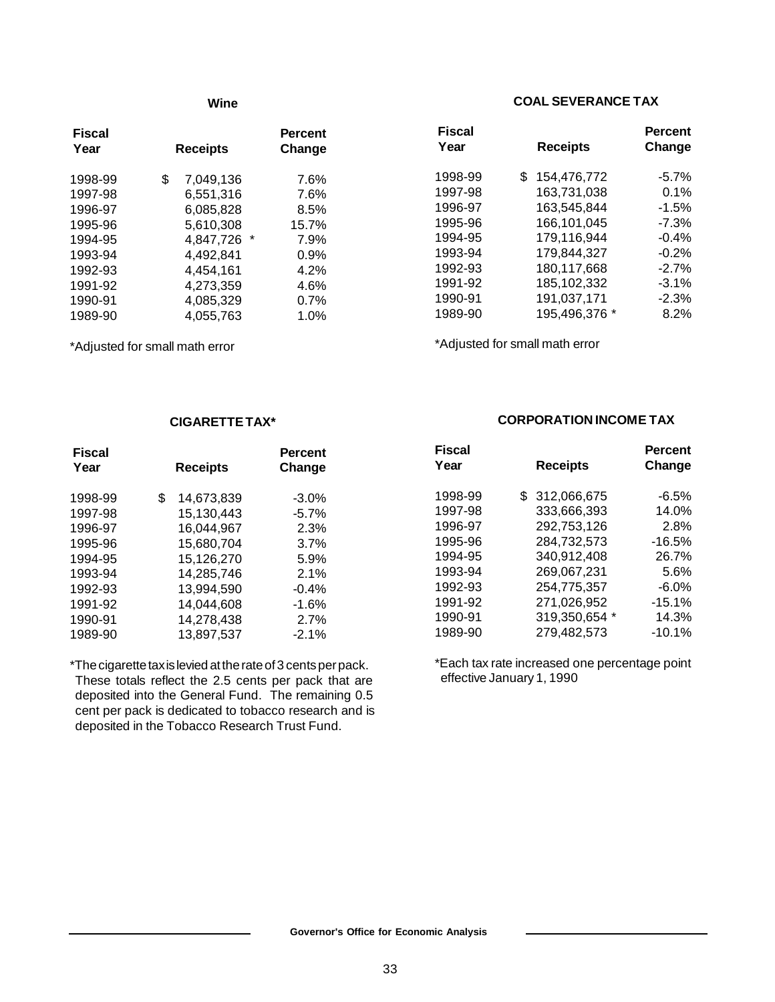#### **Wine**

| <b>Fiscal</b><br>Year | <b>Receipts</b> | <b>Percent</b><br>Change |
|-----------------------|-----------------|--------------------------|
| 1998-99               | \$<br>7.049.136 | 7.6%                     |
| 1997-98               | 6.551.316       | 7.6%                     |
| 1996-97               | 6.085.828       | 8.5%                     |
| 1995-96               | 5,610,308       | 15.7%                    |
| 1994-95               | 4,847,726       | 7.9%                     |
| 1993-94               | 4.492.841       | 0.9%                     |
| 1992-93               | 4,454,161       | 4.2%                     |
| 1991-92               | 4.273.359       | 4.6%                     |
| 1990-91               | 4.085.329       | 0.7%                     |
| 1989-90               | 4,055,763       | 1.0%                     |

\*Adjusted for small math error

#### **COAL SEVERANCE TAX**

| <b>Fiscal</b> |                   | <b>Percent</b> |
|---------------|-------------------|----------------|
| Year          | <b>Receipts</b>   | Change         |
| 1998-99       | \$<br>154,476,772 | $-5.7%$        |
| 1997-98       | 163,731,038       | 0.1%           |
| 1996-97       | 163,545,844       | $-1.5%$        |
| 1995-96       | 166,101,045       | $-7.3%$        |
| 1994-95       | 179,116,944       | $-0.4%$        |
| 1993-94       | 179,844,327       | $-0.2%$        |
| 1992-93       | 180,117,668       | $-2.7%$        |
| 1991-92       | 185,102,332       | $-3.1%$        |
| 1990-91       | 191,037,171       | $-2.3%$        |
| 1989-90       | 195,496,376 *     | 8.2%           |

\*Adjusted for small math error

#### **CIGARETTE TAX\***

| <b>Fiscal</b><br>Year | <b>Receipts</b>  | <b>Percent</b><br>Change |
|-----------------------|------------------|--------------------------|
| 1998-99               | \$<br>14,673,839 | $-3.0%$                  |
| 1997-98               | 15,130,443       | $-5.7%$                  |
| 1996-97               | 16,044,967       | 2.3%                     |
| 1995-96               | 15,680,704       | 3.7%                     |
| 1994-95               | 15,126,270       | 5.9%                     |
| 1993-94               | 14,285,746       | 2.1%                     |
| 1992-93               | 13,994,590       | $-0.4%$                  |
| 1991-92               | 14,044,608       | $-1.6%$                  |
| 1990-91               | 14,278,438       | 2.7%                     |
| 1989-90               | 13,897,537       | $-2.1%$                  |

\*The cigarette tax is levied at the rate of 3 cents per pack. These totals reflect the 2.5 cents per pack that are deposited into the General Fund. The remaining 0.5 cent per pack is dedicated to tobacco research and is deposited in the Tobacco Research Trust Fund.

#### **CORPORATION INCOME TAX**

| <b>Fiscal</b> |                 | Percent  |
|---------------|-----------------|----------|
| Year          | <b>Receipts</b> | Change   |
| 1998-99       | \$312,066,675   | $-6.5\%$ |
| 1997-98       | 333,666,393     | 14.0%    |
| 1996-97       | 292.753.126     | 2.8%     |
| 1995-96       | 284.732.573     | -16.5%   |
| 1994-95       | 340,912,408     | 26.7%    |
| 1993-94       | 269,067,231     | 5.6%     |
| 1992-93       | 254.775.357     | $-6.0\%$ |
| 1991-92       | 271,026,952     | $-15.1%$ |
| 1990-91       | 319,350,654 *   | 14.3%    |
| 1989-90       | 279,482,573     | $-10.1%$ |

\*Each tax rate increased one percentage point effective January 1, 1990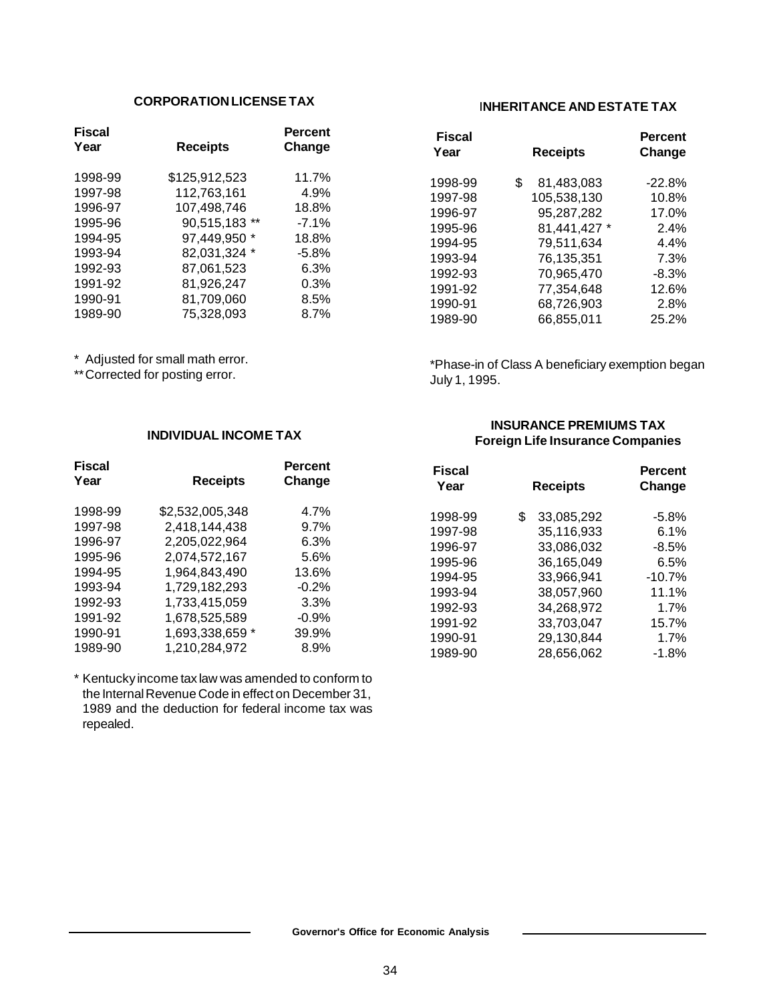#### **CORPORATION LICENSE TAX**

| <b>Fiscal</b><br>Year | <b>Receipts</b> | <b>Percent</b><br>Change |
|-----------------------|-----------------|--------------------------|
| 1998-99               | \$125,912,523   | 11.7%                    |
| 1997-98               | 112,763,161     | 4.9%                     |
| 1996-97               | 107,498,746     | 18.8%                    |
| 1995-96               | 90,515,183 **   | $-7.1%$                  |
| 1994-95               | 97,449,950 *    | 18.8%                    |
| 1993-94               | 82,031,324 *    | $-5.8%$                  |
| 1992-93               | 87,061,523      | 6.3%                     |
| 1991-92               | 81,926,247      | $0.3\%$                  |
| 1990-91               | 81,709,060      | 8.5%                     |
| 1989-90               | 75,328,093      | 8.7%                     |
|                       |                 |                          |

\* Adjusted for small math error.

\*\* Corrected for posting error.

#### **INDIVIDUAL INCOME TAX**

| <b>Fiscal</b><br>Year | <b>Receipts</b> | <b>Percent</b><br>Change |
|-----------------------|-----------------|--------------------------|
| 1998-99               | \$2,532,005,348 | 4.7%                     |
| 1997-98               | 2.418.144.438   | 9.7%                     |
| 1996-97               | 2,205,022,964   | 6.3%                     |
| 1995-96               | 2,074,572,167   | 5.6%                     |
| 1994-95               | 1,964,843,490   | 13.6%                    |
| 1993-94               | 1,729,182,293   | $-0.2\%$                 |
| 1992-93               | 1.733.415.059   | 3.3%                     |
| 1991-92               | 1,678,525,589   | $-0.9%$                  |
| 1990-91               | 1,693,338,659 * | 39.9%                    |
| 1989-90               | 1,210,284,972   | 8.9%                     |

\* Kentucky income tax law was amended to conform to the Internal Revenue Code in effect on December 31, 1989 and the deduction for federal income tax was repealed.

#### I**NHERITANCE AND ESTATE TAX**

| <b>Fiscal</b> |                  | <b>Percent</b> |
|---------------|------------------|----------------|
| Year          | <b>Receipts</b>  | Change         |
| 1998-99       | \$<br>81,483,083 | $-22.8%$       |
| 1997-98       | 105,538,130      | 10.8%          |
| 1996-97       | 95,287,282       | 17.0%          |
| 1995-96       | 81,441,427 *     | $2.4\%$        |
| 1994-95       | 79,511,634       | 4.4%           |
| 1993-94       | 76,135,351       | 7.3%           |
| 1992-93       | 70.965.470       | $-8.3\%$       |
| 1991-92       | 77,354,648       | 12.6%          |
| 1990-91       | 68,726,903       | 2.8%           |
| 1989-90       | 66,855,011       | 25.2%          |

\*Phase-in of Class A beneficiary exemption began July 1, 1995.

#### **INSURANCE PREMIUMS TAX Foreign Life Insurance Companies**

| <b>Fiscal</b><br>Year | <b>Receipts</b>  | <b>Percent</b><br>Change |
|-----------------------|------------------|--------------------------|
| 1998-99               | \$<br>33,085,292 | $-5.8%$                  |
| 1997-98               | 35,116,933       | 6.1%                     |
| 1996-97               | 33,086,032       | $-8.5%$                  |
| 1995-96               | 36,165,049       | 6.5%                     |
| 1994-95               | 33,966,941       | $-10.7%$                 |
| 1993-94               | 38,057,960       | 11.1%                    |
| 1992-93               | 34,268,972       | 1.7%                     |
| 1991-92               | 33,703,047       | 15.7%                    |
| 1990-91               | 29,130,844       | 1.7%                     |
| 1989-90               | 28,656,062       | $-1.8%$                  |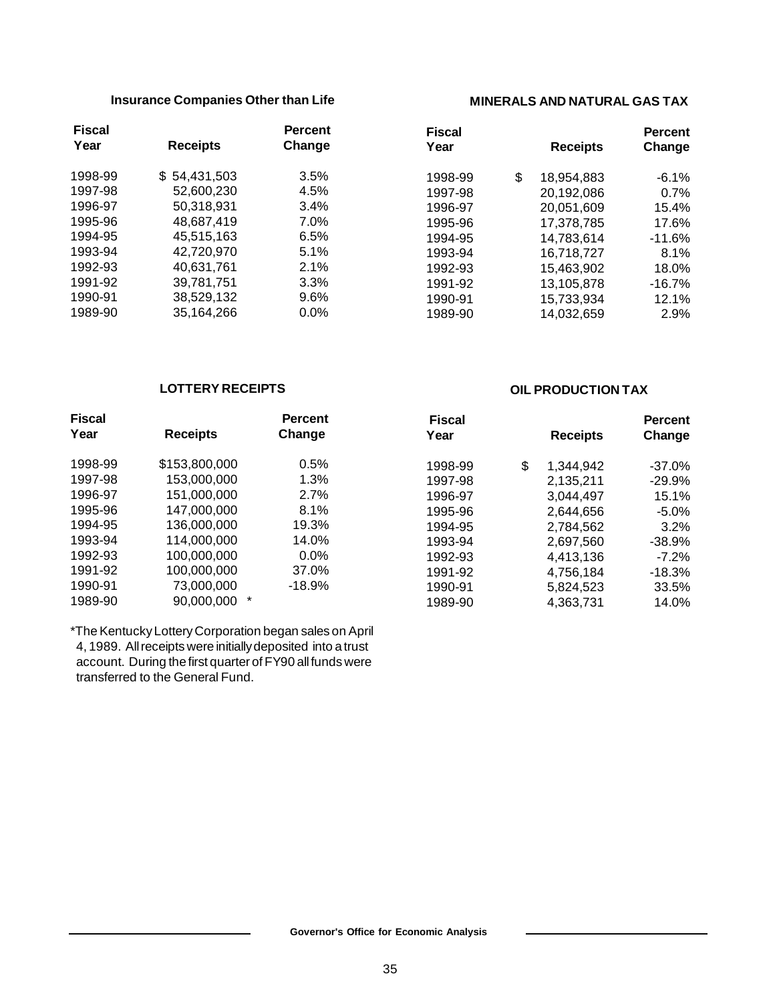#### **Insurance Companies Other than Life**

| <b>Fiscal</b> |                 | <b>Percent</b> |
|---------------|-----------------|----------------|
| Year          | <b>Receipts</b> | Change         |
| 1998-99       | \$54,431,503    | 3.5%           |
| 1997-98       | 52,600,230      | 4.5%           |
| 1996-97       | 50,318,931      | 3.4%           |
| 1995-96       | 48,687,419      | 7.0%           |
| 1994-95       | 45,515,163      | 6.5%           |
| 1993-94       | 42,720,970      | 5.1%           |
| 1992-93       | 40,631,761      | 2.1%           |
| 1991-92       | 39,781,751      | 3.3%           |
| 1990-91       | 38,529,132      | 9.6%           |
| 1989-90       | 35,164,266      | 0.0%           |

#### **MINERALS AND NATURAL GAS TAX**

| Fiscal  |                  | Percent  |
|---------|------------------|----------|
| Year    | <b>Receipts</b>  | Change   |
| 1998-99 | \$<br>18,954,883 | $-6.1%$  |
| 1997-98 | 20,192,086       | 0.7%     |
| 1996-97 | 20,051,609       | 15.4%    |
| 1995-96 | 17.378.785       | 17.6%    |
| 1994-95 | 14,783,614       | $-11.6%$ |
| 1993-94 | 16,718,727       | 8.1%     |
| 1992-93 | 15,463,902       | 18.0%    |
| 1991-92 | 13,105,878       | $-16.7%$ |
| 1990-91 | 15,733,934       | 12.1%    |
| 1989-90 | 14,032,659       | 2.9%     |

#### **LOTTERY RECEIPTS**

#### Fiscal **Percent Year Receipts Change** 1998-99 \$153,800,000 0.5% 1997-98 153,000,000 1.3% 1996-97 151,000,000 2.7% 1995-96 147,000,000 8.1% 1994-95 136,000,000 19.3% 1993-94 114,000,000 14.0% 1992-93 100,000,000 0.0% 1991-92 100,000,000 37.0% 1990-91 73,000,000 -18.9% 1989-90 90,000,000 \*  **Fiscal Percent Year Receipts Change** 1998-99 \$ 1,344,942 -37.0% 1997-98 2,135,211 -29.9% 1996-97 3,044,497 15.1% 1995-96 2,644,656 -5.0% 1994-95 2,784,562 3.2% 1993-94 2,697,560 -38.9% 1992-93 4,413,136 -7.2% 1991-92 4,756,184 -18.3% 1990-91 5,824,523 33.5% 1989-90 4,363,731 14.0%

\*The Kentucky Lottery Corporation began sales on April 4, 1989. All receipts were initially deposited into a trust account. During the first quarter of FY90 all funds were transferred to the General Fund.

#### **OIL PRODUCTION TAX**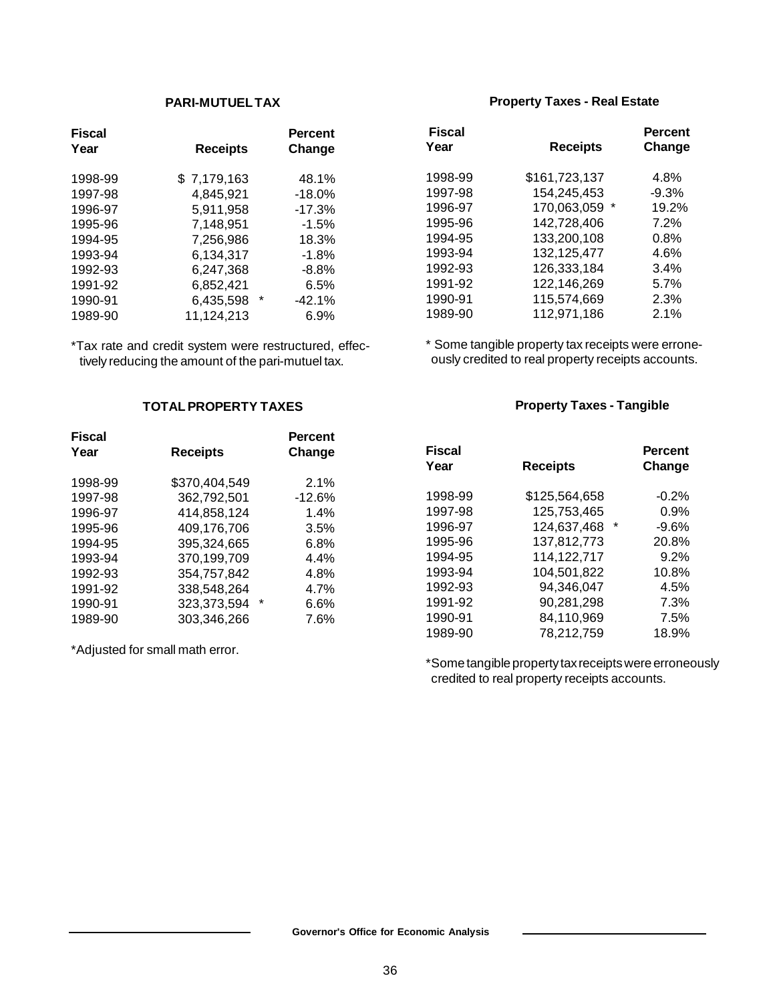#### **PARI-MUTUEL TAX**

| <b>Receipts</b> | <b>Percent</b><br>Change |
|-----------------|--------------------------|
| \$7,179,163     | 48.1%                    |
| 4,845,921       | $-18.0%$                 |
| 5,911,958       | $-17.3%$                 |
| 7,148,951       | $-1.5\%$                 |
| 7,256,986       | 18.3%                    |
| 6,134,317       | $-1.8%$                  |
| 6,247,368       | $-8.8%$                  |
| 6,852,421       | 6.5%                     |
| 6,435,598       | *<br>$-42.1%$            |
| 11,124,213      | 6.9%                     |
|                 |                          |

\*Tax rate and credit system were restructured, effectively reducing the amount of the pari-mutuel tax.

#### **TOTAL PROPERTY TAXES**

| <b>Fiscal</b> |                  | <b>Percent</b> |
|---------------|------------------|----------------|
| Year          | <b>Receipts</b>  | Change         |
|               |                  |                |
| 1998-99       | \$370,404,549    | 2.1%           |
| 1997-98       | 362,792,501      | $-12.6%$       |
| 1996-97       | 414.858.124      | 1.4%           |
| 1995-96       | 409,176,706      | 3.5%           |
| 1994-95       | 395,324,665      | 6.8%           |
| 1993-94       | 370,199,709      | 4.4%           |
| 1992-93       | 354,757,842      | 4.8%           |
| 1991-92       | 338.548.264      | 4.7%           |
| 1990-91       | *<br>323,373,594 | 6.6%           |
| 1989-90       | 303,346,266      | 7.6%           |

\*Adjusted for small math error.

#### **Property Taxes - Real Estate**

| <b>Fiscal</b> |                 | Percent |
|---------------|-----------------|---------|
| Year          | <b>Receipts</b> | Change  |
| 1998-99       | \$161,723,137   | 4.8%    |
| 1997-98       | 154,245,453     | $-9.3%$ |
| 1996-97       | 170,063,059 *   | 19.2%   |
| 1995-96       | 142,728,406     | 7.2%    |
| 1994-95       | 133,200,108     | 0.8%    |
| 1993-94       | 132,125,477     | 4.6%    |
| 1992-93       | 126,333,184     | 3.4%    |
| 1991-92       | 122,146,269     | 5.7%    |
| 1990-91       | 115,574,669     | 2.3%    |
| 1989-90       | 112,971,186     | 2.1%    |

\* Some tangible property tax receipts were erroneously credited to real property receipts accounts.

#### **Property Taxes - Tangible**

| <b>Fiscal</b> |                 | <b>Percent</b> |
|---------------|-----------------|----------------|
| Year          | <b>Receipts</b> | Change         |
| 1998-99       | \$125,564,658   | $-0.2%$        |
| 1997-98       | 125,753,465     | 0.9%           |
| 1996-97       | 124,637,468     | $-9.6%$        |
| 1995-96       | 137.812.773     | 20.8%          |
| 1994-95       | 114,122,717     | 9.2%           |
| 1993-94       | 104,501,822     | 10.8%          |
| 1992-93       | 94,346,047      | 4.5%           |
| 1991-92       | 90,281,298      | 7.3%           |
| 1990-91       | 84,110,969      | 7.5%           |
| 1989-90       | 78,212,759      | 18.9%          |

\*Some tangible property tax receipts were erroneously credited to real property receipts accounts.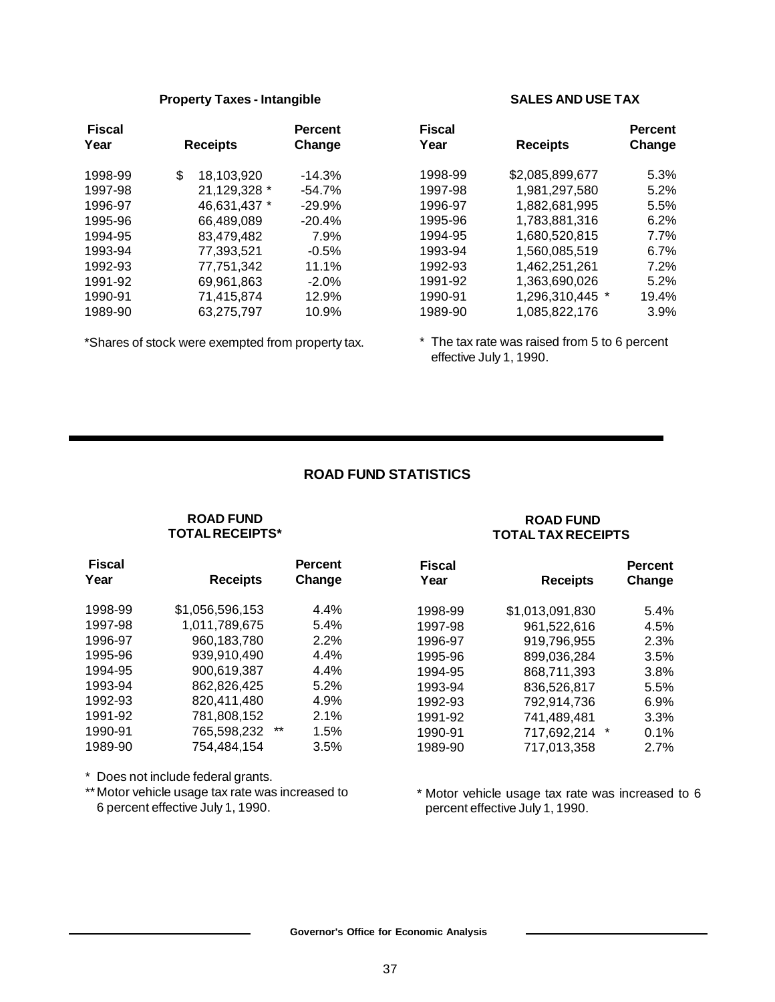#### **Property Taxes - Intangible**

| <b>Receipts</b> |              | <b>Percent</b><br>Change   |
|-----------------|--------------|----------------------------|
|                 |              | $-14.3%$                   |
|                 |              | $-54.7\%$                  |
|                 | 46,631,437 * | $-29.9%$                   |
|                 | 66,489,089   | $-20.4%$                   |
|                 | 83,479,482   | 7.9%                       |
|                 | 77,393,521   | $-0.5%$                    |
|                 | 77,751,342   | 11.1%                      |
|                 | 69,961,863   | $-2.0%$                    |
|                 | 71.415.874   | 12.9%                      |
|                 | 63.275.797   | 10.9%                      |
|                 | \$           | 18,103,920<br>21,129,328 * |

\*Shares of stock were exempted from property tax.

#### **SALES AND USE TAX**

| Fiscal<br>Year | <b>Receipts</b> | <b>Percent</b><br>Change |
|----------------|-----------------|--------------------------|
| 1998-99        | \$2,085,899,677 | 5.3%                     |
| 1997-98        | 1,981,297,580   | $5.2\%$                  |
| 1996-97        | 1,882,681,995   | 5.5%                     |
| 1995-96        | 1,783,881,316   | 6.2%                     |
| 1994-95        | 1,680,520,815   | 7.7%                     |
| 1993-94        | 1,560,085,519   | 6.7%                     |
| 1992-93        | 1,462,251,261   | 7.2%                     |
| 1991-92        | 1,363,690,026   | 5.2%                     |
| 1990-91        | 1,296,310,445 * | 19.4%                    |
| 1989-90        | 1.085.822.176   | 3.9%                     |

\* The tax rate was raised from 5 to 6 percent effective July 1, 1990.

#### **ROAD FUND STATISTICS**

#### **ROAD FUND TOTAL RECEIPTS\***

#### **ROAD FUND TOTAL TAX RECEIPTS**

| <b>Fiscal</b> |                      | <b>Percent</b> | <b>Fiscal</b> |                         | <b>Percent</b> |  |
|---------------|----------------------|----------------|---------------|-------------------------|----------------|--|
| Year          | <b>Receipts</b>      | Change         | Year          | <b>Receipts</b>         | Change         |  |
| 1998-99       | \$1,056,596,153      | 4.4%           | 1998-99       | \$1,013,091,830         | 5.4%           |  |
| 1997-98       | 1,011,789,675        | 5.4%           | 1997-98       | 961,522,616             | 4.5%           |  |
| 1996-97       | 960,183,780          | $2.2\%$        | 1996-97       | 919,796,955             | 2.3%           |  |
| 1995-96       | 939,910,490          | $4.4\%$        | 1995-96       | 899,036,284             | 3.5%           |  |
| 1994-95       | 900,619,387          | 4.4%           | 1994-95       | 868.711.393             | 3.8%           |  |
| 1993-94       | 862,826,425          | 5.2%           | 1993-94       | 836.526.817             | 5.5%           |  |
| 1992-93       | 820,411,480          | 4.9%           | 1992-93       | 792,914,736             | 6.9%           |  |
| 1991-92       | 781,808,152          | 2.1%           | 1991-92       | 741,489,481             | 3.3%           |  |
| 1990-91       | $***$<br>765,598,232 | $1.5\%$        | 1990-91       | $^\star$<br>717,692,214 | 0.1%           |  |
| 1989-90       | 754.484.154          | 3.5%           | 1989-90       | 717,013,358             | 2.7%           |  |

\* Does not include federal grants.

\*\* Motor vehicle usage tax rate was increased to 6 percent effective July 1, 1990.

#### \* Motor vehicle usage tax rate was increased to 6 percent effective July 1, 1990.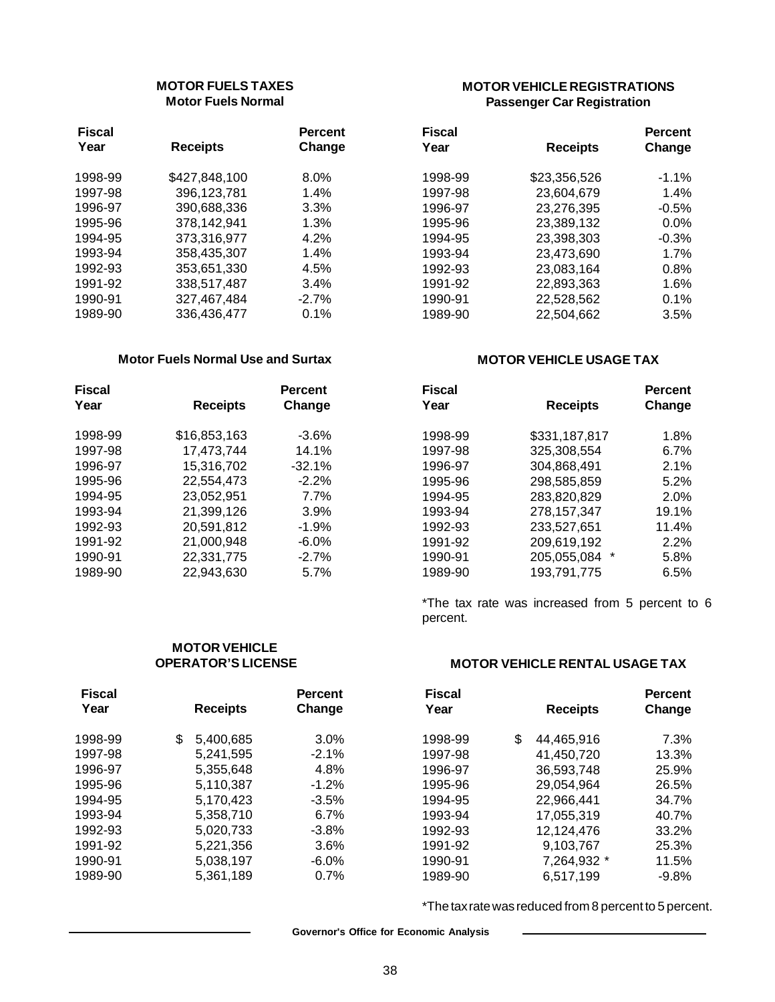#### **MOTOR FUELS TAXES Motor Fuels Normal**

| <b>Fiscal</b> |                 | <b>Percent</b> |
|---------------|-----------------|----------------|
| Year          | <b>Receipts</b> | Change         |
| 1998-99       | \$427,848,100   | $8.0\%$        |
| 1997-98       | 396,123,781     | 1.4%           |
| 1996-97       | 390,688,336     | 3.3%           |
| 1995-96       | 378,142,941     | 1.3%           |
| 1994-95       | 373,316,977     | 4.2%           |
| 1993-94       | 358,435,307     | 1.4%           |
| 1992-93       | 353,651,330     | 4.5%           |
| 1991-92       | 338,517,487     | 3.4%           |
| 1990-91       | 327,467,484     | $-2.7%$        |
| 1989-90       | 336,436,477     | 0.1%           |

#### **Motor Fuels Normal Use and Surtax**

| Fiscal<br>Year | <b>Receipts</b> | <b>Percent</b><br>Change |
|----------------|-----------------|--------------------------|
| 1998-99        | \$16,853,163    | $-3.6\%$                 |
| 1997-98        | 17.473.744      | 14.1%                    |
| 1996-97        | 15,316,702      | $-32.1%$                 |
| 1995-96        | 22,554,473      | $-2.2%$                  |
| 1994-95        | 23,052,951      | 7.7%                     |
| 1993-94        | 21,399,126      | 3.9%                     |
| 1992-93        | 20,591,812      | $-1.9%$                  |
| 1991-92        | 21.000.948      | $-6.0\%$                 |
| 1990-91        | 22,331,775      | $-2.7\%$                 |
| 1989-90        | 22.943.630      | 5.7%                     |

**MOTOR VEHICLE OPERATOR'S LICENSE**

#### **MOTOR VEHICLE REGISTRATIONS Passenger Car Registration**

| Fiscal  |                 | <b>Percent</b> |
|---------|-----------------|----------------|
| Year    | <b>Receipts</b> | Change         |
| 1998-99 | \$23,356,526    | $-1.1\%$       |
| 1997-98 | 23,604,679      | 1.4%           |
| 1996-97 | 23,276,395      | $-0.5%$        |
| 1995-96 | 23,389,132      | $0.0\%$        |
| 1994-95 | 23,398,303      | $-0.3%$        |
| 1993-94 | 23,473,690      | 1.7%           |
| 1992-93 | 23,083,164      | 0.8%           |
| 1991-92 | 22.893.363      | 1.6%           |
| 1990-91 | 22,528,562      | 0.1%           |
| 1989-90 | 22.504.662      | 3.5%           |

#### **MOTOR VEHICLE USAGE TAX**

| Fiscal<br>Year | <b>Receipts</b>  | <b>Percent</b><br>Change |
|----------------|------------------|--------------------------|
| 1998-99        | \$331,187,817    | 1.8%                     |
| 1997-98        | 325,308,554      | 6.7%                     |
| 1996-97        | 304,868,491      | 2.1%                     |
| 1995-96        | 298,585,859      | 5.2%                     |
| 1994-95        | 283,820,829      | 2.0%                     |
| 1993-94        | 278,157,347      | 19.1%                    |
| 1992-93        | 233,527,651      | 11.4%                    |
| 1991-92        | 209,619,192      | 2.2%                     |
| 1990-91        | *<br>205,055,084 | 5.8%                     |
| 1989-90        | 193,791,775      | 6.5%                     |

\*The tax rate was increased from 5 percent to 6 percent.

#### **MOTOR VEHICLE RENTAL USAGE TAX**

| <b>Fiscal</b> |                 | <b>Percent</b> | <b>Fiscal</b> |                  | <b>Percent</b> |
|---------------|-----------------|----------------|---------------|------------------|----------------|
| Year          | <b>Receipts</b> | Change         | Year          | <b>Receipts</b>  | Change         |
| 1998-99       | \$<br>5,400,685 | $3.0\%$        | 1998-99       | \$<br>44,465,916 | 7.3%           |
| 1997-98       | 5,241,595       | $-2.1\%$       | 1997-98       | 41,450,720       | 13.3%          |
| 1996-97       | 5,355,648       | 4.8%           | 1996-97       | 36,593,748       | 25.9%          |
| 1995-96       | 5,110,387       | $-1.2%$        | 1995-96       | 29,054,964       | 26.5%          |
| 1994-95       | 5,170,423       | $-3.5%$        | 1994-95       | 22,966,441       | 34.7%          |
| 1993-94       | 5,358,710       | 6.7%           | 1993-94       | 17,055,319       | 40.7%          |
| 1992-93       | 5,020,733       | $-3.8%$        | 1992-93       | 12,124,476       | 33.2%          |
| 1991-92       | 5,221,356       | 3.6%           | 1991-92       | 9,103,767        | 25.3%          |
| 1990-91       | 5,038,197       | $-6.0\%$       | 1990-91       | 7,264,932 *      | 11.5%          |
| 1989-90       | 5,361,189       | 0.7%           | 1989-90       | 6,517,199        | $-9.8%$        |

\*The tax rate was reduced from 8 percent to 5 percent.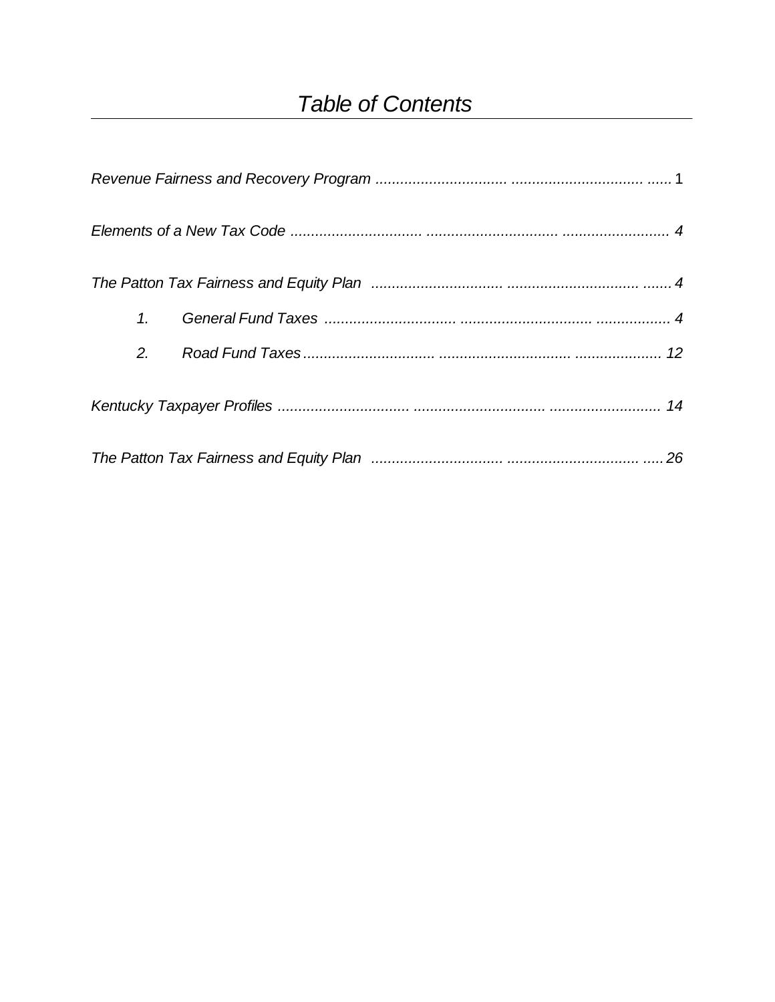### **Table of Contents**

| 1. |  |
|----|--|
| 2. |  |
|    |  |
|    |  |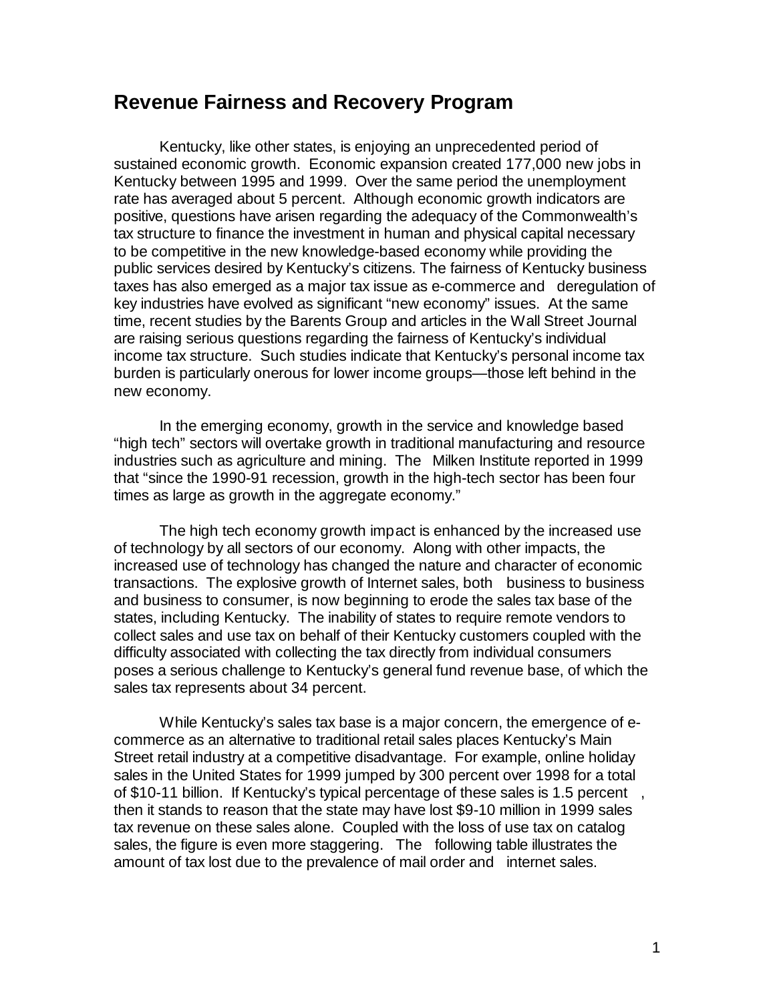#### **Revenue Fairness and Recovery Program**

Kentucky, like other states, is enjoying an unprecedented period of sustained economic growth. Economic expansion created 177,000 new jobs in Kentucky between 1995 and 1999. Over the same period the unemployment rate has averaged about 5 percent. Although economic growth indicators are positive, questions have arisen regarding the adequacy of the Commonwealth's tax structure to finance the investment in human and physical capital necessary to be competitive in the new knowledge-based economy while providing the public services desired by Kentucky's citizens. The fairness of Kentucky business taxes has also emerged as a major tax issue as e-commerce and deregulation of key industries have evolved as significant "new economy" issues. At the same time, recent studies by the Barents Group and articles in the Wall Street Journal are raising serious questions regarding the fairness of Kentucky's individual income tax structure. Such studies indicate that Kentucky's personal income tax burden is particularly onerous for lower income groups— those left behind in the new economy.

In the emerging economy, growth in the service and knowledge based "high tech" sectors will overtake growth in traditional manufacturing and resource industries such as agriculture and mining. The Milken Institute reported in 1999 that "since the 1990-91 recession, growth in the high-tech sector has been four times as large as growth in the aggregate economy."

The high tech economy growth impact is enhanced by the increased use of technology by all sectors of our economy. Along with other impacts, the increased use of technology has changed the nature and character of economic transactions. The explosive growth of Internet sales, both business to business and business to consumer, is now beginning to erode the sales tax base of the states, including Kentucky. The inability of states to require remote vendors to collect sales and use tax on behalf of their Kentucky customers coupled with the difficulty associated with collecting the tax directly from individual consumers poses a serious challenge to Kentucky's general fund revenue base, of which the sales tax represents about 34 percent.

While Kentucky's sales tax base is a major concern, the emergence of ecommerce as an alternative to traditional retail sales places Kentucky's Main Street retail industry at a competitive disadvantage. For example, online holiday sales in the United States for 1999 jumped by 300 percent over 1998 for a total of \$10-11 billion. If Kentucky's typical percentage of these sales is 1.5 percent , then it stands to reason that the state may have lost \$9-10 million in 1999 sales tax revenue on these sales alone. Coupled with the loss of use tax on catalog sales, the figure is even more staggering. The following table illustrates the amount of tax lost due to the prevalence of mail order and internet sales.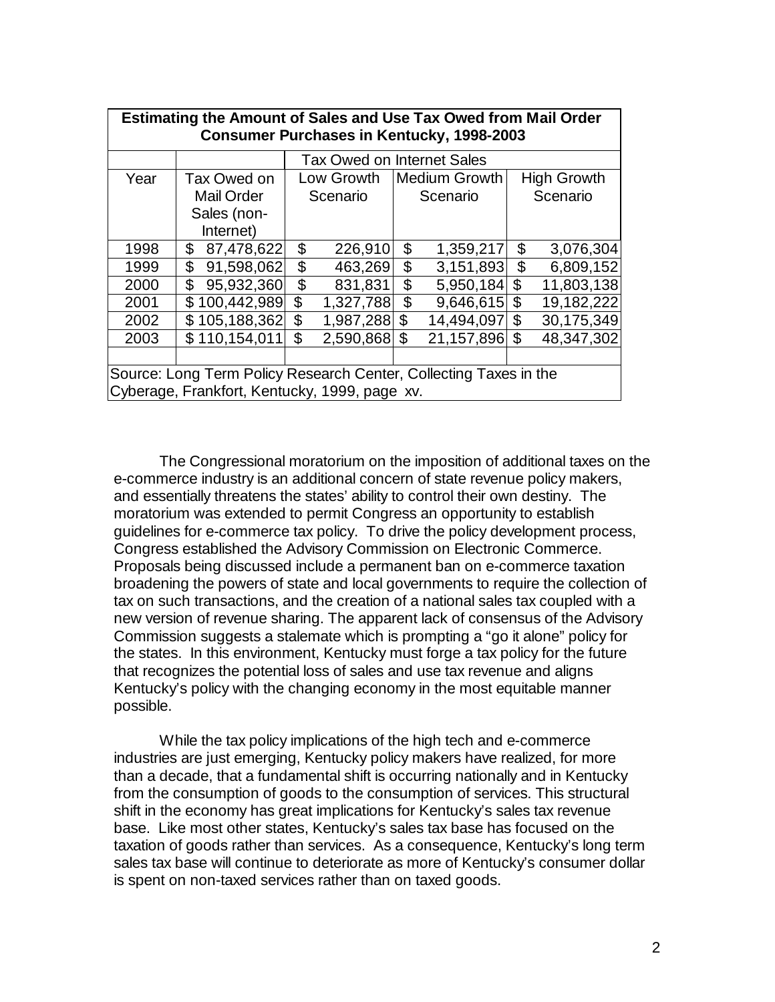| Estimating the Amount of Sales and Use Tax Owed from Mail Order<br><b>Consumer Purchases in Kentucky, 1998-2003</b> |                                   |    |              |                |                      |    |                    |
|---------------------------------------------------------------------------------------------------------------------|-----------------------------------|----|--------------|----------------|----------------------|----|--------------------|
|                                                                                                                     | <b>Tax Owed on Internet Sales</b> |    |              |                |                      |    |                    |
| Year                                                                                                                | Tax Owed on                       |    | Low Growth   |                | <b>Medium Growth</b> |    | <b>High Growth</b> |
|                                                                                                                     | <b>Mail Order</b>                 |    | Scenario     |                | Scenario             |    | Scenario           |
|                                                                                                                     | Sales (non-                       |    |              |                |                      |    |                    |
|                                                                                                                     | Internet)                         |    |              |                |                      |    |                    |
| 1998                                                                                                                | \$<br>87,478,622                  | \$ | 226,910      | \$             | 1,359,217            | \$ | 3,076,304          |
| 1999                                                                                                                | 91,598,062<br>\$                  | \$ | 463,269      | \$             | 3,151,893            | \$ | 6,809,152          |
| 2000                                                                                                                | 95,932,360<br>\$                  | \$ | 831,831      | \$             | 5,950,184            | \$ | 11,803,138         |
| 2001                                                                                                                | \$100,442,989                     | \$ | 1,327,788    | $\mathfrak{L}$ | 9,646,615            | \$ | 19,182,222         |
| 2002                                                                                                                | \$105,188,362                     | \$ | 1,987,288 \$ |                | 14,494,097           | \$ | 30,175,349         |
| 2003                                                                                                                | \$110,154,011                     | \$ | 2,590,868    | \$             | 21,157,896           | \$ | 48,347,302         |
|                                                                                                                     |                                   |    |              |                |                      |    |                    |
| Source: Long Term Policy Research Center, Collecting Taxes in the                                                   |                                   |    |              |                |                      |    |                    |
| Cyberage, Frankfort, Kentucky, 1999, page xv.                                                                       |                                   |    |              |                |                      |    |                    |

The Congressional moratorium on the imposition of additional taxes on the e-commerce industry is an additional concern of state revenue policy makers, and essentially threatens the states' ability to control their own destiny. The moratorium was extended to permit Congress an opportunity to establish guidelines for e-commerce tax policy. To drive the policy development process, Congress established the Advisory Commission on Electronic Commerce. Proposals being discussed include a permanent ban on e-commerce taxation broadening the powers of state and local governments to require the collection of tax on such transactions, and the creation of a national sales tax coupled with a new version of revenue sharing. The apparent lack of consensus of the Advisory Commission suggests a stalemate which is prompting a "go it alone" policy for the states. In this environment, Kentucky must forge a tax policy for the future that recognizes the potential loss of sales and use tax revenue and aligns Kentucky's policy with the changing economy in the most equitable manner possible.

While the tax policy implications of the high tech and e-commerce industries are just emerging, Kentucky policy makers have realized, for more than a decade, that a fundamental shift is occurring nationally and in Kentucky from the consumption of goods to the consumption of services. This structural shift in the economy has great implications for Kentucky's sales tax revenue base. Like most other states, Kentucky's sales tax base has focused on the taxation of goods rather than services. As a consequence, Kentucky's long term sales tax base will continue to deteriorate as more of Kentucky's consumer dollar is spent on non-taxed services rather than on taxed goods.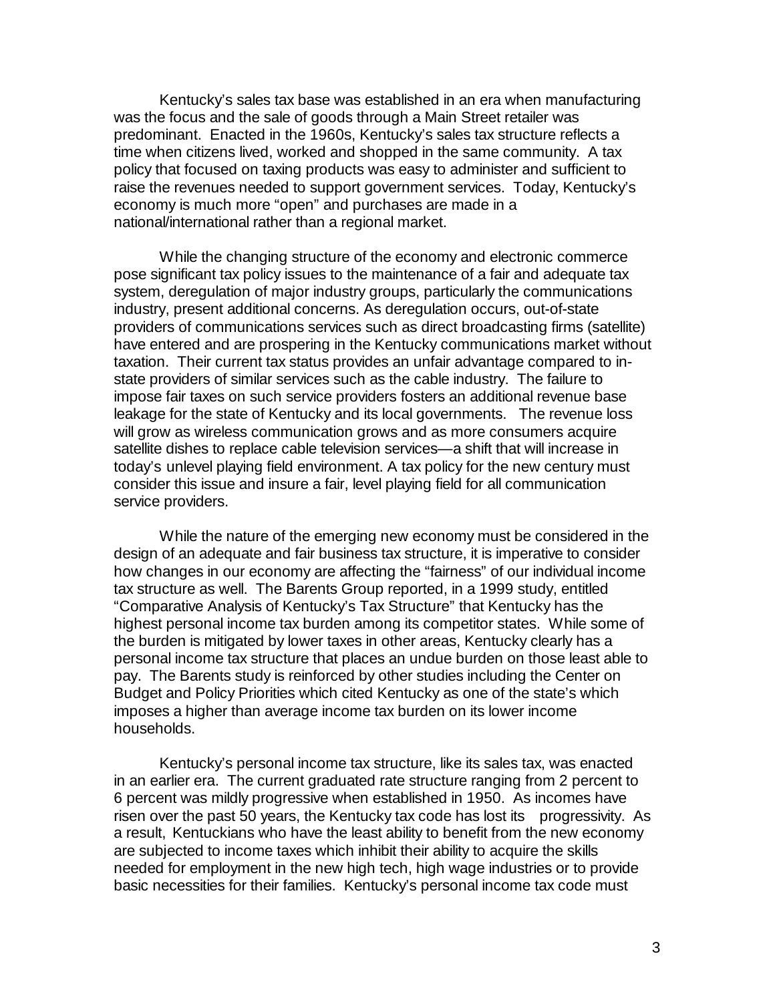Kentucky's sales tax base was established in an era when manufacturing was the focus and the sale of goods through a Main Street retailer was predominant. Enacted in the 1960s, Kentucky's sales tax structure reflects a time when citizens lived, worked and shopped in the same community. A tax policy that focused on taxing products was easy to administer and sufficient to raise the revenues needed to support government services. Today, Kentucky's economy is much more "open" and purchases are made in a national/international rather than a regional market.

While the changing structure of the economy and electronic commerce pose significant tax policy issues to the maintenance of a fair and adequate tax system, deregulation of major industry groups, particularly the communications industry, present additional concerns. As deregulation occurs, out-of-state providers of communications services such as direct broadcasting firms (satellite) have entered and are prospering in the Kentucky communications market without taxation. Their current tax status provides an unfair advantage compared to instate providers of similar services such as the cable industry. The failure to impose fair taxes on such service providers fosters an additional revenue base leakage for the state of Kentucky and its local governments. The revenue loss will grow as wireless communication grows and as more consumers acquire satellite dishes to replace cable television services— a shift that will increase in today's unlevel playing field environment. A tax policy for the new century must consider this issue and insure a fair, level playing field for all communication service providers.

While the nature of the emerging new economy must be considered in the design of an adequate and fair business tax structure, it is imperative to consider how changes in our economy are affecting the "fairness" of our individual income tax structure as well. The Barents Group reported, in a 1999 study, entitled "Comparative Analysis of Kentucky's Tax Structure" that Kentucky has the highest personal income tax burden among its competitor states. While some of the burden is mitigated by lower taxes in other areas, Kentucky clearly has a personal income tax structure that places an undue burden on those least able to pay. The Barents study is reinforced by other studies including the Center on Budget and Policy Priorities which cited Kentucky as one of the state's which imposes a higher than average income tax burden on its lower income households.

Kentucky's personal income tax structure, like its sales tax, was enacted in an earlier era. The current graduated rate structure ranging from 2 percent to 6 percent was mildly progressive when established in 1950. As incomes have risen over the past 50 years, the Kentucky tax code has lost its progressivity. As a result, Kentuckians who have the least ability to benefit from the new economy are subjected to income taxes which inhibit their ability to acquire the skills needed for employment in the new high tech, high wage industries or to provide basic necessities for their families. Kentucky's personal income tax code must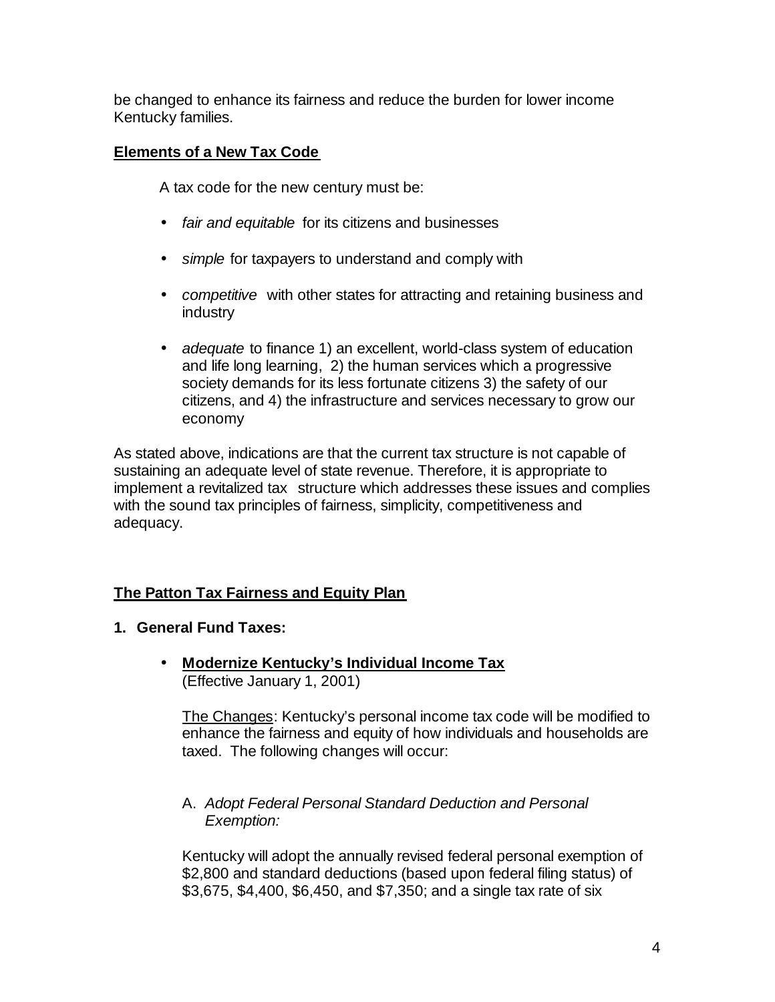be changed to enhance its fairness and reduce the burden for lower income Kentucky families.

#### **Elements of a New Tax Code**

A tax code for the new century must be:

- *fair and equitable* for its citizens and businesses
- *simple* for taxpayers to understand and comply with
- *competitive* with other states for attracting and retaining business and industry
- *adequate* to finance 1) an excellent, world-class system of education and life long learning, 2) the human services which a progressive society demands for its less fortunate citizens 3) the safety of our citizens, and 4) the infrastructure and services necessary to grow our economy

As stated above, indications are that the current tax structure is not capable of sustaining an adequate level of state revenue. Therefore, it is appropriate to implement a revitalized tax structure which addresses these issues and complies with the sound tax principles of fairness, simplicity, competitiveness and adequacy.

#### **The Patton Tax Fairness and Equity Plan**

- **1. General Fund Taxes:**
	- **Modernize Kentucky's Individual Income Tax** (Effective January 1, 2001)

The Changes: Kentucky's personal income tax code will be modified to enhance the fairness and equity of how individuals and households are taxed. The following changes will occur:

#### A. *Adopt Federal Personal Standard Deduction and Personal Exemption:*

Kentucky will adopt the annually revised federal personal exemption of \$2,800 and standard deductions (based upon federal filing status) of \$3,675, \$4,400, \$6,450, and \$7,350; and a single tax rate of six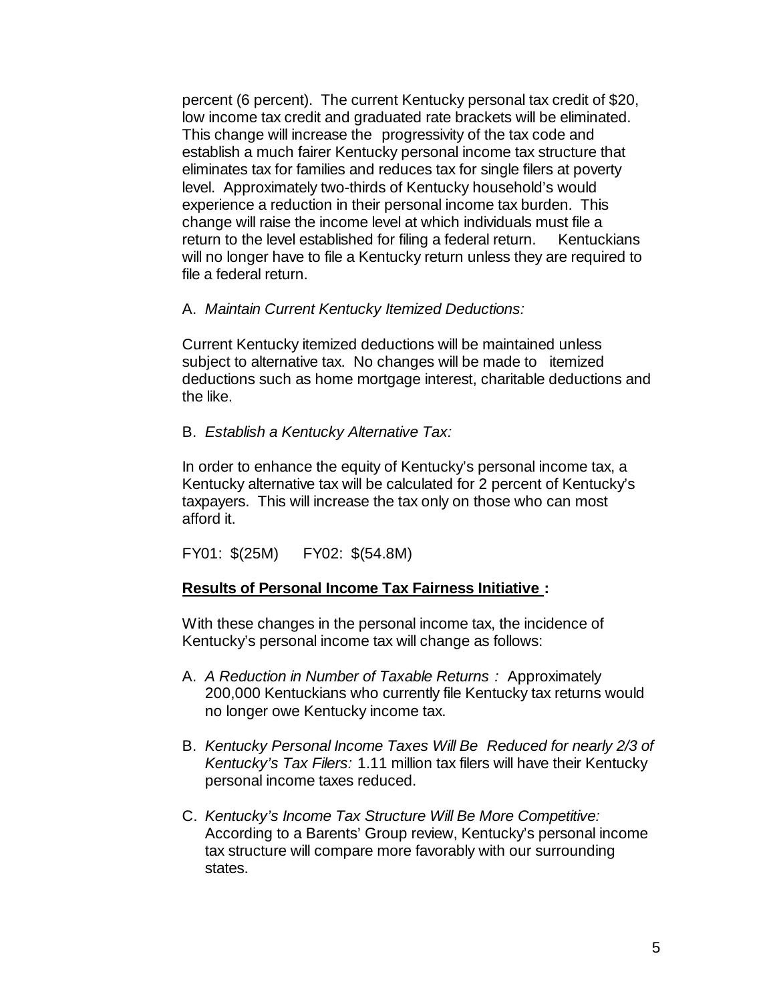percent (6 percent). The current Kentucky personal tax credit of \$20, low income tax credit and graduated rate brackets will be eliminated. This change will increase the progressivity of the tax code and establish a much fairer Kentucky personal income tax structure that eliminates tax for families and reduces tax for single filers at poverty level. Approximately two-thirds of Kentucky household's would experience a reduction in their personal income tax burden. This change will raise the income level at which individuals must file a return to the level established for filing a federal return. Kentuckians will no longer have to file a Kentucky return unless they are required to file a federal return.

#### A. *Maintain Current Kentucky Itemized Deductions:*

Current Kentucky itemized deductions will be maintained unless subject to alternative tax. No changes will be made to itemized deductions such as home mortgage interest, charitable deductions and the like.

#### B. *Establish a Kentucky Alternative Tax:*

In order to enhance the equity of Kentucky's personal income tax, a Kentucky alternative tax will be calculated for 2 percent of Kentucky's taxpayers. This will increase the tax only on those who can most afford it.

FY01: \$(25M) FY02: \$(54.8M)

#### **Results of Personal Income Tax Fairness Initiative :**

With these changes in the personal income tax, the incidence of Kentucky's personal income tax will change as follows:

- A. *A Reduction in Number of Taxable Returns :* Approximately 200,000 Kentuckians who currently file Kentucky tax returns would no longer owe Kentucky income tax.
- B. *Kentucky Personal Income Taxes Will Be Reduced for nearly 2/3 of Kentucky's Tax Filers:* 1.11 million tax filers will have their Kentucky personal income taxes reduced.
- C. *Kentucky's Income Tax Structure Will Be More Competitive:* According to a Barents' Group review, Kentucky's personal income tax structure will compare more favorably with our surrounding states.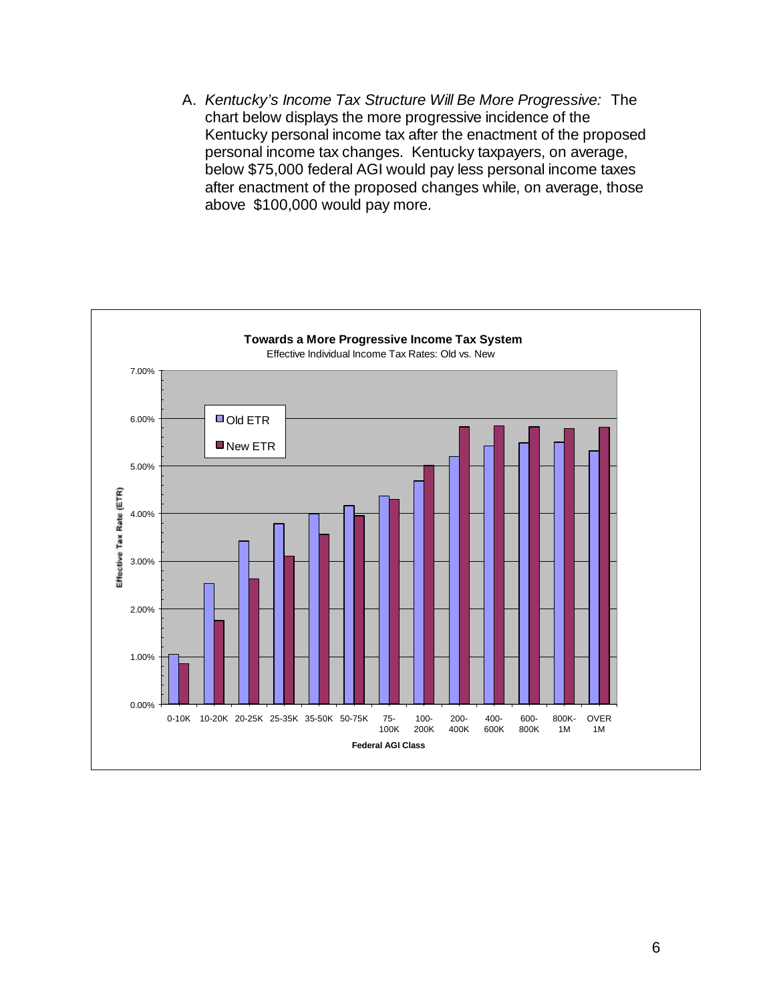A. *Kentucky's Income Tax Structure Will Be More Progressive:* The chart below displays the more progressive incidence of the Kentucky personal income tax after the enactment of the proposed personal income tax changes. Kentucky taxpayers, on average, below \$75,000 federal AGI would pay less personal income taxes after enactment of the proposed changes while, on average, those above \$100,000 would pay more.

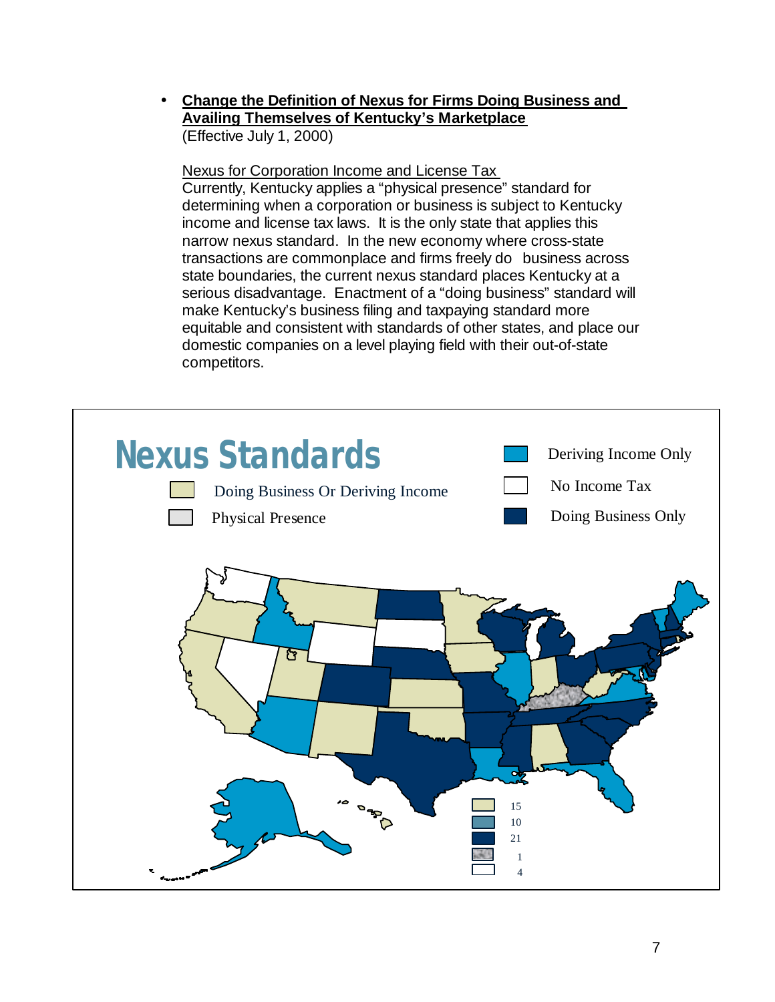• **Change the Definition of Nexus for Firms Doing Business and Availing Themselves of Kentucky's Marketplace** (Effective July 1, 2000)

Nexus for Corporation Income and License Tax Currently, Kentucky applies a "physical presence" standard for determining when a corporation or business is subject to Kentucky income and license tax laws. It is the only state that applies this narrow nexus standard. In the new economy where cross-state transactions are commonplace and firms freely do business across state boundaries, the current nexus standard places Kentucky at a serious disadvantage. Enactment of a "doing business" standard will make Kentucky's business filing and taxpaying standard more equitable and consistent with standards of other states, and place our domestic companies on a level playing field with their out-of-state competitors.

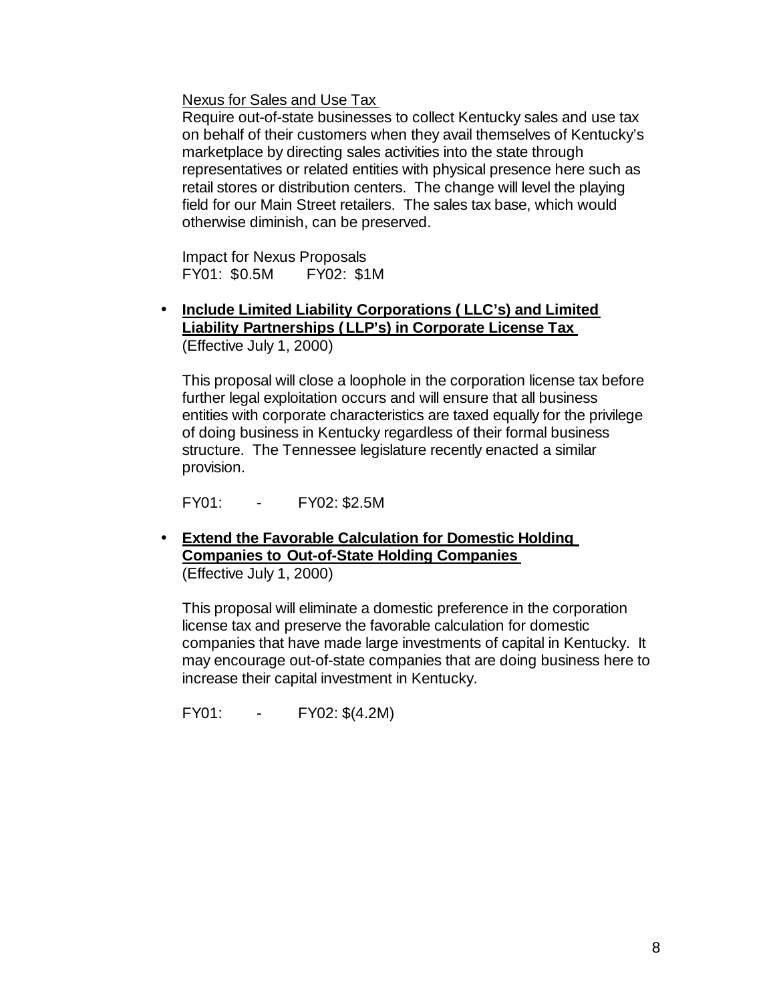Nexus for Sales and Use Tax

Require out-of-state businesses to collect Kentucky sales and use tax on behalf of their customers when they avail themselves of Kentucky's marketplace by directing sales activities into the state through representatives or related entities with physical presence here such as retail stores or distribution centers. The change will level the playing field for our Main Street retailers. The sales tax base, which would otherwise diminish, can be preserved.

Impact for Nexus Proposals FY01: \$0.5M FY02: \$1M

• **Include Limited Liability Corporations ( LLC's) and Limited Liability Partnerships (LLP's) in Corporate License Tax** (Effective July 1, 2000)

This proposal will close a loophole in the corporation license tax before further legal exploitation occurs and will ensure that all business entities with corporate characteristics are taxed equally for the privilege of doing business in Kentucky regardless of their formal business structure. The Tennessee legislature recently enacted a similar provision.

FY01: - FY02: \$2.5M

• **Extend the Favorable Calculation for Domestic Holding Companies to Out-of-State Holding Companies** (Effective July 1, 2000)

This proposal will eliminate a domestic preference in the corporation license tax and preserve the favorable calculation for domestic companies that have made large investments of capital in Kentucky. It may encourage out-of-state companies that are doing business here to increase their capital investment in Kentucky.

FY01: - FY02: \$(4.2M)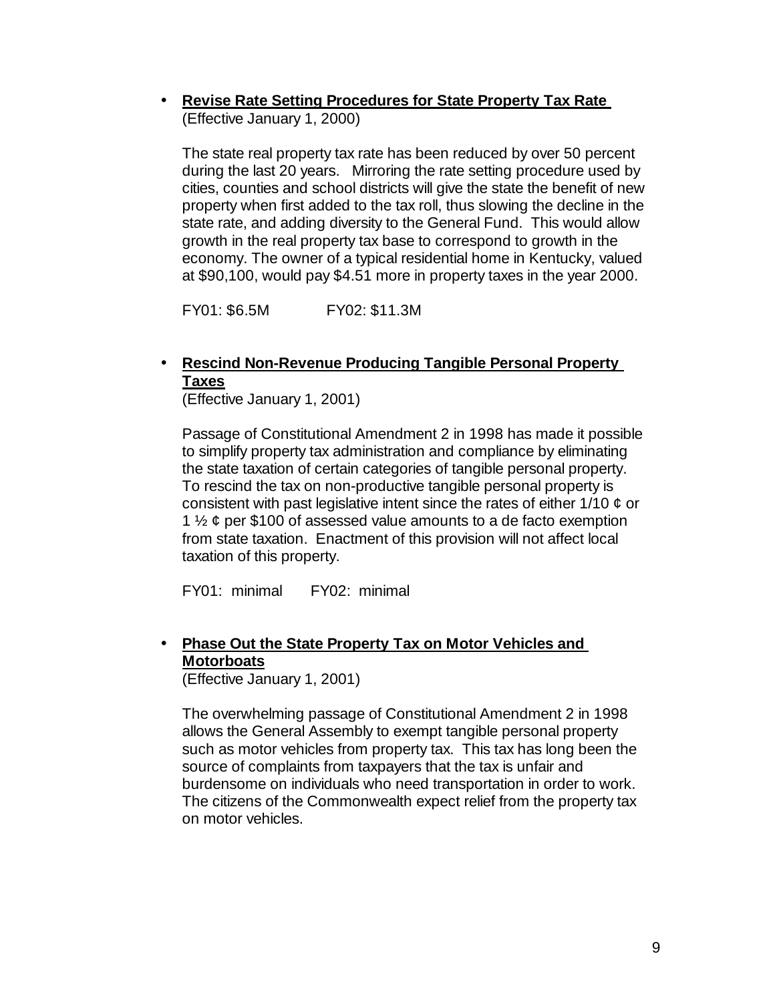• **Revise Rate Setting Procedures for State Property Tax Rate** (Effective January 1, 2000)

The state real property tax rate has been reduced by over 50 percent during the last 20 years. Mirroring the rate setting procedure used by cities, counties and school districts will give the state the benefit of new property when first added to the tax roll, thus slowing the decline in the state rate, and adding diversity to the General Fund. This would allow growth in the real property tax base to correspond to growth in the economy. The owner of a typical residential home in Kentucky, valued at \$90,100, would pay \$4.51 more in property taxes in the year 2000.

FY01: \$6.5M FY02: \$11.3M

#### • **Rescind Non-Revenue Producing Tangible Personal Property Taxes**

(Effective January 1, 2001)

Passage of Constitutional Amendment 2 in 1998 has made it possible to simplify property tax administration and compliance by eliminating the state taxation of certain categories of tangible personal property. To rescind the tax on non-productive tangible personal property is consistent with past legislative intent since the rates of either  $1/10 \notin \sigma$ 1  $\frac{1}{2}$  ¢ per \$100 of assessed value amounts to a de facto exemption from state taxation. Enactment of this provision will not affect local taxation of this property.

FY01: minimal FY02: minimal

#### • **Phase Out the State Property Tax on Motor Vehicles and Motorboats**

(Effective January 1, 2001)

The overwhelming passage of Constitutional Amendment 2 in 1998 allows the General Assembly to exempt tangible personal property such as motor vehicles from property tax. This tax has long been the source of complaints from taxpayers that the tax is unfair and burdensome on individuals who need transportation in order to work. The citizens of the Commonwealth expect relief from the property tax on motor vehicles.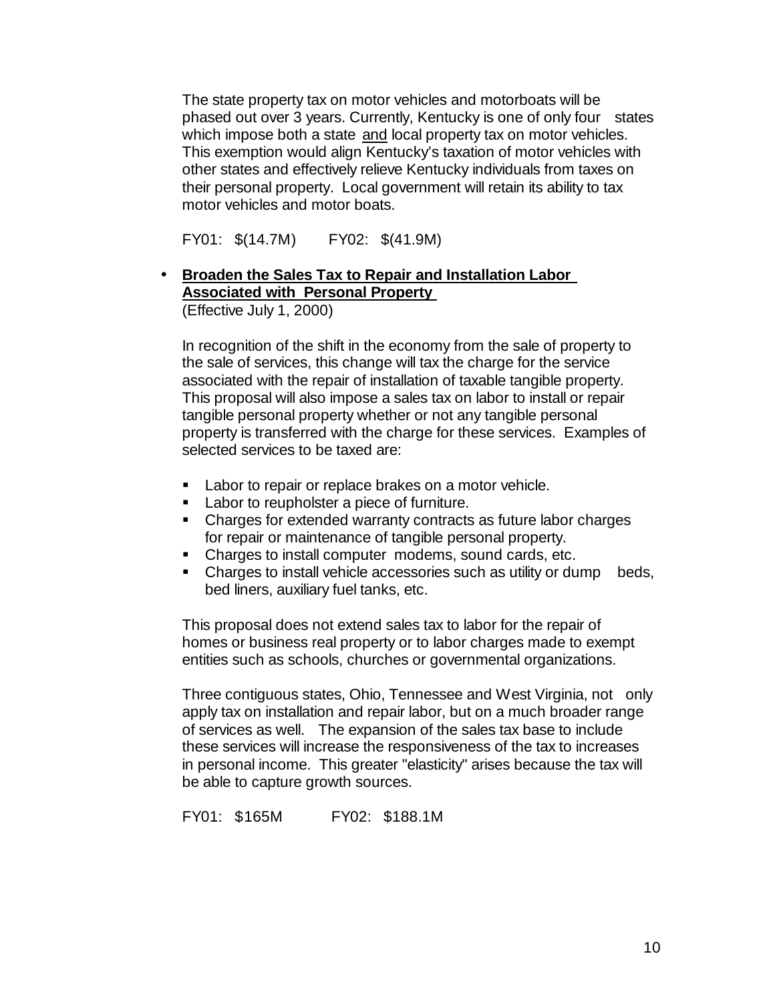The state property tax on motor vehicles and motorboats will be phased out over 3 years. Currently, Kentucky is one of only four states which impose both a state and local property tax on motor vehicles. This exemption would align Kentucky's taxation of motor vehicles with other states and effectively relieve Kentucky individuals from taxes on their personal property. Local government will retain its ability to tax motor vehicles and motor boats.

FY01: \$(14.7M) FY02: \$(41.9M)

#### • **Broaden the Sales Tax to Repair and Installation Labor Associated with Personal Property**

(Effective July 1, 2000)

In recognition of the shift in the economy from the sale of property to the sale of services, this change will tax the charge for the service associated with the repair of installation of taxable tangible property. This proposal will also impose a sales tax on labor to install or repair tangible personal property whether or not any tangible personal property is transferred with the charge for these services. Examples of selected services to be taxed are:

- **EXEC** Labor to repair or replace brakes on a motor vehicle.
- **EXEC** Labor to reupholster a piece of furniture.
- Charges for extended warranty contracts as future labor charges for repair or maintenance of tangible personal property.
- Charges to install computer modems, sound cards, etc.
- Charges to install vehicle accessories such as utility or dump beds, bed liners, auxiliary fuel tanks, etc.

This proposal does not extend sales tax to labor for the repair of homes or business real property or to labor charges made to exempt entities such as schools, churches or governmental organizations.

Three contiguous states, Ohio, Tennessee and West Virginia, not only apply tax on installation and repair labor, but on a much broader range of services as well. The expansion of the sales tax base to include these services will increase the responsiveness of the tax to increases in personal income. This greater "elasticity" arises because the tax will be able to capture growth sources.

FY01: \$165M FY02: \$188.1M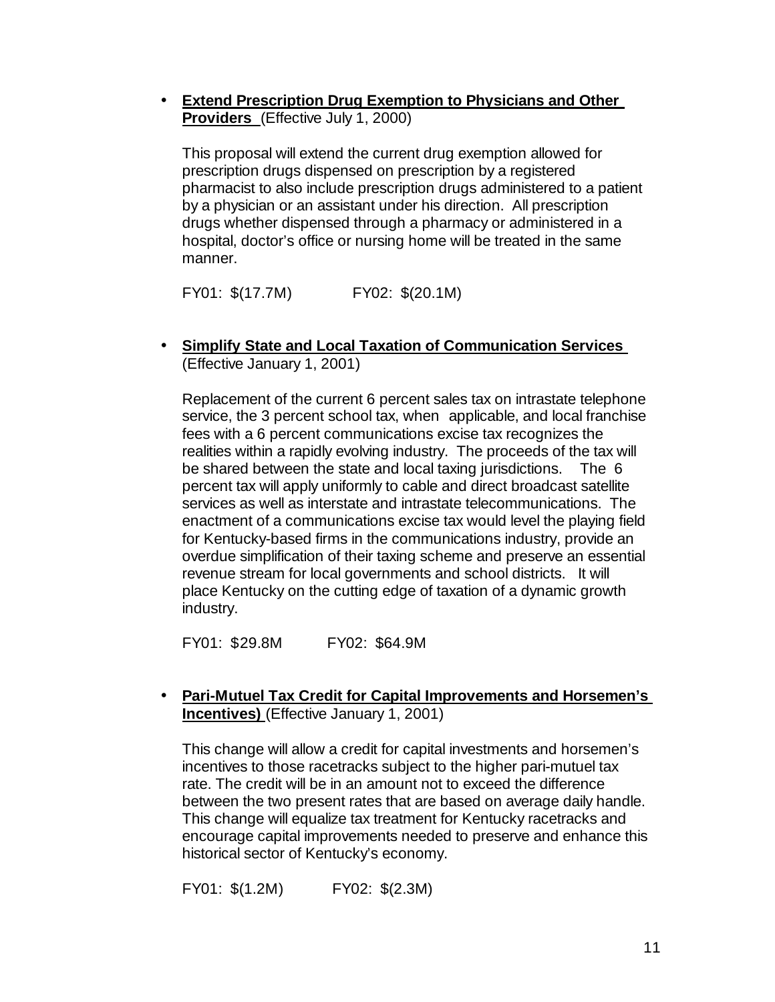• **Extend Prescription Drug Exemption to Physicians and Other Providers** (Effective July 1, 2000)

This proposal will extend the current drug exemption allowed for prescription drugs dispensed on prescription by a registered pharmacist to also include prescription drugs administered to a patient by a physician or an assistant under his direction. All prescription drugs whether dispensed through a pharmacy or administered in a hospital, doctor's office or nursing home will be treated in the same manner.

FY01: \$(17.7M) FY02: \$(20.1M)

• **Simplify State and Local Taxation of Communication Services** (Effective January 1, 2001)

Replacement of the current 6 percent sales tax on intrastate telephone service, the 3 percent school tax, when applicable, and local franchise fees with a 6 percent communications excise tax recognizes the realities within a rapidly evolving industry. The proceeds of the tax will be shared between the state and local taxing jurisdictions. The 6 percent tax will apply uniformly to cable and direct broadcast satellite services as well as interstate and intrastate telecommunications. The enactment of a communications excise tax would level the playing field for Kentucky-based firms in the communications industry, provide an overdue simplification of their taxing scheme and preserve an essential revenue stream for local governments and school districts. It will place Kentucky on the cutting edge of taxation of a dynamic growth industry.

FY01: \$29.8M FY02: \$64.9M

• **Pari-Mutuel Tax Credit for Capital Improvements and Horsemen's Incentives)** (Effective January 1, 2001)

This change will allow a credit for capital investments and horsemen's incentives to those racetracks subject to the higher pari-mutuel tax rate. The credit will be in an amount not to exceed the difference between the two present rates that are based on average daily handle. This change will equalize tax treatment for Kentucky racetracks and encourage capital improvements needed to preserve and enhance this historical sector of Kentucky's economy.

FY01: \$(1.2M) FY02: \$(2.3M)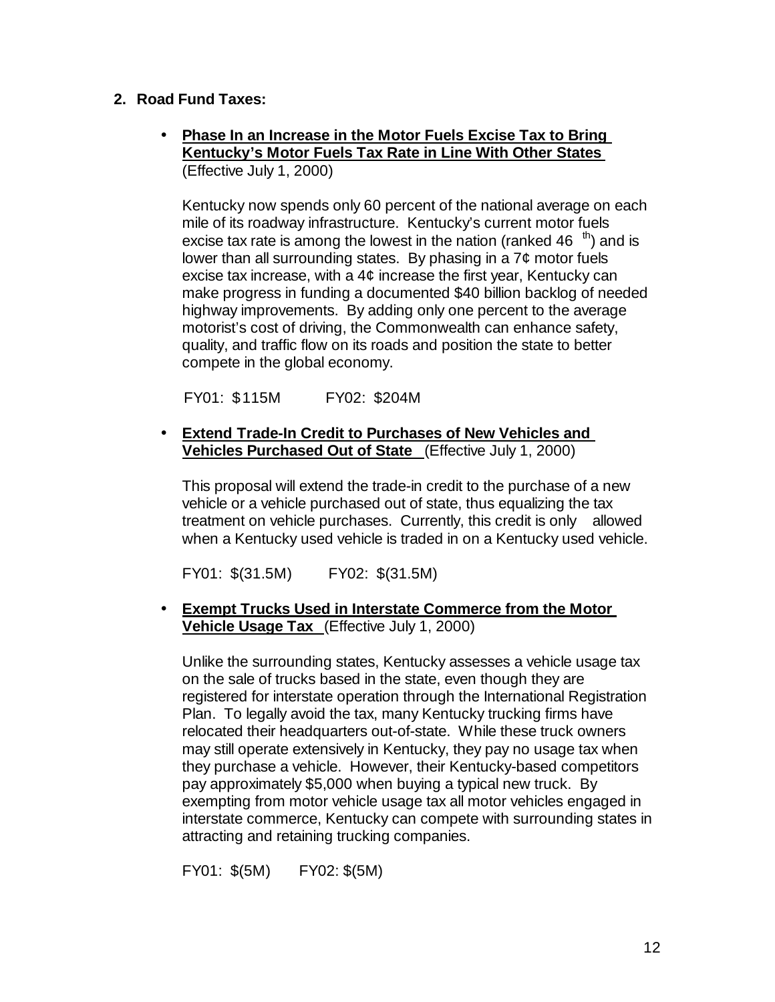#### **2. Road Fund Taxes:**

• **Phase In an Increase in the Motor Fuels Excise Tax to Bring Kentucky's Motor Fuels Tax Rate in Line With Other States** (Effective July 1, 2000)

Kentucky now spends only 60 percent of the national average on each mile of its roadway infrastructure. Kentucky's current motor fuels excise tax rate is among the lowest in the nation (ranked 46  $\mathrm{^{th}}$ ) and is lower than all surrounding states. By phasing in a 7¢ motor fuels excise tax increase, with a 4¢ increase the first year, Kentucky can make progress in funding a documented \$40 billion backlog of needed highway improvements. By adding only one percent to the average motorist's cost of driving, the Commonwealth can enhance safety, quality, and traffic flow on its roads and position the state to better compete in the global economy.

FY01: \$115M FY02: \$204M

#### • **Extend Trade-In Credit to Purchases of New Vehicles and Vehicles Purchased Out of State** (Effective July 1, 2000)

This proposal will extend the trade-in credit to the purchase of a new vehicle or a vehicle purchased out of state, thus equalizing the tax treatment on vehicle purchases. Currently, this credit is only allowed when a Kentucky used vehicle is traded in on a Kentucky used vehicle.

FY01: \$(31.5M) FY02: \$(31.5M)

• **Exempt Trucks Used in Interstate Commerce from the Motor Vehicle Usage Tax** (Effective July 1, 2000)

Unlike the surrounding states, Kentucky assesses a vehicle usage tax on the sale of trucks based in the state, even though they are registered for interstate operation through the International Registration Plan. To legally avoid the tax, many Kentucky trucking firms have relocated their headquarters out-of-state. While these truck owners may still operate extensively in Kentucky, they pay no usage tax when they purchase a vehicle. However, their Kentucky-based competitors pay approximately \$5,000 when buying a typical new truck. By exempting from motor vehicle usage tax all motor vehicles engaged in interstate commerce, Kentucky can compete with surrounding states in attracting and retaining trucking companies.

FY01: \$(5M) FY02: \$(5M)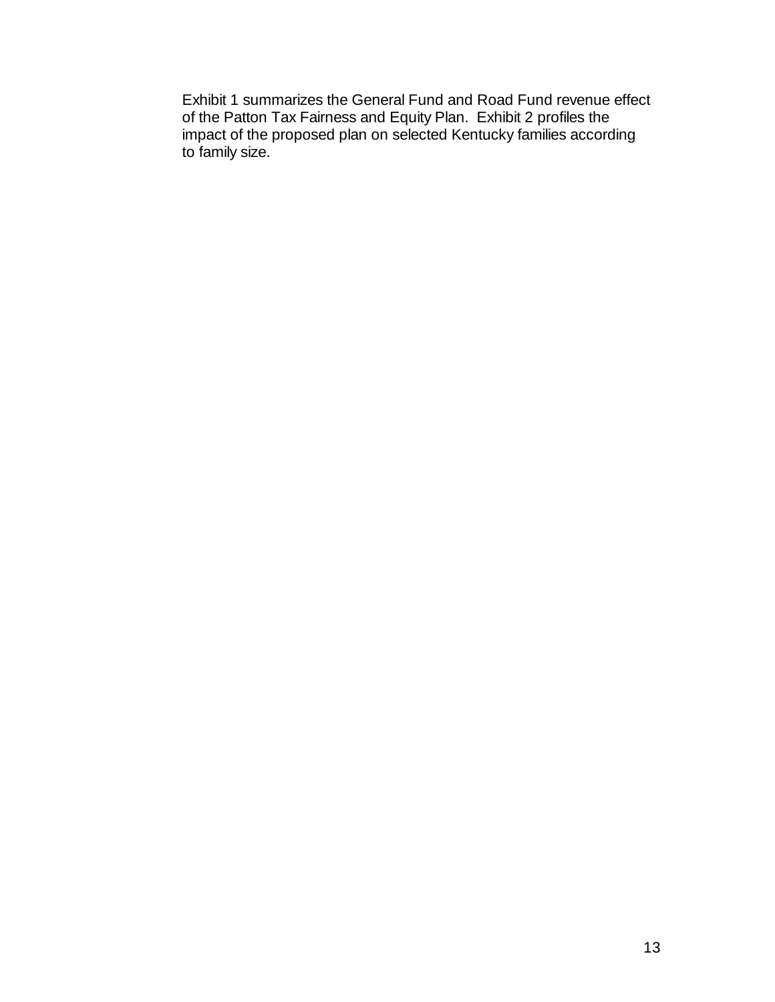Exhibit 1 summarizes the General Fund and Road Fund revenue effect of the Patton Tax Fairness and Equity Plan. Exhibit 2 profiles the impact of the proposed plan on selected Kentucky families according to family size.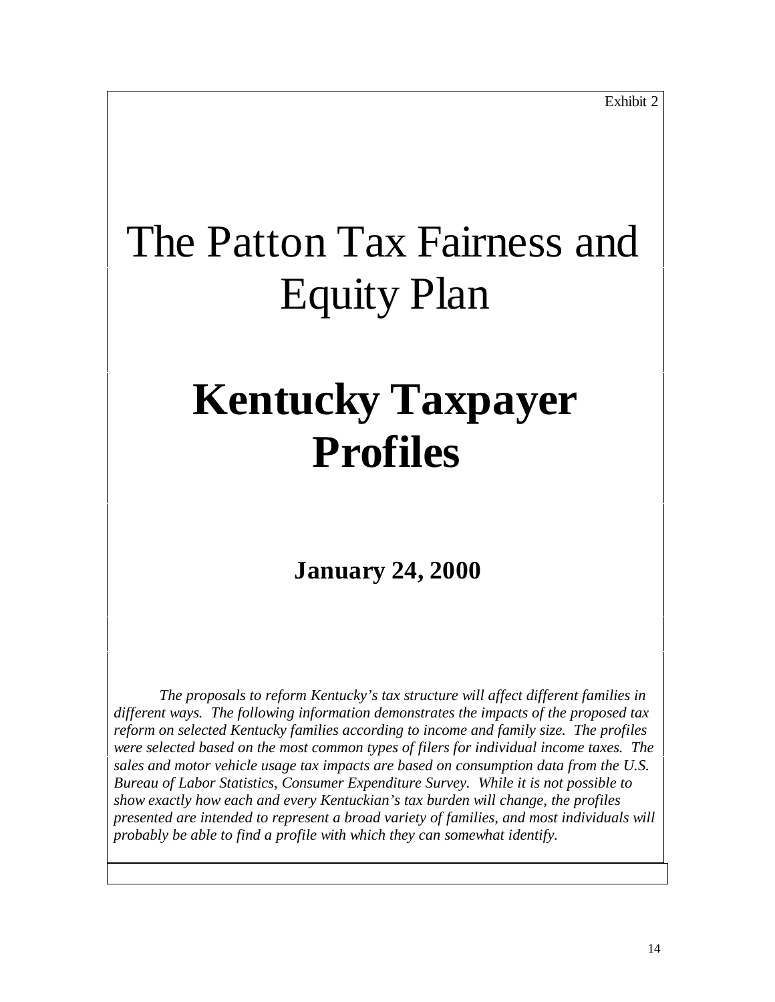# The Patton Tax Fairness and Equity Plan

# **Kentucky Taxpayer Profiles**

### **January 24, 2000**

*The proposals to reform Kentucky's tax structure will affect different families in different ways. The following information demonstrates the impacts of the proposed tax reform on selected Kentucky families according to income and family size. The profiles were selected based on the most common types of filers for individual income taxes. The sales and motor vehicle usage tax impacts are based on consumption data from the U.S. Bureau of Labor Statistics, Consumer Expenditure Survey. While it is not possible to show exactly how each and every Kentuckian's tax burden will change, the profiles presented are intended to represent a broad variety of families, and most individuals will probably be able to find a profile with which they can somewhat identify.*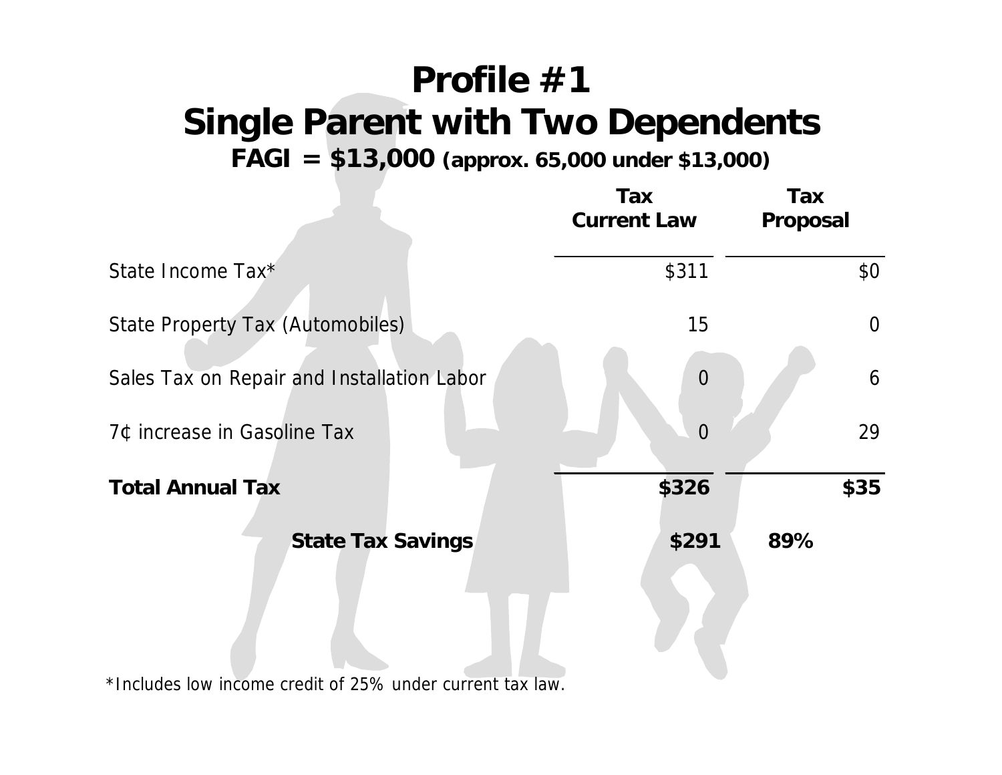# **Profile #1 Single Parent with Two Dependents**

**FAGI = \$13,000 (approx. 65,000 under \$13,000)**

|                                            | Tax<br><b>Current Law</b> | Tax<br>Proposal |
|--------------------------------------------|---------------------------|-----------------|
| State Income Tax*                          | \$311                     | \$0\$           |
| <b>State Property Tax (Automobiles)</b>    | 15                        | $\overline{0}$  |
| Sales Tax on Repair and Installation Labor | $\overline{0}$            | 6               |
| 7¢ increase in Gasoline Tax                | ⋂                         | 29              |
| <b>Total Annual Tax</b>                    | \$326                     | \$35            |
| <b>State Tax Savings</b>                   | \$291                     | 89%             |

\*Includes low income credit of 25% under current tax law.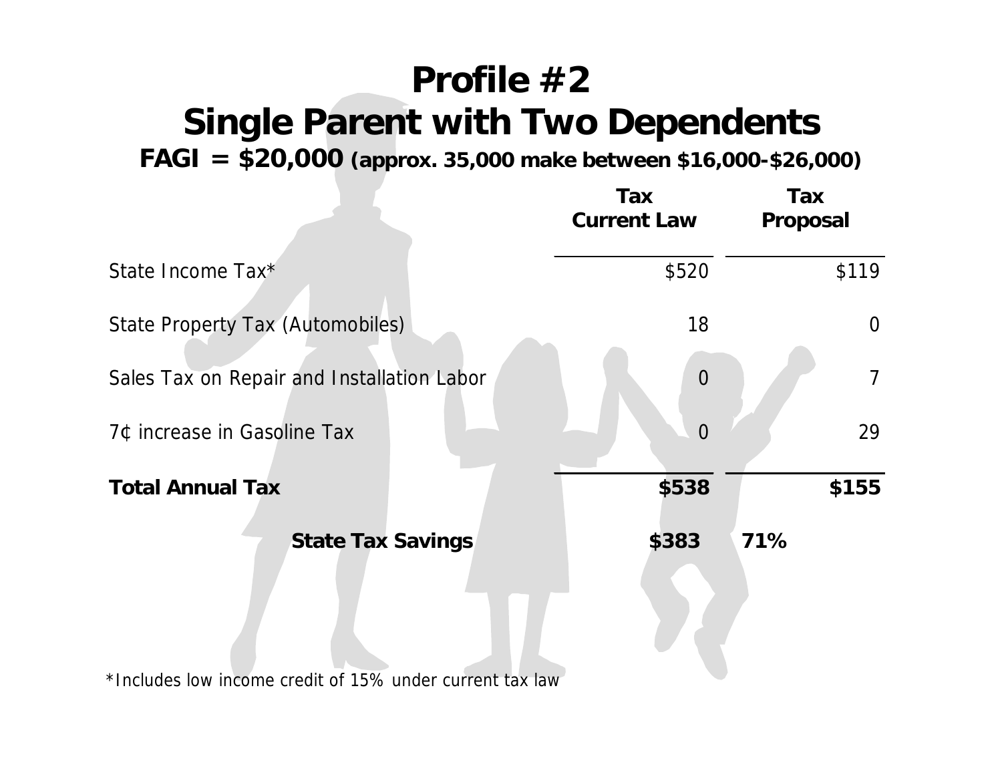## **Profile #2 Single Parent with Two Dependents**

**FAGI = \$20,000 (approx. 35,000 make between \$16,000-\$26,000)**

|                                                          | Tax<br><b>Current Law</b> | Tax<br>Proposal |
|----------------------------------------------------------|---------------------------|-----------------|
| State Income Tax*                                        | \$520                     | \$119           |
| State Property Tax (Automobiles)                         | 18                        | $\overline{0}$  |
| Sales Tax on Repair and Installation Labor               | $\overline{0}$            | $\overline{7}$  |
| 7¢ increase in Gasoline Tax                              | $\Omega$                  | 29              |
| <b>Total Annual Tax</b>                                  | \$538                     | \$155           |
| <b>State Tax Savings</b>                                 | \$383                     | 71%             |
| *Includes low income credit of 15% under current tax law |                           |                 |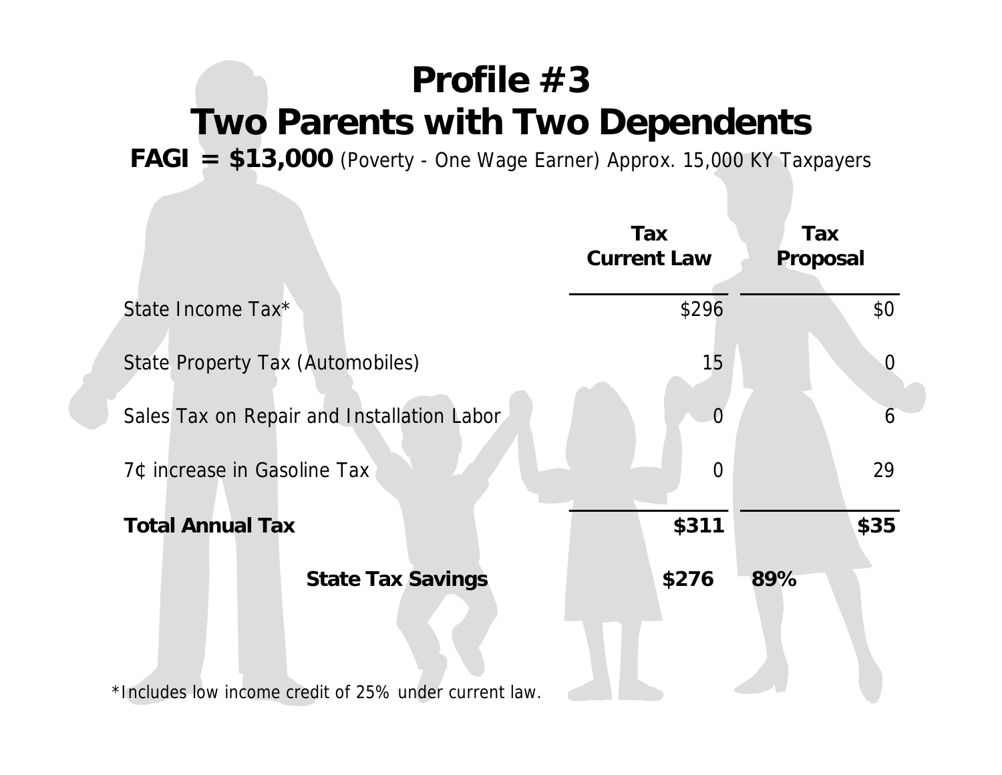## **Profile #3 Two Parents with Two Dependents**

**FAGI = \$13,000** (Poverty - One Wage Earner) Approx. 15,000 KY Taxpayers

|                                                       | Tax<br><b>Current Law</b> | Tax<br>Proposal |
|-------------------------------------------------------|---------------------------|-----------------|
| State Income Tax*                                     | \$296                     | \$0             |
| State Property Tax (Automobiles)                      | 15                        | $\Omega$        |
| Sales Tax on Repair and Installation Labor            | $\Omega$                  | 6               |
| 7¢ increase in Gasoline Tax                           | $\overline{0}$            | 29              |
| <b>Total Annual Tax</b>                               | \$311                     | \$35            |
| <b>State Tax Savings</b>                              | \$276                     | 89%             |
| *Includes low income credit of 25% under current law. |                           |                 |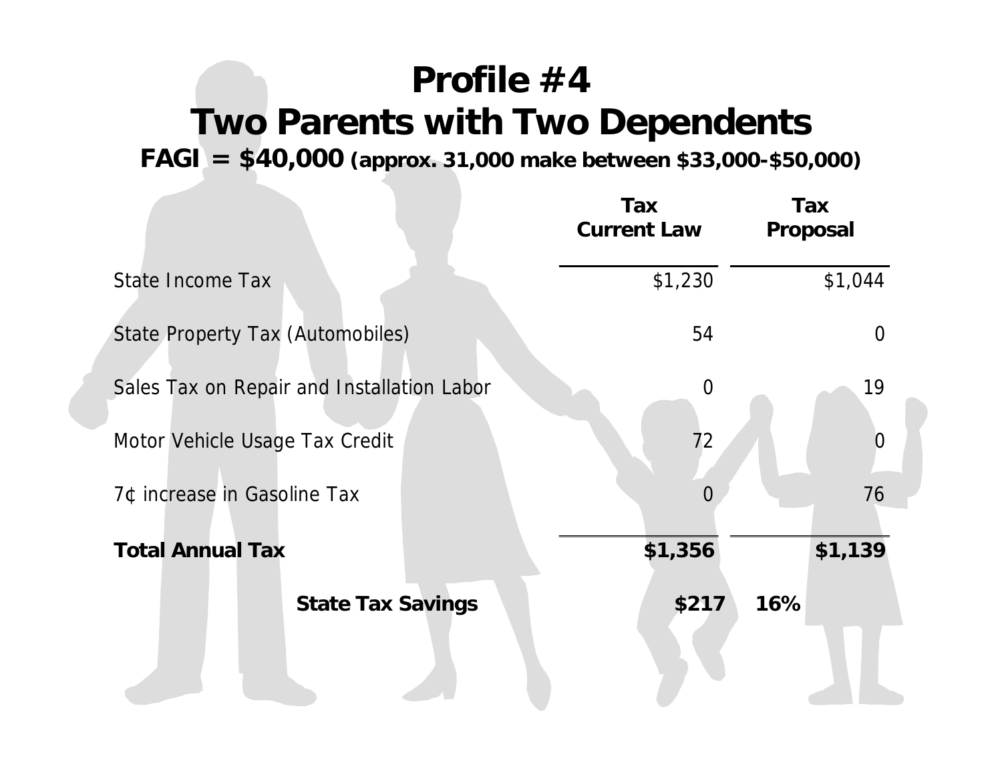## **Profile #4 Two Parents with Two Dependents**

**FAGI = \$40,000 (approx. 31,000 make between \$33,000-\$50,000)**

|                                            | Tax<br><b>Current Law</b> | Tax<br>Proposal |
|--------------------------------------------|---------------------------|-----------------|
| State Income Tax                           | \$1,230                   | \$1,044         |
| State Property Tax (Automobiles)           | 54                        | $\Omega$        |
| Sales Tax on Repair and Installation Labor | $\overline{0}$            | 19              |
| Motor Vehicle Usage Tax Credit             | 72                        | 0               |
| 7¢ increase in Gasoline Tax                | $\Omega$                  | 76              |
| <b>Total Annual Tax</b>                    | \$1,356                   | \$1,139         |
| <b>State Tax Savings</b>                   | \$217                     | 16%             |
|                                            |                           |                 |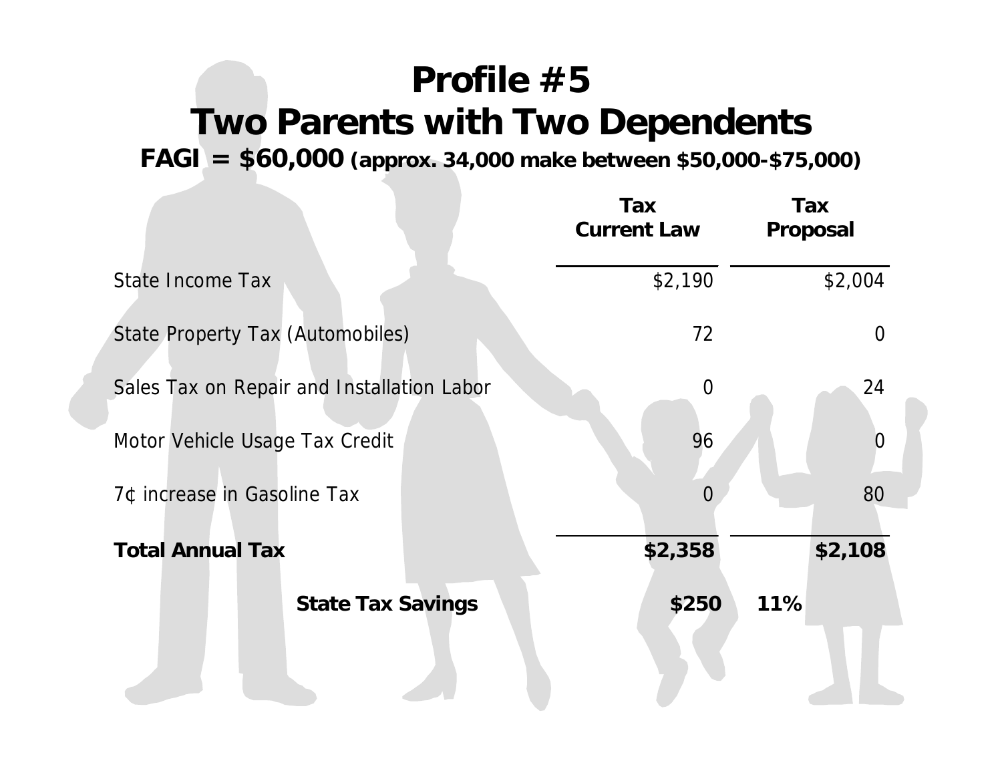# **Profile #5 Two Parents with Two Dependents**

**FAGI = \$60,000 (approx. 34,000 make between \$50,000-\$75,000)**

|                                            | Tax<br><b>Current Law</b> | Tax<br>Proposal |
|--------------------------------------------|---------------------------|-----------------|
| State Income Tax                           | \$2,190                   | \$2,004         |
| State Property Tax (Automobiles)           | 72                        | $\Omega$        |
| Sales Tax on Repair and Installation Labor | $\overline{0}$            | 24              |
| Motor Vehicle Usage Tax Credit             | 96                        | 0               |
| 7¢ increase in Gasoline Tax                | $\Omega$                  | 80              |
| <b>Total Annual Tax</b>                    | \$2,358                   | \$2,108         |
| <b>State Tax Savings</b>                   | \$250                     | 11%             |
|                                            |                           |                 |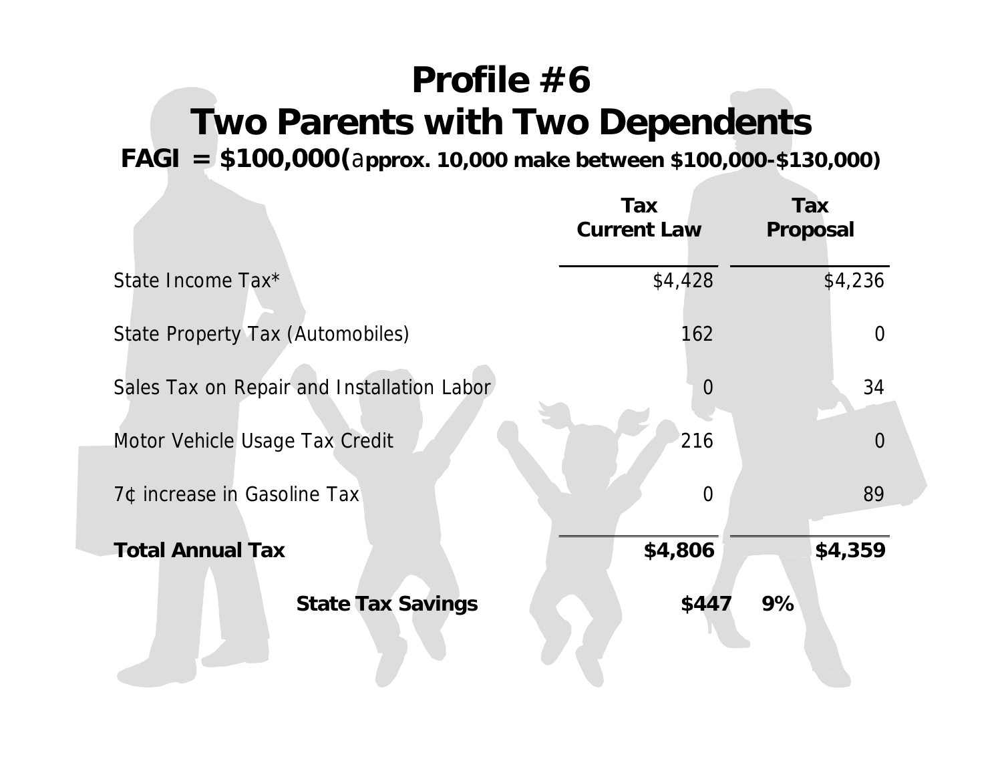# **Profile #6 Two Parents with Two Dependents**

**FAGI = \$100,000(**a**pprox. 10,000 make between \$100,000-\$130,000)**

|                                            | Tax<br><b>Current Law</b> | <b>Tax</b><br>Proposal |
|--------------------------------------------|---------------------------|------------------------|
| State Income Tax*                          | \$4,428                   | \$4,236                |
| State Property Tax (Automobiles)           | 162                       | $\Omega$               |
| Sales Tax on Repair and Installation Labor | $\overline{0}$            | 34                     |
| Motor Vehicle Usage Tax Credit             | 216                       | $\overline{0}$         |
| 7¢ increase in Gasoline Tax                | $\overline{0}$            | 89                     |
| <b>Total Annual Tax</b>                    | \$4,806                   | \$4,359                |
| <b>State Tax Savings</b>                   | \$447                     | 9%                     |
|                                            |                           |                        |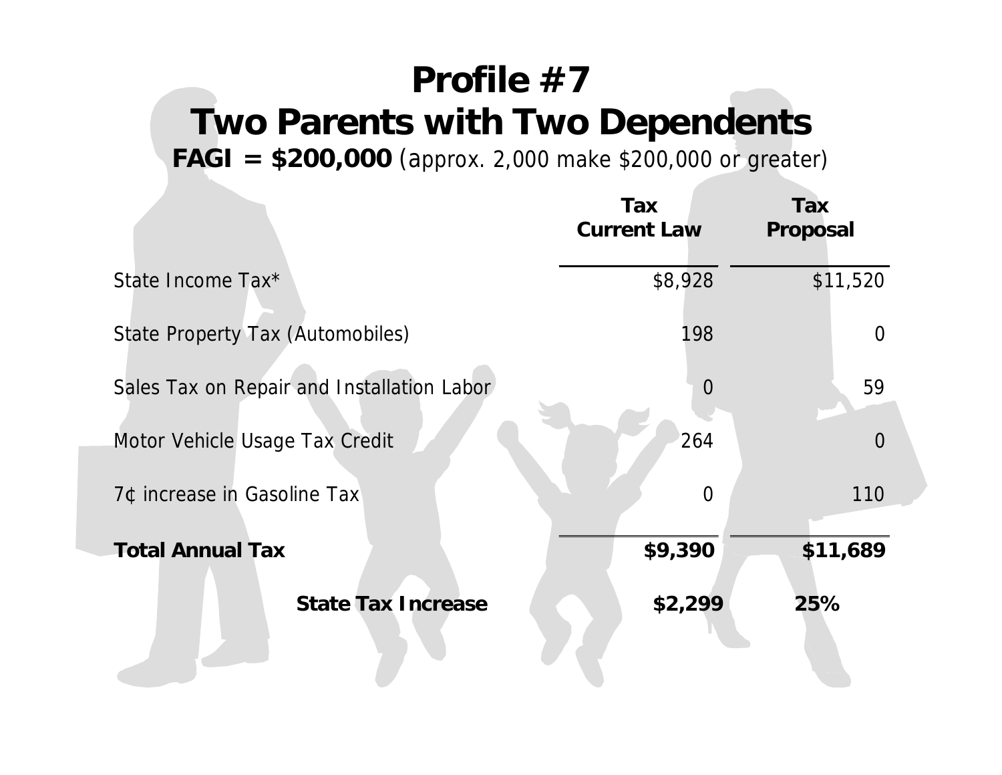# **Profile #7 Two Parents with Two Dependents**

**FAGI = \$200,000** (approx. 2,000 make \$200,000 or greater)

|                                            | Tax<br><b>Current Law</b> | Tax<br><b>Proposal</b> |
|--------------------------------------------|---------------------------|------------------------|
| State Income Tax*                          | \$8,928                   | \$11,520               |
| State Property Tax (Automobiles)           | 198                       | $\overline{0}$         |
| Sales Tax on Repair and Installation Labor | $\overline{0}$            | 59                     |
| Motor Vehicle Usage Tax Credit             | 264                       | $\overline{0}$         |
| 7¢ increase in Gasoline Tax                | $\overline{0}$            | 110                    |
| <b>Total Annual Tax</b>                    | \$9,390                   | \$11,689               |
| <b>State Tax Increase</b>                  | \$2,299                   | 25%                    |
|                                            |                           |                        |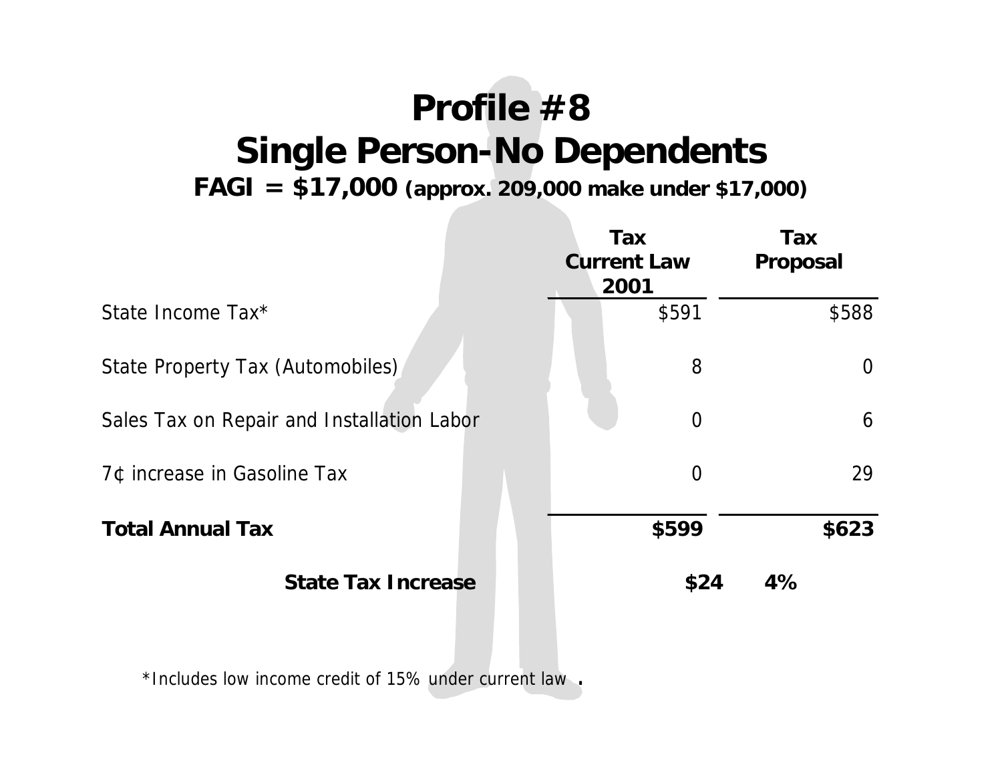# **Profile #8 Single Person-No Dependents**

**FAGI = \$17,000 (approx. 209,000 make under \$17,000)**

|                                            | <b>Tax</b><br><b>Current Law</b><br>2001 | Tax<br><b>Proposal</b> |
|--------------------------------------------|------------------------------------------|------------------------|
| State Income Tax*                          | \$591                                    | \$588                  |
| State Property Tax (Automobiles)           | 8                                        | $\Omega$               |
| Sales Tax on Repair and Installation Labor | $\overline{0}$                           | 6                      |
| 7¢ increase in Gasoline Tax                | $\overline{0}$                           | 29                     |
| <b>Total Annual Tax</b>                    | \$599                                    | \$623                  |
| <b>State Tax Increase</b>                  | \$24                                     | 4%                     |

\*Includes low income credit of 15% under current law .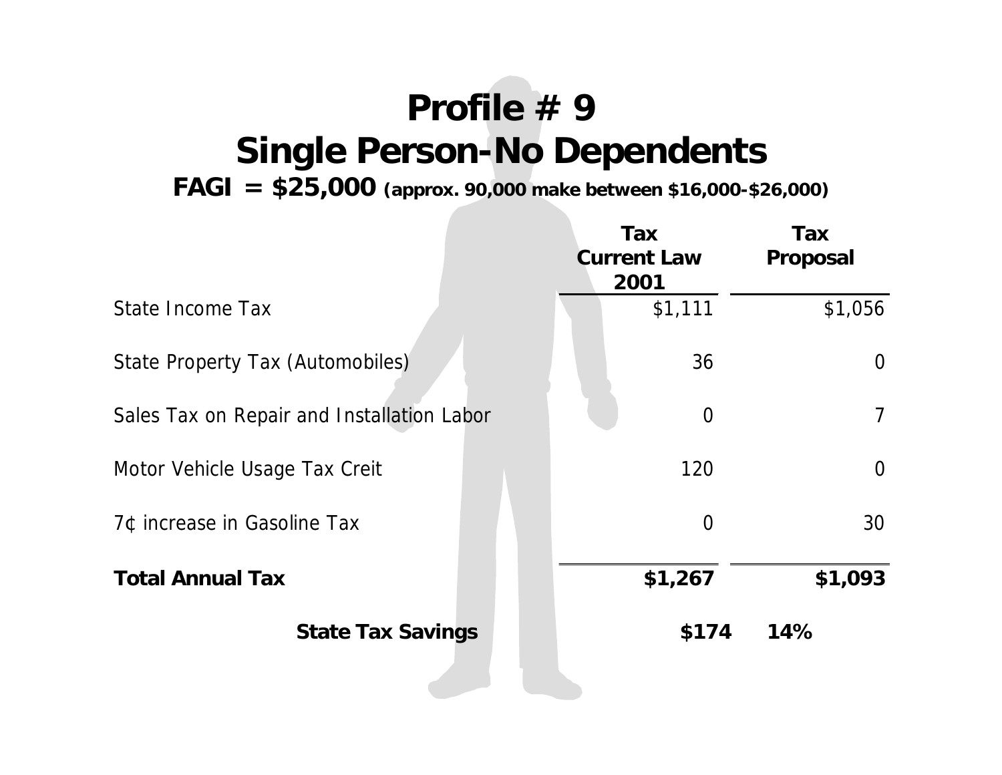# **Profile # 9 Single Person-No Dependents**

**FAGI = \$25,000 (approx. 90,000 make between \$16,000-\$26,000)**

|                                            | Tax<br><b>Current Law</b><br>2001 | Tax<br>Proposal |
|--------------------------------------------|-----------------------------------|-----------------|
| State Income Tax                           | \$1,111                           | \$1,056         |
| State Property Tax (Automobiles)           | 36                                | $\overline{0}$  |
| Sales Tax on Repair and Installation Labor | $\overline{0}$                    | $\overline{7}$  |
| Motor Vehicle Usage Tax Creit              | 120                               | $\overline{0}$  |
| 7¢ increase in Gasoline Tax                | $\overline{0}$                    | 30              |
| <b>Total Annual Tax</b>                    | \$1,267                           | \$1,093         |
| <b>State Tax Savings</b>                   | \$174                             | 14%             |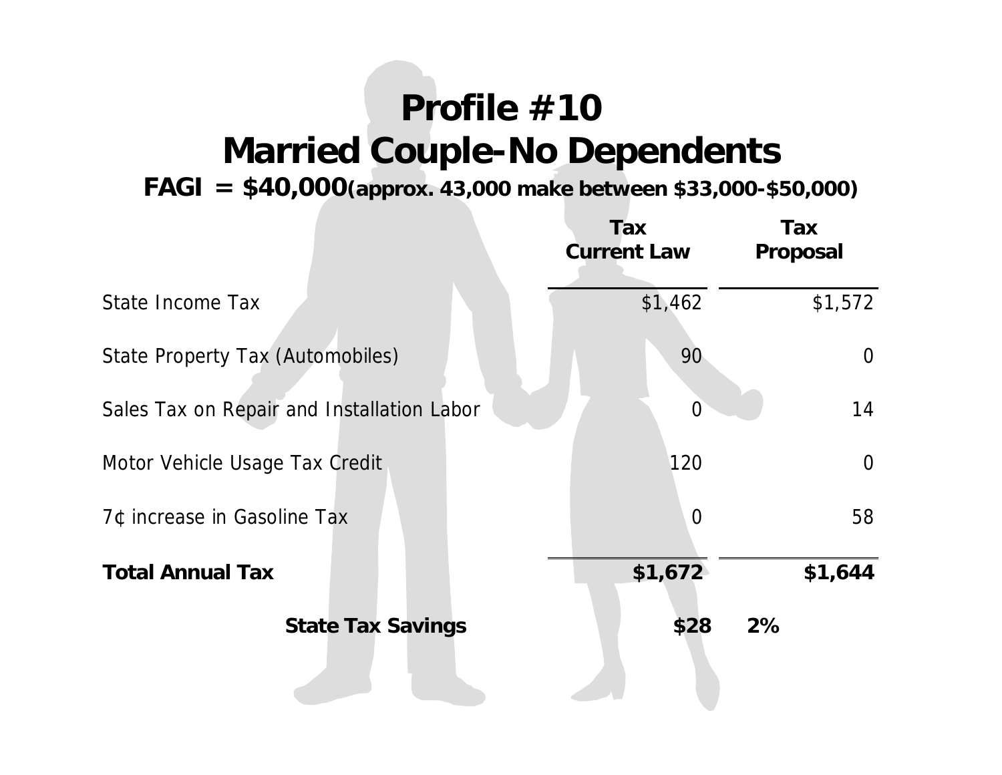# **Profile #10 Married Couple-No Dependents**

**FAGI = \$40,000(approx. 43,000 make between \$33,000-\$50,000)**

|                                            | Tax<br><b>Current Law</b> | Tax<br><b>Proposal</b> |
|--------------------------------------------|---------------------------|------------------------|
| State Income Tax                           | \$1,462                   | \$1,572                |
| State Property Tax (Automobiles)           | 90                        | $\overline{0}$         |
| Sales Tax on Repair and Installation Labor | $\overline{0}$            | 14                     |
| Motor Vehicle Usage Tax Credit             | 120                       | $\overline{0}$         |
| 7¢ increase in Gasoline Tax                | $\overline{0}$            | 58                     |
| <b>Total Annual Tax</b>                    | \$1,672                   | \$1,644                |
| <b>State Tax Savings</b>                   | \$28                      | 2%                     |
|                                            |                           |                        |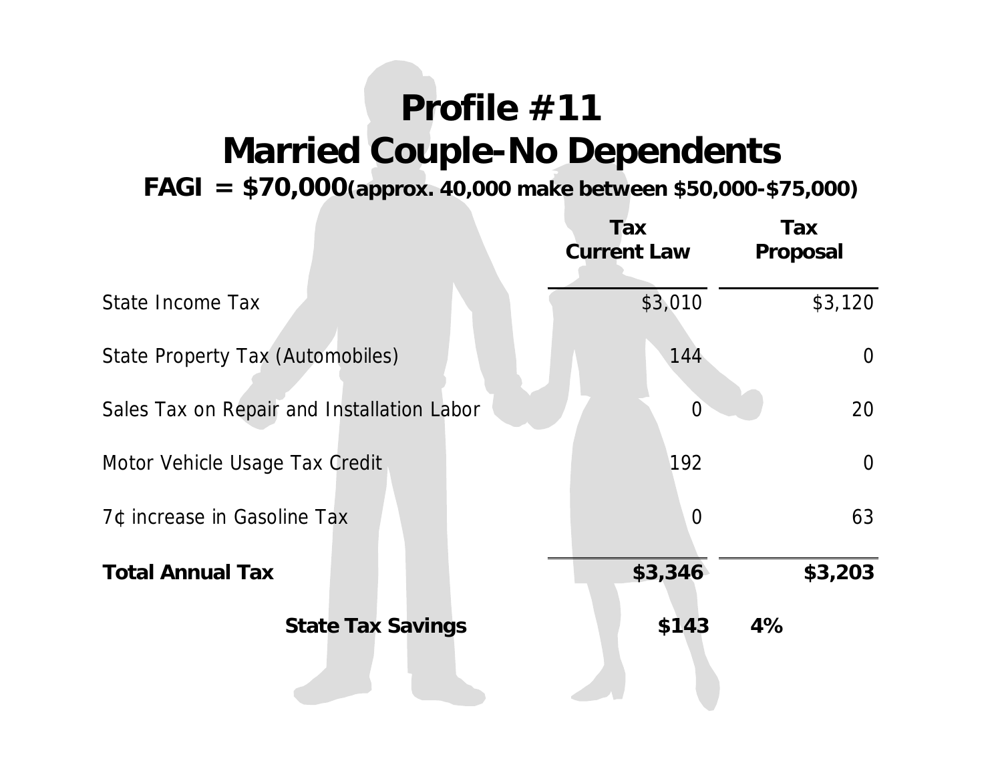# **Profile #11 Married Couple-No Dependents**

**FAGI = \$70,000(approx. 40,000 make between \$50,000-\$75,000)**

|                                            | Tax<br><b>Current Law</b> | Tax<br>Proposal |
|--------------------------------------------|---------------------------|-----------------|
| State Income Tax                           | \$3,010                   | \$3,120         |
| <b>State Property Tax (Automobiles)</b>    | 144                       | $\overline{0}$  |
| Sales Tax on Repair and Installation Labor | $\overline{0}$            | 20              |
| Motor Vehicle Usage Tax Credit             | 192                       | $\overline{0}$  |
| 7¢ increase in Gasoline Tax                | $\overline{0}$            | 63              |
| <b>Total Annual Tax</b>                    | \$3,346                   | \$3,203         |
| <b>State Tax Savings</b>                   | \$143                     | 4%              |
|                                            |                           |                 |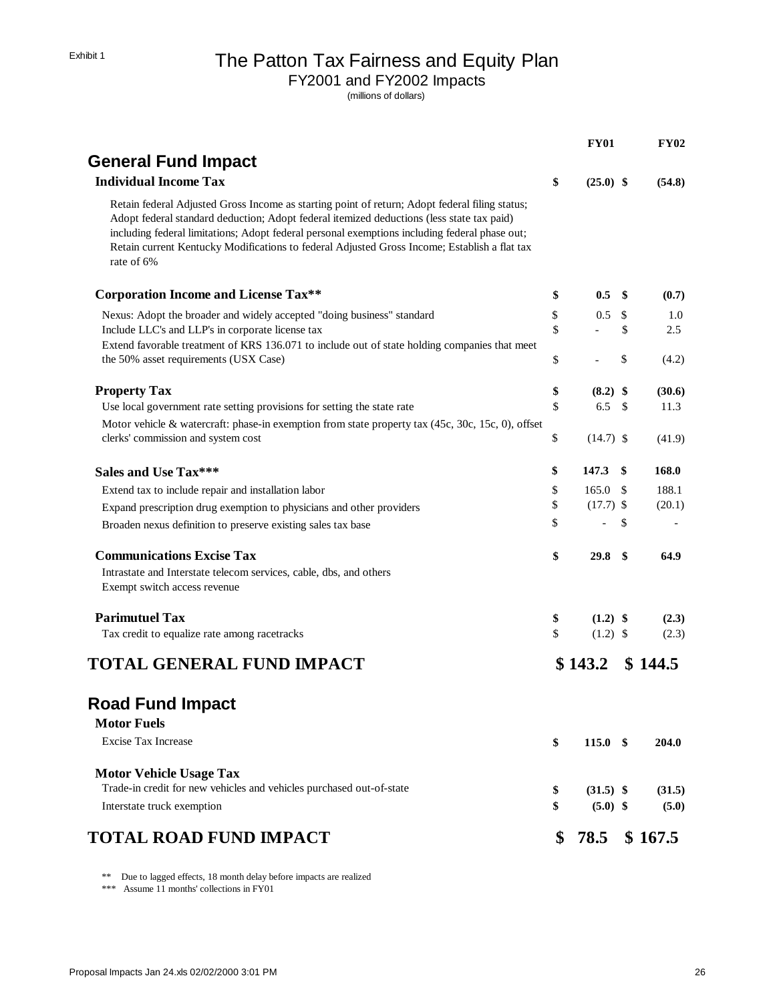## Exhibit 1 The Patton Tax Fairness and Equity Plan

FY2001 and FY2002 Impacts

(millions of dollars)

| <b>General Fund Impact</b><br><b>Individual Income Tax</b><br>\$<br>Retain federal Adjusted Gross Income as starting point of return; Adopt federal filing status;<br>Adopt federal standard deduction; Adopt federal itemized deductions (less state tax paid)<br>including federal limitations; Adopt federal personal exemptions including federal phase out;<br>Retain current Kentucky Modifications to federal Adjusted Gross Income; Establish a flat tax | $(25.0)$ \$<br>0.5 |      | (54.8)  |
|------------------------------------------------------------------------------------------------------------------------------------------------------------------------------------------------------------------------------------------------------------------------------------------------------------------------------------------------------------------------------------------------------------------------------------------------------------------|--------------------|------|---------|
|                                                                                                                                                                                                                                                                                                                                                                                                                                                                  |                    |      |         |
|                                                                                                                                                                                                                                                                                                                                                                                                                                                                  |                    |      |         |
| rate of 6%                                                                                                                                                                                                                                                                                                                                                                                                                                                       |                    |      |         |
| <b>Corporation Income and License Tax**</b><br>\$                                                                                                                                                                                                                                                                                                                                                                                                                |                    | - \$ | (0.7)   |
| \$<br>Nexus: Adopt the broader and widely accepted "doing business" standard                                                                                                                                                                                                                                                                                                                                                                                     | 0.5                | \$   | 1.0     |
| \$<br>Include LLC's and LLP's in corporate license tax                                                                                                                                                                                                                                                                                                                                                                                                           |                    | \$   | 2.5     |
| Extend favorable treatment of KRS 136.071 to include out of state holding companies that meet<br>the 50% asset requirements (USX Case)<br>\$                                                                                                                                                                                                                                                                                                                     |                    | \$   | (4.2)   |
| <b>Property Tax</b><br>\$                                                                                                                                                                                                                                                                                                                                                                                                                                        | $(8.2)$ \$         |      | (30.6)  |
| \$<br>Use local government rate setting provisions for setting the state rate                                                                                                                                                                                                                                                                                                                                                                                    | 6.5                | - \$ | 11.3    |
| Motor vehicle & watercraft: phase-in exemption from state property tax (45c, 30c, 15c, 0), offset                                                                                                                                                                                                                                                                                                                                                                |                    |      |         |
| \$<br>clerks' commission and system cost                                                                                                                                                                                                                                                                                                                                                                                                                         | $(14.7)$ \$        |      | (41.9)  |
| \$<br><b>Sales and Use Tax***</b>                                                                                                                                                                                                                                                                                                                                                                                                                                | 147.3              | - \$ | 168.0   |
| \$<br>Extend tax to include repair and installation labor                                                                                                                                                                                                                                                                                                                                                                                                        | $165.0\quad$ \$    |      | 188.1   |
| \$<br>Expand prescription drug exemption to physicians and other providers                                                                                                                                                                                                                                                                                                                                                                                       | $(17.7)$ \$        |      | (20.1)  |
| \$<br>Broaden nexus definition to preserve existing sales tax base                                                                                                                                                                                                                                                                                                                                                                                               | $\overline{a}$     | \$   |         |
| <b>Communications Excise Tax</b><br>\$                                                                                                                                                                                                                                                                                                                                                                                                                           | 29.8 <sup>°</sup>  |      | 64.9    |
| Intrastate and Interstate telecom services, cable, dbs, and others                                                                                                                                                                                                                                                                                                                                                                                               |                    |      |         |
| Exempt switch access revenue                                                                                                                                                                                                                                                                                                                                                                                                                                     |                    |      |         |
| <b>Parimutuel Tax</b><br>\$                                                                                                                                                                                                                                                                                                                                                                                                                                      | $(1.2)$ \$         |      | (2.3)   |
| \$<br>Tax credit to equalize rate among racetracks                                                                                                                                                                                                                                                                                                                                                                                                               | $(1.2)$ \$         |      | (2.3)   |
| <b>TOTAL GENERAL FUND IMPACT</b>                                                                                                                                                                                                                                                                                                                                                                                                                                 | \$143.2            |      | \$144.5 |
| <b>Road Fund Impact</b>                                                                                                                                                                                                                                                                                                                                                                                                                                          |                    |      |         |
| <b>Motor Fuels</b>                                                                                                                                                                                                                                                                                                                                                                                                                                               |                    |      |         |
| <b>Excise Tax Increase</b><br>\$                                                                                                                                                                                                                                                                                                                                                                                                                                 | $115.0*$           |      | 204.0   |
|                                                                                                                                                                                                                                                                                                                                                                                                                                                                  |                    |      |         |
| <b>Motor Vehicle Usage Tax</b>                                                                                                                                                                                                                                                                                                                                                                                                                                   |                    |      |         |
| Trade-in credit for new vehicles and vehicles purchased out-of-state<br>\$                                                                                                                                                                                                                                                                                                                                                                                       | $(31.5)$ \$        |      | (31.5)  |
| \$<br>Interstate truck exemption                                                                                                                                                                                                                                                                                                                                                                                                                                 | $(5.0)$ \$         |      | (5.0)   |
| <b>TOTAL ROAD FUND IMPACT</b>                                                                                                                                                                                                                                                                                                                                                                                                                                    | 78.5<br>\$         |      | \$167.5 |

\*\* Due to lagged effects, 18 month delay before impacts are realized

\*\*\* Assume 11 months' collections in FY01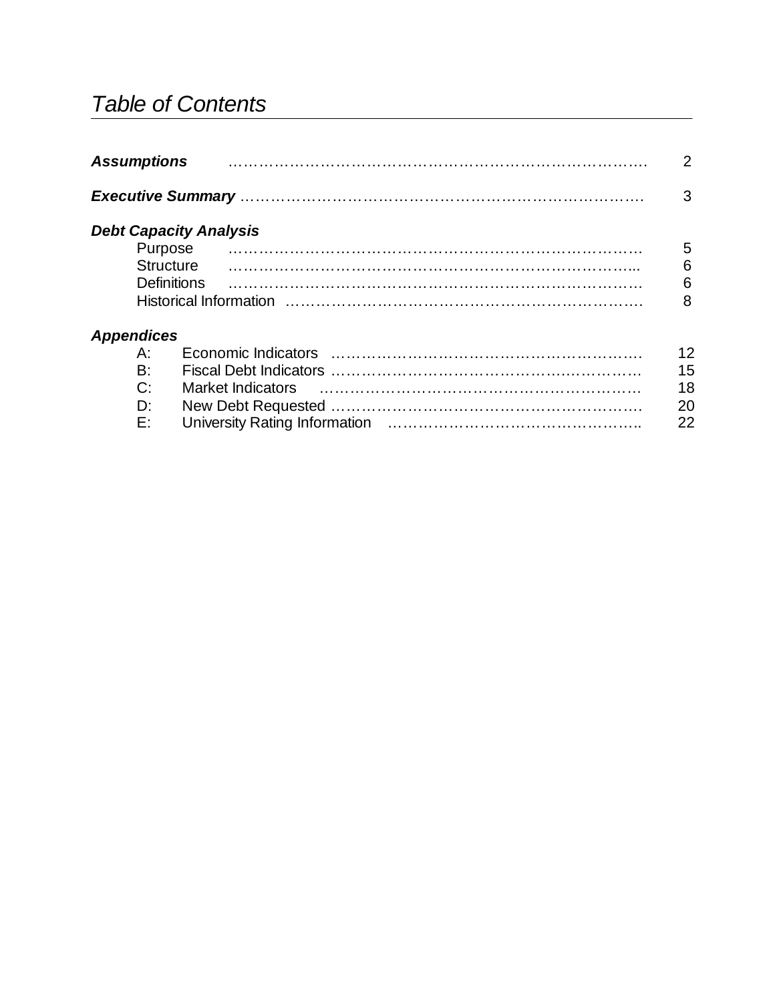# *Table of Contents*

| <b>Assumptions</b> |                               | 2               |
|--------------------|-------------------------------|-----------------|
|                    |                               | 3               |
|                    | <b>Debt Capacity Analysis</b> |                 |
|                    |                               | 5               |
| <b>Structure</b>   |                               | 6               |
| <b>Definitions</b> |                               | $6\phantom{1}6$ |
|                    |                               | 8               |
| <b>Appendices</b>  |                               |                 |
| A:                 |                               | 12              |
| B:                 |                               | 15              |
| $C^{\cdot}$        |                               | 18              |
| Dί                 |                               | 20              |
| E:                 |                               | 22              |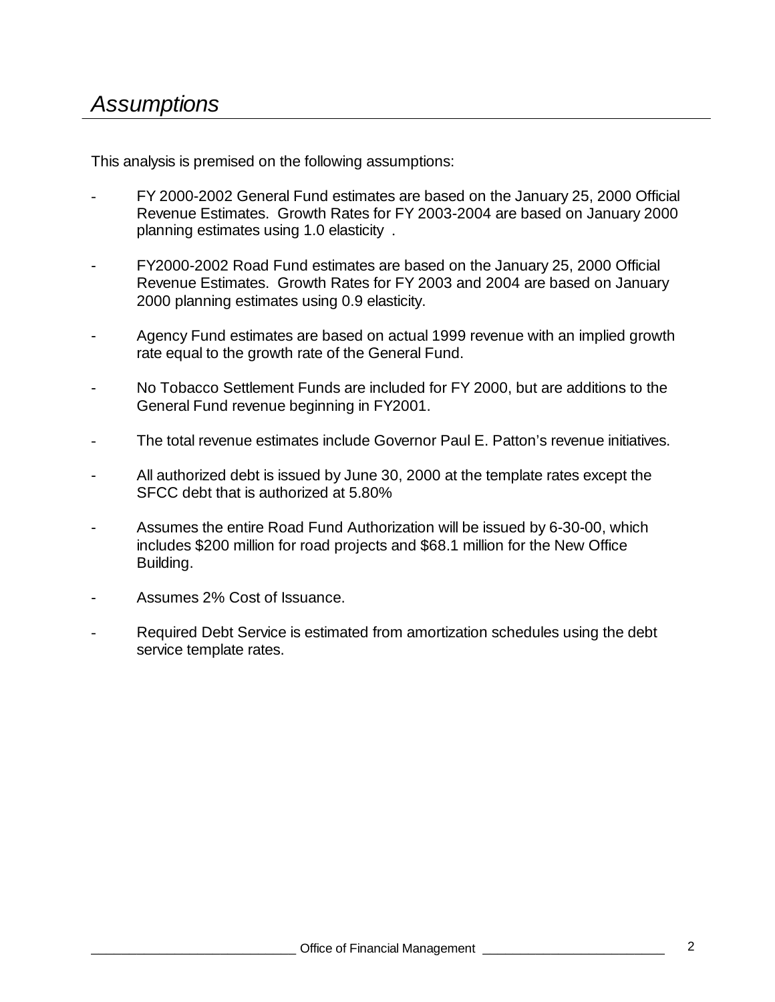This analysis is premised on the following assumptions:

- FY 2000-2002 General Fund estimates are based on the January 25, 2000 Official Revenue Estimates. Growth Rates for FY 2003-2004 are based on January 2000 planning estimates using 1.0 elasticity .
- FY2000-2002 Road Fund estimates are based on the January 25, 2000 Official Revenue Estimates. Growth Rates for FY 2003 and 2004 are based on January 2000 planning estimates using 0.9 elasticity.
- Agency Fund estimates are based on actual 1999 revenue with an implied growth rate equal to the growth rate of the General Fund.
- No Tobacco Settlement Funds are included for FY 2000, but are additions to the General Fund revenue beginning in FY2001.
- The total revenue estimates include Governor Paul E. Patton's revenue initiatives.
- All authorized debt is issued by June 30, 2000 at the template rates except the SFCC debt that is authorized at 5.80%
- Assumes the entire Road Fund Authorization will be issued by 6-30-00, which includes \$200 million for road projects and \$68.1 million for the New Office Building.
- Assumes 2% Cost of Issuance.
- Required Debt Service is estimated from amortization schedules using the debt service template rates.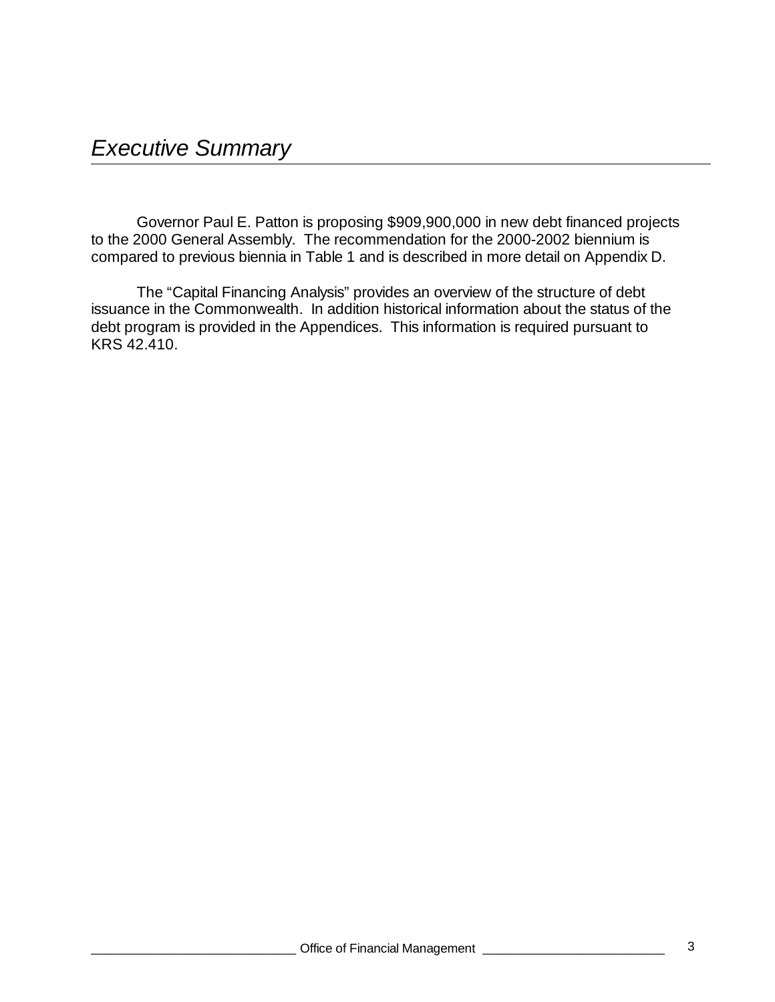Governor Paul E. Patton is proposing \$909,900,000 in new debt financed projects to the 2000 General Assembly. The recommendation for the 2000-2002 biennium is compared to previous biennia in Table 1 and is described in more detail on Appendix D.

The "Capital Financing Analysis" provides an overview of the structure of debt issuance in the Commonwealth. In addition historical information about the status of the debt program is provided in the Appendices. This information is required pursuant to KRS 42.410.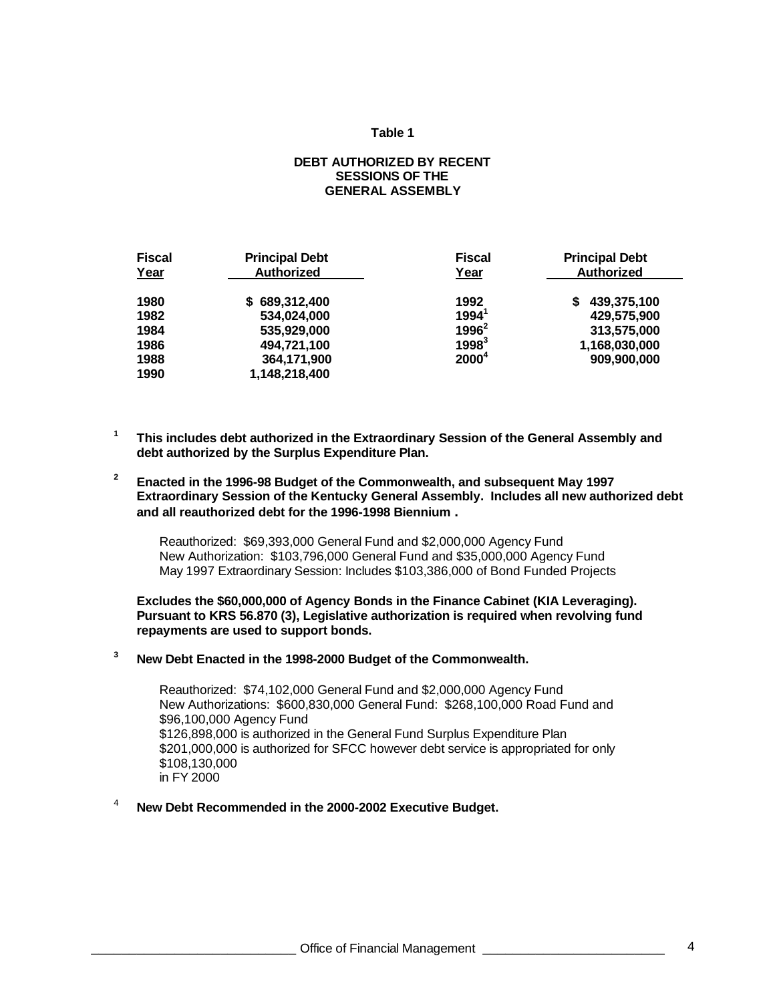### **Table 1**

### **DEBT AUTHORIZED BY RECENT SESSIONS OF THE GENERAL ASSEMBLY**

| <b>Fiscal</b><br>Year | <b>Principal Debt</b><br><b>Authorized</b> | <b>Fiscal</b><br>Year | <b>Principal Debt</b><br><b>Authorized</b> |
|-----------------------|--------------------------------------------|-----------------------|--------------------------------------------|
| 1980                  | \$689,312,400                              | 1992                  | 439,375,100<br>S                           |
| 1982                  | 534,024,000                                | $1994^1$              | 429,575,900                                |
| 1984                  | 535,929,000                                | $1996^2$              | 313,575,000                                |
| 1986                  | 494,721,100                                | $1998^3$              | 1,168,030,000                              |
| 1988                  | 364,171,900                                | $2000^4$              | 909.900.000                                |
| 1990                  | 1,148,218,400                              |                       |                                            |

- **1 This includes debt authorized in the Extraordinary Session of the General Assembly and debt authorized by the Surplus Expenditure Plan.**
- **2 Enacted in the 1996-98 Budget of the Commonwealth, and subsequent May 1997 Extraordinary Session of the Kentucky General Assembly. Includes all new authorized debt and all reauthorized debt for the 1996-1998 Biennium .**

Reauthorized: \$69,393,000 General Fund and \$2,000,000 Agency Fund New Authorization: \$103,796,000 General Fund and \$35,000,000 Agency Fund May 1997 Extraordinary Session: Includes \$103,386,000 of Bond Funded Projects

**Excludes the \$60,000,000 of Agency Bonds in the Finance Cabinet (KIA Leveraging). Pursuant to KRS 56.870 (3), Legislative authorization is required when revolving fund repayments are used to support bonds.**

**<sup>3</sup> New Debt Enacted in the 1998-2000 Budget of the Commonwealth.**

Reauthorized: \$74,102,000 General Fund and \$2,000,000 Agency Fund New Authorizations: \$600,830,000 General Fund: \$268,100,000 Road Fund and \$96,100,000 Agency Fund \$126,898,000 is authorized in the General Fund Surplus Expenditure Plan \$201,000,000 is authorized for SFCC however debt service is appropriated for only \$108,130,000 in FY 2000

<sup>4</sup> **New Debt Recommended in the 2000-2002 Executive Budget.**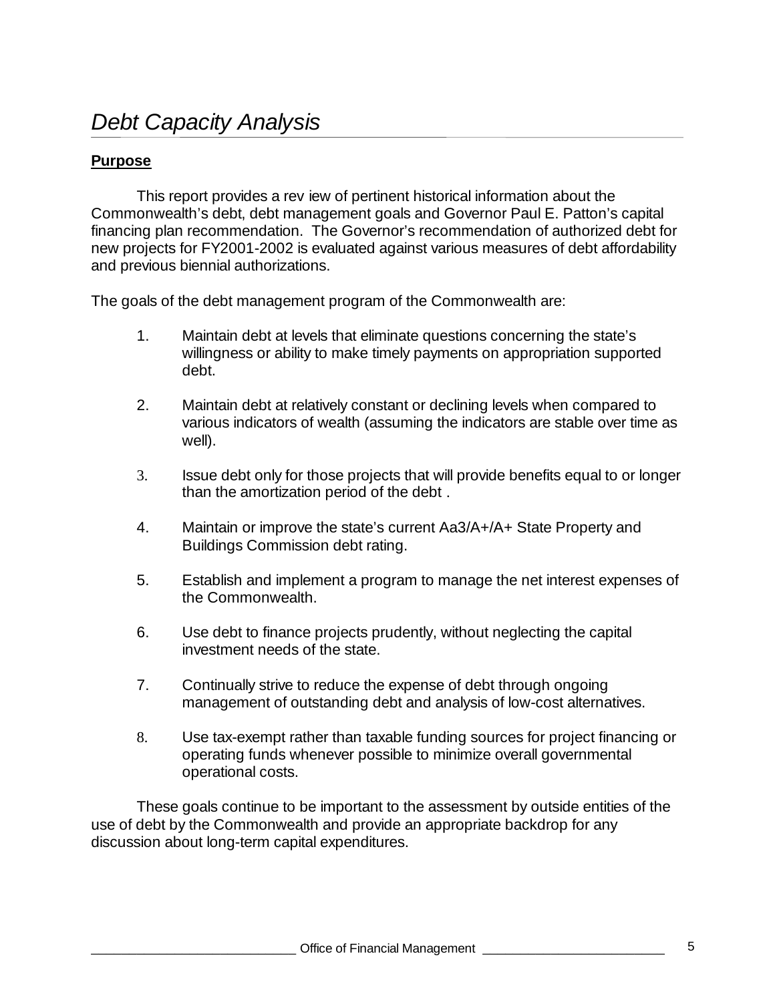## **Purpose**

This report provides a rev iew of pertinent historical information about the Commonwealth's debt, debt management goals and Governor Paul E. Patton's capital financing plan recommendation. The Governor's recommendation of authorized debt for new projects for FY2001-2002 is evaluated against various measures of debt affordability and previous biennial authorizations.

The goals of the debt management program of the Commonwealth are:

- 1. Maintain debt at levels that eliminate questions concerning the state's willingness or ability to make timely payments on appropriation supported debt.
- 2. Maintain debt at relatively constant or declining levels when compared to various indicators of wealth (assuming the indicators are stable over time as well).
- 3. Issue debt only for those projects that will provide benefits equal to or longer than the amortization period of the debt .
- 4. Maintain or improve the state's current Aa3/A+/A+ State Property and Buildings Commission debt rating.
- 5. Establish and implement a program to manage the net interest expenses of the Commonwealth.
- 6. Use debt to finance projects prudently, without neglecting the capital investment needs of the state.
- 7. Continually strive to reduce the expense of debt through ongoing management of outstanding debt and analysis of low-cost alternatives.
- 8. Use tax-exempt rather than taxable funding sources for project financing or operating funds whenever possible to minimize overall governmental operational costs.

These goals continue to be important to the assessment by outside entities of the use of debt by the Commonwealth and provide an appropriate backdrop for any discussion about long-term capital expenditures.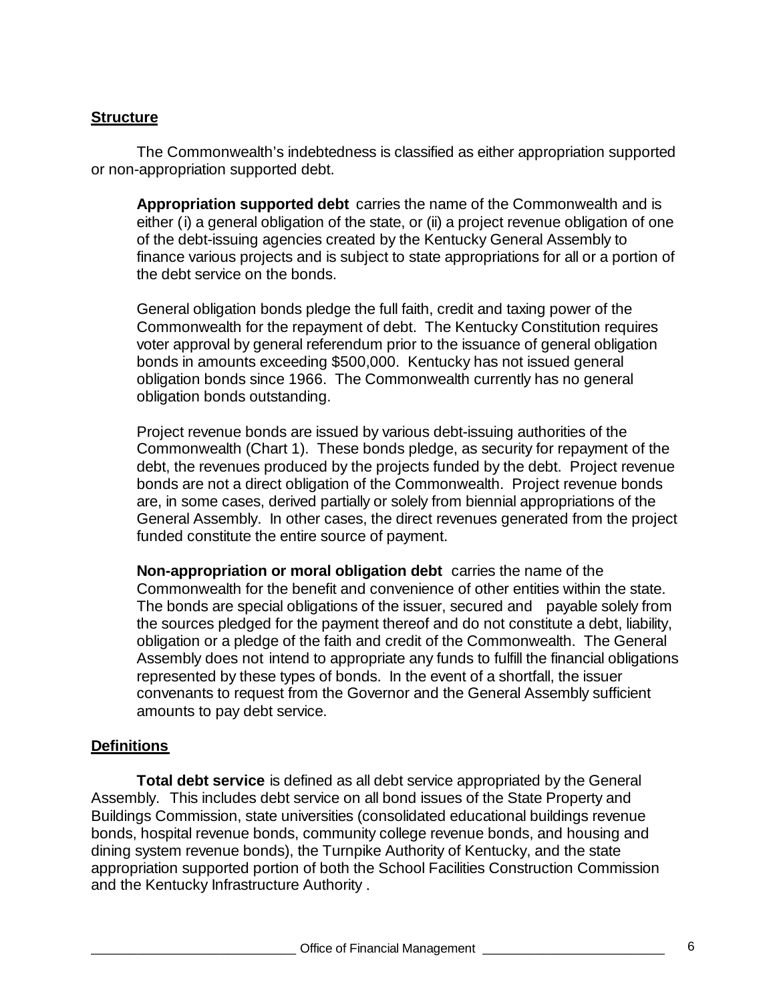## **Structure**

The Commonwealth's indebtedness is classified as either appropriation supported or non-appropriation supported debt.

**Appropriation supported debt** carries the name of the Commonwealth and is either (i) a general obligation of the state, or (ii) a project revenue obligation of one of the debt-issuing agencies created by the Kentucky General Assembly to finance various projects and is subject to state appropriations for all or a portion of the debt service on the bonds.

General obligation bonds pledge the full faith, credit and taxing power of the Commonwealth for the repayment of debt. The Kentucky Constitution requires voter approval by general referendum prior to the issuance of general obligation bonds in amounts exceeding \$500,000. Kentucky has not issued general obligation bonds since 1966. The Commonwealth currently has no general obligation bonds outstanding.

Project revenue bonds are issued by various debt-issuing authorities of the Commonwealth (Chart 1). These bonds pledge, as security for repayment of the debt, the revenues produced by the projects funded by the debt. Project revenue bonds are not a direct obligation of the Commonwealth. Project revenue bonds are, in some cases, derived partially or solely from biennial appropriations of the General Assembly. In other cases, the direct revenues generated from the project funded constitute the entire source of payment.

**Non-appropriation or moral obligation debt** carries the name of the Commonwealth for the benefit and convenience of other entities within the state. The bonds are special obligations of the issuer, secured and payable solely from the sources pledged for the payment thereof and do not constitute a debt, liability, obligation or a pledge of the faith and credit of the Commonwealth. The General Assembly does not intend to appropriate any funds to fulfill the financial obligations represented by these types of bonds. In the event of a shortfall, the issuer convenants to request from the Governor and the General Assembly sufficient amounts to pay debt service.

## **Definitions**

**Total debt service** is defined as all debt service appropriated by the General Assembly. This includes debt service on all bond issues of the State Property and Buildings Commission, state universities (consolidated educational buildings revenue bonds, hospital revenue bonds, community college revenue bonds, and housing and dining system revenue bonds), the Turnpike Authority of Kentucky, and the state appropriation supported portion of both the School Facilities Construction Commission and the Kentucky Infrastructure Authority .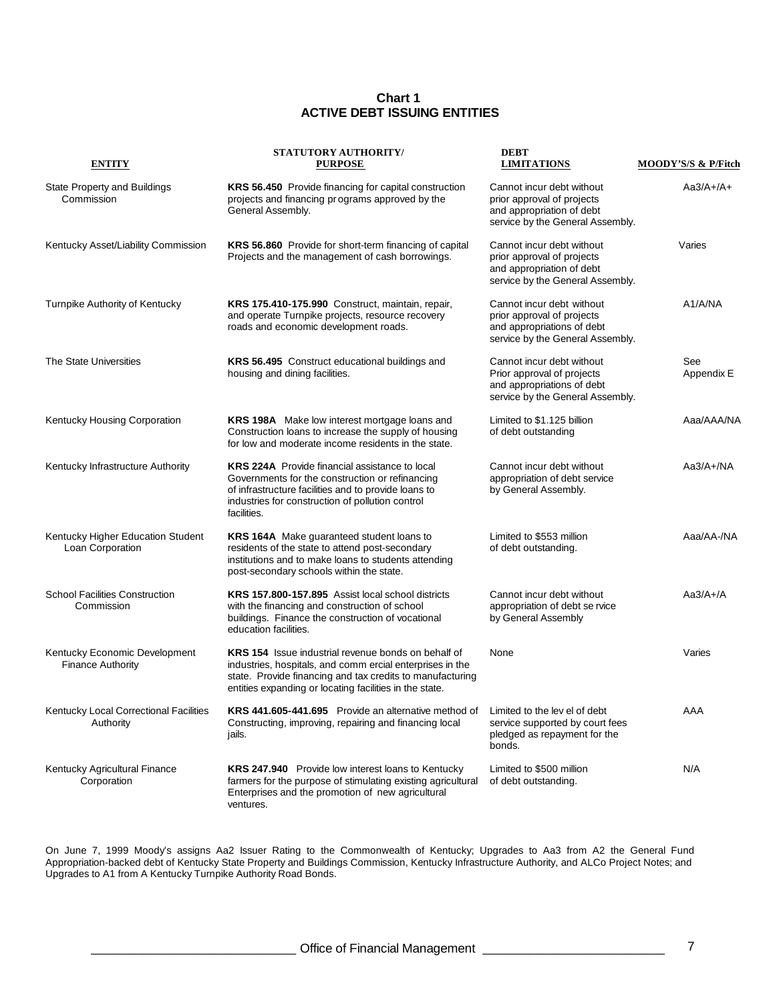#### **Chart 1 ACTIVE DEBT ISSUING ENTITIES**

| <b>ENTITY</b>                                             | <b>STATUTORY AUTHORITY/</b><br><b>PURPOSE</b>                                                                                                                                                                                                   | <b>DEBT</b><br><b>LIMITATIONS</b>                                                                                         | MOODY'S/S & P/Fitch |
|-----------------------------------------------------------|-------------------------------------------------------------------------------------------------------------------------------------------------------------------------------------------------------------------------------------------------|---------------------------------------------------------------------------------------------------------------------------|---------------------|
| State Property and Buildings<br>Commission                | KRS 56.450 Provide financing for capital construction<br>projects and financing programs approved by the<br>General Assembly.                                                                                                                   | Cannot incur debt without<br>prior approval of projects<br>and appropriation of debt<br>service by the General Assembly.  | $Aa3/A+/A+$         |
| Kentucky Asset/Liability Commission                       | KRS 56.860 Provide for short-term financing of capital<br>Projects and the management of cash borrowings.                                                                                                                                       | Cannot incur debt without<br>prior approval of projects<br>and appropriation of debt<br>service by the General Assembly.  | Varies              |
| Turnpike Authority of Kentucky                            | KRS 175.410-175.990 Construct, maintain, repair,<br>and operate Turnpike projects, resource recovery<br>roads and economic development roads.                                                                                                   | Cannot incur debt without<br>prior approval of projects<br>and appropriations of debt<br>service by the General Assembly. | A1/A/NA             |
| The State Universities                                    | KRS 56.495 Construct educational buildings and<br>housing and dining facilities.                                                                                                                                                                | Cannot incur debt without<br>Prior approval of projects<br>and appropriations of debt<br>service by the General Assembly. | See<br>Appendix E   |
| Kentucky Housing Corporation                              | KRS 198A Make low interest mortgage loans and<br>Construction loans to increase the supply of housing<br>for low and moderate income residents in the state.                                                                                    | Limited to \$1.125 billion<br>of debt outstanding                                                                         | Aaa/AAA/NA          |
| Kentucky Infrastructure Authority                         | <b>KRS 224A</b> Provide financial assistance to local<br>Governments for the construction or refinancing<br>of infrastructure facilities and to provide loans to<br>industries for construction of pollution control<br>facilities.             | Cannot incur debt without<br>appropriation of debt service<br>by General Assembly.                                        | $Aa3/A+/NA$         |
| Kentucky Higher Education Student<br>Loan Corporation     | KRS 164A Make guaranteed student loans to<br>residents of the state to attend post-secondary<br>institutions and to make loans to students attending<br>post-secondary schools within the state.                                                | Limited to \$553 million<br>of debt outstanding.                                                                          | Aaa/AA-/NA          |
| <b>School Facilities Construction</b><br>Commission       | KRS 157.800-157.895 Assist local school districts<br>with the financing and construction of school<br>buildings. Finance the construction of vocational<br>education facilities.                                                                | Cannot incur debt without<br>appropriation of debt se rvice<br>by General Assembly                                        | $Aa3/A+/A$          |
| Kentucky Economic Development<br><b>Finance Authority</b> | <b>KRS 154</b> Issue industrial revenue bonds on behalf of<br>industries, hospitals, and comm ercial enterprises in the<br>state. Provide financing and tax credits to manufacturing<br>entities expanding or locating facilities in the state. | None                                                                                                                      | Varies              |
| Kentucky Local Correctional Facilities<br>Authority       | KRS 441.605-441.695 Provide an alternative method of Limited to the lev el of debt<br>Constructing, improving, repairing and financing local<br>jails.                                                                                          | service supported by court fees<br>pledged as repayment for the<br>bonds.                                                 | AAA                 |
| Kentucky Agricultural Finance<br>Corporation              | <b>KRS 247.940</b> Provide low interest loans to Kentucky<br>farmers for the purpose of stimulating existing agricultural<br>Enterprises and the promotion of new agricultural<br>ventures.                                                     | Limited to \$500 million<br>of debt outstanding.                                                                          | N/A                 |

On June 7, 1999 Moody's assigns Aa2 Issuer Rating to the Commonwealth of Kentucky; Upgrades to Aa3 from A2 the General Fund Appropriation-backed debt of Kentucky State Property and Buildings Commission, Kentucky Infrastructure Authority, and ALCo Project Notes; and Upgrades to A1 from A Kentucky Turnpike Authority Road Bonds.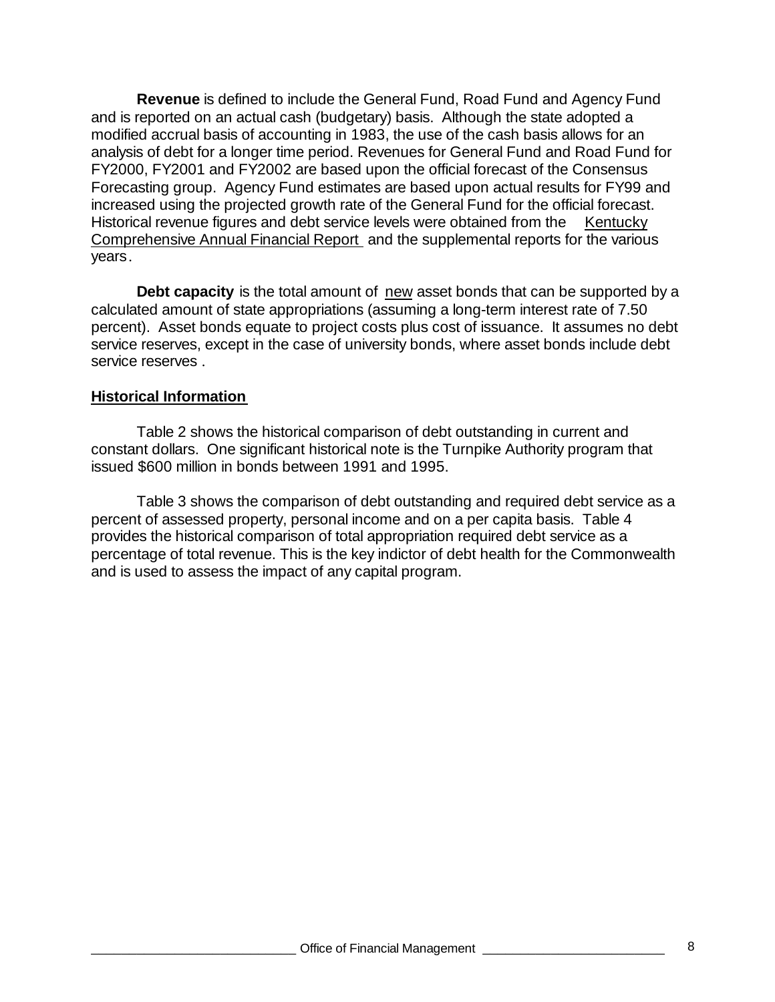**Revenue** is defined to include the General Fund, Road Fund and Agency Fund and is reported on an actual cash (budgetary) basis. Although the state adopted a modified accrual basis of accounting in 1983, the use of the cash basis allows for an analysis of debt for a longer time period. Revenues for General Fund and Road Fund for FY2000, FY2001 and FY2002 are based upon the official forecast of the Consensus Forecasting group. Agency Fund estimates are based upon actual results for FY99 and increased using the projected growth rate of the General Fund for the official forecast. Historical revenue figures and debt service levels were obtained from the Kentucky Comprehensive Annual Financial Report and the supplemental reports for the various years.

**Debt capacity** is the total amount of new asset bonds that can be supported by a calculated amount of state appropriations (assuming a long-term interest rate of 7.50 percent). Asset bonds equate to project costs plus cost of issuance. It assumes no debt service reserves, except in the case of university bonds, where asset bonds include debt service reserves .

## **Historical Information**

Table 2 shows the historical comparison of debt outstanding in current and constant dollars. One significant historical note is the Turnpike Authority program that issued \$600 million in bonds between 1991 and 1995.

Table 3 shows the comparison of debt outstanding and required debt service as a percent of assessed property, personal income and on a per capita basis. Table 4 provides the historical comparison of total appropriation required debt service as a percentage of total revenue. This is the key indictor of debt health for the Commonwealth and is used to assess the impact of any capital program.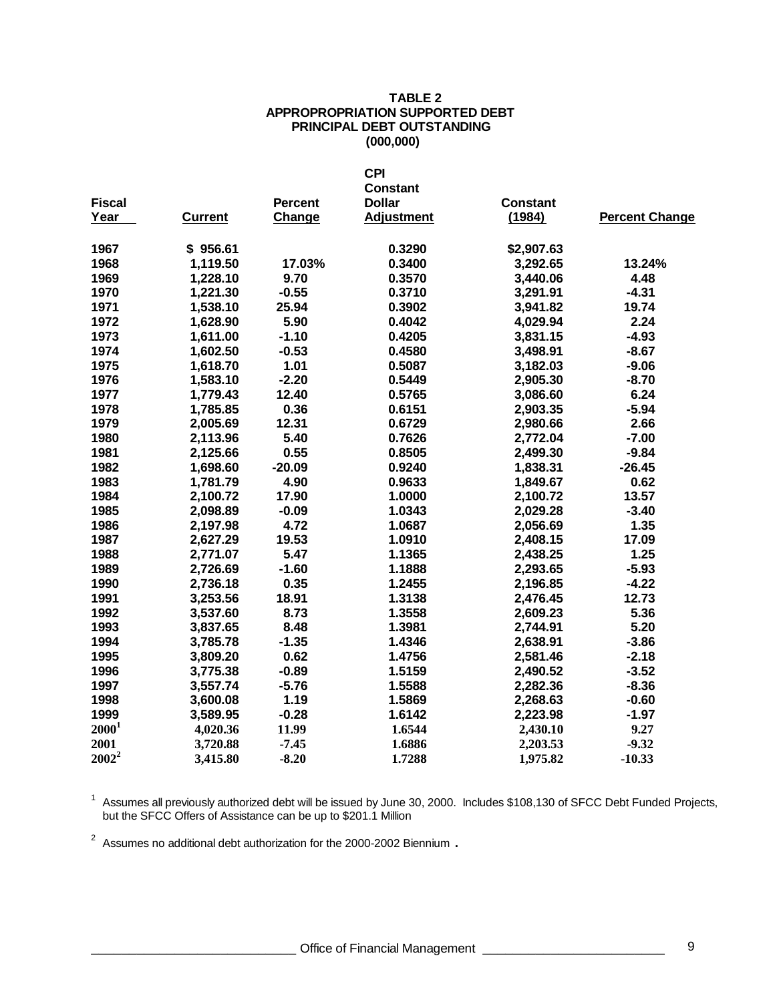### **TABLE 2 APPROPROPRIATION SUPPORTED DEBT PRINCIPAL DEBT OUTSTANDING (000,000)**

|                   |                |                | <b>CPI</b>        |                 |                       |
|-------------------|----------------|----------------|-------------------|-----------------|-----------------------|
|                   |                |                | <b>Constant</b>   |                 |                       |
| <b>Fiscal</b>     |                | <b>Percent</b> | <b>Dollar</b>     | <b>Constant</b> |                       |
| Year              | <b>Current</b> | Change         | <b>Adjustment</b> | (1984)          | <b>Percent Change</b> |
| 1967              | \$956.61       |                | 0.3290            | \$2,907.63      |                       |
| 1968              | 1,119.50       | 17.03%         | 0.3400            | 3,292.65        | 13.24%                |
| 1969              | 1,228.10       | 9.70           | 0.3570            | 3,440.06        | 4.48                  |
| 1970              | 1,221.30       | $-0.55$        | 0.3710            | 3,291.91        | $-4.31$               |
| 1971              | 1,538.10       | 25.94          | 0.3902            | 3,941.82        | 19.74                 |
| 1972              | 1,628.90       | 5.90           | 0.4042            | 4,029.94        | 2.24                  |
| 1973              | 1,611.00       | $-1.10$        | 0.4205            | 3,831.15        | $-4.93$               |
| 1974              | 1,602.50       | $-0.53$        | 0.4580            | 3,498.91        | $-8.67$               |
| 1975              | 1,618.70       | 1.01           | 0.5087            | 3,182.03        | $-9.06$               |
| 1976              | 1,583.10       | $-2.20$        | 0.5449            | 2,905.30        | $-8.70$               |
| 1977              | 1,779.43       | 12.40          | 0.5765            | 3,086.60        | 6.24                  |
| 1978              | 1,785.85       | 0.36           | 0.6151            | 2,903.35        | $-5.94$               |
| 1979              | 2,005.69       | 12.31          | 0.6729            | 2,980.66        | 2.66                  |
| 1980              | 2,113.96       | 5.40           | 0.7626            | 2,772.04        | $-7.00$               |
| 1981              | 2,125.66       | 0.55           | 0.8505            | 2,499.30        | $-9.84$               |
| 1982              | 1,698.60       | $-20.09$       | 0.9240            | 1,838.31        | $-26.45$              |
| 1983              | 1,781.79       | 4.90           | 0.9633            | 1,849.67        | 0.62                  |
| 1984              | 2,100.72       | 17.90          | 1.0000            | 2,100.72        | 13.57                 |
| 1985              | 2,098.89       | $-0.09$        | 1.0343            | 2,029.28        | $-3.40$               |
| 1986              | 2,197.98       | 4.72           | 1.0687            | 2,056.69        | 1.35                  |
| 1987              | 2,627.29       | 19.53          | 1.0910            | 2,408.15        | 17.09                 |
| 1988              | 2,771.07       | 5.47           | 1.1365            | 2,438.25        | 1.25                  |
| 1989              | 2,726.69       | $-1.60$        | 1.1888            | 2,293.65        | $-5.93$               |
| 1990              | 2,736.18       | 0.35           | 1.2455            | 2,196.85        | $-4.22$               |
| 1991              | 3,253.56       | 18.91          | 1.3138            | 2,476.45        | 12.73                 |
| 1992              | 3,537.60       | 8.73           | 1.3558            | 2,609.23        | 5.36                  |
| 1993              | 3,837.65       | 8.48           | 1.3981            | 2,744.91        | 5.20                  |
| 1994              | 3,785.78       | $-1.35$        | 1.4346            | 2,638.91        | $-3.86$               |
| 1995              | 3,809.20       | 0.62           | 1.4756            | 2,581.46        | $-2.18$               |
| 1996              | 3,775.38       | $-0.89$        | 1.5159            | 2,490.52        | $-3.52$               |
| 1997              | 3,557.74       | $-5.76$        | 1.5588            | 2,282.36        | $-8.36$               |
| 1998              | 3,600.08       | 1.19           | 1.5869            | 2,268.63        | $-0.60$               |
| 1999              | 3,589.95       | $-0.28$        | 1.6142            | 2,223.98        | $-1.97$               |
| 2000 <sup>1</sup> | 4,020.36       | 11.99          | 1.6544            | 2,430.10        | 9.27                  |
| 2001              | 3,720.88       | $-7.45$        | 1.6886            | 2,203.53        | $-9.32$               |
| $2002^2$          | 3,415.80       | $-8.20$        | 1.7288            | 1,975.82        | $-10.33$              |

<sup>1</sup> Assumes all previously authorized debt will be issued by June 30, 2000. Includes \$108,130 of SFCC Debt Funded Projects, but the SFCC Offers of Assistance can be up to \$201.1 Million

Assumes no additional debt authorization for the 2000-2002 Biennium **.**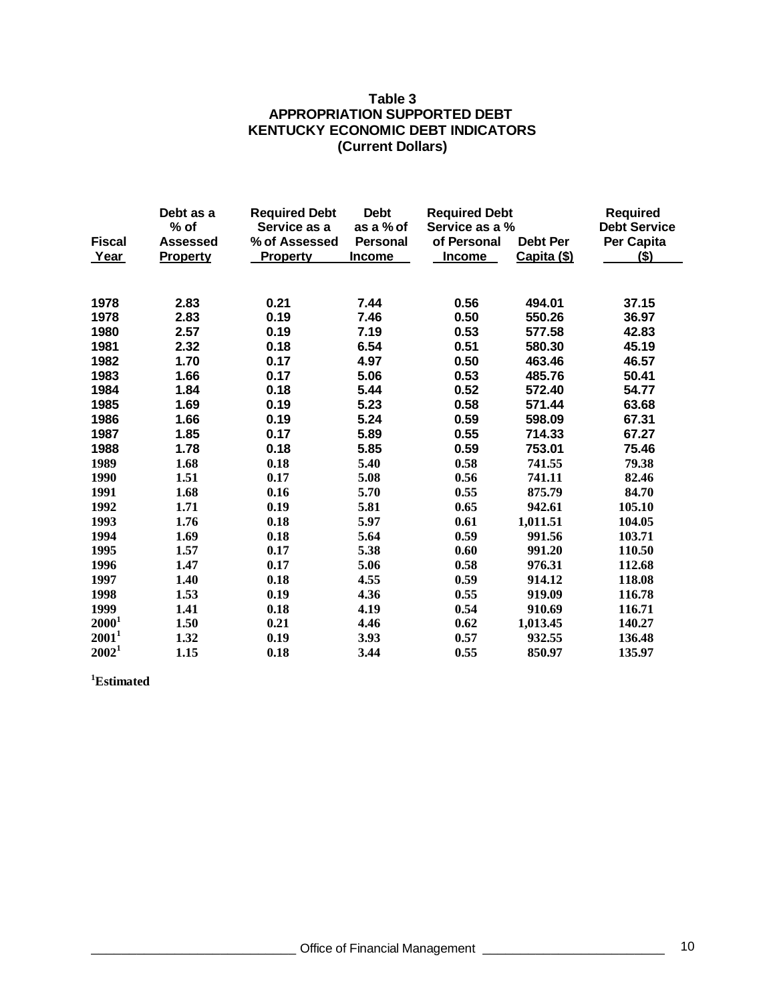### **Table 3 APPROPRIATION SUPPORTED DEBT KENTUCKY ECONOMIC DEBT INDICATORS (Current Dollars)**

|                   | Debt as a<br>$%$ of | <b>Required Debt</b><br>Service as a | <b>Debt</b><br>as a % of | <b>Required Debt</b><br>Service as a % |                 | <b>Required</b><br><b>Debt Service</b> |
|-------------------|---------------------|--------------------------------------|--------------------------|----------------------------------------|-----------------|----------------------------------------|
| <b>Fiscal</b>     | <b>Assessed</b>     | % of Assessed                        | Personal                 | of Personal                            | <b>Debt Per</b> | Per Capita                             |
| Year              | Property            | <b>Property</b>                      | <b>Income</b>            | <b>Income</b>                          | Capita (\$)     | $($ \$)                                |
|                   |                     |                                      |                          |                                        |                 |                                        |
|                   |                     |                                      |                          |                                        |                 |                                        |
| 1978              | 2.83                | 0.21                                 | 7.44                     | 0.56                                   | 494.01          | 37.15                                  |
| 1978              | 2.83                | 0.19                                 | 7.46                     | 0.50                                   | 550.26          | 36.97                                  |
| 1980              | 2.57                | 0.19                                 | 7.19                     | 0.53                                   | 577.58          | 42.83                                  |
| 1981              | 2.32                | 0.18                                 | 6.54                     | 0.51                                   | 580.30          | 45.19                                  |
| 1982              | 1.70                | 0.17                                 | 4.97                     | 0.50                                   | 463.46          | 46.57                                  |
| 1983              | 1.66                | 0.17                                 | 5.06                     | 0.53                                   | 485.76          | 50.41                                  |
| 1984              | 1.84                | 0.18                                 | 5.44                     | 0.52                                   | 572.40          | 54.77                                  |
| 1985              | 1.69                | 0.19                                 | 5.23                     | 0.58                                   | 571.44          | 63.68                                  |
| 1986              | 1.66                | 0.19                                 | 5.24                     | 0.59                                   | 598.09          | 67.31                                  |
| 1987              | 1.85                | 0.17                                 | 5.89                     | 0.55                                   | 714.33          | 67.27                                  |
| 1988              | 1.78                | 0.18                                 | 5.85                     | 0.59                                   | 753.01          | 75.46                                  |
| 1989              | 1.68                | 0.18                                 | 5.40                     | 0.58                                   | 741.55          | 79.38                                  |
| 1990              | 1.51                | 0.17                                 | 5.08                     | 0.56                                   | 741.11          | 82.46                                  |
| 1991              | 1.68                | 0.16                                 | 5.70                     | 0.55                                   | 875.79          | 84.70                                  |
| 1992              | 1.71                | 0.19                                 | 5.81                     | 0.65                                   | 942.61          | 105.10                                 |
| 1993              | 1.76                | 0.18                                 | 5.97                     | 0.61                                   | 1,011.51        | 104.05                                 |
| 1994              | 1.69                | 0.18                                 | 5.64                     | 0.59                                   | 991.56          | 103.71                                 |
| 1995              | 1.57                | 0.17                                 | 5.38                     | 0.60                                   | 991.20          | 110.50                                 |
| 1996              | 1.47                | 0.17                                 | 5.06                     | 0.58                                   | 976.31          | 112.68                                 |
| 1997              | 1.40                | 0.18                                 | 4.55                     | 0.59                                   | 914.12          | 118.08                                 |
| 1998              | 1.53                | 0.19                                 | 4.36                     | 0.55                                   | 919.09          | 116.78                                 |
| 1999              | 1.41                | 0.18                                 | 4.19                     | 0.54                                   | 910.69          | 116.71                                 |
| $2000^1$          | 1.50                | 0.21                                 | 4.46                     | 0.62                                   | 1,013.45        | 140.27                                 |
| $2001^1$          | 1.32                | 0.19                                 | 3.93                     | 0.57                                   | 932.55          | 136.48                                 |
| 2002 <sup>1</sup> | 1.15                | 0.18                                 | 3.44                     | 0.55                                   | 850.97          | 135.97                                 |

**Estimated**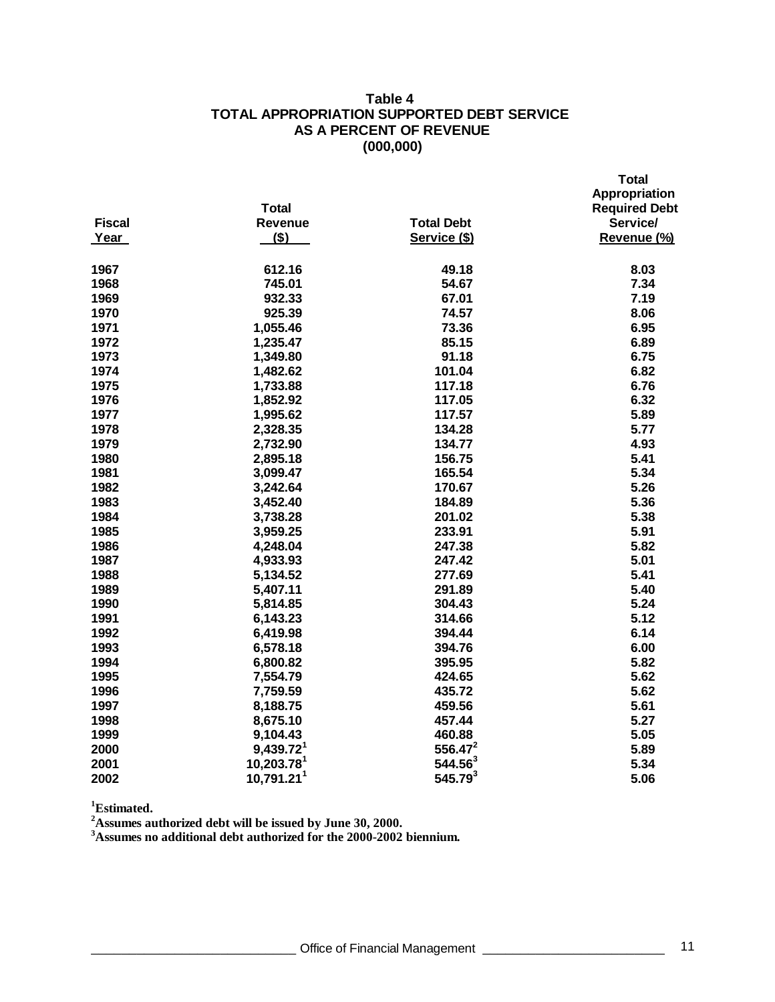### **Table 4 TOTAL APPROPRIATION SUPPORTED DEBT SERVICE AS A PERCENT OF REVENUE (000,000)**

|               | <b>Total</b>             |                     | Appropriation<br><b>Required Debt</b> |
|---------------|--------------------------|---------------------|---------------------------------------|
| <b>Fiscal</b> | Revenue                  | <b>Total Debt</b>   | Service/                              |
| Year          | $($ \$)                  | Service (\$)        | Revenue (%)                           |
| 1967          | 612.16                   | 49.18               | 8.03                                  |
| 1968          | 745.01                   | 54.67               | 7.34                                  |
| 1969          | 932.33                   | 67.01               | 7.19                                  |
| 1970          | 925.39                   | 74.57               | 8.06                                  |
| 1971          | 1,055.46                 | 73.36               | 6.95                                  |
| 1972          | 1,235.47                 | 85.15               | 6.89                                  |
| 1973          | 1,349.80                 | 91.18               | 6.75                                  |
| 1974          | 1,482.62                 | 101.04              | 6.82                                  |
| 1975          | 1,733.88                 | 117.18              | 6.76                                  |
| 1976          | 1,852.92                 | 117.05              | 6.32                                  |
| 1977          | 1,995.62                 | 117.57              | 5.89                                  |
| 1978          | 2,328.35                 | 134.28              | 5.77                                  |
| 1979          | 2,732.90                 | 134.77              | 4.93                                  |
| 1980          | 2,895.18                 | 156.75              | 5.41                                  |
| 1981          | 3,099.47                 | 165.54              | 5.34                                  |
| 1982          | 3,242.64                 | 170.67              | 5.26                                  |
| 1983          | 3,452.40                 | 184.89              | 5.36                                  |
| 1984          | 3,738.28                 | 201.02              | 5.38                                  |
| 1985          | 3,959.25                 | 233.91              | 5.91                                  |
| 1986          | 4,248.04                 | 247.38              | 5.82                                  |
| 1987          | 4,933.93                 | 247.42              | 5.01                                  |
| 1988          | 5,134.52                 | 277.69              | 5.41                                  |
| 1989          | 5,407.11                 | 291.89              | 5.40                                  |
| 1990          | 5,814.85                 | 304.43              | 5.24                                  |
| 1991          | 6,143.23                 | 314.66              | 5.12                                  |
| 1992          | 6,419.98                 | 394.44              | 6.14                                  |
| 1993          | 6,578.18                 | 394.76              | 6.00                                  |
| 1994          | 6,800.82                 | 395.95              | 5.82                                  |
| 1995          | 7,554.79                 | 424.65              | 5.62                                  |
| 1996          | 7,759.59                 | 435.72              | 5.62                                  |
| 1997          | 8,188.75                 | 459.56              | 5.61                                  |
| 1998          | 8,675.10                 | 457.44              | 5.27                                  |
| 1999          | 9,104.43                 | 460.88              | 5.05                                  |
| 2000          | $9,439.72$ <sup>1</sup>  | $556.47^2$          | 5.89                                  |
| 2001          | $10,203.78$ <sup>1</sup> | $544.56^{3}$        | 5.34                                  |
| 2002          | 10,791.21 <sup>1</sup>   | 545.79 <sup>3</sup> | 5.06                                  |

**Estimated.**

**Assumes authorized debt will be issued by June 30, 2000.**

**Assumes no additional debt authorized for the 2000-2002 biennium.**

 **Total**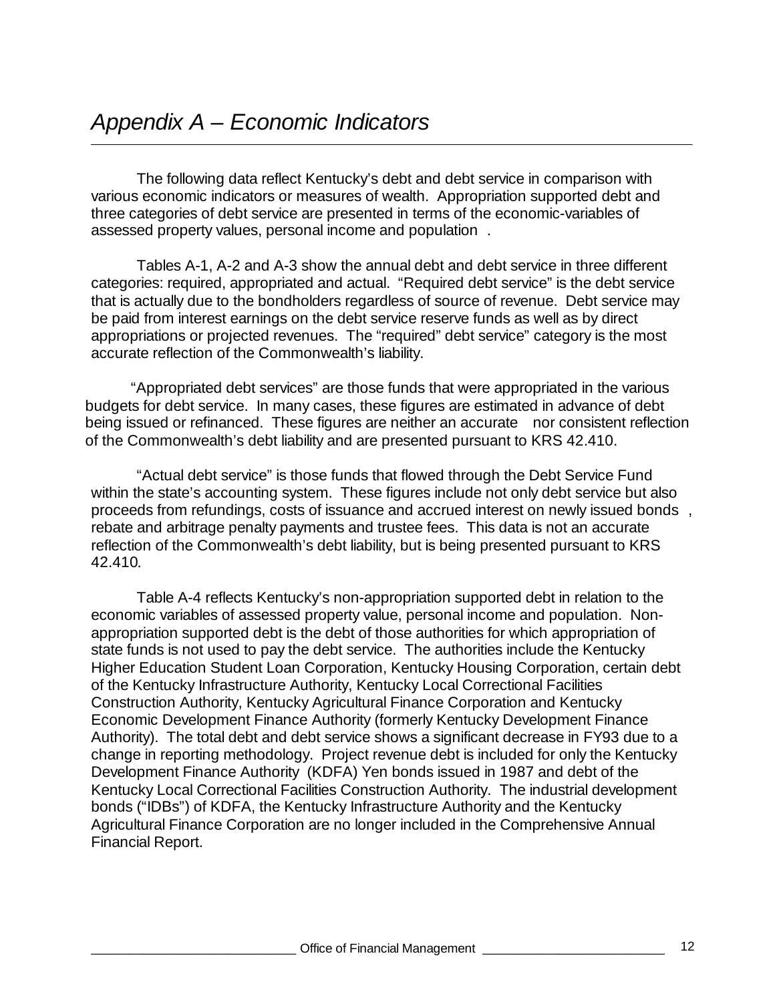The following data reflect Kentucky's debt and debt service in comparison with various economic indicators or measures of wealth. Appropriation supported debt and three categories of debt service are presented in terms of the economic-variables of assessed property values, personal income and population .

Tables A-1, A-2 and A-3 show the annual debt and debt service in three different categories: required, appropriated and actual. "Required debt service" is the debt service that is actually due to the bondholders regardless of source of revenue. Debt service may be paid from interest earnings on the debt service reserve funds as well as by direct appropriations or projected revenues. The "required" debt service" category is the most accurate reflection of the Commonwealth's liability.

"Appropriated debt services" are those funds that were appropriated in the various budgets for debt service. In many cases, these figures are estimated in advance of debt being issued or refinanced. These figures are neither an accurate nor consistent reflection of the Commonwealth's debt liability and are presented pursuant to KRS 42.410.

"Actual debt service" is those funds that flowed through the Debt Service Fund within the state's accounting system. These figures include not only debt service but also proceeds from refundings, costs of issuance and accrued interest on newly issued bonds , rebate and arbitrage penalty payments and trustee fees. This data is not an accurate reflection of the Commonwealth's debt liability, but is being presented pursuant to KRS 42.410.

Table A-4 reflects Kentucky's non-appropriation supported debt in relation to the economic variables of assessed property value, personal income and population. Nonappropriation supported debt is the debt of those authorities for which appropriation of state funds is not used to pay the debt service. The authorities include the Kentucky Higher Education Student Loan Corporation, Kentucky Housing Corporation, certain debt of the Kentucky Infrastructure Authority, Kentucky Local Correctional Facilities Construction Authority, Kentucky Agricultural Finance Corporation and Kentucky Economic Development Finance Authority (formerly Kentucky Development Finance Authority). The total debt and debt service shows a significant decrease in FY93 due to a change in reporting methodology. Project revenue debt is included for only the Kentucky Development Finance Authority (KDFA) Yen bonds issued in 1987 and debt of the Kentucky Local Correctional Facilities Construction Authority. The industrial development bonds ("IDBs") of KDFA, the Kentucky Infrastructure Authority and the Kentucky Agricultural Finance Corporation are no longer included in the Comprehensive Annual Financial Report.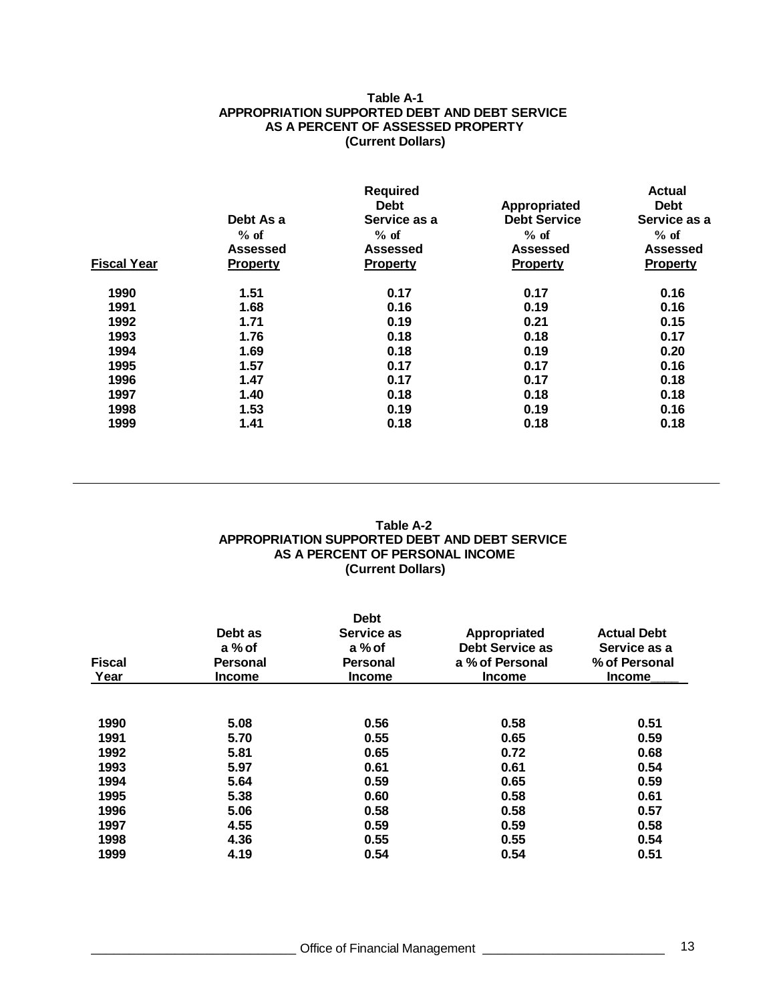### **Table A-1 APPROPRIATION SUPPORTED DEBT AND DEBT SERVICE AS A PERCENT OF ASSESSED PROPERTY (Current Dollars)**

|                    |                 | <b>Required</b> |                     | <b>Actual</b>   |
|--------------------|-----------------|-----------------|---------------------|-----------------|
|                    |                 | <b>Debt</b>     | Appropriated        | <b>Debt</b>     |
|                    | Debt As a       | Service as a    | <b>Debt Service</b> | Service as a    |
|                    | $%$ of          | $%$ of          | $%$ of              | $%$ of          |
|                    | <b>Assessed</b> | <b>Assessed</b> | <b>Assessed</b>     | <b>Assessed</b> |
| <b>Fiscal Year</b> | <b>Property</b> | <b>Property</b> | Property            | <b>Property</b> |
| 1990               | 1.51            | 0.17            | 0.17                | 0.16            |
| 1991               | 1.68            | 0.16            | 0.19                | 0.16            |
| 1992               | 1.71            | 0.19            | 0.21                | 0.15            |
| 1993               | 1.76            | 0.18            | 0.18                | 0.17            |
| 1994               | 1.69            | 0.18            | 0.19                | 0.20            |
| 1995               | 1.57            | 0.17            | 0.17                | 0.16            |
| 1996               | 1.47            | 0.17            | 0.17                | 0.18            |
| 1997               | 1.40            | 0.18            | 0.18                | 0.18            |
| 1998               | 1.53            | 0.19            | 0.19                | 0.16            |
| 1999               | 1.41            | 0.18            | 0.18                | 0.18            |

### **Table A-2 APPROPRIATION SUPPORTED DEBT AND DEBT SERVICE AS A PERCENT OF PERSONAL INCOME (Current Dollars)**

|                 | <b>Debt</b>     |                        |                    |
|-----------------|-----------------|------------------------|--------------------|
| Debt as         | Service as      | Appropriated           | <b>Actual Debt</b> |
| a % of          | a % of          | <b>Debt Service as</b> | Service as a       |
| <b>Personal</b> | <b>Personal</b> | a % of Personal        | % of Personal      |
| <b>Income</b>   | <b>Income</b>   | <b>Income</b>          | <b>Income</b>      |
|                 |                 |                        |                    |
| 5.08            | 0.56            | 0.58                   | 0.51               |
| 5.70            | 0.55            | 0.65                   | 0.59               |
| 5.81            | 0.65            | 0.72                   | 0.68               |
| 5.97            | 0.61            | 0.61                   | 0.54               |
| 5.64            | 0.59            | 0.65                   | 0.59               |
| 5.38            | 0.60            | 0.58                   | 0.61               |
| 5.06            | 0.58            | 0.58                   | 0.57               |
| 4.55            | 0.59            | 0.59                   | 0.58               |
| 4.36            | 0.55            | 0.55                   | 0.54               |
| 4.19            | 0.54            | 0.54                   | 0.51               |
|                 |                 |                        |                    |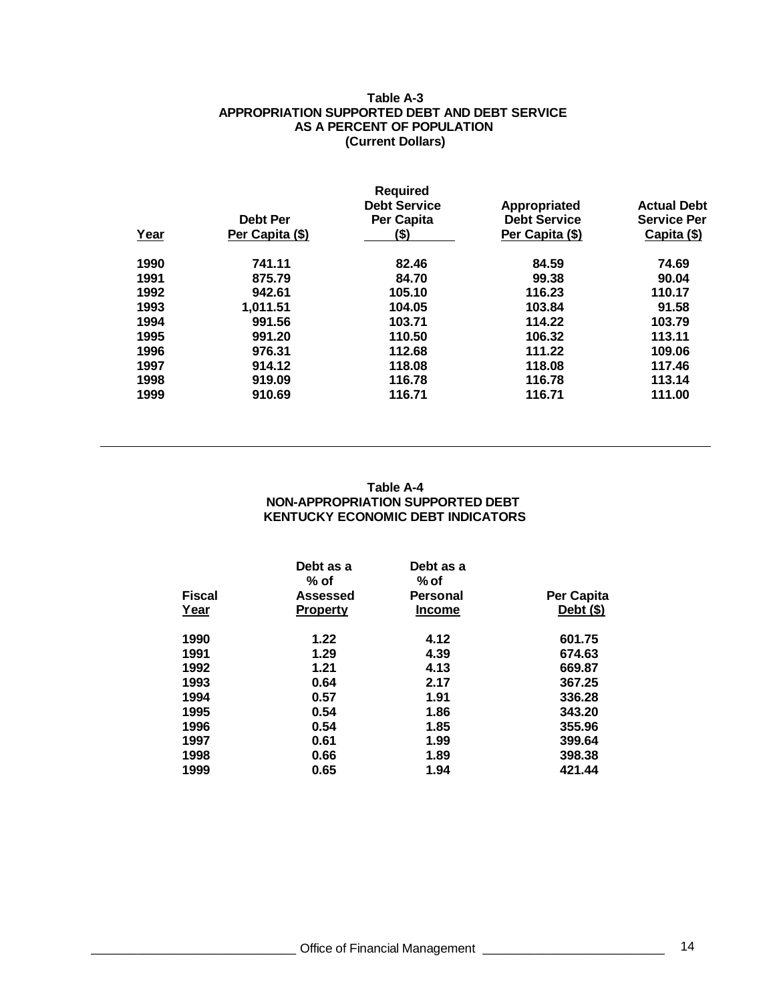### **Table A-3 APPROPRIATION SUPPORTED DEBT AND DEBT SERVICE AS A PERCENT OF POPULATION (Current Dollars)**

|      |                 | <b>Required</b><br><b>Debt Service</b> | Appropriated        | <b>Actual Debt</b> |
|------|-----------------|----------------------------------------|---------------------|--------------------|
|      | <b>Debt Per</b> | Per Capita                             | <b>Debt Service</b> | <b>Service Per</b> |
| Year | Per Capita (\$) | (\$)                                   | Per Capita (\$)     | Capita (\$)        |
| 1990 | 741.11          | 82.46                                  | 84.59               | 74.69              |
| 1991 | 875.79          | 84.70                                  | 99.38               | 90.04              |
| 1992 | 942.61          | 105.10                                 | 116.23              | 110.17             |
| 1993 | 1,011.51        | 104.05                                 | 103.84              | 91.58              |
| 1994 | 991.56          | 103.71                                 | 114.22              | 103.79             |
| 1995 | 991.20          | 110.50                                 | 106.32              | 113.11             |
| 1996 | 976.31          | 112.68                                 | 111.22              | 109.06             |
| 1997 | 914.12          | 118.08                                 | 118.08              | 117.46             |
| 1998 | 919.09          | 116.78                                 | 116.78              | 113.14             |
| 1999 | 910.69          | 116.71                                 | 116.71              | 111.00             |

### **Table A-4 NON-APPROPRIATION SUPPORTED DEBT KENTUCKY ECONOMIC DEBT INDICATORS**

|               | Debt as a<br>$%$ of | Debt as a<br>% of |             |
|---------------|---------------------|-------------------|-------------|
| <b>Fiscal</b> | <b>Assessed</b>     | <b>Personal</b>   | Per Capita  |
| Year          | <b>Property</b>     | <b>Income</b>     | Debt $(\$)$ |
| 1990          | 1.22                | 4.12              | 601.75      |
| 1991          | 1.29                | 4.39              | 674.63      |
| 1992          | 1.21                | 4.13              | 669.87      |
| 1993          | 0.64                | 2.17              | 367.25      |
| 1994          | 0.57                | 1.91              | 336.28      |
| 1995          | 0.54                | 1.86              | 343.20      |
| 1996          | 0.54                | 1.85              | 355.96      |
| 1997          | 0.61                | 1.99              | 399.64      |
| 1998          | 0.66                | 1.89              | 398.38      |
| 1999          | 0.65                | 1.94              | 421.44      |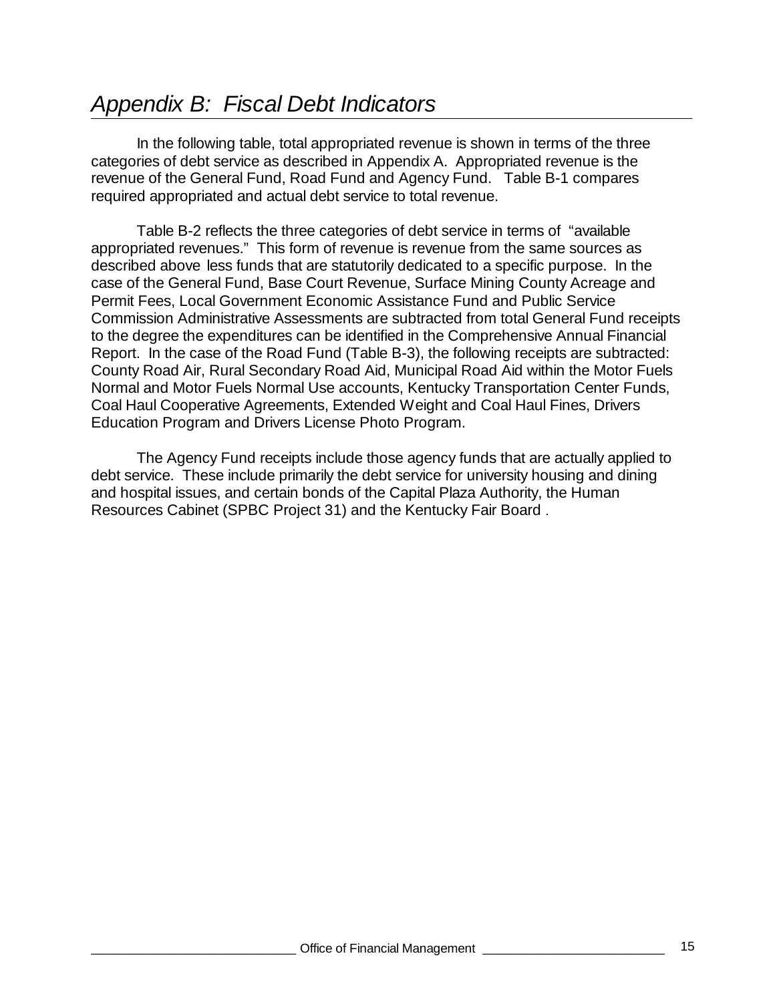# *Appendix B: Fiscal Debt Indicators*

In the following table, total appropriated revenue is shown in terms of the three categories of debt service as described in Appendix A. Appropriated revenue is the revenue of the General Fund, Road Fund and Agency Fund. Table B-1 compares required appropriated and actual debt service to total revenue.

Table B-2 reflects the three categories of debt service in terms of "available appropriated revenues." This form of revenue is revenue from the same sources as described above less funds that are statutorily dedicated to a specific purpose. In the case of the General Fund, Base Court Revenue, Surface Mining County Acreage and Permit Fees, Local Government Economic Assistance Fund and Public Service Commission Administrative Assessments are subtracted from total General Fund receipts to the degree the expenditures can be identified in the Comprehensive Annual Financial Report. In the case of the Road Fund (Table B-3), the following receipts are subtracted: County Road Air, Rural Secondary Road Aid, Municipal Road Aid within the Motor Fuels Normal and Motor Fuels Normal Use accounts, Kentucky Transportation Center Funds, Coal Haul Cooperative Agreements, Extended Weight and Coal Haul Fines, Drivers Education Program and Drivers License Photo Program.

The Agency Fund receipts include those agency funds that are actually applied to debt service. These include primarily the debt service for university housing and dining and hospital issues, and certain bonds of the Capital Plaza Authority, the Human Resources Cabinet (SPBC Project 31) and the Kentucky Fair Board .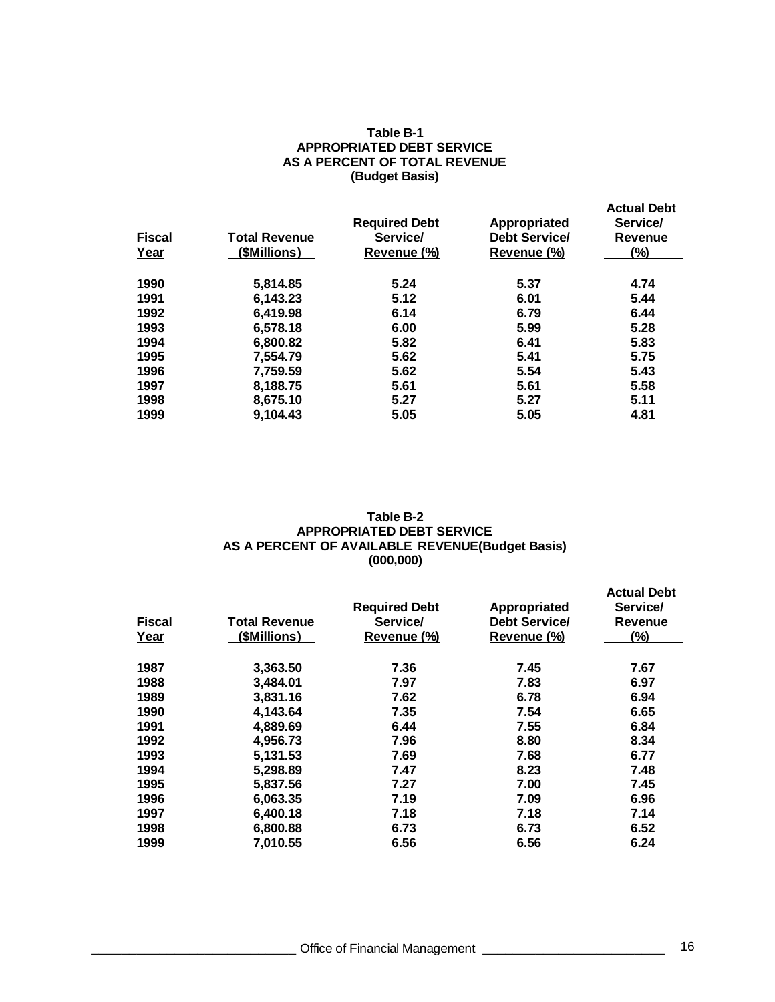#### **Table B-1 APPROPRIATED DEBT SERVICE AS A PERCENT OF TOTAL REVENUE (Budget Basis)**

| <b>Fiscal</b><br>Year | <b>Total Revenue</b><br>(\$Millions) | <b>Required Debt</b><br>Service/<br>Revenue (%) | Appropriated<br><b>Debt Service/</b><br>Revenue (%) | <b>Actual Debt</b><br>Service/<br><b>Revenue</b><br>$(\%)$ |
|-----------------------|--------------------------------------|-------------------------------------------------|-----------------------------------------------------|------------------------------------------------------------|
| 1990                  | 5,814.85                             | 5.24                                            | 5.37                                                | 4.74                                                       |
| 1991                  | 6,143.23                             | 5.12                                            | 6.01                                                | 5.44                                                       |
| 1992                  | 6.419.98                             | 6.14                                            | 6.79                                                | 6.44                                                       |
| 1993                  | 6,578.18                             | 6.00                                            | 5.99                                                | 5.28                                                       |
| 1994                  | 6.800.82                             | 5.82                                            | 6.41                                                | 5.83                                                       |
| 1995                  | 7,554.79                             | 5.62                                            | 5.41                                                | 5.75                                                       |
| 1996                  | 7,759.59                             | 5.62                                            | 5.54                                                | 5.43                                                       |
| 1997                  | 8,188.75                             | 5.61                                            | 5.61                                                | 5.58                                                       |
| 1998                  | 8,675.10                             | 5.27                                            | 5.27                                                | 5.11                                                       |
| 1999                  | 9,104.43                             | 5.05                                            | 5.05                                                | 4.81                                                       |

### **Table B-2 APPROPRIATED DEBT SERVICE AS A PERCENT OF AVAILABLE REVENUE(Budget Basis) (000,000)**

| <b>Fiscal</b><br>Year | <b>Total Revenue</b><br>(\$Millions) | <b>Required Debt</b><br>Service/<br>Revenue (%) | Appropriated<br>Debt Service/<br>Revenue (%) | <b>Actual Debt</b><br>Service/<br>Revenue<br>$(\%)$ |
|-----------------------|--------------------------------------|-------------------------------------------------|----------------------------------------------|-----------------------------------------------------|
|                       |                                      |                                                 |                                              |                                                     |
| 1987                  | 3,363.50                             | 7.36                                            | 7.45                                         | 7.67                                                |
| 1988                  | 3,484.01                             | 7.97                                            | 7.83                                         | 6.97                                                |
| 1989                  | 3,831.16                             | 7.62                                            | 6.78                                         | 6.94                                                |
| 1990                  | 4,143.64                             | 7.35                                            | 7.54                                         | 6.65                                                |
| 1991                  | 4,889.69                             | 6.44                                            | 7.55                                         | 6.84                                                |
| 1992                  | 4,956.73                             | 7.96                                            | 8.80                                         | 8.34                                                |
| 1993                  | 5,131.53                             | 7.69                                            | 7.68                                         | 6.77                                                |
| 1994                  | 5,298.89                             | 7.47                                            | 8.23                                         | 7.48                                                |
| 1995                  | 5,837.56                             | 7.27                                            | 7.00                                         | 7.45                                                |
| 1996                  | 6,063.35                             | 7.19                                            | 7.09                                         | 6.96                                                |
| 1997                  | 6,400.18                             | 7.18                                            | 7.18                                         | 7.14                                                |
| 1998                  | 6,800.88                             | 6.73                                            | 6.73                                         | 6.52                                                |
| 1999                  | 7,010.55                             | 6.56                                            | 6.56                                         | 6.24                                                |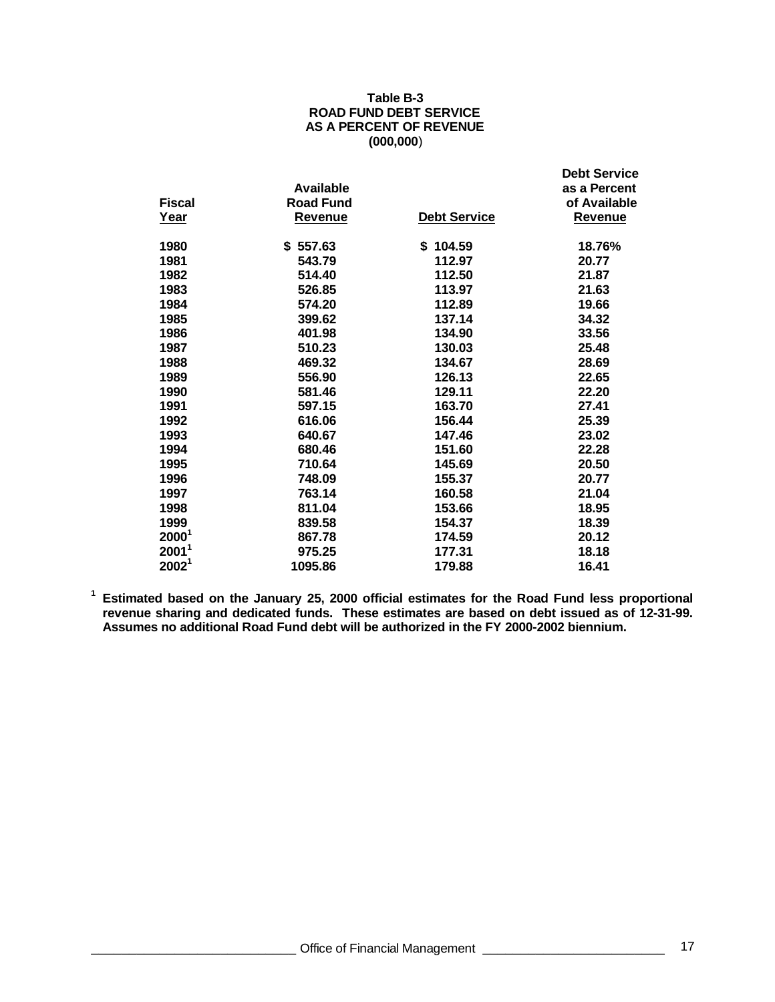### **Table B-3 ROAD FUND DEBT SERVICE AS A PERCENT OF REVENUE (000,000**)

|                   | Available        |                     | <b>Debt Service</b><br>as a Percent |
|-------------------|------------------|---------------------|-------------------------------------|
| <b>Fiscal</b>     | <b>Road Fund</b> |                     | of Available                        |
| Year              | <b>Revenue</b>   | <b>Debt Service</b> | <b>Revenue</b>                      |
| 1980              | \$557.63         | \$104.59            | 18.76%                              |
| 1981              | 543.79           | 112.97              | 20.77                               |
| 1982              | 514.40           | 112.50              | 21.87                               |
| 1983              | 526.85           | 113.97              | 21.63                               |
| 1984              | 574.20           | 112.89              | 19.66                               |
| 1985              | 399.62           | 137.14              | 34.32                               |
| 1986              | 401.98           | 134.90              | 33.56                               |
| 1987              | 510.23           | 130.03              | 25.48                               |
| 1988              | 469.32           | 134.67              | 28.69                               |
| 1989              | 556.90           | 126.13              | 22.65                               |
| 1990              | 581.46           | 129.11              | 22.20                               |
| 1991              | 597.15           | 163.70              | 27.41                               |
| 1992              | 616.06           | 156.44              | 25.39                               |
| 1993              | 640.67           | 147.46              | 23.02                               |
| 1994              | 680.46           | 151.60              | 22.28                               |
| 1995              | 710.64           | 145.69              | 20.50                               |
| 1996              | 748.09           | 155.37              | 20.77                               |
| 1997              | 763.14           | 160.58              | 21.04                               |
| 1998              | 811.04           | 153.66              | 18.95                               |
| 1999              | 839.58           | 154.37              | 18.39                               |
| 2000 <sup>1</sup> | 867.78           | 174.59              | 20.12                               |
| $2001^1$          | 975.25           | 177.31              | 18.18                               |
| 2002 <sup>1</sup> | 1095.86          | 179.88              | 16.41                               |

**Estimated based on the January 25, 2000 official estimates for the Road Fund less proportional revenue sharing and dedicated funds. These estimates are based on debt issued as of 12-31-99. Assumes no additional Road Fund debt will be authorized in the FY 2000-2002 biennium.**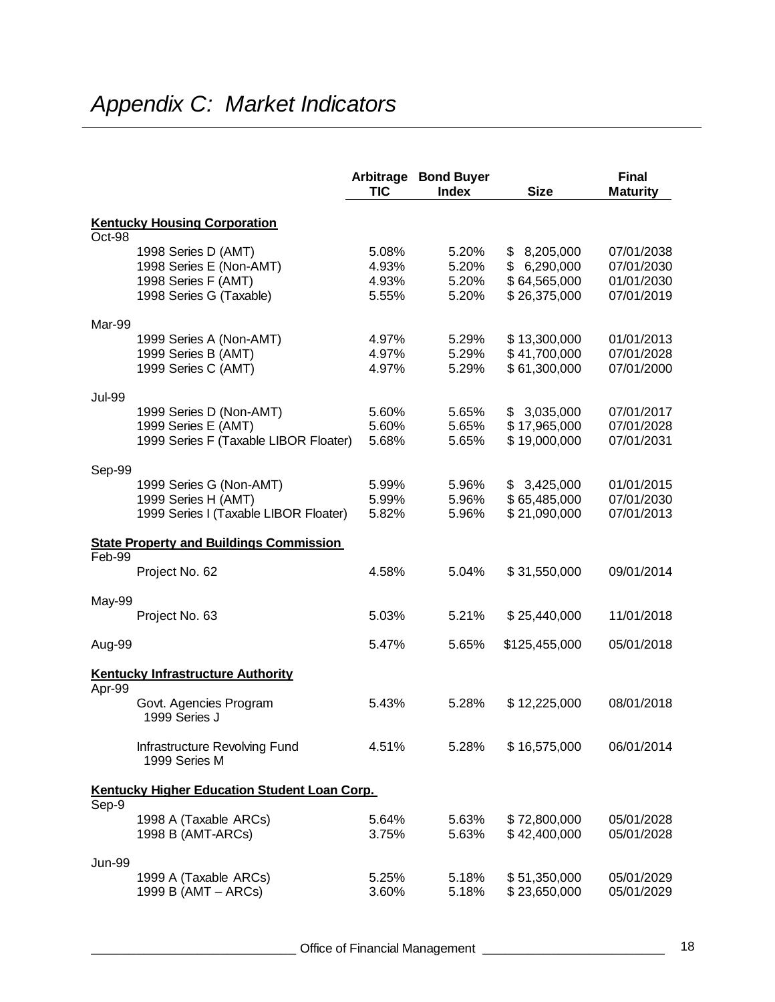|               |                                                     | Arbitrage<br><b>TIC</b> | <b>Bond Buyer</b><br><b>Index</b> | <b>Size</b>   | <b>Final</b><br><b>Maturity</b> |
|---------------|-----------------------------------------------------|-------------------------|-----------------------------------|---------------|---------------------------------|
|               | <b>Kentucky Housing Corporation</b>                 |                         |                                   |               |                                 |
| Oct-98        |                                                     |                         |                                   |               |                                 |
|               | 1998 Series D (AMT)                                 | 5.08%                   | 5.20%                             | \$8,205,000   | 07/01/2038                      |
|               | 1998 Series E (Non-AMT)                             | 4.93%                   | 5.20%                             | \$6,290,000   | 07/01/2030                      |
|               | 1998 Series F (AMT)                                 | 4.93%                   | 5.20%                             | \$64,565,000  | 01/01/2030                      |
|               | 1998 Series G (Taxable)                             | 5.55%                   | 5.20%                             | \$26,375,000  | 07/01/2019                      |
| Mar-99        |                                                     |                         |                                   |               |                                 |
|               | 1999 Series A (Non-AMT)                             | 4.97%                   | 5.29%                             | \$13,300,000  | 01/01/2013                      |
|               | 1999 Series B (AMT)                                 | 4.97%                   | 5.29%                             | \$41,700,000  | 07/01/2028                      |
|               | 1999 Series C (AMT)                                 | 4.97%                   | 5.29%                             | \$61,300,000  | 07/01/2000                      |
| <b>Jul-99</b> |                                                     |                         |                                   |               |                                 |
|               | 1999 Series D (Non-AMT)                             | 5.60%                   | 5.65%                             | \$3,035,000   | 07/01/2017                      |
|               | 1999 Series E (AMT)                                 | 5.60%                   | 5.65%                             | \$17,965,000  | 07/01/2028                      |
|               | 1999 Series F (Taxable LIBOR Floater)               | 5.68%                   | 5.65%                             | \$19,000,000  | 07/01/2031                      |
| Sep-99        |                                                     |                         |                                   |               |                                 |
|               | 1999 Series G (Non-AMT)                             | 5.99%                   | 5.96%                             | \$3,425,000   | 01/01/2015                      |
|               | 1999 Series H (AMT)                                 | 5.99%                   | 5.96%                             | \$65,485,000  | 07/01/2030                      |
|               | 1999 Series I (Taxable LIBOR Floater)               | 5.82%                   | 5.96%                             | \$21,090,000  | 07/01/2013                      |
|               | <b>State Property and Buildings Commission</b>      |                         |                                   |               |                                 |
| Feb-99        |                                                     |                         |                                   |               |                                 |
|               | Project No. 62                                      | 4.58%                   | 5.04%                             | \$31,550,000  | 09/01/2014                      |
| May-99        |                                                     |                         |                                   |               |                                 |
|               | Project No. 63                                      | 5.03%                   | 5.21%                             | \$25,440,000  | 11/01/2018                      |
| Aug-99        |                                                     | 5.47%                   | 5.65%                             | \$125,455,000 | 05/01/2018                      |
|               | <b>Kentucky Infrastructure Authority</b>            |                         |                                   |               |                                 |
| Apr-99        |                                                     |                         |                                   |               |                                 |
|               | Govt. Agencies Program<br>1999 Series J             | 5.43%                   | 5.28%                             | \$12,225,000  | 08/01/2018                      |
|               | Infrastructure Revolving Fund<br>1999 Series M      | 4.51%                   | 5.28%                             | \$16,575,000  | 06/01/2014                      |
|               | <b>Kentucky Higher Education Student Loan Corp.</b> |                         |                                   |               |                                 |
| Sep-9         |                                                     |                         |                                   |               |                                 |
|               | 1998 A (Taxable ARCs)                               | 5.64%                   | 5.63%                             | \$72,800,000  | 05/01/2028                      |
|               | 1998 B (AMT-ARCs)                                   | 3.75%                   | 5.63%                             | \$42,400,000  | 05/01/2028                      |
| <b>Jun-99</b> |                                                     |                         |                                   |               |                                 |
|               | 1999 A (Taxable ARCs)                               | 5.25%                   | 5.18%                             | \$51,350,000  | 05/01/2029                      |
|               | 1999 B (AMT - ARCs)                                 | 3.60%                   | 5.18%                             | \$23,650,000  | 05/01/2029                      |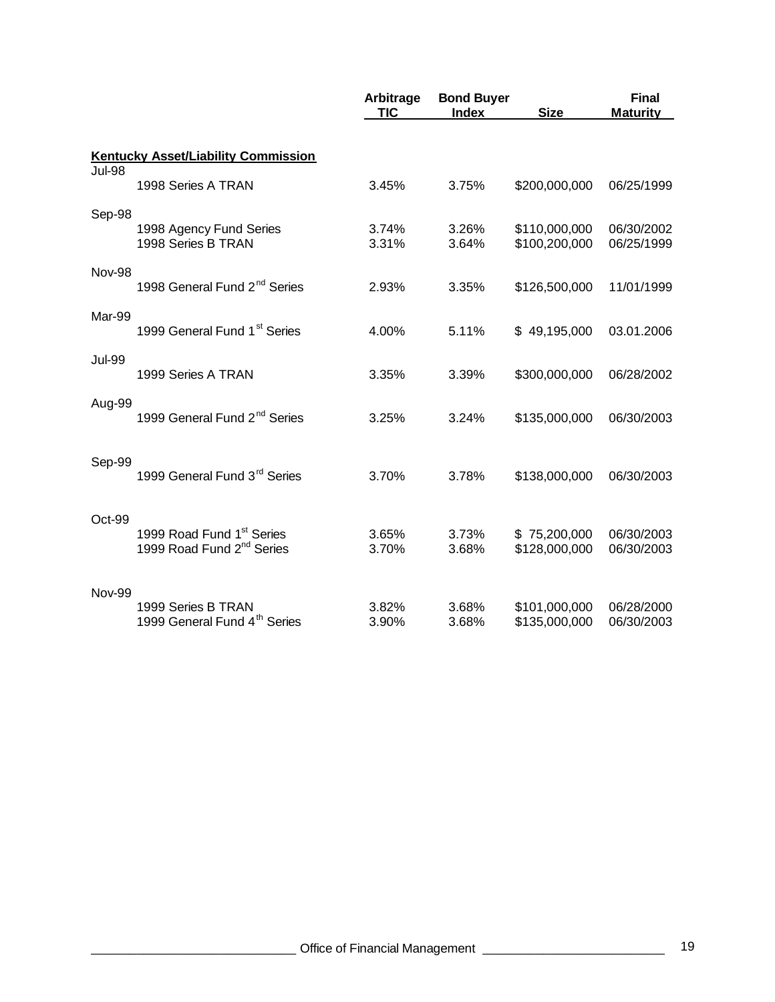|               |                                                                                | Arbitrage<br>TIC | <b>Bond Buyer</b><br><b>Index</b> | <b>Size</b>                    | <b>Final</b><br><b>Maturity</b> |
|---------------|--------------------------------------------------------------------------------|------------------|-----------------------------------|--------------------------------|---------------------------------|
|               | <b>Kentucky Asset/Liability Commission</b>                                     |                  |                                   |                                |                                 |
| <b>Jul-98</b> | 1998 Series A TRAN                                                             | 3.45%            | 3.75%                             | \$200,000,000                  | 06/25/1999                      |
| Sep-98        | 1998 Agency Fund Series                                                        | 3.74%            | 3.26%                             | \$110,000,000                  | 06/30/2002                      |
|               | 1998 Series B TRAN                                                             | 3.31%            | 3.64%                             | \$100,200,000                  | 06/25/1999                      |
| <b>Nov-98</b> | 1998 General Fund 2 <sup>nd</sup> Series                                       | 2.93%            | 3.35%                             | \$126,500,000                  | 11/01/1999                      |
| Mar-99        | 1999 General Fund 1 <sup>st</sup> Series                                       | 4.00%            | 5.11%                             | \$49,195,000                   | 03.01.2006                      |
| <b>Jul-99</b> | 1999 Series A TRAN                                                             | 3.35%            | 3.39%                             | \$300,000,000                  | 06/28/2002                      |
| Aug-99        | 1999 General Fund 2 <sup>nd</sup> Series                                       | 3.25%            | 3.24%                             | \$135,000,000                  | 06/30/2003                      |
| Sep-99        | 1999 General Fund 3 <sup>rd</sup> Series                                       | 3.70%            | 3.78%                             | \$138,000,000                  | 06/30/2003                      |
| Oct-99        | 1999 Road Fund 1 <sup>st</sup> Series<br>1999 Road Fund 2 <sup>nd</sup> Series | 3.65%<br>3.70%   | 3.73%<br>3.68%                    | \$75,200,000<br>\$128,000,000  | 06/30/2003<br>06/30/2003        |
| <b>Nov-99</b> | 1999 Series B TRAN<br>1999 General Fund 4 <sup>th</sup> Series                 | 3.82%<br>3.90%   | 3.68%<br>3.68%                    | \$101,000,000<br>\$135,000,000 | 06/28/2000<br>06/30/2003        |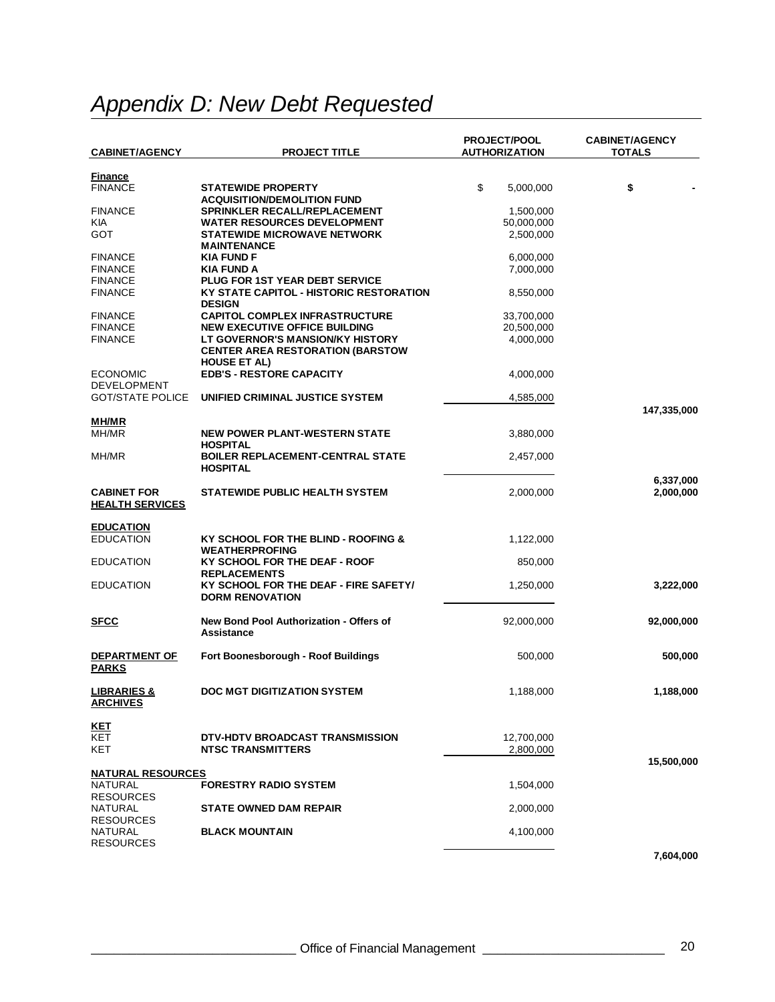# *Appendix D: New Debt Requested*

|                                  |                                                                 | <b>PROJECT/POOL</b>  | <b>CABINET/AGENCY</b> |
|----------------------------------|-----------------------------------------------------------------|----------------------|-----------------------|
| <b>CABINET/AGENCY</b>            | <b>PROJECT TITLE</b>                                            | <b>AUTHORIZATION</b> | <b>TOTALS</b>         |
|                                  |                                                                 |                      |                       |
| <b>Finance</b><br><b>FINANCE</b> |                                                                 | \$                   |                       |
|                                  | <b>STATEWIDE PROPERTY</b><br><b>ACQUISITION/DEMOLITION FUND</b> | 5,000,000            | \$                    |
| <b>FINANCE</b>                   | <b>SPRINKLER RECALL/REPLACEMENT</b>                             | 1,500,000            |                       |
| KIA                              | <b>WATER RESOURCES DEVELOPMENT</b>                              | 50,000,000           |                       |
| GOT                              | <b>STATEWIDE MICROWAVE NETWORK</b>                              | 2,500,000            |                       |
|                                  | <b>MAINTENANCE</b>                                              |                      |                       |
| <b>FINANCE</b>                   | <b>KIA FUND F</b>                                               | 6,000,000            |                       |
| <b>FINANCE</b>                   | <b>KIA FUND A</b>                                               | 7,000,000            |                       |
| <b>FINANCE</b>                   | <b>PLUG FOR 1ST YEAR DEBT SERVICE</b>                           |                      |                       |
| <b>FINANCE</b>                   | <b>KY STATE CAPITOL - HISTORIC RESTORATION</b>                  | 8,550,000            |                       |
|                                  | <b>DESIGN</b>                                                   |                      |                       |
| <b>FINANCE</b>                   | <b>CAPITOL COMPLEX INFRASTRUCTURE</b>                           | 33,700,000           |                       |
| <b>FINANCE</b>                   | <b>NEW EXECUTIVE OFFICE BUILDING</b>                            | 20,500,000           |                       |
| <b>FINANCE</b>                   | LT GOVERNOR'S MANSION/KY HISTORY                                | 4,000,000            |                       |
|                                  | <b>CENTER AREA RESTORATION (BARSTOW</b>                         |                      |                       |
|                                  | <b>HOUSE ET AL)</b>                                             |                      |                       |
| <b>ECONOMIC</b>                  | <b>EDB'S - RESTORE CAPACITY</b>                                 | 4,000,000            |                       |
| <b>DEVELOPMENT</b>               |                                                                 |                      |                       |
| <b>GOT/STATE POLICE</b>          | UNIFIED CRIMINAL JUSTICE SYSTEM                                 | 4,585,000            |                       |
|                                  |                                                                 |                      | 147,335,000           |
| <b>MH/MR</b>                     |                                                                 |                      |                       |
| MH/MR                            | <b>NEW POWER PLANT-WESTERN STATE</b>                            | 3,880,000            |                       |
|                                  | <b>HOSPITAL</b>                                                 |                      |                       |
| MH/MR                            | <b>BOILER REPLACEMENT-CENTRAL STATE</b>                         | 2,457,000            |                       |
|                                  | <b>HOSPITAL</b>                                                 |                      |                       |
|                                  | <b>STATEWIDE PUBLIC HEALTH SYSTEM</b>                           |                      | 6,337,000             |
| <b>CABINET FOR</b>               |                                                                 | 2,000,000            | 2,000,000             |
| <b>HEALTH SERVICES</b>           |                                                                 |                      |                       |
| <b>EDUCATION</b>                 |                                                                 |                      |                       |
| <b>EDUCATION</b>                 | KY SCHOOL FOR THE BLIND - ROOFING &                             | 1,122,000            |                       |
|                                  | <b>WEATHERPROFING</b>                                           |                      |                       |
| <b>EDUCATION</b>                 | KY SCHOOL FOR THE DEAF - ROOF                                   | 850,000              |                       |
|                                  | <b>REPLACEMENTS</b>                                             |                      |                       |
| <b>EDUCATION</b>                 | KY SCHOOL FOR THE DEAF - FIRE SAFETY/                           | 1,250,000            | 3,222,000             |
|                                  | <b>DORM RENOVATION</b>                                          |                      |                       |
|                                  |                                                                 |                      |                       |
| <b>SFCC</b>                      | New Bond Pool Authorization - Offers of                         | 92,000,000           | 92,000,000            |
|                                  | <b>Assistance</b>                                               |                      |                       |
|                                  |                                                                 |                      |                       |
| <b>DEPARTMENT OF</b>             | Fort Boonesborough - Roof Buildings                             | 500,000              | 500,000               |
| <b>PARKS</b>                     |                                                                 |                      |                       |
|                                  |                                                                 |                      |                       |
| <u>LIBRARIES &amp;</u>           | <b>DOC MGT DIGITIZATION SYSTEM</b>                              | 1,188,000            | 1,188,000             |
| <b>ARCHIVES</b>                  |                                                                 |                      |                       |
|                                  |                                                                 |                      |                       |
| <b>KET</b><br>KET                | DTV-HDTV BROADCAST TRANSMISSION                                 | 12,700,000           |                       |
| KET                              | <b>NTSC TRANSMITTERS</b>                                        | 2,800,000            |                       |
|                                  |                                                                 |                      |                       |
| <b>NATURAL RESOURCES</b>         |                                                                 |                      | 15,500,000            |
| NATURAL                          | <b>FORESTRY RADIO SYSTEM</b>                                    | 1,504,000            |                       |
| <b>RESOURCES</b>                 |                                                                 |                      |                       |
| <b>NATURAL</b>                   | <b>STATE OWNED DAM REPAIR</b>                                   | 2,000,000            |                       |
| <b>RESOURCES</b>                 |                                                                 |                      |                       |
| <b>NATURAL</b>                   | <b>BLACK MOUNTAIN</b>                                           | 4,100,000            |                       |
| <b>RESOURCES</b>                 |                                                                 |                      |                       |
|                                  |                                                                 |                      | 7,604,000             |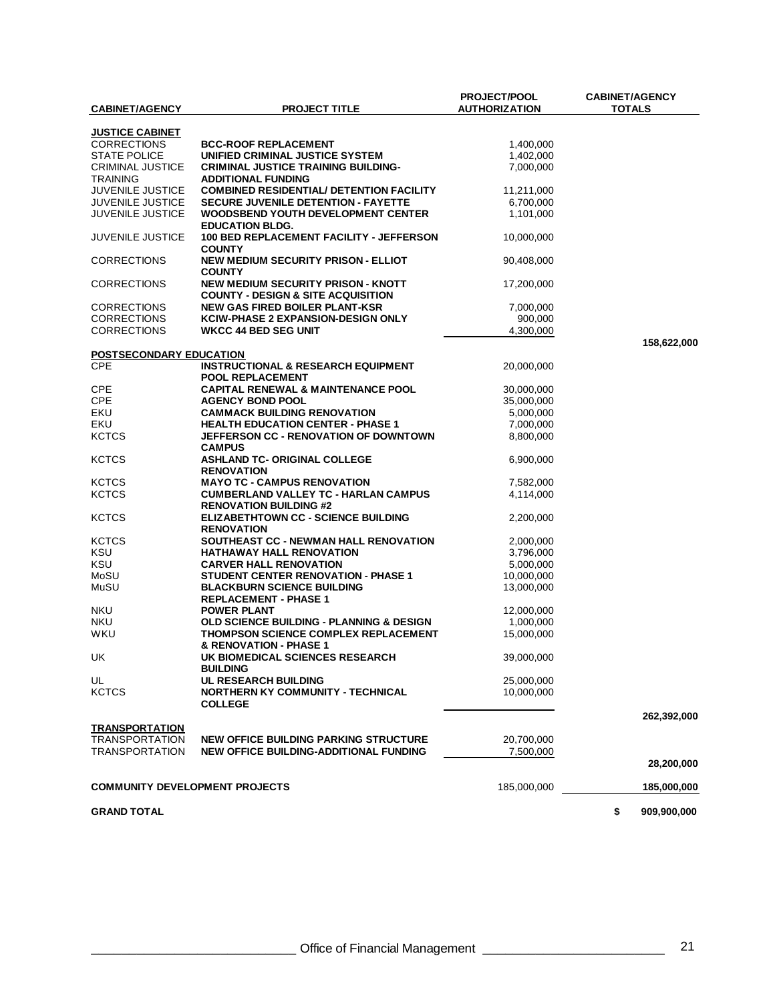|                                       |                                                 | <b>PROJECT/POOL</b>  | <b>CABINET/AGENCY</b> |
|---------------------------------------|-------------------------------------------------|----------------------|-----------------------|
| <b>CABINET/AGENCY</b>                 | <b>PROJECT TITLE</b>                            | <b>AUTHORIZATION</b> | <b>TOTALS</b>         |
|                                       |                                                 |                      |                       |
| <b>JUSTICE CABINET</b>                |                                                 |                      |                       |
| <b>CORRECTIONS</b>                    | <b>BCC-ROOF REPLACEMENT</b>                     | 1,400,000            |                       |
| <b>STATE POLICE</b>                   | UNIFIED CRIMINAL JUSTICE SYSTEM                 | 1,402,000            |                       |
| <b>CRIMINAL JUSTICE</b>               | <b>CRIMINAL JUSTICE TRAINING BUILDING-</b>      | 7,000,000            |                       |
| <b>TRAINING</b>                       | <b>ADDITIONAL FUNDING</b>                       |                      |                       |
| JUVENILE JUSTICE                      | <b>COMBINED RESIDENTIAL/ DETENTION FACILITY</b> | 11,211,000           |                       |
| <b>JUVENILE JUSTICE</b>               | <b>SECURE JUVENILE DETENTION - FAYETTE</b>      | 6,700,000            |                       |
| <b>JUVENILE JUSTICE</b>               | <b>WOODSBEND YOUTH DEVELOPMENT CENTER</b>       | 1,101,000            |                       |
|                                       | <b>EDUCATION BLDG.</b>                          |                      |                       |
| <b>JUVENILE JUSTICE</b>               | 100 BED REPLACEMENT FACILITY - JEFFERSON        | 10,000,000           |                       |
|                                       | <b>COUNTY</b>                                   |                      |                       |
| <b>CORRECTIONS</b>                    | <b>NEW MEDIUM SECURITY PRISON - ELLIOT</b>      | 90,408,000           |                       |
|                                       | <b>COUNTY</b>                                   |                      |                       |
| <b>CORRECTIONS</b>                    | <b>NEW MEDIUM SECURITY PRISON - KNOTT</b>       | 17,200,000           |                       |
|                                       | <b>COUNTY - DESIGN &amp; SITE ACQUISITION</b>   |                      |                       |
| <b>CORRECTIONS</b>                    | NEW GAS FIRED BOILER PLANT-KSR                  | 7,000,000            |                       |
| <b>CORRECTIONS</b>                    | <b>KCIW-PHASE 2 EXPANSION-DESIGN ONLY</b>       | 900,000              |                       |
| <b>CORRECTIONS</b>                    | <b>WKCC 44 BED SEG UNIT</b>                     | 4,300,000            |                       |
|                                       |                                                 |                      | 158,622,000           |
| POSTSECONDARY EDUCATION               |                                                 |                      |                       |
| <b>CPE</b>                            | <b>INSTRUCTIONAL &amp; RESEARCH EQUIPMENT</b>   | 20,000,000           |                       |
|                                       | <b>POOL REPLACEMENT</b>                         |                      |                       |
| <b>CPE</b>                            | <b>CAPITAL RENEWAL &amp; MAINTENANCE POOL</b>   | 30,000,000           |                       |
| <b>CPE</b>                            | <b>AGENCY BOND POOL</b>                         | 35,000,000           |                       |
| EKU                                   | <b>CAMMACK BUILDING RENOVATION</b>              | 5,000,000            |                       |
| EKU                                   | <b>HEALTH EDUCATION CENTER - PHASE 1</b>        | 7,000,000            |                       |
| <b>KCTCS</b>                          | <b>JEFFERSON CC - RENOVATION OF DOWNTOWN</b>    | 8,800,000            |                       |
|                                       | <b>CAMPUS</b>                                   |                      |                       |
| <b>KCTCS</b>                          | <b>ASHLAND TC- ORIGINAL COLLEGE</b>             | 6,900,000            |                       |
|                                       | <b>RENOVATION</b>                               |                      |                       |
| <b>KCTCS</b>                          | <b>MAYO TC - CAMPUS RENOVATION</b>              | 7,582,000            |                       |
| <b>KCTCS</b>                          | <b>CUMBERLAND VALLEY TC - HARLAN CAMPUS</b>     | 4,114,000            |                       |
|                                       | <b>RENOVATION BUILDING #2</b>                   |                      |                       |
| <b>KCTCS</b>                          | <b>ELIZABETHTOWN CC - SCIENCE BUILDING</b>      | 2,200,000            |                       |
|                                       | <b>RENOVATION</b>                               |                      |                       |
| <b>KCTCS</b>                          | SOUTHEAST CC - NEWMAN HALL RENOVATION           | 2,000,000            |                       |
| KSU                                   | <b>HATHAWAY HALL RENOVATION</b>                 | 3,796,000            |                       |
| KSU                                   | <b>CARVER HALL RENOVATION</b>                   | 5,000,000            |                       |
| MoSU                                  | <b>STUDENT CENTER RENOVATION - PHASE 1</b>      | 10,000,000           |                       |
| MuSU                                  | <b>BLACKBURN SCIENCE BUILDING</b>               | 13,000,000           |                       |
|                                       | <b>REPLACEMENT - PHASE 1</b>                    |                      |                       |
| <b>NKU</b>                            | <b>POWER PLANT</b>                              | 12,000,000           |                       |
| <b>NKU</b>                            | OLD SCIENCE BUILDING - PLANNING & DESIGN        | 1,000,000            |                       |
| WKU                                   | <b>THOMPSON SCIENCE COMPLEX REPLACEMENT</b>     | 15,000,000           |                       |
|                                       | & RENOVATION - PHASE 1                          |                      |                       |
| UK                                    | UK BIOMEDICAL SCIENCES RESEARCH                 | 39,000,000           |                       |
|                                       | <b>BUILDING</b>                                 |                      |                       |
| UL                                    | <b>UL RESEARCH BUILDING</b>                     | 25.000.000           |                       |
| <b>KCTCS</b>                          | <b>NORTHERN KY COMMUNITY - TECHNICAL</b>        | 10,000,000           |                       |
|                                       | <b>COLLEGE</b>                                  |                      |                       |
|                                       |                                                 |                      | 262,392,000           |
| <b>TRANSPORTATION</b>                 |                                                 |                      |                       |
| <b>TRANSPORTATION</b>                 | <b>NEW OFFICE BUILDING PARKING STRUCTURE</b>    | 20,700,000           |                       |
| <b>TRANSPORTATION</b>                 | NEW OFFICE BUILDING-ADDITIONAL FUNDING          | 7,500,000            |                       |
|                                       |                                                 |                      | 28,200,000            |
|                                       |                                                 |                      |                       |
| <b>COMMUNITY DEVELOPMENT PROJECTS</b> |                                                 | 185,000,000          | 185,000,000           |
|                                       |                                                 |                      |                       |
| <b>GRAND TOTAL</b>                    |                                                 |                      | \$<br>909,900,000     |
|                                       |                                                 |                      |                       |